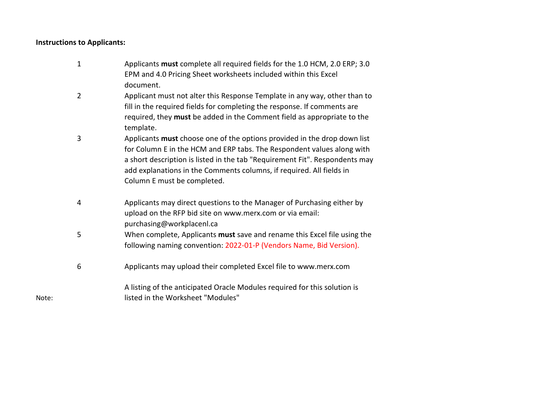## **Instructions to Applicants:**

| 1              | Applicants must complete all required fields for the 1.0 HCM, 2.0 ERP; 3.0<br>EPM and 4.0 Pricing Sheet worksheets included within this Excel<br>document.                                                                                                                                                                               |
|----------------|------------------------------------------------------------------------------------------------------------------------------------------------------------------------------------------------------------------------------------------------------------------------------------------------------------------------------------------|
| $\overline{2}$ | Applicant must not alter this Response Template in any way, other than to<br>fill in the required fields for completing the response. If comments are<br>required, they must be added in the Comment field as appropriate to the<br>template.                                                                                            |
| 3              | Applicants must choose one of the options provided in the drop down list<br>for Column E in the HCM and ERP tabs. The Respondent values along with<br>a short description is listed in the tab "Requirement Fit". Respondents may<br>add explanations in the Comments columns, if required. All fields in<br>Column E must be completed. |
| 4              | Applicants may direct questions to the Manager of Purchasing either by<br>upload on the RFP bid site on www.merx.com or via email:<br>purchasing@workplacenl.ca                                                                                                                                                                          |
| 5              | When complete, Applicants must save and rename this Excel file using the<br>following naming convention: 2022-01-P (Vendors Name, Bid Version).                                                                                                                                                                                          |
| 6              | Applicants may upload their completed Excel file to www.merx.com                                                                                                                                                                                                                                                                         |
|                | A listing of the anticipated Oracle Modules required for this solution is<br>listed in the Worksheet "Modules"                                                                                                                                                                                                                           |

Note: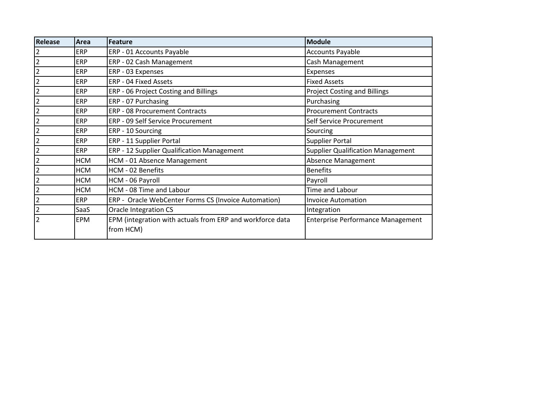| Release        | Area       | <b>Feature</b>                                                         | Module                                   |
|----------------|------------|------------------------------------------------------------------------|------------------------------------------|
| $\overline{2}$ | <b>ERP</b> | ERP - 01 Accounts Payable                                              | <b>Accounts Payable</b>                  |
| $\overline{2}$ | <b>ERP</b> | ERP - 02 Cash Management                                               | <b>Cash Management</b>                   |
| $\overline{2}$ | <b>ERP</b> | ERP - 03 Expenses                                                      | Expenses                                 |
| $\overline{2}$ | <b>ERP</b> | ERP - 04 Fixed Assets                                                  | <b>Fixed Assets</b>                      |
| $\overline{2}$ | <b>ERP</b> | ERP - 06 Project Costing and Billings                                  | <b>Project Costing and Billings</b>      |
| $\overline{2}$ | <b>ERP</b> | ERP - 07 Purchasing                                                    | Purchasing                               |
| $\overline{c}$ | <b>ERP</b> | ERP - 08 Procurement Contracts                                         | <b>Procurement Contracts</b>             |
|                | <b>ERP</b> | ERP - 09 Self Service Procurement                                      | Self Service Procurement                 |
| $\overline{2}$ | <b>ERP</b> | ERP - 10 Sourcing                                                      | Sourcing                                 |
| $\overline{2}$ | <b>ERP</b> | ERP - 11 Supplier Portal                                               | <b>Supplier Portal</b>                   |
| $\overline{2}$ | <b>ERP</b> | ERP - 12 Supplier Qualification Management                             | <b>Supplier Qualification Management</b> |
| $\overline{2}$ | <b>HCM</b> | HCM - 01 Absence Management                                            | Absence Management                       |
| 2              | <b>HCM</b> | HCM - 02 Benefits                                                      | <b>Benefits</b>                          |
| $\overline{2}$ | <b>HCM</b> | HCM - 06 Payroll                                                       | Payroll                                  |
| $\overline{2}$ | <b>HCM</b> | HCM - 08 Time and Labour                                               | Time and Labour                          |
| $\overline{2}$ | <b>ERP</b> | ERP - Oracle WebCenter Forms CS (Invoice Automation)                   | <b>Invoice Automation</b>                |
| $\overline{2}$ | SaaS       | Oracle Integration CS                                                  | Integration                              |
| $\overline{2}$ | <b>EPM</b> | EPM (integration with actuals from ERP and workforce data<br>from HCM) | Enterprise Performance Management        |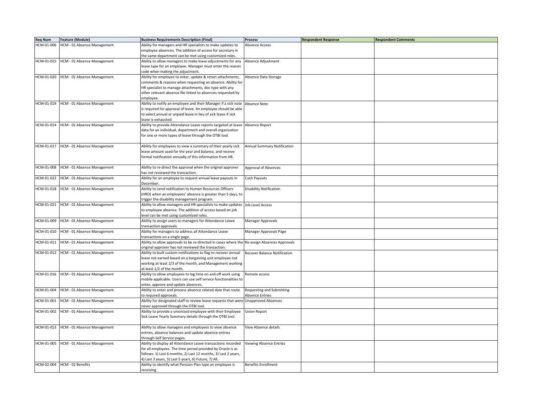| <b>Req Num</b> | <b>Feature (Module)</b>                | <b>Business Requirements Description (Final)</b>                                             | <b>Process</b>                 | <b>Respondent Response</b> | <b>Respondent Comments</b> |
|----------------|----------------------------------------|----------------------------------------------------------------------------------------------|--------------------------------|----------------------------|----------------------------|
| HCM-01-006     | HCM - 01 Absence Management            | Ability for managers and HR specialists to make updates to                                   | Absence Access                 |                            |                            |
|                |                                        | employee absences. The addition of access for secretary in                                   |                                |                            |                            |
|                |                                        | the same department can be met using customized roles.                                       |                                |                            |                            |
| HCM-01-015     | HCM - 01 Absence Management            | Ability to allow managers to make leave adjustments for any                                  | Absence Adjustment             |                            |                            |
|                |                                        | leave type for an employee. Manager must enter the reason                                    |                                |                            |                            |
|                |                                        | code when making the adjustment.                                                             |                                |                            |                            |
| HCM-01-020     | HCM - 01 Absence Management            | Ability for employee to enter, update & retain attachments,                                  | Absence Data Storage           |                            |                            |
|                |                                        | comments & reasons when requesting an absence. Ability for                                   |                                |                            |                            |
|                |                                        | HR specialist to manage attachments, doc type with any                                       |                                |                            |                            |
|                |                                        | other relevant absence file linked to absences requested by                                  |                                |                            |                            |
|                |                                        | employee.                                                                                    |                                |                            |                            |
|                | HCM-01-019 HCM - 01 Absence Management | Ability to notify an employee and their Manager if a sick note Absence Note                  |                                |                            |                            |
|                |                                        | is required for approval of leave. An employee should be able                                |                                |                            |                            |
|                |                                        | to select annual or unpaid leave in lieu of sick leave if sick                               |                                |                            |                            |
|                |                                        | leave is exhausted.                                                                          |                                |                            |                            |
|                | HCM-01-014 HCM - 01 Absence Management | Ability to provide Attendance Leave reports targeted at leave Absence Report                 |                                |                            |                            |
|                |                                        | data for an individual, department and overall organization                                  |                                |                            |                            |
|                |                                        | for one or more types of leave through the OTBI tool.                                        |                                |                            |                            |
|                |                                        |                                                                                              |                                |                            |                            |
| HCM-01-017     | HCM - 01 Absence Management            | Ability for employees to view a summary of their yearly sick                                 | Annual Summary Notification    |                            |                            |
|                |                                        | leave amount used for the year and balance, and receive                                      |                                |                            |                            |
|                |                                        | formal notification annually of this information from HR.                                    |                                |                            |                            |
| HCM-01-008     | HCM - 01 Absence Management            | Ability to re-direct the approval when the original approver                                 | Approval of Absences           |                            |                            |
|                |                                        | as not reviewed the transaction.                                                             |                                |                            |                            |
| HCM-01-022     | HCM - 01 Absence Management            | Ability for an employee to request annual leave payouts in                                   | Cash Payouts                   |                            |                            |
|                |                                        | December.                                                                                    |                                |                            |                            |
| HCM-01-018     | HCM - 01 Absence Management            | Ability to send notification to Human Resources Officers                                     | <b>Disability Notification</b> |                            |                            |
|                |                                        | (HRO) when an employees' absence is greater than 5 days, to                                  |                                |                            |                            |
|                |                                        | trigger the disability management program.                                                   |                                |                            |                            |
|                | HCM-01-021 HCM - 01 Absence Management | Ability to allow managers and HR specialists to make updates Job Level Access                |                                |                            |                            |
|                |                                        | to employee absence. The addition of access based on job                                     |                                |                            |                            |
|                |                                        | level can be met using customized roles.                                                     |                                |                            |                            |
| HCM-01-009     | HCM - 01 Absence Management            | Ability to assign users to managers for Attendance Leave                                     | Manager Approvals              |                            |                            |
|                |                                        | transaction approvals.                                                                       |                                |                            |                            |
| HCM-01-010     | HCM - 01 Absence Management            | Ability for managers to address all Attendance Leave                                         | Manager Approvals Page         |                            |                            |
|                |                                        | transactions on a single page.                                                               |                                |                            |                            |
| HCM-01-011     | HCM - 01 Absence Management            | Ability to allow approvals to be re-directed in cases where the Re-assign Absences Approvals |                                |                            |                            |
|                |                                        | original approver has not reviewed the transaction.                                          |                                |                            |                            |
| HCM-01-012     | HCM - 01 Absence Management            | Ability to built custom notifications to flag to recover annual                              | Recover Balance Notification   |                            |                            |
|                |                                        | leave not earned based on a bargaining unit employee not                                     |                                |                            |                            |
|                |                                        | working at least 2/3 of the month, and Management working                                    |                                |                            |                            |
| HCM-01-016     | HCM - 01 Absence Management            | at least 1/2 of the month.<br>Ability to allow employees to log time on and off work using   | Remote access                  |                            |                            |
|                |                                        | mobile applicable. Users can use self service functionalities to                             |                                |                            |                            |
|                |                                        | enter, approve and update absences.                                                          |                                |                            |                            |
| HCM-01-004     | HCM - 01 Absence Management            | Ability to enter and process absence related date that route                                 | Requesting and Submitting      |                            |                            |
|                |                                        | to required approvals.                                                                       | Absence Entries                |                            |                            |
| HCM-01-001     | HCM - 01 Absence Management            | Ability for designated staff to review leave requests that were Unapproved Absences          |                                |                            |                            |
|                |                                        | never approved through the OTBI tool.                                                        |                                |                            |                            |
| HCM-01-002     | HCM - 01 Absence Management            | Ability to provide a unionized employee with their Employee                                  | Union Report                   |                            |                            |
|                |                                        | Sick Leave Yearly Summary details through the OTBI tool.                                     |                                |                            |                            |
|                |                                        |                                                                                              |                                |                            |                            |
| HCM-01-013     | HCM - 01 Absence Management            | Ability to allow managers and employees to view absence                                      | View Absence details           |                            |                            |
|                |                                        | entries, absence balances and update absence entries                                         |                                |                            |                            |
|                |                                        | through Self Service pages.                                                                  |                                |                            |                            |
| HCM-01-005     | HCM - 01 Absence Management            | Ability to display all Attendance Leave transactions recorded                                | <b>Viewing Absence Entries</b> |                            |                            |
|                |                                        | for all employees. The time period provided by Oracle is as                                  |                                |                            |                            |
|                |                                        | follows: 1) Last 6 months, 2) Last 12 months, 3) Last 2 years,                               |                                |                            |                            |
|                |                                        | 4) Last 3 years, 5) Last 5 years, 6) Future, 7) All.                                         |                                |                            |                            |
|                | HCM-02-004 HCM - 02 Benefits           | Ability to identify what Pension Plan type an employee is                                    | <b>Benefits Enrollment</b>     |                            |                            |
|                |                                        | receiving.                                                                                   |                                |                            |                            |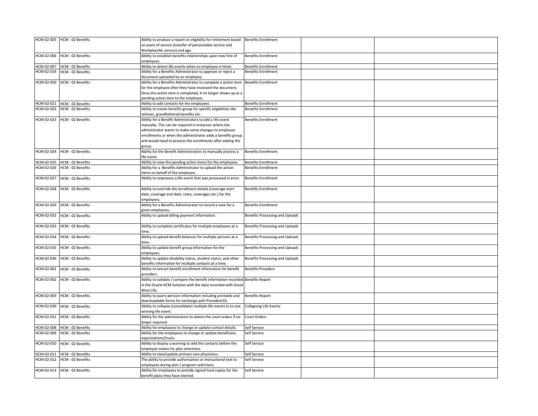| HCM-02-005 | HCM - 02 Benefits            | Ability to produce a report on eligibility for retirement based Benefits Enrollment |                                 |  |
|------------|------------------------------|-------------------------------------------------------------------------------------|---------------------------------|--|
|            |                              | on years of service (transfer of pensionable service and                            |                                 |  |
|            |                              | WorkplaceNL service) and age.                                                       |                                 |  |
| HCM-02-006 | HCM - 02 Benefits            | Ability to establish benefits relationships upon new hire of                        | <b>Benefits Enrollment</b>      |  |
|            |                              | employees                                                                           |                                 |  |
|            |                              |                                                                                     |                                 |  |
| HCM-02-007 | HCM - 02 Benefits            | Ability to detect life events when an employee is hired.                            | <b>Benefits Enrollment</b>      |  |
| HCM-02-019 | HCM - 02 Benefits            | Ability for a Benefits Administrator to approve or reject a                         | <b>Benefits Enrollment</b>      |  |
|            |                              | document uploaded by an employee.                                                   |                                 |  |
| HCM-02-020 | HCM - 02 Benefits            | Ability for a Benefits Administrator to complete a action item                      | <b>Benefits Enrollment</b>      |  |
|            |                              | for the employee after they have reviewed the document.                             |                                 |  |
|            |                              | Once the action item is completed, it no longer shows up as a                       |                                 |  |
|            |                              |                                                                                     |                                 |  |
|            |                              | pending action item to the employee.                                                |                                 |  |
| HCM-02-021 | HCM - 02 Benefits            | Ability to add contacts for the employees.                                          | <b>Benefits Enrollment</b>      |  |
| HCM-02-022 | HCM - 02 Benefits            | Ability to create benefits group for specific eligibilities like                    | <b>Benefits Enrollment</b>      |  |
|            |                              | retirees, grandfathered benefits etc.                                               |                                 |  |
| HCM-02-023 | HCM - 02 Benefits            | Ability for a Benefit Administrators to add a life event                            | <b>Benefits Enrollment</b>      |  |
|            |                              |                                                                                     |                                 |  |
|            |                              | manually. This can be required in instances where the                               |                                 |  |
|            |                              | administrator wants to make some changes to employee                                |                                 |  |
|            |                              | enrollments or when the administrator adds a benefits group                         |                                 |  |
|            |                              | and would need to process the enrollments after adding the                          |                                 |  |
|            |                              | group.                                                                              |                                 |  |
| HCM-02-024 | HCM - 02 Benefits            | Ability for the Benefit Administrators to manually process a                        | <b>Benefits Enrollment</b>      |  |
|            |                              |                                                                                     |                                 |  |
|            |                              | life event.                                                                         |                                 |  |
| HCM-02-025 | HCM - 02 Benefits            | Ability to view the pending action items for the employees.                         | <b>Benefits Enrollment</b>      |  |
| HCM-02-026 | HCM - 02 Benefits            | Ability for a Benefits Administrator to upload the action                           | <b>Benefits Enrollment</b>      |  |
|            |                              | tems on behalf of the employee.                                                     |                                 |  |
| HCM-02-027 | HCM - 02 Benefits            | Ability to unprocess a life event that was processed in error.                      | <b>Benefits Enrollment</b>      |  |
|            |                              |                                                                                     |                                 |  |
|            |                              |                                                                                     |                                 |  |
| HCM-02-028 | HCM - 02 Benefits            | Ability to override the enrollment details (coverage start                          | <b>Benefits Enrollment</b>      |  |
|            |                              | date, coverage end date, rates, coverages etc.) for the                             |                                 |  |
|            |                              | employees.                                                                          |                                 |  |
| HCM-02-029 | HCM - 02 Benefits            | Ability for a Benefits Administrator to record a note for a                         | <b>Benefits Enrollment</b>      |  |
|            |                              |                                                                                     |                                 |  |
|            |                              | given employees.                                                                    |                                 |  |
| HCM-02-032 | HCM - 02 Benefits            | Ability to upload billing payment information.                                      | Benefits Processing and Uploads |  |
|            |                              |                                                                                     |                                 |  |
| HCM-02-033 | HCM - 02 Benefits            | Ability to complete certificates for multiple employees at a                        | Benefits Processing and Uploads |  |
|            |                              | time.                                                                               |                                 |  |
| HCM-02-034 | HCM - 02 Benefits            | Ability to upload benefit balances for multiple persons at a                        | Benefits Processing and Uploads |  |
|            |                              |                                                                                     |                                 |  |
|            |                              | time.                                                                               |                                 |  |
| HCM-02-035 | HCM - 02 Benefits            | Ability to update benefit group information for the                                 | Benefits Processing and Uploads |  |
|            |                              | employees.                                                                          |                                 |  |
| HCM-02-036 | HCM - 02 Benefits            | Ability to update disability status, student status, and other                      | Benefits Processing and Uploads |  |
|            |                              | benefits information for multiple contacts at a time.                               |                                 |  |
| HCM-02-001 | HCM - 02 Benefits            | Ability to extract benefit enrollment information for benefit                       | <b>Benefits Providers</b>       |  |
|            |                              |                                                                                     |                                 |  |
|            |                              | providers.                                                                          |                                 |  |
| HCM-02-002 | HCM - 02 Benefits            | Ability to validate / compare the benefit information recorded Benefits Report      |                                 |  |
|            |                              | in the Oracle HCM Solution with the data recorded with Great                        |                                 |  |
|            |                              | West Life.                                                                          |                                 |  |
| HCM-02-003 | HCM - 02 Benefits            | Ability to query pension information including printable and                        | <b>Benefits Report</b>          |  |
|            |                              |                                                                                     |                                 |  |
|            |                              | downloadable forms for exchange with Provident10.                                   |                                 |  |
| HCM-02-030 | HCM - 02 Benefits            | Ability to collapse (consolidate) multiple life events in to one                    | <b>Collapsing Life Events</b>   |  |
|            |                              | winning life event.                                                                 |                                 |  |
| HCM-02-031 | HCM - 02 Benefits            | Ability for the administrators to delete the court orders if no                     | Court Orders                    |  |
|            |                              | longer required.                                                                    |                                 |  |
| HCM-02-008 | HCM - 02 Benefits            | Ability for employees to change or update contact details.                          | Self Service                    |  |
|            |                              |                                                                                     |                                 |  |
| HCM-02-009 | HCM - 02 Benefits            | Ability for the employees to change or update beneficiary                           | Self Service                    |  |
|            |                              | organizations/trusts.                                                               |                                 |  |
| HCM-02-010 | HCM - 02 Benefits            | Ability to display a warning to add the contacts before the                         | Self Service                    |  |
|            |                              | employee makes his plan selections.                                                 |                                 |  |
| HCM-02-011 | HCM - 02 Benefits            | Ability to view/update primary care physicians.                                     | Self Service                    |  |
| HCM-02-012 | HCM - 02 Benefits            | The ability to provide authorization or instructional text to                       | Self Service                    |  |
|            |                              |                                                                                     |                                 |  |
|            |                              | employees during plan / program selections.                                         |                                 |  |
|            | HCM-02-013 HCM - 02 Benefits | Ability for employees to provide signed hard copies for the                         | Self Service                    |  |
|            |                              | benefit plans they have elected.                                                    |                                 |  |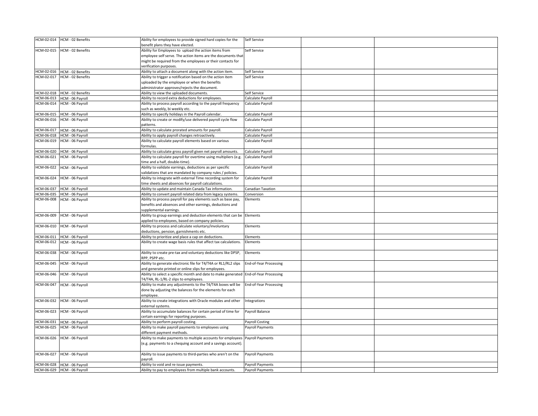|            | HCM-02-014 HCM - 02 Benefits                    | Ability for employees to provide signed hard copies for the                                                               | Self Service           |  |
|------------|-------------------------------------------------|---------------------------------------------------------------------------------------------------------------------------|------------------------|--|
|            |                                                 | benefit plans they have elected.                                                                                          |                        |  |
|            | HCM-02-015 HCM - 02 Benefits                    | Ability for Employees to upload the action items from                                                                     | Self Service           |  |
|            |                                                 | employee self serve. The action items are the documents that                                                              |                        |  |
|            |                                                 | might be required from the employees or their contacts for                                                                |                        |  |
|            |                                                 | verification purposes.                                                                                                    |                        |  |
|            | HCM-02-016 HCM - 02 Benefits                    | Ability to attach a document along with the action item.                                                                  | Self Service           |  |
| HCM-02-017 | HCM - 02 Benefits                               | Ability to trigger a notification based on the action item                                                                | Self Service           |  |
|            |                                                 | uploaded by the employee or when the benefits                                                                             |                        |  |
|            |                                                 | administrator approves/rejects the document.                                                                              |                        |  |
|            | HCM-02-018 HCM - 02 Benefits                    | Ability to view the uploaded documents.                                                                                   | Self Service           |  |
| HCM-06-013 | HCM - 06 Payroll<br>HCM-06-014 HCM - 06 Payroll | Ability to record extra deductions for employees.                                                                         | Calculate Payroll      |  |
|            |                                                 | Ability to process payroll according to the payroll frequency<br>such as weekly, bi weekly etc.                           | Calculate Payroll      |  |
| HCM-06-015 | HCM - 06 Payroll                                | Ability to specify holidays in the Payroll calendar.                                                                      | Calculate Payroll      |  |
| HCM-06-016 | HCM - 06 Payroll                                | Ability to create or modify/use delivered payroll cycle flow                                                              | Calculate Payroll      |  |
|            |                                                 | patterns.                                                                                                                 |                        |  |
| HCM-06-017 | HCM - 06 Payroll                                | Ability to calculate prorated amounts for payroll.                                                                        | Calculate Payroll      |  |
| HCM-06-018 | HCM - 06 Payroll                                | Ability to apply payroll changes retroactively.                                                                           | Calculate Payroll      |  |
| HCM-06-019 | HCM - 06 Payroll                                | Ability to calculate payroll elements based on various                                                                    | Calculate Payroll      |  |
|            |                                                 | formulas.                                                                                                                 |                        |  |
| HCM-06-020 | HCM - 06 Payroll                                | Ability to calculate gross payroll given net payroll amounts.                                                             | Calculate Payroll      |  |
| HCM-06-021 | HCM - 06 Payroll                                | Ability to calculate payroll for overtime using multipliers (e.g.                                                         | Calculate Payroll      |  |
|            |                                                 | time and a half, double-time).                                                                                            |                        |  |
|            | HCM-06-022 HCM - 06 Payroll                     | Ability to validate earnings, deductions as per specific                                                                  | Calculate Payroll      |  |
|            |                                                 | validations that are mandated by company rules / policies.                                                                |                        |  |
| HCM-06-024 | HCM - 06 Payroll                                | Ability to integrate with external Time recording system for                                                              | Calculate Payroll      |  |
|            |                                                 | time sheets and absences for payroll calculations.                                                                        |                        |  |
| HCM-06-037 | HCM - 06 Payroll                                | Ability to update and maintain Canada Tax information.                                                                    | Canadian Taxation      |  |
| HCM-06-035 | HCM - 06 Payroll                                | Ability to convert payroll related data from legacy systems.                                                              | Conversion             |  |
| HCM-06-008 | HCM - 06 Payroll                                | Ability to process payroll for pay elements such as base pay,                                                             | Elements               |  |
|            |                                                 | benefits and absences and other earnings, deductions and                                                                  |                        |  |
|            | HCM-06-009 HCM - 06 Payroll                     | supplemental earnings.                                                                                                    |                        |  |
|            |                                                 | Ability to group earnings and deduction elements that can be Elements<br>applied to employees, based on company policies. |                        |  |
|            | HCM-06-010 HCM - 06 Payroll                     | Ability to process and calculate voluntary/involuntary                                                                    | Elements               |  |
|            |                                                 | deductions, pension, garnishments etc.                                                                                    |                        |  |
| HCM-06-011 | HCM - 06 Payroll                                | Ability to prioritize and place a cap on deductions.                                                                      | Elements               |  |
|            | HCM-06-012 HCM - 06 Payroll                     | Ability to create wage basis rules that affect tax calculations.                                                          | Elements               |  |
|            |                                                 |                                                                                                                           |                        |  |
| HCM-06-038 | HCM - 06 Payroll                                | Ability to create pre-tax and voluntary deductions like DPSP,                                                             | Elements               |  |
|            |                                                 | RPP, PSPP etc.                                                                                                            |                        |  |
| HCM-06-045 | HCM - 06 Payroll                                | Ability to generate electronic file for T4/T4A or RL1/RL2 slips                                                           | End-of-Year Processing |  |
|            |                                                 | and generate printed or online slips for employees.                                                                       |                        |  |
|            | HCM-06-046 HCM - 06 Payroll                     | Ability to select a specific month and date to make generated End-of-Year Processing                                      |                        |  |
|            |                                                 | T4/T4A, RL-1/RL-2 slips to employees.                                                                                     |                        |  |
| HCM-06-047 | HCM - 06 Payroll                                | Ability to make any adjustments to the T4/T4A boxes will be                                                               | End-of-Year Processing |  |
|            |                                                 | done by adjusting the balances for the elements for each                                                                  |                        |  |
|            |                                                 | employee.                                                                                                                 |                        |  |
|            | HCM-06-032 HCM - 06 Payroll                     | Ability to create integrations with Oracle modules and other                                                              | Integrations           |  |
| HCM-06-023 | HCM - 06 Payroll                                | external systems.<br>Ability to accumulate balances for certain period of time for                                        | Payroll Balance        |  |
|            |                                                 | certain earnings for reporting purposes.                                                                                  |                        |  |
|            | HCM-06-031 HCM - 06 Payroll                     | Ability to perform payroll costing.                                                                                       | <b>Payroll Costing</b> |  |
| HCM-06-025 | HCM - 06 Payroll                                | Ability to make payroll payments to employees using                                                                       | Payroll Payments       |  |
|            |                                                 | different payment methods.                                                                                                |                        |  |
| HCM-06-026 | HCM - 06 Payroll                                | Ability to make payments to multiple accounts for employees Payroll Payments                                              |                        |  |
|            |                                                 | (e.g. payments to a chequing account and a savings account).                                                              |                        |  |
|            |                                                 |                                                                                                                           |                        |  |
|            | HCM-06-027 HCM - 06 Payroll                     | Ability to issue payments to third-parties who aren't on the                                                              | Payroll Payments       |  |
|            |                                                 | payroll.                                                                                                                  |                        |  |
|            | HCM-06-028 HCM - 06 Payroll                     | Ability to void and re-issue payments.                                                                                    | Payroll Payments       |  |
|            | HCM-06-029 HCM - 06 Payroll                     | Ability to pay to employees from multiple bank accounts.                                                                  | Payroll Payments       |  |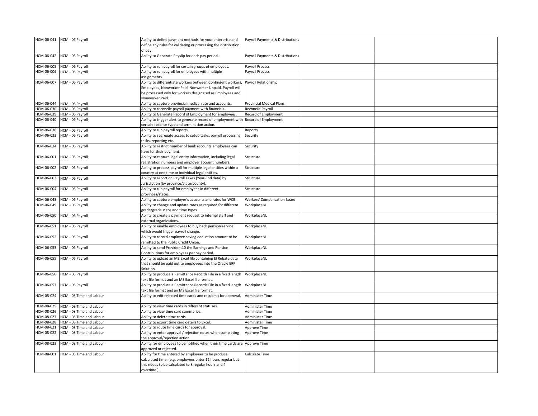|            | HCM-06-041 HCM - 06 Payroll | Ability to define payment methods for your enterprise and<br>define any rules for validating or processing the distribution<br>of pay.                                                                    | Payroll Payments & Distributions   |  |
|------------|-----------------------------|-----------------------------------------------------------------------------------------------------------------------------------------------------------------------------------------------------------|------------------------------------|--|
| HCM-06-042 | HCM - 06 Payroll            | Ability to Generate Payslip for each pay period.                                                                                                                                                          | Payroll Payments & Distributions   |  |
| HCM-06-005 | HCM - 06 Payroll            | Ability to run payroll for certain groups of employees.                                                                                                                                                   | Payroll Process                    |  |
| HCM-06-006 | HCM - 06 Payroll            | Ability to run payroll for employees with multiple<br>assignments.                                                                                                                                        | Payroll Process                    |  |
| HCM-06-007 | HCM - 06 Payroll            | Ability to differentiate workers between Contingent workers,<br>Employees, Nonworker Paid, Nonworker Unpaid. Payroll will<br>be processed only for workers designated as Employees and<br>Nonworker Paid. | Payroll Relationship               |  |
| HCM-06-044 | HCM - 06 Payroll            | Ability to capture provincial medical rate and accounts.                                                                                                                                                  | <b>Provincial Medical Plans</b>    |  |
| HCM-06-030 | HCM - 06 Payroll            | Ability to reconcile payroll payment with financials.                                                                                                                                                     | Reconcile Payroll                  |  |
| HCM-06-039 | HCM - 06 Payroll            | Ability to Generate Record of Employment for employees.                                                                                                                                                   | Record of Employment               |  |
| HCM-06-040 | HCM - 06 Payroll            | Ability to trigger alert to generate record of employment with Record of Employment<br>certain absence type and termination action.                                                                       |                                    |  |
| HCM-06-036 | HCM - 06 Payroll            | Ability to run payroll reports.                                                                                                                                                                           | Reports                            |  |
| HCM-06-033 | HCM - 06 Payroll            | Ability to segregate access to setup tasks, payroll processing<br>tasks, reporting etc.                                                                                                                   | Security                           |  |
| HCM-06-034 | HCM - 06 Payroll            | Ability to restrict number of bank accounts employees can<br>have for their payment.                                                                                                                      | Security                           |  |
| HCM-06-001 | HCM - 06 Payroll            | Ability to capture legal entity information, including legal<br>egistration numbers and employer account numbers.                                                                                         | Structure                          |  |
| HCM-06-002 | HCM - 06 Payroll            | Ability to process payroll for multiple legal entities within a<br>country at one time or individual legal entities.                                                                                      | Structure                          |  |
| HCM-06-003 | HCM - 06 Payroll            | Ability to report on Payroll Taxes (Year-End data) by<br>Jurisdiction (by province/state/county).                                                                                                         | Structure                          |  |
|            | HCM-06-004 HCM - 06 Payroll | Ability to run payroll for employees in different<br>provinces/states.                                                                                                                                    | Structure                          |  |
| HCM-06-043 | HCM - 06 Payroll            | Ability to capture employer's accounts and rates for WCB.                                                                                                                                                 | <b>Workers' Compensation Board</b> |  |
| HCM-06-049 | HCM - 06 Payroll            | Ability to change and update rates as required for different<br>grade/grade steps and time types.                                                                                                         | WorkplaceNL                        |  |
| HCM-06-050 | HCM - 06 Payroll            | Ability to create a payment request to internal staff and<br>external organizations.                                                                                                                      | WorkplaceNL                        |  |
| HCM-06-051 | HCM - 06 Payroll            | Ability to enable employees to buy back pension service<br>which would trigger payroll change.                                                                                                            | WorkplaceNL                        |  |
| HCM-06-052 | HCM - 06 Payroll            | Ability to record employee saving deduction amount to be<br>remitted to the Public Credit Union.                                                                                                          | WorkplaceNL                        |  |
| HCM-06-053 | HCM - 06 Payroll            | Ability to send Provident10 the Earnings and Pension<br>Contributions for employees per pay period.                                                                                                       | WorkplaceNL                        |  |
| HCM-06-055 | HCM - 06 Payroll            | Ability to upload an MS Excel file containing EI Rebate data<br>that should be paid out to employees into the Oracle ERP<br>Solution.                                                                     | WorkplaceNL                        |  |
| HCM-06-056 | HCM - 06 Payroll            | Ability to produce a Remittance Records File in a fixed length WorkplaceNL<br>text file format and an MS Excel file format.                                                                               |                                    |  |
| HCM-06-057 | HCM - 06 Payroll            | Ability to produce a Remittance Records File in a fixed length WorkplaceNL<br>ext file format and an MS Excel file format.                                                                                |                                    |  |
| HCM-08-024 | HCM - 08 Time and Labour    | Ability to edit rejected time cards and resubmit for approval.                                                                                                                                            | <b>Administer Time</b>             |  |
| HCM-08-025 | HCM - 08 Time and Labour    | Ability to view time cards in different statuses.                                                                                                                                                         | Administer Time                    |  |
| HCM-08-026 | HCM - 08 Time and Labour    | Ability to view time card summaries.                                                                                                                                                                      | Administer Time                    |  |
| HCM-08-027 | HCM - 08 Time and Labour    | Ability to delete time cards.                                                                                                                                                                             | Administer Time                    |  |
| HCM-08-028 | HCM - 08 Time and Labour    | Ability to export time card details to Excel.                                                                                                                                                             | Administer Time                    |  |
| HCM-08-021 | HCM - 08 Time and Labour    | Ability to route time cards for approval.                                                                                                                                                                 | Approve Time                       |  |
| HCM-08-022 | HCM - 08 Time and Labour    | Ability to enter approval / rejection notes when completing<br>the approval/rejection action.                                                                                                             | Approve Time                       |  |
| HCM-08-023 | HCM - 08 Time and Labour    | Ability for employees to be notified when their time cards are Approve Time<br>approved or rejected.                                                                                                      |                                    |  |
| HCM-08-001 | HCM - 08 Time and Labour    | Ability for time entered by employees to be produce<br>calculated time. (e.g. employees enter 12 hours regular but<br>this needs to be calculated to 8 regular hours and 4<br>overtime.).                 | Calculate Time                     |  |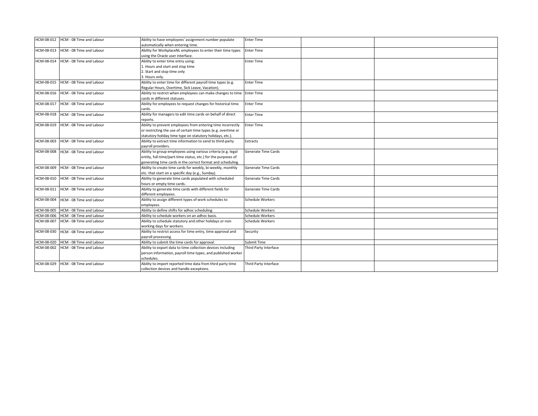|            | HCM-08-012 HCM - 08 Time and Labour | Ability to have employees' assignment number populate<br>automatically when entering time.                                                                                                    | <b>Enter Time</b>       |  |
|------------|-------------------------------------|-----------------------------------------------------------------------------------------------------------------------------------------------------------------------------------------------|-------------------------|--|
| HCM-08-013 | HCM - 08 Time and Labour            | Ability for WorkplaceNL employees to enter their time types<br>using the Oracle user interface.                                                                                               | <b>Enter Time</b>       |  |
| HCM-08-014 | HCM - 08 Time and Labour            | Ability to enter time entry using:<br>1. Hours and start and stop time<br>2. Start and stop time only<br>3. Hours only.                                                                       | <b>Enter Time</b>       |  |
| HCM-08-015 | HCM - 08 Time and Labour            | Ability to enter time for different payroll time types (e.g.<br>Regular Hours, Overtime, Sick Leave, Vacation).                                                                               | <b>Enter Time</b>       |  |
| ICM-08-016 | HCM - 08 Time and Labour            | Ability to restrict when employees can make changes to time Enter Time<br>cards in different statuses.                                                                                        |                         |  |
| HCM-08-017 | HCM - 08 Time and Labour            | Ability for employees to request changes for historical time<br>cards.                                                                                                                        | <b>Enter Time</b>       |  |
| HCM-08-018 | HCM - 08 Time and Labour            | Ability for managers to edit time cards on behalf of direct<br>reports.                                                                                                                       | <b>Enter Time</b>       |  |
| HCM-08-019 | HCM - 08 Time and Labour            | Ability to prevent employees from entering time incorrectly<br>or restricting the use of certain time types (e.g. overtime or<br>statutory holiday time type on statutory holidays, etc.).    | <b>Enter Time</b>       |  |
| HCM-08-003 | HCM - 08 Time and Labour            | Ability to extract time information to send to third-party<br>payroll providers.                                                                                                              | Extracts                |  |
| HCM-08-008 | HCM - 08 Time and Labour            | Ability to group employees using various criteria (e.g. legal<br>entity, full-time/part-time status, etc.) for the purposes of<br>generating time cards in the correct format and scheduling. | Generate Time Cards     |  |
| HCM-08-009 | HCM - 08 Time and Labour            | Ability to create time cards for weekly, bi-weekly, monthly<br>etc. that start on a specific day (e.g., Sunday).                                                                              | Generate Time Cards     |  |
| HCM-08-010 | HCM - 08 Time and Labour            | Ability to generate time cards populated with scheduled<br>hours or empty time cards.                                                                                                         | Generate Time Cards     |  |
| ICM-08-011 | HCM - 08 Time and Labour            | Ability to generate time cards with different fields for<br>different employees.                                                                                                              | Generate Time Cards     |  |
| ICM-08-004 | HCM - 08 Time and Labour            | Ability to assign different types of work schedules to<br>employees.                                                                                                                          | <b>Schedule Workers</b> |  |
| ICM-08-005 | HCM - 08 Time and Labour            | Ability to define shifts for adhoc scheduling.                                                                                                                                                | <b>Schedule Workers</b> |  |
| HCM-08-006 | HCM - 08 Time and Labour            | Ability to schedule workers on an adhoc basis.                                                                                                                                                | Schedule Workers        |  |
| HCM-08-007 | HCM - 08 Time and Labour            | Ability to schedule statutory and other holidays or non-<br>working days for workers.                                                                                                         | Schedule Workers        |  |
| ICM-08-030 | HCM - 08 Time and Labour            | Ability to restrict access for time entry, time approval and<br>payroll processing.                                                                                                           | Security                |  |
| HCM-08-020 | HCM - 08 Time and Labour            | Ability to submit the time cards for approval.                                                                                                                                                | Submit Time             |  |
| HCM-08-002 | HCM - 08 Time and Labour            | Ability to export data to time collection devices including<br>person information, payroll time types, and published worker<br>schedules.                                                     | Third Party Interface   |  |
| HCM-08-029 | HCM - 08 Time and Labour            | Ability to import reported time data from third party time<br>collection devices and handle exceptions.                                                                                       | Third Party Interface   |  |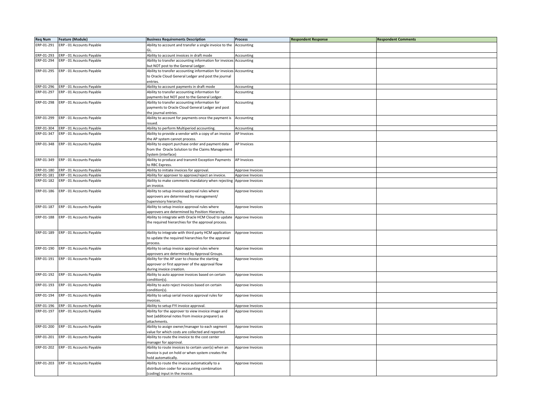| <b>Req Num</b> | <b>Feature (Module)</b>   | <b>Business Requirements Description</b>                                 | Process                              | <b>Respondent Response</b> | <b>Respondent Comments</b> |
|----------------|---------------------------|--------------------------------------------------------------------------|--------------------------------------|----------------------------|----------------------------|
| ERP-01-291     | ERP - 01 Accounts Payable | Ability to account and transfer a single invoice to the<br>GI            | Accounting                           |                            |                            |
| ERP-01-293     | ERP - 01 Accounts Payable | Ability to account invoices in draft mode                                | Accounting                           |                            |                            |
| ERP-01-294     | ERP - 01 Accounts Payable | Ability to transfer accounting information for invoices Accounting       |                                      |                            |                            |
|                |                           | but NOT post to the General Ledger.                                      |                                      |                            |                            |
| ERP-01-295     | ERP - 01 Accounts Payable | Ability to transfer accounting information for invoices                  | Accounting                           |                            |                            |
|                |                           | to Oracle Cloud General Ledger and post the journal                      |                                      |                            |                            |
|                |                           | entries.                                                                 |                                      |                            |                            |
| ERP-01-296     | ERP - 01 Accounts Payable | Ability to account payments in draft mode                                | Accounting                           |                            |                            |
| ERP-01-297     | ERP - 01 Accounts Payable | Ability to transfer accounting information for                           | Accounting                           |                            |                            |
|                |                           | payments but NOT post to the General Ledger.                             |                                      |                            |                            |
| ERP-01-298     | ERP - 01 Accounts Payable | Ability to transfer accounting information for                           | Accounting                           |                            |                            |
|                |                           | payments to Oracle Cloud General Ledger and post<br>the journal entries. |                                      |                            |                            |
| ERP-01-299     | ERP - 01 Accounts Payable | Ability to account for payments once the payment is                      | Accounting                           |                            |                            |
|                |                           | issued.                                                                  |                                      |                            |                            |
| ERP-01-304     | ERP - 01 Accounts Payable | Ability to perform Multiperiod accounting.                               | Accounting                           |                            |                            |
| ERP-01-347     | ERP - 01 Accounts Payable | Ability to provide a vendor with a copy of an invoice                    | AP Invoices                          |                            |                            |
|                |                           | the AP system cannot process.                                            |                                      |                            |                            |
| ERP-01-348     | ERP - 01 Accounts Payable | Ability to export purchase order and payment data                        | AP Invoices                          |                            |                            |
|                |                           | from the Oracle Solution to the Claims Management                        |                                      |                            |                            |
|                |                           | system (interface)                                                       |                                      |                            |                            |
| ERP-01-349     | ERP - 01 Accounts Payable | Ability to produce and transmit Exception Payments                       | AP Invoices                          |                            |                            |
| ERP-01-180     | ERP - 01 Accounts Payable | to RBC Express.<br>Ability to initiate invoices for approval.            |                                      |                            |                            |
| ERP-01-181     | ERP - 01 Accounts Payable | Ability for approver to approve/reject an invoice.                       | Approve Invoices<br>Approve Invoices |                            |                            |
| ERP-01-182     | ERP - 01 Accounts Payable | Ability to make comments mandatory when rejecting Approve Invoices       |                                      |                            |                            |
|                |                           | an invoice.                                                              |                                      |                            |                            |
| ERP-01-186     | ERP - 01 Accounts Payable | Ability to setup invoice approval rules where                            | Approve Invoices                     |                            |                            |
|                |                           | approvers are determined by management/                                  |                                      |                            |                            |
|                |                           | Supervisory hierarchy.                                                   |                                      |                            |                            |
| ERP-01-187     | ERP - 01 Accounts Payable | Ability to setup invoice approval rules where                            | Approve Invoices                     |                            |                            |
|                |                           | approvers are determined by Position Hierarchy.                          |                                      |                            |                            |
| ERP-01-188     | ERP - 01 Accounts Payable | Ability to integrate with Oracle HCM Cloud to update Approve Invoices    |                                      |                            |                            |
|                |                           | the required hierarchies for the approval process.                       |                                      |                            |                            |
| ERP-01-189     | ERP - 01 Accounts Payable | Ability to integrate with third party HCM application                    | Approve Invoices                     |                            |                            |
|                |                           | to update the required hierarchies for the approval                      |                                      |                            |                            |
|                |                           | process.                                                                 |                                      |                            |                            |
| ERP-01-190     | ERP - 01 Accounts Payable | Ability to setup invoice approval rules where                            | Approve Invoices                     |                            |                            |
|                |                           | pprovers are determined by Approval Groups.                              |                                      |                            |                            |
| ERP-01-191     | ERP - 01 Accounts Payable | Ability for the AP user to choose the starting                           | Approve Invoices                     |                            |                            |
|                |                           | approver or first approver of the approval flow                          |                                      |                            |                            |
| ERP-01-192     | ERP - 01 Accounts Payable | during invoice creation.                                                 |                                      |                            |                            |
|                |                           | Ability to auto approve invoices based on certain<br>condition(s)        | Approve Invoices                     |                            |                            |
| ERP-01-193     | ERP - 01 Accounts Payable | Ability to auto reject invoices based on certain                         | Approve Invoices                     |                            |                            |
|                |                           | condition(s)                                                             |                                      |                            |                            |
| ERP-01-194     | ERP - 01 Accounts Payable | Ability to setup serial invoice approval rules for                       | Approve Invoices                     |                            |                            |
|                |                           | invoices.                                                                |                                      |                            |                            |
| RP-01-196      | ERP - 01 Accounts Payable | Ability to setup FYI invoice approval.                                   | Approve Invoices                     |                            |                            |
| ERP-01-197     | ERP - 01 Accounts Payable | Ability for the approver to view invoice image and                       | Approve Invoices                     |                            |                            |
|                |                           | text (additional notes from invoice preparer) as                         |                                      |                            |                            |
| ERP-01-200     | ERP - 01 Accounts Payable | attachments.<br>Ability to assign owner/manager to each segment          |                                      |                            |                            |
|                |                           | value for which costs are collected and reported.                        | Approve Invoices                     |                            |                            |
| ERP-01-201     | ERP - 01 Accounts Payable | Ability to route the invoice to the cost center                          | Approve Invoices                     |                            |                            |
|                |                           | manager for approval.                                                    |                                      |                            |                            |
| ERP-01-202     | ERP - 01 Accounts Payable | Ability to route invoices to certain user(s) when an                     | Approve Invoices                     |                            |                            |
|                |                           | invoice is put on hold or when system creates the                        |                                      |                            |                            |
|                |                           | hold automatically.                                                      |                                      |                            |                            |
| ERP-01-203     | ERP - 01 Accounts Payable | Ability to route the invoice automatically to a                          | Approve Invoices                     |                            |                            |
|                |                           | distribution coder for accounting combination                            |                                      |                            |                            |
|                |                           | (coding) input in the invoice.                                           |                                      |                            |                            |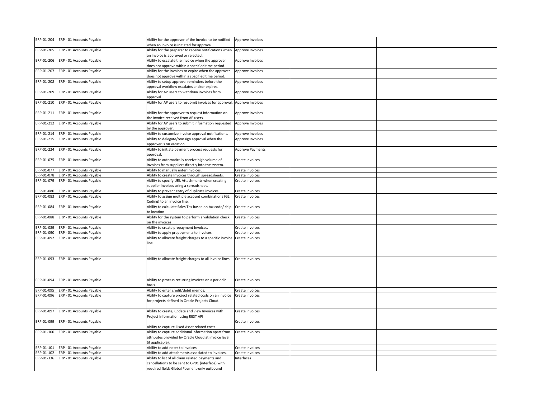|            | ERP-01-204 ERP - 01 Accounts Payable | Ability for the approver of the invoice to be notified    | Approve Invoices        |  |
|------------|--------------------------------------|-----------------------------------------------------------|-------------------------|--|
|            |                                      | when an invoice is initiated for approval.                |                         |  |
| ERP-01-205 | ERP - 01 Accounts Payable            | Ability for the preparer to receive notifications when    | Approve Invoices        |  |
|            |                                      | an invoice is approved or rejected.                       |                         |  |
| ERP-01-206 | ERP - 01 Accounts Payable            | Ability to escalate the invoice when the approver         | Approve Invoices        |  |
|            |                                      |                                                           |                         |  |
|            | ERP - 01 Accounts Payable            | does not approve within a specified time period.          |                         |  |
| ERP-01-207 |                                      | Ability for the invoices to expire when the approver      | Approve Invoices        |  |
|            |                                      | does not approve within a specified time period.          |                         |  |
| ERP-01-208 | ERP - 01 Accounts Payable            | Ability to setup approval reminders before the            | Approve Invoices        |  |
|            |                                      | approval workflow escalates and/or expires.               |                         |  |
| ERP-01-209 | ERP - 01 Accounts Payable            | Ability for AP users to withdraw invoices from            | Approve Invoices        |  |
|            |                                      | approval.                                                 |                         |  |
| ERP-01-210 | ERP - 01 Accounts Payable            | Ability for AP users to resubmit invoices for approval.   | Approve Invoices        |  |
|            |                                      |                                                           |                         |  |
| ERP-01-211 | ERP - 01 Accounts Payable            | Ability for the approver to request information on        | Approve Invoices        |  |
|            |                                      | the invoice received from AP users.                       |                         |  |
| ERP-01-212 | ERP - 01 Accounts Payable            | Ability for AP users to submit information requested      | Approve Invoices        |  |
|            |                                      | by the approver.                                          |                         |  |
| ERP-01-214 | ERP - 01 Accounts Payable            | Ability to customize invoice approval notifications.      | Approve Invoices        |  |
|            | ERP-01-215 ERP - 01 Accounts Payable | Ability to delegate/reassign approval when the            | Approve Invoices        |  |
|            |                                      | approver is on vacation.                                  |                         |  |
| ERP-01-224 | ERP - 01 Accounts Payable            | Ability to initiate payment process requests for          | <b>Approve Payments</b> |  |
|            |                                      | approval.                                                 |                         |  |
| ERP-01-075 | ERP - 01 Accounts Payable            | Ability to automatically receive high volume of           | Create Invoices         |  |
|            |                                      | invoices from suppliers directly into the system.         |                         |  |
| ERP-01-077 | ERP - 01 Accounts Payable            | Ability to manually enter Invoices.                       | Create Invoices         |  |
| ERP-01-078 | ERP - 01 Accounts Payable            | Ability to create Invoices through spreadsheets.          | Create Invoices         |  |
| ERP-01-079 | ERP - 01 Accounts Payable            | Ability to specify URL Attachments when creating          | Create Invoices         |  |
|            |                                      | supplier invoices using a spreadsheet.                    |                         |  |
| ERP-01-080 | ERP - 01 Accounts Payable            | Ability to prevent entry of duplicate invoices.           | Create Invoices         |  |
| ERP-01-083 | ERP - 01 Accounts Payable            | Ability to assign multiple account combinations (GL       | Create Invoices         |  |
|            |                                      | Coding) to an invoice line.                               |                         |  |
| ERP-01-084 | ERP - 01 Accounts Payable            | Ability to calculate Sales Tax based on tax code/ ship-   | Create Invoices         |  |
|            |                                      | to location                                               |                         |  |
| ERP-01-088 | ERP - 01 Accounts Payable            | Ability for the system to perform a validation check      | Create Invoices         |  |
|            |                                      | on the invoices                                           |                         |  |
| ERP-01-089 | ERP - 01 Accounts Payable            | Ability to create prepayment Invoices.                    | Create Invoices         |  |
| ERP-01-090 | ERP - 01 Accounts Payable            | Ability to apply prepayments to invoices.                 | Create Invoices         |  |
| ERP-01-092 | ERP - 01 Accounts Payable            | Ability to allocate freight charges to a specific invoice | Create Invoices         |  |
|            |                                      | line.                                                     |                         |  |
|            |                                      |                                                           |                         |  |
|            |                                      |                                                           |                         |  |
|            |                                      |                                                           |                         |  |
| ERP-01-093 | ERP - 01 Accounts Payable            | Ability to allocate freight charges to all invoice lines. | Create Invoices         |  |
|            |                                      |                                                           |                         |  |
|            |                                      |                                                           |                         |  |
|            |                                      |                                                           |                         |  |
| ERP-01-094 | ERP - 01 Accounts Payable            | Ability to process recurring invoices on a periodic       | Create Invoices         |  |
|            |                                      | basis.                                                    |                         |  |
| ERP-01-095 | ERP - 01 Accounts Payable            | Ability to enter credit/debit memos.                      | Create Invoices         |  |
|            | ERP-01-096 ERP - 01 Accounts Payable | Ability to capture project related costs on an invoice    | Create Invoices         |  |
|            |                                      | for projects defined in Oracle Projects Cloud.            |                         |  |
|            |                                      |                                                           |                         |  |
| ERP-01-097 | ERP - 01 Accounts Payable            | Ability to create, update and view Invoices with          | Create Invoices         |  |
|            |                                      | Project Information using REST API                        |                         |  |
| ERP-01-099 | ERP - 01 Accounts Payable            |                                                           | Create Invoices         |  |
|            |                                      | Ability to capture Fixed Asset related costs.             |                         |  |
| ERP-01-100 | ERP - 01 Accounts Payable            | Ability to capture additional information apart from      | Create Invoices         |  |
|            |                                      | attributes provided by Oracle Cloud at invoice level      |                         |  |
|            |                                      | (if applicable).                                          |                         |  |
| ERP-01-101 | ERP - 01 Accounts Payable            | Ability to add notes to invoices.                         | Create Invoices         |  |
| ERP-01-102 | ERP - 01 Accounts Payable            | Ability to add attachments associated to invoices.        | Create Invoices         |  |
| ERP-01-336 | ERP - 01 Accounts Payable            | Ability to list of all claim related payments and         | Interfaces              |  |
|            |                                      | cancellations to be sent to GP01 (interface) with         |                         |  |
|            |                                      | required fields Global Payment-only outbound              |                         |  |
|            |                                      |                                                           |                         |  |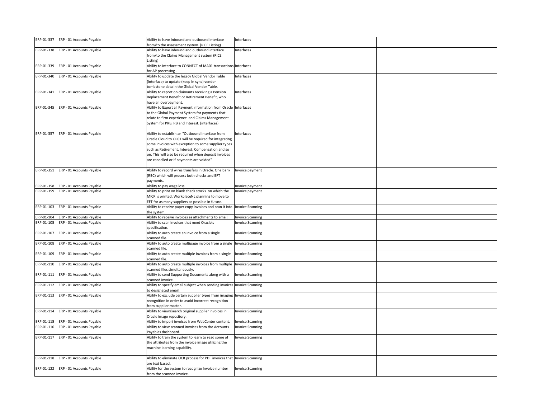|            | ERP-01-337 ERP - 01 Accounts Payable | Ability to have inbound and outbound interface                                 | Interfaces              |  |
|------------|--------------------------------------|--------------------------------------------------------------------------------|-------------------------|--|
|            |                                      |                                                                                |                         |  |
|            |                                      | from/to the Assessment system. (RICE Listing)                                  |                         |  |
| ERP-01-338 | ERP - 01 Accounts Payable            | Ability to have inbound and outbound interface                                 | nterfaces               |  |
|            |                                      | from/to the Claims Management system (RICE                                     |                         |  |
|            |                                      | Listing)                                                                       |                         |  |
| ERP-01-339 | ERP - 01 Accounts Payable            | Ability to interface to CONNECT of MA01 transactions                           | Interfaces              |  |
|            |                                      | for AP processing                                                              |                         |  |
| ERP-01-340 | ERP - 01 Accounts Payable            | Ability to update the legacy Global Vendor Table                               | Interfaces              |  |
|            |                                      | (interface) to update (keep in sync) vendor                                    |                         |  |
|            |                                      | tombstone data in the Global Vendor Table.                                     |                         |  |
| ERP-01-341 | ERP - 01 Accounts Payable            | Ability to report on claimants receiving a Pension                             | Interfaces              |  |
|            |                                      | Replacement Benefit or Retirement Benefit, who                                 |                         |  |
|            |                                      | have an overpayment.                                                           |                         |  |
|            | ERP-01-345 ERP - 01 Accounts Payable | Ability to Export all Payment information from Oracle                          | Interfaces              |  |
|            |                                      | to the Global Payment System for payments that                                 |                         |  |
|            |                                      | relate to firm experience and Claims Management                                |                         |  |
|            |                                      | System for PRB, RB and Interest. (interfaces)                                  |                         |  |
|            |                                      |                                                                                |                         |  |
| ERP-01-357 | ERP - 01 Accounts Payable            | Ability to establish an "Outbound interface from                               | Interfaces              |  |
|            |                                      |                                                                                |                         |  |
|            |                                      | Oracle Cloud to GP01 will be required for integrating                          |                         |  |
|            |                                      | some invoices with exception to some supplier types                            |                         |  |
|            |                                      | such as Retirement, Interest, Compensation and so                              |                         |  |
|            |                                      | on. This will also be required when deposit invoices                           |                         |  |
|            |                                      | are cancelled or if payments are voided"                                       |                         |  |
|            |                                      |                                                                                |                         |  |
| ERP-01-351 | ERP - 01 Accounts Payable            | Ability to record wires transfers in Oracle. One bank                          | Invoice payment         |  |
|            |                                      | (RBC) which will process both checks and EFT                                   |                         |  |
|            |                                      | payments,                                                                      |                         |  |
| ERP-01-358 | ERP - 01 Accounts Payable            | Ability to pay wage loss                                                       | Invoice payment         |  |
|            | ERP-01-359 ERP - 01 Accounts Payable | Ability to print on blank check stocks on which the                            | nvoice payment          |  |
|            |                                      | MICR is printed. WorkplaceNL planning to move to                               |                         |  |
|            |                                      | EFT for as many suppliers as possible in future.                               |                         |  |
| ERP-01-103 | ERP - 01 Accounts Payable            | Ability to receive paper copy invoices and scan it into                        | <b>Invoice Scanning</b> |  |
|            |                                      | the system.                                                                    |                         |  |
| ERP-01-104 | ERP - 01 Accounts Payable            | Ability to receive invoices as attachments to email.                           | <b>Invoice Scanning</b> |  |
| ERP-01-105 | ERP - 01 Accounts Payable            | Ability to scan invoices that meet Oracle's                                    | <b>Invoice Scanning</b> |  |
|            |                                      | specification.                                                                 |                         |  |
| ERP-01-107 | ERP - 01 Accounts Payable            | Ability to auto create an invoice from a single                                | <b>Invoice Scanning</b> |  |
|            |                                      | scanned file.                                                                  |                         |  |
| ERP-01-108 | ERP - 01 Accounts Payable            | Ability to auto create multipage invoice from a single                         | <b>Invoice Scanning</b> |  |
|            |                                      | scanned file.                                                                  |                         |  |
| ERP-01-109 | ERP - 01 Accounts Payable            | Ability to auto create multiple invoices from a single                         | <b>Invoice Scanning</b> |  |
|            |                                      | scanned file.                                                                  |                         |  |
| ERP-01-110 | ERP - 01 Accounts Payable            | Ability to auto create multiple invoices from multiple                         | <b>Invoice Scanning</b> |  |
|            |                                      | scanned files simultaneously.                                                  |                         |  |
| ERP-01-111 | ERP - 01 Accounts Payable            | Ability to send Supporting Documents along with a                              | <b>Invoice Scanning</b> |  |
|            |                                      | scanned invoice.                                                               |                         |  |
| ERP-01-112 | ERP - 01 Accounts Payable            | Ability to specify email subject when sending invoices                         | <b>Invoice Scanning</b> |  |
|            |                                      | to designated email.                                                           |                         |  |
| ERP-01-113 | ERP - 01 Accounts Payable            | Ability to exclude certain supplier types from imaging                         | <b>Invoice Scanning</b> |  |
|            |                                      | recognition in order to avoid incorrect recognition                            |                         |  |
|            |                                      | from supplier master.                                                          |                         |  |
| ERP-01-114 | ERP - 01 Accounts Payable            | Ability to view/search original supplier invoices in                           | <b>Invoice Scanning</b> |  |
|            |                                      |                                                                                |                         |  |
| ERP-01-115 | ERP - 01 Accounts Payable            | Oracle image repository.<br>Ability to import invoices from WebCenter content. | <b>Invoice Scanning</b> |  |
|            |                                      |                                                                                |                         |  |
|            | ERP-01-116 ERP - 01 Accounts Payable | Ability to view scanned invoices from the Accounts                             | <b>Invoice Scanning</b> |  |
|            |                                      | Payables dashboard.                                                            |                         |  |
|            | ERP-01-117 ERP - 01 Accounts Payable | Ability to train the system to learn to read some of                           | nvoice Scanning         |  |
|            |                                      | the attributes from the invoice image utilizing the                            |                         |  |
|            |                                      | machine learning capability.                                                   |                         |  |
|            |                                      |                                                                                |                         |  |
| ERP-01-118 | ERP - 01 Accounts Payable            | Ability to eliminate OCR process for PDF invoices that                         | <b>Invoice Scanning</b> |  |
|            |                                      | are text based.                                                                |                         |  |
|            | ERP-01-122 ERP - 01 Accounts Payable | Ability for the system to recognize Invoice number                             | <b>Invoice Scanning</b> |  |
|            |                                      | from the scanned invoice.                                                      |                         |  |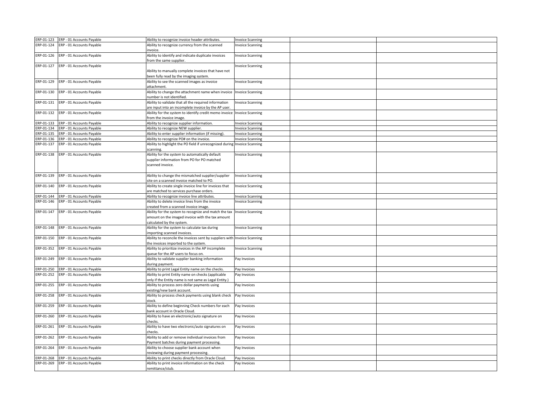| ERP-01-123               | ERP - 01 Accounts Payable                              | Ability to recognize invoice header attributes.                                           | <b>Invoice Scanning</b>                            |  |
|--------------------------|--------------------------------------------------------|-------------------------------------------------------------------------------------------|----------------------------------------------------|--|
| ERP-01-124               | ERP - 01 Accounts Payable                              | Ability to recognize currency from the scanned<br>invoice.                                | <b>Invoice Scanning</b>                            |  |
| ERP-01-126               | ERP - 01 Accounts Payable                              | Ability to identify and indicate duplicate invoices<br>from the same supplier.            | <b>Invoice Scanning</b>                            |  |
| ERP-01-127               | ERP - 01 Accounts Payable                              |                                                                                           | <b>Invoice Scanning</b>                            |  |
|                          |                                                        | Ability to manually complete invoices that have not                                       |                                                    |  |
| ERP-01-129               | ERP - 01 Accounts Payable                              | been fully read by the imaging system.<br>Ability to see the scanned images as invoice    | <b>Invoice Scanning</b>                            |  |
|                          |                                                        | attachment.                                                                               |                                                    |  |
| ERP-01-130               | ERP - 01 Accounts Payable                              | Ability to change the attachment name when invoice                                        | <b>Invoice Scanning</b>                            |  |
| ERP-01-131               | ERP - 01 Accounts Payable                              | number is not identified.<br>Ability to validate that all the required information        | <b>Invoice Scanning</b>                            |  |
|                          |                                                        | are input into an incomplete invoice by the AP user.                                      |                                                    |  |
| ERP-01-132               | ERP - 01 Accounts Payable                              | Ability for the system to identify credit memo invoice Invoice Scanning                   |                                                    |  |
|                          |                                                        | from the invoice image.                                                                   |                                                    |  |
| ERP-01-133               | ERP - 01 Accounts Payable                              | Ability to recognize supplier information.                                                | <b>Invoice Scanning</b>                            |  |
| ERP-01-134<br>ERP-01-135 | ERP - 01 Accounts Payable<br>ERP - 01 Accounts Payable | Ability to recognize NEW supplier.<br>Ability to enter supplier information (if missing). | <b>Invoice Scanning</b><br><b>Invoice Scanning</b> |  |
| ERP-01-136               | ERP - 01 Accounts Payable                              | Ability to recognize PO# on the invoice.                                                  | <b>Invoice Scanning</b>                            |  |
| ERP-01-137               | ERP - 01 Accounts Payable                              | Ability to highlight the PO field if unrecognized during                                  | <b>Invoice Scanning</b>                            |  |
|                          |                                                        | scanning.                                                                                 |                                                    |  |
| ERP-01-138               | ERP - 01 Accounts Payable                              | Ability for the system to automatically default                                           | <b>Invoice Scanning</b>                            |  |
|                          |                                                        | supplier information from PO for PO matched                                               |                                                    |  |
|                          |                                                        | scanned invoice.                                                                          |                                                    |  |
|                          |                                                        |                                                                                           |                                                    |  |
| ERP-01-139               | ERP - 01 Accounts Payable                              | Ability to change the mismatched supplier/supplier                                        | <b>Invoice Scanning</b>                            |  |
|                          |                                                        | site on a scanned invoice matched to PO.                                                  |                                                    |  |
| ERP-01-140               | ERP - 01 Accounts Payable                              | Ability to create single invoice line for invoices that                                   | <b>Invoice Scanning</b>                            |  |
|                          |                                                        | are matched to services purchase orders.                                                  |                                                    |  |
| ERP-01-144               | ERP - 01 Accounts Payable                              | Ability to recognize invoice line attributes.                                             | <b>Invoice Scanning</b>                            |  |
| ERP-01-146               | ERP - 01 Accounts Payable                              | Ability to delete invoice lines from the invoice                                          | <b>Invoice Scanning</b>                            |  |
|                          |                                                        | created from a scanned invoice image.                                                     |                                                    |  |
| ERP-01-147               | ERP - 01 Accounts Payable                              | Ability for the system to recognize and match the tax                                     | <b>Invoice Scanning</b>                            |  |
|                          |                                                        | amount on the imaged invoice with the tax amount                                          |                                                    |  |
|                          |                                                        | calculated by the system.                                                                 |                                                    |  |
| ERP-01-148               | ERP - 01 Accounts Payable                              | Ability for the system to calculate tax during<br>mporting scanned invoices.              | <b>Invoice Scanning</b>                            |  |
| ERP-01-150               | ERP - 01 Accounts Payable                              | Ability to reconcile the invoices sent by suppliers with                                  | <b>Invoice Scanning</b>                            |  |
|                          |                                                        | the invoices imported to the system.                                                      |                                                    |  |
| ERP-01-352               | ERP - 01 Accounts Payable                              | Ability to prioritize invoices in the AP incomplete                                       | <b>Invoice Scanning</b>                            |  |
|                          |                                                        | queue for the AP users to focus on.                                                       |                                                    |  |
| ERP-01-249               | ERP - 01 Accounts Payable                              | Ability to validate supplier banking information                                          | Pay Invoices                                       |  |
|                          |                                                        | during payment.                                                                           |                                                    |  |
| ERP-01-250               | ERP - 01 Accounts Payable                              | Ability to print Legal Entity name on the checks.                                         | Pay Invoices                                       |  |
| ERP-01-252               | ERP - 01 Accounts Payable                              | Ability to print Entity name on checks (applicable                                        | Pay Invoices                                       |  |
|                          |                                                        | only if the Entity name is not same as Legal Entity.)                                     |                                                    |  |
| ERP-01-255               | ERP - 01 Accounts Payable                              | Ability to process zero dollar payments using<br>existing/new bank account.               | Pay Invoices                                       |  |
| ERP-01-258               | ERP - 01 Accounts Payable                              | Ability to process check payments using blank check                                       | Pay Invoices                                       |  |
|                          |                                                        | stock.                                                                                    |                                                    |  |
| ERP-01-259               | ERP - 01 Accounts Payable                              | Ability to define beginning Check numbers for each                                        | Pay Invoices                                       |  |
|                          |                                                        | bank account in Oracle Cloud.                                                             |                                                    |  |
| ERP-01-260               | ERP - 01 Accounts Payable                              | Ability to have an electronic/auto signature on                                           | Pay Invoices                                       |  |
|                          |                                                        | checks.                                                                                   |                                                    |  |
| ERP-01-261               | ERP - 01 Accounts Payable                              | Ability to have two electronic/auto signatures on<br>checks.                              | Pay Invoices                                       |  |
| ERP-01-262               | ERP - 01 Accounts Payable                              | Ability to add or remove individual invoices from                                         | Pay Invoices                                       |  |
|                          |                                                        | Payment batches during payment processing.                                                |                                                    |  |
| ERP-01-264               | ERP - 01 Accounts Payable                              | Ability to choose supplier bank account when                                              | Pay Invoices                                       |  |
|                          |                                                        | reviewing during payment processing                                                       |                                                    |  |
| ERP-01-268               | ERP - 01 Accounts Payable                              | Ability to print checks directly from Oracle Cloud.                                       | Pay Invoices                                       |  |
| ERP-01-269               | ERP - 01 Accounts Payable                              | Ability to print invoice information on the check                                         | Pay Invoices                                       |  |
|                          |                                                        | remittance/stub.                                                                          |                                                    |  |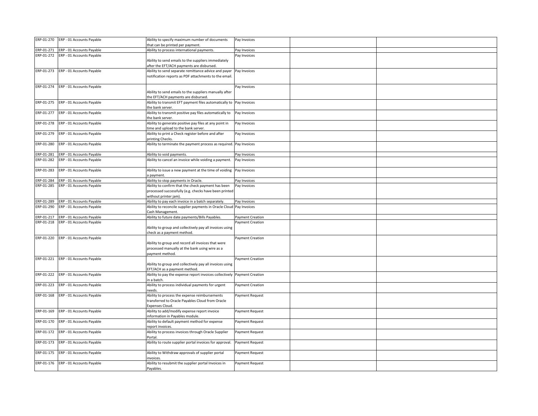|            | ERP-01-270 ERP - 01 Accounts Payable | Ability to specify maximum number of documents           | Pay Invoices            |  |
|------------|--------------------------------------|----------------------------------------------------------|-------------------------|--|
|            |                                      |                                                          |                         |  |
|            |                                      | that can be printed per payment.                         |                         |  |
| ERP-01-271 | ERP - 01 Accounts Payable            | Ability to process international payments.               | Pay Invoices            |  |
| ERP-01-272 | ERP - 01 Accounts Payable            |                                                          | Pay Invoices            |  |
|            |                                      | Ability to send emails to the suppliers immediately      |                         |  |
|            |                                      | after the EFT/ACH payments are disbursed.                |                         |  |
|            |                                      |                                                          |                         |  |
|            | ERP-01-273 ERP - 01 Accounts Payable | Ability to send separate remittance advice and payer     | Pay Invoices            |  |
|            |                                      | notification reports as PDF attachments to the email     |                         |  |
|            |                                      |                                                          |                         |  |
| ERP-01-274 | ERP - 01 Accounts Payable            |                                                          | Pay Invoices            |  |
|            |                                      | Ability to send emails to the suppliers manually after   |                         |  |
|            |                                      |                                                          |                         |  |
|            |                                      | the EFT/ACH payments are disbursed.                      |                         |  |
| ERP-01-275 | ERP - 01 Accounts Payable            | Ability to transmit EFT payment files automatically to   | Pay Invoices            |  |
|            |                                      | the bank server.                                         |                         |  |
| ERP-01-277 | ERP - 01 Accounts Payable            | Ability to transmit positive pay files automatically to  | Pay Invoices            |  |
|            |                                      | the bank server.                                         |                         |  |
|            |                                      |                                                          |                         |  |
| ERP-01-278 | ERP - 01 Accounts Payable            | Ability to generate positive pay files at any point in   | Pay Invoices            |  |
|            |                                      | time and upload to the bank server.                      |                         |  |
| ERP-01-279 | ERP - 01 Accounts Payable            | Ability to print a Check register before and after       | Pay Invoices            |  |
|            |                                      | printing Checks.                                         |                         |  |
| ERP-01-280 | ERP - 01 Accounts Payable            | Ability to terminate the payment process as required.    | Pay Invoices            |  |
|            |                                      |                                                          |                         |  |
|            |                                      |                                                          |                         |  |
| ERP-01-281 | ERP - 01 Accounts Payable            | Ability to void payments.                                | Pay Invoices            |  |
| ERP-01-282 | ERP - 01 Accounts Payable            | Ability to cancel an invoice while voiding a payment.    | Pay Invoices            |  |
|            |                                      |                                                          |                         |  |
|            |                                      |                                                          |                         |  |
| ERP-01-283 | ERP - 01 Accounts Payable            | Ability to issue a new payment at the time of voiding    | Pay Invoices            |  |
|            |                                      | a payment.                                               |                         |  |
| ERP-01-284 | ERP - 01 Accounts Payable            | Ability to stop payments in Oracle.                      | Pay Invoices            |  |
| ERP-01-285 | ERP - 01 Accounts Payable            | Ability to confirm that the check payment has been       | Pay Invoices            |  |
|            |                                      | processed successfully (e.g. checks have been printed    |                         |  |
|            |                                      |                                                          |                         |  |
|            |                                      | without printer jam).                                    |                         |  |
| ERP-01-289 | ERP - 01 Accounts Payable            | Ability to pay each invoice in a batch separately        | Pay Invoices            |  |
| ERP-01-290 | ERP - 01 Accounts Payable            | Ability to reconcile supplier payments in Oracle Cloud   | Pay Invoices            |  |
|            |                                      | Cash Management.                                         |                         |  |
| ERP-01-217 | ERP - 01 Accounts Payable            | Ability to future date payments/Bills Payables.          | <b>Payment Creation</b> |  |
|            |                                      |                                                          |                         |  |
| ERP-01-218 | ERP - 01 Accounts Payable            |                                                          | Payment Creation        |  |
|            |                                      | Ability to group and collectively pay all invoices using |                         |  |
|            |                                      | check as a payment method.                               |                         |  |
| ERP-01-220 | ERP - 01 Accounts Payable            |                                                          | Payment Creation        |  |
|            |                                      | Ability to group and record all invoices that were       |                         |  |
|            |                                      |                                                          |                         |  |
|            |                                      | processed manually at the bank using wire as a           |                         |  |
|            |                                      | payment method.                                          |                         |  |
| ERP-01-221 | ERP - 01 Accounts Payable            |                                                          | <b>Payment Creation</b> |  |
|            |                                      | Ability to group and collectively pay all invoices using |                         |  |
|            |                                      | EFT/ACH as a payment method.                             |                         |  |
|            |                                      |                                                          |                         |  |
| ERP-01-222 | ERP - 01 Accounts Payable            | Ability to pay the expense report invoices collectively  | Payment Creation        |  |
|            |                                      | in a batch.                                              |                         |  |
| ERP-01-223 | ERP - 01 Accounts Payable            | Ability to process individual payments for urgent        | Payment Creation        |  |
|            |                                      | needs.                                                   |                         |  |
| ERP-01-168 | ERP - 01 Accounts Payable            | Ability to process the expense reimbursements            | Payment Request         |  |
|            |                                      |                                                          |                         |  |
|            |                                      | transferred to Oracle Payables Cloud from Oracle         |                         |  |
|            |                                      | Expenses Cloud.                                          |                         |  |
| ERP-01-169 | ERP - 01 Accounts Payable            | Ability to add/modify expense report invoice             | Payment Request         |  |
|            |                                      | information in Payables module.                          |                         |  |
| ERP-01-170 | ERP - 01 Accounts Payable            | Ability to default payment method for expense            | Payment Request         |  |
|            |                                      |                                                          |                         |  |
|            |                                      | report invoices.                                         |                         |  |
| ERP-01-172 | ERP - 01 Accounts Payable            | Ability to process invoices through Oracle Supplier      | Payment Request         |  |
|            |                                      | Portal.                                                  |                         |  |
| ERP-01-173 | ERP - 01 Accounts Payable            | Ability to route supplier portal invoices for approval.  | Payment Request         |  |
|            |                                      |                                                          |                         |  |
|            |                                      |                                                          |                         |  |
| ERP-01-175 | ERP - 01 Accounts Payable            | Ability to Withdraw approvals of supplier portal         | Payment Request         |  |
|            |                                      | invoices.                                                |                         |  |
|            | ERP-01-176 ERP - 01 Accounts Payable | Ability to resubmit the supplier portal Invoices in      | Payment Request         |  |
|            |                                      | Payables.                                                |                         |  |
|            |                                      |                                                          |                         |  |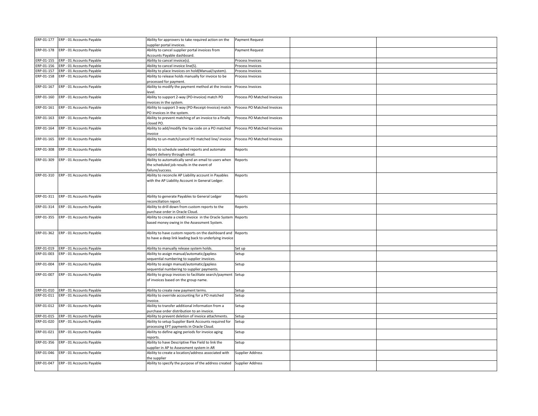|            | ERP-01-177 ERP - 01 Accounts Payable | Ability for approvers to take required action on the           | Payment Request             |  |
|------------|--------------------------------------|----------------------------------------------------------------|-----------------------------|--|
|            |                                      | upplier portal invoices.                                       |                             |  |
| ERP-01-178 | ERP - 01 Accounts Payable            | Ability to cancel supplier portal invoices from                | Payment Request             |  |
|            |                                      | Accounts Payable dashboard.                                    |                             |  |
| ERP-01-155 | ERP - 01 Accounts Payable            | Ability to cancel invoice(s).                                  | Process Invoices            |  |
| ERP-01-156 | ERP - 01 Accounts Payable            | Ability to cancel invoice line(S)                              | Process Invoices            |  |
| ERP-01-157 | ERP - 01 Accounts Payable            | Ability to place Invoices on hold(Manual/system).              | Process Invoices            |  |
| ERP-01-158 | ERP - 01 Accounts Payable            | Ability to release holds manually for invoice to be            | Process Invoices            |  |
|            |                                      | processed for payment.                                         |                             |  |
| ERP-01-167 | ERP - 01 Accounts Payable            | Ability to modify the payment method at the invoice            | Process Invoices            |  |
|            |                                      | level.                                                         |                             |  |
| ERP-01-160 | ERP - 01 Accounts Payable            | Ability to support 2-way (PO-Invoice) match PO                 | Process PO Matched Invoices |  |
|            |                                      | invoices in the system.                                        |                             |  |
| ERP-01-161 | ERP - 01 Accounts Payable            | Ability to support 3-way (PO-Receipt-Invoice) match            | Process PO Matched Invoices |  |
|            |                                      | PO invoices in the system.                                     |                             |  |
| ERP-01-163 | ERP - 01 Accounts Payable            | Ability to prevent matching of an invoice to a finally         | Process PO Matched Invoices |  |
|            |                                      | closed PO.                                                     |                             |  |
| ERP-01-164 | ERP - 01 Accounts Payable            | Ability to add/modify the tax code on a PO matched             | Process PO Matched Invoices |  |
|            |                                      | nvoice                                                         |                             |  |
| ERP-01-165 | ERP - 01 Accounts Payable            | Ability to un-match/cancel PO matched line/ invoice            | Process PO Matched Invoices |  |
|            |                                      |                                                                |                             |  |
| ERP-01-308 | ERP - 01 Accounts Payable            | Ability to schedule seeded reports and automate                | Reports                     |  |
|            |                                      | report delivery through email.                                 |                             |  |
| ERP-01-309 | ERP - 01 Accounts Payable            | Ability to automatically send an email to users when           | Reports                     |  |
|            |                                      | the scheduled job results in the event of                      |                             |  |
|            |                                      | failure/success.                                               |                             |  |
| ERP-01-310 | ERP - 01 Accounts Payable            | Ability to reconcile AP Liability account in Payables          | Reports                     |  |
|            |                                      | with the AP Liability Account in General Ledger.               |                             |  |
|            |                                      |                                                                |                             |  |
|            |                                      |                                                                |                             |  |
| ERP-01-311 | ERP - 01 Accounts Payable            | Ability to generate Payables to General Ledger                 | Reports                     |  |
|            |                                      | reconciliation report.                                         |                             |  |
| ERP-01-314 | ERP - 01 Accounts Payable            | Ability to drill down from custom reports to the               | Reports                     |  |
|            |                                      | purchase order in Oracle Cloud.                                |                             |  |
| ERP-01-355 | ERP - 01 Accounts Payable            | Ability to create a credit invoice in the Oracle System        | Reports                     |  |
|            |                                      | based money owing in the Assessment System.                    |                             |  |
|            |                                      |                                                                |                             |  |
|            | ERP-01-362 ERP - 01 Accounts Payable | Ability to have custom reports on the dashboard and Reports    |                             |  |
|            |                                      | to have a deep link leading back to underlying invoice         |                             |  |
|            |                                      |                                                                |                             |  |
| ERP-01-019 | ERP - 01 Accounts Payable            | Ability to manually release system holds.                      | Set up                      |  |
| ERP-01-003 | ERP - 01 Accounts Payable            | Ability to assign manual/automatic/gapless                     | Setup                       |  |
|            |                                      | sequential numbering to supplier invoices.                     |                             |  |
| ERP-01-004 | ERP - 01 Accounts Payable            | Ability to assign manual/automatic/gapless                     | Setup                       |  |
|            |                                      | sequential numbering to supplier payments.                     |                             |  |
| ERP-01-007 | ERP - 01 Accounts Payable            | Ability to group invoices to facilitate search/payment         | Setup                       |  |
|            |                                      | of invoices based on the group name.                           |                             |  |
|            |                                      |                                                                |                             |  |
| ERP-01-010 | ERP - 01 Accounts Payable            | Ability to create new payment terms.                           | Setup                       |  |
|            | ERP-01-011 ERP - 01 Accounts Payable | Ability to override accounting for a PO matched                | Setup                       |  |
|            |                                      | invoice.                                                       |                             |  |
| ERP-01-012 | ERP - 01 Accounts Payable            | Ability to transfer additional information from a              | Setup                       |  |
|            |                                      | purchase order distribution to an invoice.                     |                             |  |
| ERP-01-015 | ERP - 01 Accounts Payable            | Ability to prevent deletion of invoice attachments.            | Setup                       |  |
| ERP-01-020 | ERP - 01 Accounts Payable            | Ability to setup Supplier Bank Accounts required for           | Setup                       |  |
|            |                                      | processing EFT payments in Oracle Cloud.                       |                             |  |
| ERP-01-021 | ERP - 01 Accounts Payable            | Ability to define aging periods for invoice aging              | Setup                       |  |
| ERP-01-356 | ERP - 01 Accounts Payable            | reports.<br>Ability to have Descriptive Flex Field to link the |                             |  |
|            |                                      | supplier in AP to Assessment system in AR                      | Setup                       |  |
| ERP-01-046 | ERP - 01 Accounts Payable            | Ability to create a location/address associated with           | Supplier Address            |  |
|            |                                      | the supplier                                                   |                             |  |
| ERP-01-047 | ERP - 01 Accounts Payable            | Ability to specify the purpose of the address created          | Supplier Address            |  |
|            |                                      |                                                                |                             |  |
|            |                                      |                                                                |                             |  |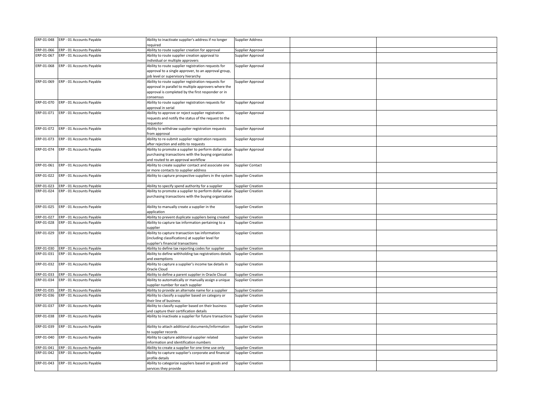|            | ERP-01-048 ERP - 01 Accounts Payable | Ability to inactivate supplier's address if no longer<br>required                  | Supplier Address         |  |
|------------|--------------------------------------|------------------------------------------------------------------------------------|--------------------------|--|
|            | ERP - 01 Accounts Payable            | Ability to route supplier creation for approval                                    |                          |  |
| ERP-01-066 |                                      |                                                                                    | Supplier Approval        |  |
| ERP-01-067 | ERP - 01 Accounts Payable            | Ability to route supplier creation approval to<br>individual or multiple approvers | Supplier Approval        |  |
| ERP-01-068 | ERP - 01 Accounts Payable            | Ability to route supplier registration requests for                                | Supplier Approval        |  |
|            |                                      | approval to a single approver, to an approval group,                               |                          |  |
|            |                                      | ob level or supervisory hierarchy                                                  |                          |  |
| ERP-01-069 | ERP - 01 Accounts Payable            | Ability to route supplier registration requests for                                | Supplier Approval        |  |
|            |                                      | approval in parallel to multiple approvers where the                               |                          |  |
|            |                                      | approval is completed by the first responder or in                                 |                          |  |
|            |                                      | consensus                                                                          |                          |  |
| ERP-01-070 | ERP - 01 Accounts Payable            | Ability to route supplier registration requests for                                | Supplier Approval        |  |
|            |                                      | approval in serial                                                                 |                          |  |
| ERP-01-071 | ERP - 01 Accounts Payable            | Ability to approve or reject supplier registration                                 | Supplier Approval        |  |
|            |                                      | requests and notify the status of the request to the                               |                          |  |
|            |                                      | requestor                                                                          |                          |  |
| ERP-01-072 | ERP - 01 Accounts Payable            | Ability to withdraw supplier registration requests                                 | Supplier Approval        |  |
|            |                                      | from approval                                                                      |                          |  |
| ERP-01-073 | ERP - 01 Accounts Payable            | Ability to re-submit supplier registration requests                                | Supplier Approval        |  |
|            |                                      | after rejection and edits to requests                                              |                          |  |
| ERP-01-074 | ERP - 01 Accounts Payable            | Ability to promote a supplier to perform dollar value                              | Supplier Approval        |  |
|            |                                      | purchasing transactions with the buying organization                               |                          |  |
|            |                                      | and routed to an approval workflow                                                 |                          |  |
| ERP-01-061 | ERP - 01 Accounts Payable            | Ability to create supplier contact and associate one                               | <b>Supplier Contact</b>  |  |
|            |                                      | or more contacts to supplier address                                               |                          |  |
| ERP-01-022 | ERP - 01 Accounts Payable            | Ability to capture prospective suppliers in the system                             | <b>Supplier Creation</b> |  |
|            |                                      |                                                                                    |                          |  |
| ERP-01-023 | ERP - 01 Accounts Payable            | Ability to specify spend authority for a supplier                                  | <b>Supplier Creation</b> |  |
| ERP-01-024 | ERP - 01 Accounts Payable            | Ability to promote a supplier to perform dollar value                              | <b>Supplier Creation</b> |  |
|            |                                      | purchasing transactions with the buying organization                               |                          |  |
| ERP-01-025 | ERP - 01 Accounts Payable            | Ability to manually create a supplier in the                                       | <b>Supplier Creation</b> |  |
|            |                                      | application                                                                        |                          |  |
| ERP-01-027 | ERP - 01 Accounts Payable            | Ability to prevent duplicate suppliers being created                               | <b>Supplier Creation</b> |  |
| ERP-01-028 | ERP - 01 Accounts Payable            | Ability to capture tax information pertaining to a                                 | <b>Supplier Creation</b> |  |
|            |                                      | supplier                                                                           |                          |  |
| ERP-01-029 | ERP - 01 Accounts Payable            | Ability to capture transaction tax information                                     | <b>Supplier Creation</b> |  |
|            |                                      | (including classifications) at supplier level for                                  |                          |  |
|            |                                      | supplier's financial transactions                                                  |                          |  |
| ERP-01-030 | ERP - 01 Accounts Payable            | Ability to define tax reporting codes for supplier                                 | Supplier Creation        |  |
| ERP-01-031 | ERP - 01 Accounts Payable            | Ability to define withholding tax registrations details                            | <b>Supplier Creation</b> |  |
|            |                                      | and exemptions                                                                     |                          |  |
| ERP-01-032 | ERP - 01 Accounts Payable            | Ability to capture a supplier's income tax details in                              | <b>Supplier Creation</b> |  |
|            |                                      | Oracle Cloud                                                                       |                          |  |
| ERP-01-033 | ERP - 01 Accounts Payable            | Ability to define a parent supplier in Oracle Cloud                                | <b>Supplier Creation</b> |  |
| ERP-01-034 | ERP - 01 Accounts Payable            | Ability to automatically or manually assign a unique                               | <b>Supplier Creation</b> |  |
|            |                                      | supplier number for each supplier                                                  |                          |  |
| RP-01-035  | ERP - 01 Accounts Payable            | Ability to provide an alternate name for a supplier                                | <b>Supplier Creation</b> |  |
| ERP-01-036 | ERP - 01 Accounts Payable            | Ability to classify a supplier based on category or                                | <b>Supplier Creation</b> |  |
|            |                                      | their line of business                                                             |                          |  |
| ERP-01-037 | ERP - 01 Accounts Payable            | Ability to classify supplier based on their business                               | <b>Supplier Creation</b> |  |
|            |                                      | and capture their certification details                                            |                          |  |
| ERP-01-038 | ERP - 01 Accounts Payable            | Ability to inactivate a supplier for future transactions                           | <b>Supplier Creation</b> |  |
|            |                                      |                                                                                    |                          |  |
| ERP-01-039 | ERP - 01 Accounts Payable            | Ability to attach additional documents/information                                 | <b>Supplier Creation</b> |  |
| ERP-01-040 | ERP - 01 Accounts Payable            | to supplier records<br>Ability to capture additional supplier related              | <b>Supplier Creation</b> |  |
|            |                                      | information and identification numbers                                             |                          |  |
| RP-01-041  | ERP - 01 Accounts Payable            | Ability to create a supplier for one time use only                                 | <b>Supplier Creation</b> |  |
| ERP-01-042 | ERP - 01 Accounts Payable            | Ability to capture supplier's corporate and financial                              | <b>Supplier Creation</b> |  |
|            |                                      | profile details                                                                    |                          |  |
| ERP-01-043 | ERP - 01 Accounts Payable            | Ability to categorize suppliers based on goods and                                 | <b>Supplier Creation</b> |  |
|            |                                      | services they provide                                                              |                          |  |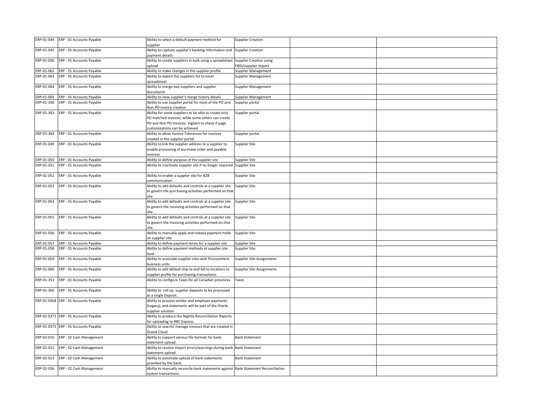|                          | ERP-01-044 ERP - 01 Accounts Payable                   | Ability to select a default payment method for<br>supplier                          | <b>Supplier Creation</b>         |  |
|--------------------------|--------------------------------------------------------|-------------------------------------------------------------------------------------|----------------------------------|--|
|                          |                                                        |                                                                                     |                                  |  |
| ERP-01-045               | ERP - 01 Accounts Payable                              | Ability to capture supplier's banking information and                               | <b>Supplier Creation</b>         |  |
| ERP-01-026               | ERP - 01 Accounts Payable                              | payment details<br>Ability to create suppliers in bulk using a spreadsheet          | <b>Supplier Creation using</b>   |  |
|                          |                                                        | upload                                                                              | FBDI/supplier import             |  |
| ERP-01-062               | ERP - 01 Accounts Payable                              | Ability to make changes in the supplier profile                                     | Supplier Management              |  |
| ERP-01-063               | ERP - 01 Accounts Payable                              | Ability to export the suppliers list to excel                                       | Supplier Management              |  |
|                          |                                                        | spreadsheet                                                                         |                                  |  |
| ERP-01-064               | ERP - 01 Accounts Payable                              | Ability to merge two suppliers and supplier                                         | Supplier Management              |  |
|                          |                                                        | documents                                                                           |                                  |  |
| ERP-01-065               | ERP - 01 Accounts Payable                              | Ability to view supplier's merge history details                                    | Supplier Management              |  |
| ERP-01-350               | ERP - 01 Accounts Payable                              | Ability to use Supplier portal for most of the PO and                               | Supplier portal                  |  |
|                          |                                                        | Non-PO invoice creation                                                             |                                  |  |
| ERP-01-363               | ERP - 01 Accounts Payable                              | Ability for some suppliers to be able to create only                                | Supplier portal                  |  |
|                          |                                                        | PO matched invoices, while some others can create                                   |                                  |  |
|                          |                                                        | PO and Non PO invoices. Vigilant to check if page                                   |                                  |  |
|                          |                                                        | customizations can be achieved                                                      |                                  |  |
| ERP-01-364               | ERP - 01 Accounts Payable                              | Ability to allow Invoice Tolerances for invoices                                    | Supplier portal                  |  |
|                          |                                                        | created in the supplier portal                                                      |                                  |  |
| ERP-01-049               | ERP - 01 Accounts Payable                              | Ability to link the supplier address to a supplier to                               | Supplier Site                    |  |
|                          |                                                        | enable processing of purchase order and payable                                     |                                  |  |
|                          |                                                        | invoices                                                                            |                                  |  |
| ERP-01-050<br>ERP-01-051 | ERP - 01 Accounts Payable<br>ERP - 01 Accounts Payable | Ability to define purpose of the supplier site                                      | Supplier Site                    |  |
|                          |                                                        | Ability to inactivate supplier site if no longer required                           | Supplier Site                    |  |
| ERP-01-052               | ERP - 01 Accounts Payable                              | Ability to enable a supplier site for B2B                                           | Supplier Site                    |  |
|                          |                                                        | communication                                                                       |                                  |  |
| ERP-01-053               | ERP - 01 Accounts Payable                              | Ability to add defaults and controls at a supplier site                             | Supplier Site                    |  |
|                          |                                                        | to govern the purchasing activities performed on that                               |                                  |  |
|                          |                                                        | site                                                                                |                                  |  |
| ERP-01-054               | ERP - 01 Accounts Payable                              | Ability to add defaults and controls at a supplier site                             | Supplier Site                    |  |
|                          |                                                        | to govern the receiving activities performed on that                                |                                  |  |
|                          |                                                        | site                                                                                |                                  |  |
| ERP-01-055               | ERP - 01 Accounts Payable                              | Ability to add defaults and controls at a supplier site                             | Supplier Site                    |  |
|                          |                                                        | to govern the invoicing activities performed on that                                |                                  |  |
|                          |                                                        | site                                                                                |                                  |  |
| ERP-01-056               | ERP - 01 Accounts Payable                              | Ability to manually apply and release payment holds                                 | Supplier Site                    |  |
|                          |                                                        | on supplier site                                                                    |                                  |  |
| ERP-01-057               | ERP - 01 Accounts Payable                              | Ability to define payment terms for a supplier site                                 | Supplier Site                    |  |
| ERP-01-058               | ERP - 01 Accounts Payable                              | Ability to define payment methods at supplier site<br>level                         | Supplier Site                    |  |
| ERP-01-059               | ERP - 01 Accounts Payable                              | Ability to associate supplier sites with Procurement                                | <b>Supplier Site Assignments</b> |  |
|                          |                                                        | business units                                                                      |                                  |  |
| ERP-01-060               | ERP - 01 Accounts Payable                              | Ability to add default ship to and bill to locations to                             | <b>Supplier Site Assignments</b> |  |
|                          |                                                        | supplier profile for purchasing transactions                                        |                                  |  |
| ERP-01-353               | ERP - 01 Accounts Payable                              | Ability to configure Taxes for all Canadian provinces.                              | Taxes                            |  |
|                          |                                                        |                                                                                     |                                  |  |
| ERP-01-360               | ERP - 01 Accounts Payable                              | Ability to roll up supplier deposits to be processed                                |                                  |  |
|                          |                                                        | as a single Deposit.                                                                |                                  |  |
|                          | ERP-01-0368 ERP - 01 Accounts Payable                  | Ability to process vendor and employer payments                                     |                                  |  |
|                          |                                                        | (Legacy), and statements will be part of the Oracle                                 |                                  |  |
|                          |                                                        | supplier solution.                                                                  |                                  |  |
|                          | ERP-01-0371 ERP - 01 Accounts Payable                  | Ability to produce the Nightly Reconciliation Reports                               |                                  |  |
|                          |                                                        | for uploading to RBC Express.                                                       |                                  |  |
|                          | ERP-01-0373 ERP - 01 Accounts Payable                  | Ability to search/ manage invoices that are created in                              |                                  |  |
|                          |                                                        | Oracle Cloud                                                                        |                                  |  |
|                          | ERP-02-010 ERP - 02 Cash Management                    | Ability to support various file formats for bank                                    | <b>Bank Statement</b>            |  |
|                          |                                                        | statement upload.                                                                   |                                  |  |
| ERP-02-012               | ERP - 02 Cash Management                               | Ability to resolve import errors/warnings during bank                               | <b>Bank Statement</b>            |  |
| ERP-02-013               | ERP - 02 Cash Management                               | statement upload.<br>Ability to automate upload of bank statements                  | <b>Bank Statement</b>            |  |
|                          |                                                        | provided by the bank.                                                               |                                  |  |
|                          | ERP-02-026 ERP - 02 Cash Management                    | Ability to manually reconcile bank statements against Bank Statement Reconciliation |                                  |  |
|                          |                                                        | system transactions.                                                                |                                  |  |
|                          |                                                        |                                                                                     |                                  |  |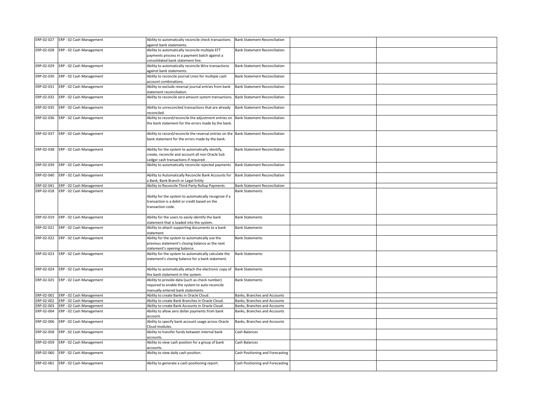| ERP-02-027 |                                     |                                                                                       |                                      |  |
|------------|-------------------------------------|---------------------------------------------------------------------------------------|--------------------------------------|--|
|            | ERP - 02 Cash Management            | Ability to automatically reconcile check transactions<br>against bank statements.     | <b>Bank Statement Reconciliation</b> |  |
| ERP-02-028 |                                     | Ability to automatically reconcile multiple EFT                                       |                                      |  |
|            | ERP - 02 Cash Management            |                                                                                       | <b>Bank Statement Reconciliation</b> |  |
|            |                                     | payments process in a payment batch against a                                         |                                      |  |
|            |                                     | consolidated bank statement line.                                                     |                                      |  |
| ERP-02-029 | ERP - 02 Cash Management            | Ability to automatically reconcile Wire transactions                                  | <b>Bank Statement Reconciliation</b> |  |
|            |                                     | against bank statements.                                                              |                                      |  |
| ERP-02-030 | ERP - 02 Cash Management            | Ability to reconcile journal Lines for multiple cash                                  | <b>Bank Statement Reconciliation</b> |  |
|            |                                     | account combinations.                                                                 |                                      |  |
| ERP-02-031 |                                     | Ability to exclude reversal journal entries from bank                                 | <b>Bank Statement Reconciliation</b> |  |
|            | ERP - 02 Cash Management            |                                                                                       |                                      |  |
|            |                                     | statement reconciliation.                                                             |                                      |  |
| ERP-02-032 | ERP - 02 Cash Management            | Ability to reconcile zero amount system transactions.                                 | <b>Bank Statement Reconciliation</b> |  |
|            |                                     |                                                                                       |                                      |  |
| ERP-02-035 | ERP - 02 Cash Management            | Ability to unreconciled transactions that are already                                 | <b>Bank Statement Reconciliation</b> |  |
|            |                                     | reconciled.                                                                           |                                      |  |
| ERP-02-036 | ERP - 02 Cash Management            | Ability to record/reconcile the adjustment entries on                                 | <b>Bank Statement Reconciliation</b> |  |
|            |                                     | the bank statement for the errors made by the bank.                                   |                                      |  |
|            |                                     |                                                                                       |                                      |  |
| ERP-02-037 | ERP - 02 Cash Management            | Ability to record/reconcile the reversal entries on the Bank Statement Reconciliation |                                      |  |
|            |                                     |                                                                                       |                                      |  |
|            |                                     | bank statement for the errors made by the bank.                                       |                                      |  |
|            |                                     |                                                                                       |                                      |  |
| ERP-02-038 | ERP - 02 Cash Management            | Ability for the system to automatically identify,                                     | <b>Bank Statement Reconciliation</b> |  |
|            |                                     | create, reconcile and account all non Oracle Sub                                      |                                      |  |
|            |                                     | Ledger cash transactions if required.                                                 |                                      |  |
| ERP-02-039 | ERP - 02 Cash Management            | Ability to automatically reconcile rejected payments                                  | <b>Bank Statement Reconciliation</b> |  |
|            |                                     |                                                                                       |                                      |  |
| ERP-02-040 | ERP - 02 Cash Management            | Ability to Automatically Reconcile Bank Accounts for                                  | <b>Bank Statement Reconciliation</b> |  |
|            |                                     | a Bank, Bank Branch or Legal Entity                                                   |                                      |  |
|            |                                     |                                                                                       |                                      |  |
| ERP-02-041 | ERP - 02 Cash Management            | Ability to Reconcile Third-Party Rollup Payments                                      | <b>Bank Statement Reconciliation</b> |  |
| ERP-02-018 | ERP - 02 Cash Management            |                                                                                       | <b>Bank Statements</b>               |  |
|            |                                     | Ability for the system to automatically recognize if a                                |                                      |  |
|            |                                     | transaction is a debit or credit based on the                                         |                                      |  |
|            |                                     | transaction code.                                                                     |                                      |  |
|            |                                     |                                                                                       |                                      |  |
| ERP-02-019 | ERP - 02 Cash Management            | Ability for the users to easily identify the bank                                     | <b>Bank Statements</b>               |  |
|            |                                     | statement that is loaded into the system.                                             |                                      |  |
| ERP-02-021 | ERP - 02 Cash Management            |                                                                                       | <b>Bank Statements</b>               |  |
|            |                                     | Ability to attach supporting documents to a bank                                      |                                      |  |
|            |                                     | statement.                                                                            |                                      |  |
| ERP-02-022 |                                     |                                                                                       |                                      |  |
|            | ERP - 02 Cash Management            | Ability for the system to automatically use the                                       | <b>Bank Statements</b>               |  |
|            |                                     | previous statement's closing balance as the next                                      |                                      |  |
|            |                                     | statement's opening balance.                                                          |                                      |  |
| ERP-02-023 | ERP - 02 Cash Management            | Ability for the system to automatically calculate the                                 | <b>Bank Statements</b>               |  |
|            |                                     |                                                                                       |                                      |  |
|            |                                     | statement's closing balance for a bank statement.                                     |                                      |  |
|            |                                     |                                                                                       |                                      |  |
| ERP-02-024 | ERP - 02 Cash Management            | Ability to automatically attach the electronic copy of                                | <b>Bank Statements</b>               |  |
|            |                                     | the bank statement in the system.                                                     |                                      |  |
| ERP-02-025 | ERP - 02 Cash Management            | Ability to provide data (such as check number)                                        | <b>Bank Statements</b>               |  |
|            |                                     | required to enable the system to auto reconcile                                       |                                      |  |
|            |                                     | manually entered bank statements.                                                     |                                      |  |
|            | ERP-02-001 ERP - 02 Cash Management | Ability to create Banks in Oracle Cloud.                                              | Banks, Branches and Accounts         |  |
| ERP-02-002 | ERP - 02 Cash Management            | Ability to create Bank Branches in Oracle Cloud.                                      | Banks, Branches and Accounts         |  |
| ERP-02-003 | ERP - 02 Cash Management            | Ability to create Bank Accounts in Oracle Cloud.                                      | Banks, Branches and Accounts         |  |
| ERP-02-004 |                                     |                                                                                       |                                      |  |
|            | ERP - 02 Cash Management            | Ability to allow zero dollar payments from bank                                       | Banks, Branches and Accounts         |  |
|            |                                     | account.                                                                              |                                      |  |
| ERP-02-006 | ERP - 02 Cash Management            | Ability to specify bank account usage across Oracle                                   | Banks, Branches and Accounts         |  |
|            |                                     | Cloud modules.                                                                        |                                      |  |
| ERP-02-058 | ERP - 02 Cash Management            | Ability to transfer funds between internal bank                                       | Cash Balances                        |  |
|            |                                     | accounts.                                                                             |                                      |  |
| ERP-02-059 | ERP - 02 Cash Management            | Ability to view cash position for a group of bank                                     | Cash Balances                        |  |
|            |                                     | accounts.                                                                             |                                      |  |
|            |                                     |                                                                                       |                                      |  |
| ERP-02-060 | ERP - 02 Cash Management            | Ability to view daily cash position.                                                  | Cash Positioning and Forecasting     |  |
|            |                                     |                                                                                       |                                      |  |
| ERP-02-061 | ERP - 02 Cash Management            | Ability to generate a cash positioning report.                                        | Cash Positioning and Forecasting     |  |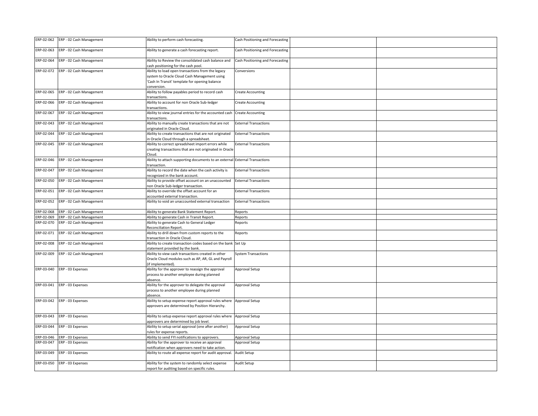| ERP-02-062 | ERP - 02 Cash Management | Ability to perform cash forecasting.                                                                                                                               | Cash Positioning and Forecasting |  |
|------------|--------------------------|--------------------------------------------------------------------------------------------------------------------------------------------------------------------|----------------------------------|--|
| ERP-02-063 | ERP - 02 Cash Management | Ability to generate a cash forecasting report.                                                                                                                     | Cash Positioning and Forecasting |  |
| ERP-02-064 | ERP - 02 Cash Management | Ability to Review the consolidated cash balance and<br>cash positioning for the cash pool.                                                                         | Cash Positioning and Forecasting |  |
| ERP-02-072 | ERP - 02 Cash Management | Ability to load open transactions from the legacy<br>system to Oracle Cloud Cash Management using<br>'Cash In Transit' template for opening balance<br>conversion. | Conversions                      |  |
| ERP-02-065 | ERP - 02 Cash Management | Ability to follow payables period to record cash<br>transactions.                                                                                                  | <b>Create Accounting</b>         |  |
| ERP-02-066 | ERP - 02 Cash Management | Ability to account for non Oracle Sub-ledger<br>ransactions.                                                                                                       | <b>Create Accounting</b>         |  |
| ERP-02-067 | ERP - 02 Cash Management | Ability to view journal entries for the accounted cash<br>transactions.                                                                                            | <b>Create Accounting</b>         |  |
| ERP-02-043 | ERP - 02 Cash Management | Ability to manually create transactions that are not<br>originated in Oracle Cloud.                                                                                | <b>External Transactions</b>     |  |
| ERP-02-044 | ERP - 02 Cash Management | Ability to create transactions that are not originated<br>in Oracle Cloud through a spreadsheet.                                                                   | <b>External Transactions</b>     |  |
| ERP-02-045 | ERP - 02 Cash Management | Ability to correct spreadsheet import errors while<br>creating transactions that are not originated in Oracle<br>Cloud.                                            | <b>External Transactions</b>     |  |
| ERP-02-046 | ERP - 02 Cash Management | Ability to attach supporting documents to an external<br>transaction.                                                                                              | <b>External Transactions</b>     |  |
| ERP-02-047 | ERP - 02 Cash Management | Ability to record the date when the cash activity is<br>recognized in the bank account.                                                                            | <b>External Transactions</b>     |  |
| ERP-02-050 | ERP - 02 Cash Management | Ability to provide offset account on an unaccounted<br>non Oracle Sub-ledger transaction.                                                                          | <b>External Transactions</b>     |  |
| ERP-02-051 | ERP - 02 Cash Management | Ability to override the offset account for an<br>accounted external transaction.                                                                                   | <b>External Transactions</b>     |  |
| ERP-02-052 | ERP - 02 Cash Management | Ability to void an unaccounted external transaction                                                                                                                | <b>External Transactions</b>     |  |
| ERP-02-068 | ERP - 02 Cash Management | Ability to generate Bank Statement Report.                                                                                                                         | Reports                          |  |
| ERP-02-069 | ERP - 02 Cash Management | Ability to generate Cash in Transit Report.                                                                                                                        | Reports                          |  |
| ERP-02-070 | ERP - 02 Cash Management | Ability to generate Cash to General Ledger<br>Reconciliation Report.                                                                                               | Reports                          |  |
| ERP-02-071 | ERP - 02 Cash Management | Ability to drill down from custom reports to the<br>transaction in Oracle Cloud.                                                                                   | Reports                          |  |
| ERP-02-008 | ERP - 02 Cash Management | Ability to create transaction codes based on the bank<br>statement provided by the bank.                                                                           | Set Up                           |  |
| ERP-02-009 | ERP - 02 Cash Management | Ability to view cash transactions created in other<br>Oracle Cloud modules such as AP, AR, GL and Payroll<br>if implemented).                                      | <b>System Transactions</b>       |  |
| ERP-03-040 | ERP - 03 Expenses        | Ability for the approver to reassign the approval<br>process to another employee during planned<br>absence.                                                        | Approval Setup                   |  |
| ERP-03-041 | ERP - 03 Expenses        | Ability for the approver to delegate the approval<br>process to another employee during planned<br>absence.                                                        | Approval Setup                   |  |
| ERP-03-042 | ERP - 03 Expenses        | Ability to setup expense report approval rules where<br>approvers are determined by Position Hierarchy.                                                            | Approval Setup                   |  |
| ERP-03-043 | ERP - 03 Expenses        | Ability to setup expense report approval rules where<br>approvers are determined by job level.                                                                     | Approval Setup                   |  |
| ERP-03-044 | ERP - 03 Expenses        | Ability to setup serial approval (one after another)<br>rules for expense reports.                                                                                 | Approval Setup                   |  |
| ERP-03-046 | ERP - 03 Expenses        | Ability to send FYI notifications to approvers.                                                                                                                    | Approval Setup                   |  |
| ERP-03-047 | ERP - 03 Expenses        | Ability for the approver to receive an approval<br>notification when approvers need to take action.                                                                | Approval Setup                   |  |
| ERP-03-049 | ERP - 03 Expenses        | Ability to route all expense report for audit approval                                                                                                             | Audit Setup                      |  |
| ERP-03-050 | ERP - 03 Expenses        | Ability for the system to randomly select expense<br>report for auditing based on specific rules.                                                                  | Audit Setup                      |  |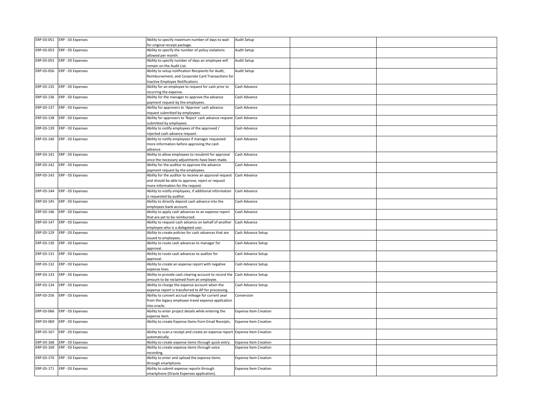|            | ERP-03-051 ERP - 03 Expenses | Ability to specify maximum number of days to wait                                              | <b>Audit Setup</b>           |  |
|------------|------------------------------|------------------------------------------------------------------------------------------------|------------------------------|--|
|            |                              | for original receipt package.                                                                  |                              |  |
|            | ERP-03-053 ERP - 03 Expenses | Ability to specify the number of policy violations                                             | Audit Setup                  |  |
|            |                              | allowed per month.                                                                             |                              |  |
|            | ERP-03-055 ERP - 03 Expenses | Ability to specify number of days an employee will                                             | Audit Setup                  |  |
|            |                              | remain on the Audit List.                                                                      |                              |  |
|            | ERP-03-056 ERP - 03 Expenses | Ability to setup notification Recipients for Audit,                                            | Audit Setup                  |  |
|            |                              | Reimbursement, and Corporate Card Transactions for                                             |                              |  |
|            |                              | nactive Employee Notifications                                                                 |                              |  |
|            | ERP-03-135 ERP - 03 Expenses | Ability for an employee to request for cash prior to                                           | Cash Advance                 |  |
|            |                              | ncurring the expense.                                                                          |                              |  |
|            | ERP-03-136 ERP - 03 Expenses | Ability for the manager to approve the advance                                                 | Cash Advance                 |  |
|            |                              | payment request by the employees.                                                              |                              |  |
|            | ERP-03-137 ERP - 03 Expenses | Ability for approvers to 'Approve' cash advance                                                | Cash Advance                 |  |
|            |                              | request submitted by employees.                                                                |                              |  |
|            | ERP-03-138 ERP - 03 Expenses | Ability for approvers to 'Reject' cash advance request                                         | Cash Advance                 |  |
|            |                              | submitted by employees.                                                                        |                              |  |
|            | ERP-03-139 ERP - 03 Expenses | Ability to notify employees of the approved /                                                  | Cash Advance                 |  |
|            |                              | ejected cash advance request.                                                                  |                              |  |
|            | ERP-03-140 ERP - 03 Expenses | Ability to notify employees if manager requested<br>more information before approving the cash | Cash Advance                 |  |
|            |                              | advance.                                                                                       |                              |  |
|            | ERP-03-141 ERP - 03 Expenses | Ability to allow employees to resubmit for approval                                            | Cash Advance                 |  |
|            |                              | once the necessary adjustments have been made.                                                 |                              |  |
|            | ERP-03-142 ERP - 03 Expenses | Ability for the auditor to approve the advance                                                 | Cash Advance                 |  |
|            |                              | payment request by the employees.                                                              |                              |  |
|            | ERP-03-143 ERP - 03 Expenses | Ability for the auditor to receive an approval request                                         | Cash Advance                 |  |
|            |                              | and should be able to approve, reject or request                                               |                              |  |
|            |                              | more information for the request.                                                              |                              |  |
|            | ERP-03-144 ERP - 03 Expenses | Ability to notify employees, if additional information                                         | Cash Advance                 |  |
|            |                              | s requested by auditor.                                                                        |                              |  |
|            | ERP-03-145 ERP - 03 Expenses | Ability to directly deposit cash advance into the                                              | Cash Advance                 |  |
|            |                              | employees bank account.                                                                        |                              |  |
|            | ERP-03-146 ERP - 03 Expenses | Ability to apply cash advances to an expense report                                            | Cash Advance                 |  |
|            |                              | that are yet to be reimbursed.                                                                 |                              |  |
|            | ERP-03-147 ERP - 03 Expenses | Ability to request cash advance on behalf of another                                           | Cash Advance                 |  |
|            |                              | employee who is a delegated user.                                                              |                              |  |
|            | ERP-03-129 ERP - 03 Expenses | Ability to create policies for cash advances that are                                          | Cash Advance Setup           |  |
|            |                              | ssued to employees.                                                                            |                              |  |
|            | ERP-03-130 ERP - 03 Expenses | Ability to route cash advances to manager for                                                  | Cash Advance Setup           |  |
|            |                              | approval                                                                                       |                              |  |
|            | ERP-03-131 ERP - 03 Expenses | Ability to route cash advances to auditor for                                                  | Cash Advance Setup           |  |
|            |                              | approval.                                                                                      |                              |  |
|            | ERP-03-132 ERP - 03 Expenses | Ability to create an expense report with negative                                              | Cash Advance Setup           |  |
|            |                              | expense lines.                                                                                 |                              |  |
|            | ERP-03-133 ERP - 03 Expenses | Ability to provide cash clearing account to record the                                         | Cash Advance Setup           |  |
|            |                              | amount to be reclaimed from an employee.                                                       |                              |  |
|            | ERP-03-134 ERP - 03 Expenses | Ability to charge the expense account when the                                                 | Cash Advance Setup           |  |
|            |                              | expense report is transferred to AP for processing.                                            |                              |  |
|            | ERP-03-256 ERP - 03 Expenses | Ability to convert accrual mileage for current year                                            | Conversion                   |  |
|            |                              | from the legacy employee travel expense application                                            |                              |  |
|            |                              | nto oracle.                                                                                    |                              |  |
|            | ERP-03-066 ERP - 03 Expenses | Ability to enter project details while entering the                                            | <b>Expense Item Creation</b> |  |
|            |                              | expense item.                                                                                  |                              |  |
| ERP-03-069 | ERP - 03 Expenses            | Ability to create Expense Items from Email Receipts.                                           | <b>Expense Item Creation</b> |  |
|            |                              |                                                                                                |                              |  |
|            | ERP-03-167 ERP - 03 Expenses | Ability to scan a receipt and create an expense report Expense Item Creation                   |                              |  |
|            |                              | automatically.                                                                                 |                              |  |
|            | ERP-03-168 ERP - 03 Expenses | Ability to create expense items through quick entry.                                           | <b>Expense Item Creation</b> |  |
|            | ERP-03-169 ERP - 03 Expenses | Ability to create expense items through voice                                                  | <b>Expense Item Creation</b> |  |
|            | ERP-03-170 ERP - 03 Expenses | recording.                                                                                     |                              |  |
|            |                              | Ability to enter and upload the expense items<br>through smartphone.                           | <b>Expense Item Creation</b> |  |
|            | ERP-03-171 ERP - 03 Expenses | Ability to submit expense reports through                                                      | <b>Expense Item Creation</b> |  |
|            |                              | smartphone (Oracle Expenses application).                                                      |                              |  |
|            |                              |                                                                                                |                              |  |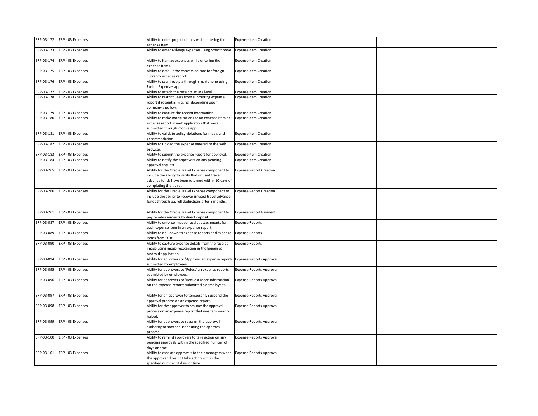|            | ERP-03-172 ERP - 03 Expenses | Ability to enter project details while entering the<br>expense item.                                                                                                                   | <b>Expense Item Creation</b>    |  |
|------------|------------------------------|----------------------------------------------------------------------------------------------------------------------------------------------------------------------------------------|---------------------------------|--|
|            | ERP-03-173 ERP - 03 Expenses | Ability to enter Mileage expenses using Smartphone.                                                                                                                                    | <b>Expense Item Creation</b>    |  |
|            | ERP-03-174 ERP - 03 Expenses | Ability to itemize expenses while entering the<br>expense items.                                                                                                                       | <b>Expense Item Creation</b>    |  |
|            | ERP-03-175 ERP - 03 Expenses | Ability to default the conversion rate for foreign<br>currency expense report.                                                                                                         | <b>Expense Item Creation</b>    |  |
|            | ERP-03-176 ERP - 03 Expenses | Ability to scan receipts through smartphone using<br>Fusion Expenses app.                                                                                                              | <b>Expense Item Creation</b>    |  |
|            | ERP-03-177 ERP - 03 Expenses | Ability to attach the receipts at line level.                                                                                                                                          | <b>Expense Item Creation</b>    |  |
|            | ERP-03-178 ERP - 03 Expenses | Ability to restrict users from submitting expense<br>report if receipt is missing (depending upon<br>company's policy).                                                                | <b>Expense Item Creation</b>    |  |
|            | ERP-03-179 ERP - 03 Expenses | Ability to capture the receipt information.                                                                                                                                            | <b>Expense Item Creation</b>    |  |
|            | ERP-03-180 ERP - 03 Expenses | Ability to make modifications to an expense item or<br>expense report in web application that were<br>submitted through mobile app.                                                    | <b>Expense Item Creation</b>    |  |
|            | ERP-03-181 ERP - 03 Expenses | Ability to validate policy violations for meals and<br>accommodation.                                                                                                                  | <b>Expense Item Creation</b>    |  |
|            | ERP-03-182 ERP - 03 Expenses | Ability to upload the expense entered to the web<br>browser.                                                                                                                           | <b>Expense Item Creation</b>    |  |
|            | ERP-03-183 ERP - 03 Expenses | Ability to submit the expense report for approval.                                                                                                                                     | <b>Expense Item Creation</b>    |  |
|            | ERP-03-184 ERP - 03 Expenses | Ability to notify the approvers on any pending<br>approval request.                                                                                                                    | <b>Expense Item Creation</b>    |  |
|            | ERP-03-265 ERP - 03 Expenses | Ability for the Oracle Travel Expense component to<br>include the ability to verify that unused travel<br>advance funds have been returned within 10 days of<br>completing the travel. | <b>Expense Report Creation</b>  |  |
|            | ERP-03-266 ERP - 03 Expenses | Ability for the Oracle Travel Expense component to<br>include the ability to recover unused travel advance<br>funds through payroll deductions after 3 months.                         | <b>Expense Report Creation</b>  |  |
|            | ERP-03-261 ERP - 03 Expenses | Ability for the Oracle Travel Expense component to<br>bay reimbursements by direct deposit.                                                                                            | <b>Expense Report Payment</b>   |  |
|            | ERP-03-087 ERP - 03 Expenses | Ability to enforce imaged receipt attachments for<br>each expense item in an expense report.                                                                                           | <b>Expense Reports</b>          |  |
| ERP-03-089 | ERP - 03 Expenses            | Ability to drill down to expense reports and expense<br>tems from OTBI.                                                                                                                | <b>Expense Reports</b>          |  |
|            | ERP-03-090 ERP - 03 Expenses | Ability to capture expense details from the receipt<br>image using image recognition in the Expenses<br>Android application.                                                           | <b>Expense Reports</b>          |  |
|            | ERP-03-094 ERP - 03 Expenses | Ability for approvers to 'Approve' an expense reports<br>submitted by employees.                                                                                                       | <b>Expense Reports Approval</b> |  |
|            | ERP-03-095 ERP - 03 Expenses | Ability for approvers to 'Reject' an expense reports<br>ubmitted by employees.                                                                                                         | <b>Expense Reports Approval</b> |  |
| ERP-03-096 | ERP - 03 Expenses            | Ability for approvers to 'Request More Information'<br>on the expense reports submitted by employees.                                                                                  | <b>Expense Reports Approval</b> |  |
| ERP-03-097 | ERP - 03 Expenses            | Ability for an approver to temporarily suspend the<br>pproval process on an expense report.                                                                                            | <b>Expense Reports Approval</b> |  |
| ERP-03-098 | ERP - 03 Expenses            | Ability for the approver to resume the approval<br>process on an expense report that was temporarily<br>alted.                                                                         | <b>Expense Reports Approval</b> |  |
|            | ERP-03-099 ERP - 03 Expenses | Ability for approvers to reassign the approval<br>authority to another user during the approval<br>process.                                                                            | <b>Expense Reports Approval</b> |  |
|            | ERP-03-100 ERP - 03 Expenses | Ability to remind approvers to take action on any<br>pending approvals within the specified number of<br>days or time.                                                                 | <b>Expense Reports Approval</b> |  |
|            | ERP-03-101 ERP - 03 Expenses | Ability to escalate approvals to their managers when<br>the approver does not take action within the<br>specified number of days or time.                                              | <b>Expense Reports Approval</b> |  |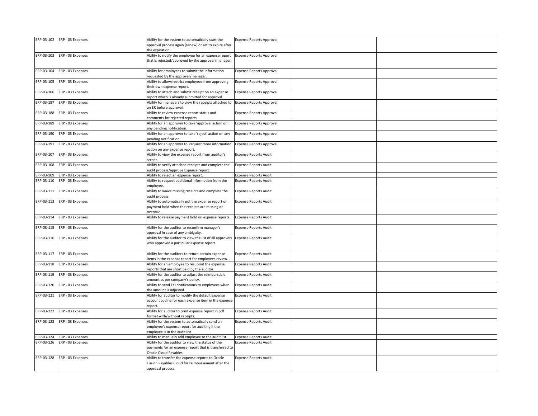|            | ERP-03-102 ERP - 03 Expenses | Ability for the system to automatically start the                                                      | <b>Expense Reports Approval</b> |  |
|------------|------------------------------|--------------------------------------------------------------------------------------------------------|---------------------------------|--|
|            |                              | approval process again (renew) or set to expire after<br>the expiration.                               |                                 |  |
|            | ERP-03-103 ERP - 03 Expenses |                                                                                                        |                                 |  |
|            |                              | Ability to notify the employee for an expense report                                                   | <b>Expense Reports Approval</b> |  |
|            |                              | that is rejected/approved by the approver/manager.                                                     |                                 |  |
| ERP-03-104 | ERP - 03 Expenses            | Ability for employees to submit the information                                                        | <b>Expense Reports Approval</b> |  |
|            |                              | equested by the approver/manager.                                                                      |                                 |  |
| ERP-03-105 | ERP - 03 Expenses            | Ability to allow/restrict employees from approving                                                     | <b>Expense Reports Approval</b> |  |
|            |                              | heir own expense report.                                                                               |                                 |  |
|            | ERP-03-106 ERP - 03 Expenses | Ability to attach and submit receipt on an expense                                                     | <b>Expense Reports Approval</b> |  |
|            |                              | eport which is already submitted for approval.                                                         |                                 |  |
| ERP-03-187 | ERP - 03 Expenses            | Ability for managers to view the receipts attached to                                                  | <b>Expense Reports Approval</b> |  |
|            |                              | In ER before approval.                                                                                 |                                 |  |
| ERP-03-188 | ERP - 03 Expenses            | Ability to review expense report status and                                                            | <b>Expense Reports Approval</b> |  |
|            |                              | comments for rejected reports.                                                                         |                                 |  |
|            | ERP-03-189 ERP - 03 Expenses | Ability for an approver to take 'approve' action on                                                    | <b>Expense Reports Approval</b> |  |
|            |                              | any pending notification.                                                                              |                                 |  |
| ERP-03-190 | ERP - 03 Expenses            | Ability for an approver to take 'reject' action on any                                                 | <b>Expense Reports Approval</b> |  |
|            |                              | ending notification.                                                                                   |                                 |  |
| ERP-03-191 | ERP - 03 Expenses            | Ability for an approver to 'request more information'                                                  | <b>Expense Reports Approval</b> |  |
|            |                              | action on any expense report.                                                                          |                                 |  |
|            | ERP-03-107 ERP - 03 Expenses | Ability to view the expense report from auditor's                                                      | <b>Expense Reports Audit</b>    |  |
|            |                              | creen                                                                                                  |                                 |  |
| ERP-03-108 | ERP - 03 Expenses            | Ability to verify attached receipts and complete the                                                   | <b>Expense Reports Audit</b>    |  |
|            | ERP-03-109 ERP - 03 Expenses | audit process/approve Expense report.<br>Ability to reject an expense report.                          | <b>Expense Reports Audit</b>    |  |
|            | ERP-03-110 ERP - 03 Expenses | Ability to request additional information from the                                                     | <b>Expense Reports Audit</b>    |  |
|            |                              | employee.                                                                                              |                                 |  |
|            | ERP-03-111 ERP - 03 Expenses | Ability to waive missing receipts and complete the                                                     | <b>Expense Reports Audit</b>    |  |
|            |                              | audit process.                                                                                         |                                 |  |
|            | ERP-03-113 ERP - 03 Expenses | Ability to automatically put the expense report on                                                     | <b>Expense Reports Audit</b>    |  |
|            |                              | payment hold when the receipts are missing or                                                          |                                 |  |
|            |                              | overdue.                                                                                               |                                 |  |
|            | ERP-03-114 ERP - 03 Expenses | Ability to release payment hold on expense reports.                                                    | <b>Expense Reports Audit</b>    |  |
|            |                              |                                                                                                        |                                 |  |
|            | ERP-03-115 ERP - 03 Expenses | Ability for the auditor to reconfirm manager's                                                         | <b>Expense Reports Audit</b>    |  |
|            |                              | approval in case of any ambiguity.                                                                     |                                 |  |
|            | ERP-03-116 ERP - 03 Expenses | Ability for the auditor to view the list of all approvers                                              | <b>Expense Reports Audit</b>    |  |
|            |                              | who approved a particular expense report.                                                              |                                 |  |
|            |                              |                                                                                                        |                                 |  |
|            | ERP-03-117 ERP - 03 Expenses | Ability for the auditors to return certain expense                                                     | <b>Expense Reports Audit</b>    |  |
|            |                              | tems in the expense report for employees review.                                                       |                                 |  |
|            | ERP-03-118 ERP - 03 Expenses | Ability for an employee to resubmit the expense                                                        | <b>Expense Reports Audit</b>    |  |
|            | ERP-03-119 ERP - 03 Expenses | eports that are short paid by the auditor.<br>Ability for the auditor to adjust the reimbursable       | <b>Expense Reports Audit</b>    |  |
|            |                              | amount as per company's policy.                                                                        |                                 |  |
|            | ERP-03-120 ERP - 03 Expenses | Ability to send FYI notifications to employees when                                                    | <b>Expense Reports Audit</b>    |  |
|            |                              | he amount is adjusted.                                                                                 |                                 |  |
|            | ERP-03-121 ERP - 03 Expenses | Ability for auditor to modify the default expense                                                      | <b>Expense Reports Audit</b>    |  |
|            |                              | account coding for each expense item in the expense                                                    |                                 |  |
|            |                              | eport.                                                                                                 |                                 |  |
|            | ERP-03-122 ERP - 03 Expenses | Ability for auditor to print expense report in pdf                                                     | <b>Expense Reports Audit</b>    |  |
|            |                              | ormat with/without receipts.                                                                           |                                 |  |
|            | ERP-03-123 ERP - 03 Expenses | Ability for the system to automatically send an                                                        | <b>Expense Reports Audit</b>    |  |
|            |                              | employee's expense report for auditing if the                                                          |                                 |  |
|            |                              | employee is in the audit list.                                                                         |                                 |  |
|            | ERP-03-124 ERP - 03 Expenses | Ability to manually add employee to the audit list.                                                    | <b>Expense Reports Audit</b>    |  |
|            | ERP-03-126 ERP - 03 Expenses | Ability for the auditor to view the status of the                                                      | Expense Reports Audit           |  |
|            |                              | payments for an expense report that is transferred to                                                  |                                 |  |
|            |                              | Oracle Cloud Payables.                                                                                 |                                 |  |
|            | ERP-03-128 ERP - 03 Expenses | Ability to transfer the expense reports to Oracle<br>Fusion Payables Cloud for reimbursement after the | <b>Expense Reports Audit</b>    |  |
|            |                              | approval process.                                                                                      |                                 |  |
|            |                              |                                                                                                        |                                 |  |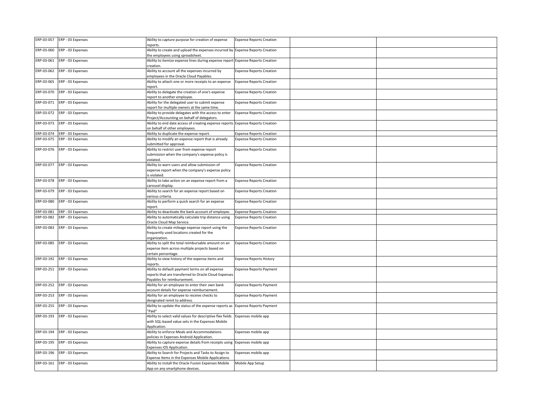|            | ERP-03-057 ERP - 03 Expenses | Ability to capture purpose for creation of expense                              | <b>Expense Reports Creation</b> |  |
|------------|------------------------------|---------------------------------------------------------------------------------|---------------------------------|--|
|            |                              | reports.                                                                        |                                 |  |
|            | ERP-03-060 ERP - 03 Expenses | Ability to create and upload the expenses incurred by Expense Reports Creation  |                                 |  |
|            |                              | the employees using spreadsheet.                                                |                                 |  |
|            | ERP-03-061 ERP - 03 Expenses | Ability to itemize expense lines during expense report Expense Reports Creation |                                 |  |
|            |                              | creation.                                                                       |                                 |  |
|            | ERP-03-062 ERP - 03 Expenses | Ability to account all the expenses incurred by                                 | <b>Expense Reports Creation</b> |  |
|            |                              | employees in the Oracle Cloud Payables.                                         |                                 |  |
|            | ERP-03-065 ERP - 03 Expenses | Ability to attach one or more receipts to an expense                            | <b>Expense Reports Creation</b> |  |
|            |                              | eport.                                                                          |                                 |  |
|            | ERP-03-070 ERP - 03 Expenses | Ability to delegate the creation of one's expense                               | <b>Expense Reports Creation</b> |  |
|            |                              | report to another employee.                                                     |                                 |  |
|            | ERP-03-071 ERP - 03 Expenses | Ability for the delegated user to submit expense                                | <b>Expense Reports Creation</b> |  |
|            |                              | eport for multiple owners at the same time.                                     |                                 |  |
|            | ERP-03-072 ERP - 03 Expenses | Ability to provide delegates with the access to enter                           | <b>Expense Reports Creation</b> |  |
|            |                              | Project/Accounting on behalf of delegators.                                     |                                 |  |
|            | ERP-03-073 ERP - 03 Expenses | Ability to end date access of creating expense reports Expense Reports Creation |                                 |  |
|            |                              | on behalf of other employees.                                                   |                                 |  |
|            | ERP-03-074 ERP - 03 Expenses | Ability to duplicate the expense report.                                        | <b>Expense Reports Creation</b> |  |
|            | ERP-03-075 ERP - 03 Expenses | Ability to modify an expense report that is already                             | <b>Expense Reports Creation</b> |  |
|            |                              | submitted for approval.                                                         |                                 |  |
|            | ERP-03-076 ERP - 03 Expenses | Ability to restrict user from expense report                                    | <b>Expense Reports Creation</b> |  |
|            |                              | submission when the company's expense policy is                                 |                                 |  |
|            |                              | violated.                                                                       |                                 |  |
|            | ERP-03-077 ERP - 03 Expenses | Ability to warn users and allow submission of                                   | <b>Expense Reports Creation</b> |  |
|            |                              | expense report when the company's expense policy                                |                                 |  |
|            |                              | s violated.                                                                     |                                 |  |
|            | ERP-03-078 ERP - 03 Expenses | Ability to take action on an expense report from a                              | <b>Expense Reports Creation</b> |  |
|            |                              | carousel display.                                                               |                                 |  |
|            | ERP-03-079 ERP - 03 Expenses | Ability to search for an expense report based on                                | <b>Expense Reports Creation</b> |  |
|            |                              | various criteria.                                                               |                                 |  |
|            | ERP-03-080 ERP - 03 Expenses | Ability to perform a quick search for an expense                                | <b>Expense Reports Creation</b> |  |
|            |                              | eport.                                                                          |                                 |  |
|            | ERP-03-081 ERP - 03 Expenses | Ability to deactivate the bank account of employee.                             | <b>Expense Reports Creation</b> |  |
| ERP-03-082 | ERP - 03 Expenses            | Ability to automatically calculate trip distance using                          | <b>Expense Reports Creation</b> |  |
|            |                              | Oracle Cloud Map Service.                                                       |                                 |  |
| ERP-03-083 | ERP - 03 Expenses            | Ability to create mileage expense report using the                              | <b>Expense Reports Creation</b> |  |
|            |                              | frequently used locations created for the                                       |                                 |  |
|            |                              | organization.                                                                   |                                 |  |
|            | ERP-03-085 ERP - 03 Expenses | Ability to split the total reimbursable amount on an                            | <b>Expense Reports Creation</b> |  |
|            |                              | expense item across multiple projects based on                                  |                                 |  |
|            |                              | certain percentage.                                                             |                                 |  |
|            | ERP-03-192 ERP - 03 Expenses | Ability to view history of the expense items and                                | <b>Expense Reports History</b>  |  |
|            |                              |                                                                                 |                                 |  |
|            |                              | reports.                                                                        |                                 |  |
|            | ERP-03-251 ERP - 03 Expenses | Ability to default payment terms on all expense                                 | <b>Expense Reports Payment</b>  |  |
|            |                              | reports that are transferred to Oracle Cloud Expenses                           |                                 |  |
|            |                              | Pavables for reimbursement.                                                     |                                 |  |
|            | ERP-03-252 ERP - 03 Expenses | Ability for an employee to enter their own bank                                 | <b>Expense Reports Payment</b>  |  |
|            |                              | account details for expense reimbursement.                                      |                                 |  |
|            | ERP-03-253 ERP - 03 Expenses | Ability for an employee to receive checks to                                    | <b>Expense Reports Payment</b>  |  |
|            |                              | designated remit to address.                                                    |                                 |  |
|            | ERP-03-255 ERP - 03 Expenses | Ability to update the status of the expense reports as                          | <b>Expense Reports Payment</b>  |  |
|            |                              | "Paid"                                                                          |                                 |  |
|            | ERP-03-193 ERP - 03 Expenses | Ability to select valid values for descriptive flex fields                      | Expenses mobile app             |  |
|            |                              | with SQL-based value sets in the Expenses Mobile                                |                                 |  |
|            |                              | Application.                                                                    |                                 |  |
|            | ERP-03-194 ERP - 03 Expenses | Ability to enforce Meals and Accommodations                                     | Expenses mobile app             |  |
|            |                              | policies in Expenses Android Application.                                       |                                 |  |
|            | ERP-03-195 ERP - 03 Expenses | Ability to capture expense details from receipts using                          | Expenses mobile app             |  |
|            |                              | Expenses iOS Application.                                                       |                                 |  |
|            | ERP-03-196 ERP - 03 Expenses | Ability to Search for Projects and Tasks to Assign to                           | Expenses mobile app             |  |
|            |                              | Expense Items in the Expenses Mobile Applications                               |                                 |  |
|            | ERP-03-161 ERP - 03 Expenses | Ability to install the Oracle Fusion Expenses Mobile                            | Mobile App Setup                |  |
|            |                              | App on any smartphone devices.                                                  |                                 |  |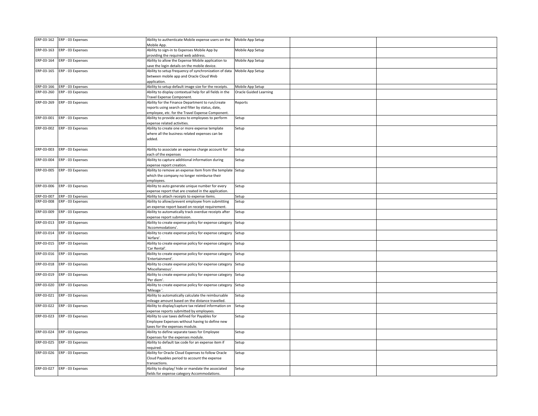|            | ERP-03-162 ERP - 03 Expenses | Ability to authenticate Mobile expense users on the<br>Mobile App.    | Mobile App Setup              |  |
|------------|------------------------------|-----------------------------------------------------------------------|-------------------------------|--|
|            | ERP-03-163 ERP - 03 Expenses | Ability to sign-in to Expenses Mobile App by                          | Mobile App Setup              |  |
|            |                              | providing the required web address.                                   |                               |  |
|            | ERP-03-164 ERP - 03 Expenses | Ability to allow the Expense Mobile application to                    | Mobile App Setup              |  |
|            |                              | save the login details on the mobile device.                          |                               |  |
|            | ERP-03-165 ERP - 03 Expenses | Ability to setup frequency of synchronization of data                 | Mobile App Setup              |  |
|            |                              | between mobile app and Oracle Cloud Web                               |                               |  |
|            |                              | application.                                                          |                               |  |
|            | ERP-03-166 ERP - 03 Expenses | Ability to setup default image size for the receipts.                 | Mobile App Setup              |  |
|            | ERP-03-260 ERP - 03 Expenses | Ability to display contextual help for all fields in the              | <b>Oracle Guided Learning</b> |  |
|            |                              | Travel Expense Component.                                             |                               |  |
|            | ERP-03-269 ERP - 03 Expenses | Ability for the Finance Department to run/create                      | Reports                       |  |
|            |                              | reports using search and filter by status, date,                      |                               |  |
|            |                              | employee, etc. for the Travel Expense Component.                      |                               |  |
|            | ERP-03-001 ERP - 03 Expenses | Ability to provide access to employees to perform                     | Setup                         |  |
|            |                              | expense related activities.                                           |                               |  |
| ERP-03-002 | ERP - 03 Expenses            | Ability to create one or more expense template                        | Setup                         |  |
|            |                              | where all the business related expenses can be                        |                               |  |
|            |                              | added.                                                                |                               |  |
|            |                              |                                                                       |                               |  |
|            | ERP-03-003 ERP - 03 Expenses | Ability to associate an expense charge account for                    | Setup                         |  |
|            |                              | each of the expenses                                                  |                               |  |
|            | ERP-03-004 ERP - 03 Expenses | Ability to capture additional information during                      | Setup                         |  |
|            |                              | expense report creation.                                              |                               |  |
|            | ERP-03-005 ERP - 03 Expenses | Ability to remove an expense item from the template Setup             |                               |  |
|            |                              | which the company no longer reimburse their                           |                               |  |
|            |                              | employees.                                                            |                               |  |
|            | ERP-03-006 ERP - 03 Expenses | Ability to auto generate unique number for every                      | Setup                         |  |
|            |                              | expense report that are created in the application.                   |                               |  |
|            | ERP-03-007 ERP - 03 Expenses | Ability to attach receipts to expense items.                          | Setup                         |  |
| ERP-03-008 | ERP - 03 Expenses            | Ability to allow/prevent employee from submitting                     | Setup                         |  |
|            |                              | an expense report based on receipt requirement.                       |                               |  |
| ERP-03-009 | ERP - 03 Expenses            | Ability to automatically track overdue receipts after                 | Setup                         |  |
|            |                              | expense report submission.                                            |                               |  |
|            | ERP-03-013 ERP - 03 Expenses | Ability to create expense policy for expense category Setup           |                               |  |
|            |                              | Accommodations'.                                                      |                               |  |
|            | ERP-03-014 ERP - 03 Expenses | Ability to create expense policy for expense category                 | Setup                         |  |
|            |                              | Airfare'.                                                             |                               |  |
|            | ERP-03-015 ERP - 03 Expenses | Ability to create expense policy for expense category<br>Car Rental'. | Setup                         |  |
|            | ERP-03-016 ERP - 03 Expenses | Ability to create expense policy for expense category Setup           |                               |  |
|            |                              | Entertainment'.                                                       |                               |  |
|            | ERP-03-018 ERP - 03 Expenses | Ability to create expense policy for expense category Setup           |                               |  |
|            |                              | Miscellaneous'.                                                       |                               |  |
|            | ERP-03-019 ERP - 03 Expenses | Ability to create expense policy for expense category                 | Setup                         |  |
|            |                              | Per diem'.                                                            |                               |  |
|            | ERP-03-020 ERP - 03 Expenses | Ability to create expense policy for expense category Setup           |                               |  |
|            |                              | Mileage '.                                                            |                               |  |
|            | ERP-03-021 ERP - 03 Expenses | Ability to automatically calculate the reimbursable                   | Setup                         |  |
|            |                              | mileage amount based on the distance travelled.                       |                               |  |
|            | ERP-03-022 ERP - 03 Expenses | Ability to display/capture tax related information on                 | Setup                         |  |
|            |                              | expense reports submitted by employees.                               |                               |  |
|            | ERP-03-023 ERP - 03 Expenses | Ability to use taxes defined for Payables for                         | Setup                         |  |
|            |                              | Employee Expenses without having to define new                        |                               |  |
|            |                              | taxes for the expenses module.                                        |                               |  |
|            | ERP-03-024 ERP - 03 Expenses | Ability to define separate taxes for Employee                         | Setup                         |  |
|            |                              | Expenses for the expenses module.                                     |                               |  |
| ERP-03-025 | ERP - 03 Expenses            | Ability to default tax code for an expense item if                    | Setup                         |  |
|            |                              | required.                                                             |                               |  |
|            | ERP-03-026 ERP - 03 Expenses | Ability for Oracle Cloud Expenses to follow Oracle                    | Setup                         |  |
|            |                              | Cloud Payables period to account the expense                          |                               |  |
|            |                              | transactions.                                                         |                               |  |
|            | ERP-03-027 ERP - 03 Expenses | Ability to display/ hide or mandate the associated                    | Setup                         |  |
|            |                              | fields for expense category Accommodations.                           |                               |  |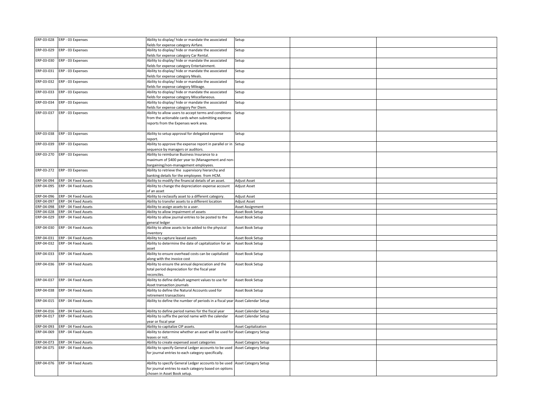|            | ERP-03-028 ERP - 03 Expenses     | Ability to display/ hide or mandate the associated                          | Setup                       |  |
|------------|----------------------------------|-----------------------------------------------------------------------------|-----------------------------|--|
|            |                                  | fields for expense category Airfare.                                        |                             |  |
|            | ERP-03-029 ERP - 03 Expenses     | Ability to display/ hide or mandate the associated                          | Setup                       |  |
|            |                                  | fields for expense category Car Rental.                                     |                             |  |
|            | ERP-03-030 ERP - 03 Expenses     | Ability to display/ hide or mandate the associated                          | Setup                       |  |
|            |                                  | fields for expense category Entertainment.                                  |                             |  |
|            | ERP-03-031 ERP - 03 Expenses     | Ability to display/ hide or mandate the associated                          | Setup                       |  |
|            |                                  | fields for expense category Meals.                                          |                             |  |
|            | ERP-03-032 ERP - 03 Expenses     | Ability to display/ hide or mandate the associated                          | Setup                       |  |
|            |                                  | fields for expense category Mileage.                                        |                             |  |
|            | ERP-03-033 ERP - 03 Expenses     | Ability to display/ hide or mandate the associated                          | Setup                       |  |
|            |                                  | fields for expense category Miscellaneous.                                  |                             |  |
|            | ERP-03-034 ERP - 03 Expenses     | Ability to display/ hide or mandate the associated                          | Setup                       |  |
|            |                                  | fields for expense category Per Diem.                                       |                             |  |
|            | ERP-03-037 ERP - 03 Expenses     | Ability to allow users to accept terms and conditions                       | Setup                       |  |
|            |                                  | from the actionable cards when submitting expense                           |                             |  |
|            |                                  | reports from the Expenses work area.                                        |                             |  |
|            |                                  |                                                                             |                             |  |
|            | ERP-03-038 ERP - 03 Expenses     | Ability to setup approval for delegated expense                             | Setup                       |  |
|            |                                  | eport.                                                                      |                             |  |
|            | ERP-03-039 ERP - 03 Expenses     | Ability to approve the expense report in parallel or in                     | Setup                       |  |
|            |                                  | equence by managers or auditors.                                            |                             |  |
|            | ERP-03-270 ERP - 03 Expenses     | Ability to reimburse Business Insurance to a                                |                             |  |
|            |                                  | maximum of \$400 per year to (Management and non-                           |                             |  |
|            |                                  | bargaining/non-management employees.                                        |                             |  |
|            | ERP-03-272 ERP - 03 Expenses     | Ability to retrieve the supervisory hierarchy and                           |                             |  |
|            |                                  | banking details for the employees from HCM.                                 |                             |  |
|            | ERP-04-094 ERP - 04 Fixed Assets | Ability to modify the financial details of an asset.                        | <b>Adjust Asset</b>         |  |
|            | ERP-04-095 ERP - 04 Fixed Assets | Ability to change the depreciation expense account                          | Adjust Asset                |  |
|            |                                  | of an asset                                                                 |                             |  |
|            | ERP-04-096 ERP - 04 Fixed Assets | Ability to reclassify asset to a different category.                        | Adjust Asset                |  |
|            | ERP-04-097 ERP - 04 Fixed Assets | Ability to transfer assets to a different location                          | <b>Adjust Asset</b>         |  |
|            | ERP-04-098 ERP - 04 Fixed Assets | Ability to assign assets to a user.                                         | Asset Assignment            |  |
| ERP-04-028 | ERP - 04 Fixed Assets            | Ability to allow impairment of assets                                       | Asset Book Setup            |  |
| ERP-04-029 | ERP - 04 Fixed Assets            | Ability to allow journal entries to be posted to the                        | Asset Book Setup            |  |
|            |                                  | general ledger                                                              |                             |  |
| ERP-04-030 | ERP - 04 Fixed Assets            | Ability to allow assets to be added to the physical                         | Asset Book Setup            |  |
|            |                                  | nventory                                                                    |                             |  |
|            | ERP-04-031 ERP - 04 Fixed Assets | Ability to capture leased assets                                            | Asset Book Setup            |  |
| ERP-04-032 | ERP - 04 Fixed Assets            | Ability to determine the date of capitalization for an                      | Asset Book Setup            |  |
|            |                                  | asset                                                                       |                             |  |
|            | ERP-04-033 ERP - 04 Fixed Assets | Ability to ensure overhead costs can be capitalized                         | Asset Book Setup            |  |
|            |                                  | along with the invoice cost                                                 |                             |  |
| ERP-04-036 | ERP - 04 Fixed Assets            | Ability to ensure the annual depreciation and the                           | Asset Book Setup            |  |
|            |                                  | total period depreciation for the fiscal year                               |                             |  |
|            |                                  | reconciles.                                                                 |                             |  |
| ERP-04-037 | ERP - 04 Fixed Assets            | Ability to define default segment values to use for                         | Asset Book Setup            |  |
|            |                                  | Asset transaction journals                                                  |                             |  |
|            | ERP-04-038 ERP - 04 Fixed Assets | Ability to define the Natural Accounts used for                             | Asset Book Setup            |  |
|            |                                  | retirement transactions                                                     |                             |  |
| ERP-04-015 | ERP - 04 Fixed Assets            | Ability to define the number of periods in a fiscal year                    | Asset Calendar Setup        |  |
|            |                                  |                                                                             |                             |  |
|            | ERP-04-016 ERP - 04 Fixed Assets | Ability to define period names for the fiscal year                          | Asset Calendar Setup        |  |
| ERP-04-017 | ERP - 04 Fixed Assets            | Ability to suffix the period name with the calendar                         | Asset Calendar Setup        |  |
|            |                                  | ear or fiscal year                                                          |                             |  |
| ERP-04-093 | ERP - 04 Fixed Assets            | Ability to capitalize CIP assets.                                           | Asset Capitalization        |  |
| ERP-04-069 | ERP - 04 Fixed Assets            | Ability to determine whether an asset will be used for Asset Category Setup |                             |  |
|            |                                  | eases or not.                                                               |                             |  |
| ERP-04-073 | ERP - 04 Fixed Assets            | Ability to create expensed asset categories                                 | Asset Category Setup        |  |
| ERP-04-075 | ERP - 04 Fixed Assets            | Ability to specify General Ledger accounts to be used                       | <b>Asset Category Setup</b> |  |
|            |                                  | for journal entries to each category specifically.                          |                             |  |
|            |                                  |                                                                             |                             |  |
| ERP-04-076 | ERP - 04 Fixed Assets            | Ability to specify General Ledger accounts to be used                       | Asset Category Setup        |  |
|            |                                  | for journal entries to each category based on options                       |                             |  |
|            |                                  | chosen in Asset Book setup.                                                 |                             |  |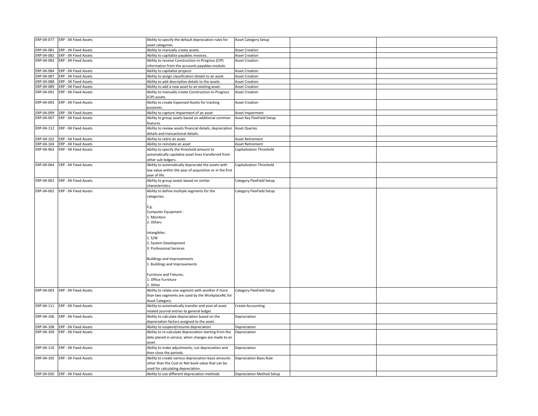| ERP-04-077 | ERP - 04 Fixed Assets            | Ability to specify the default depreciation rules for                                               | Asset Category Setup           |  |
|------------|----------------------------------|-----------------------------------------------------------------------------------------------------|--------------------------------|--|
|            |                                  | asset categories                                                                                    |                                |  |
| ERP-04-081 | ERP - 04 Fixed Assets            | Ability to manually create assets.                                                                  | <b>Asset Creation</b>          |  |
| ERP-04-082 | ERP - 04 Fixed Assets            | Ability to capitalize payables invoices.                                                            | <b>Asset Creation</b>          |  |
| ERP-04-083 | ERP - 04 Fixed Assets            | Ability to receive Construction-in-Progress (CIP)<br>information from the accounts payables module. | <b>Asset Creation</b>          |  |
|            | ERP-04-084 ERP - 04 Fixed Assets | Ability to capitalize projects                                                                      | <b>Asset Creation</b>          |  |
| ERP-04-087 | ERP - 04 Fixed Assets            | Ability to assign classification details to an asset.                                               | <b>Asset Creation</b>          |  |
| RP-04-088  | ERP - 04 Fixed Assets            | Ability to add descriptive details to the assets                                                    | <b>Asset Creation</b>          |  |
|            | ERP-04-089 ERP - 04 Fixed Assets | Ability to add a new asset to an existing asset.                                                    | <b>Asset Creation</b>          |  |
| ERP-04-091 | ERP - 04 Fixed Assets            | Ability to manually create Construction-in-Progress<br>(CIP) assets.                                | <b>Asset Creation</b>          |  |
| ERP-04-092 | ERP - 04 Fixed Assets            | Ability to create Expensed Assets for tracking<br>purposes                                          | <b>Asset Creation</b>          |  |
| ERP-04-099 | ERP - 04 Fixed Assets            | Ability to capture impairment of an asset                                                           | Asset Impairment               |  |
| ERP-04-007 | ERP - 04 Fixed Assets            | Ability to group assets based on additional common                                                  | Asset Key FlexField Setup      |  |
|            |                                  | features                                                                                            |                                |  |
| ERP-04-112 | ERP - 04 Fixed Assets            | Ability to review assets financial details, depreciation                                            | <b>Asset Queries</b>           |  |
|            |                                  | details and transactional details.                                                                  |                                |  |
| ERP-04-102 | ERP - 04 Fixed Assets            | Ability to retire an asset.                                                                         | Asset Retirement               |  |
| ERP-04-104 | ERP - 04 Fixed Assets            | Ability to reinstate an asset                                                                       | <b>Asset Retirement</b>        |  |
| ERP-04-063 | ERP - 04 Fixed Assets            | Ability to specify the threshold amount to                                                          | Capitalization Threshold       |  |
|            |                                  | automatically capitalize asset lines transferred from                                               |                                |  |
|            |                                  | other sub-ledgers.                                                                                  |                                |  |
| ERP-04-064 | ERP - 04 Fixed Assets            | Ability to automatically depreciate the assets with                                                 | Capitalization Threshold       |  |
|            |                                  | low value within the year of acquisition or in the first                                            |                                |  |
|            |                                  | year of life.                                                                                       |                                |  |
| ERP-04-001 | ERP - 04 Fixed Assets            |                                                                                                     | Category FlexField Setup       |  |
|            |                                  | Ability to group assets based on similar<br>characteristics.                                        |                                |  |
| ERP-04-002 | ERP - 04 Fixed Assets            | Ability to define multiple segments for the                                                         | Category FlexField Setup       |  |
|            |                                  |                                                                                                     |                                |  |
|            |                                  | categories.                                                                                         |                                |  |
|            |                                  |                                                                                                     |                                |  |
|            |                                  | E.g.                                                                                                |                                |  |
|            |                                  | Computer Equipment -                                                                                |                                |  |
|            |                                  | 1. Monitors                                                                                         |                                |  |
|            |                                  | 2. Others                                                                                           |                                |  |
|            |                                  |                                                                                                     |                                |  |
|            |                                  | Intangibles:                                                                                        |                                |  |
|            |                                  | 1. S/W                                                                                              |                                |  |
|            |                                  | 2. System Development                                                                               |                                |  |
|            |                                  | 3. Professional Services                                                                            |                                |  |
|            |                                  |                                                                                                     |                                |  |
|            |                                  | <b>Buildings and Improvements</b>                                                                   |                                |  |
|            |                                  | 1. Buildings and Improvements                                                                       |                                |  |
|            |                                  |                                                                                                     |                                |  |
|            |                                  | Furniture and Fixtures,                                                                             |                                |  |
|            |                                  | 1. Office Furniture                                                                                 |                                |  |
|            |                                  | 2. Other                                                                                            |                                |  |
| ERP-04-003 | ERP - 04 Fixed Assets            | Ability to relate one segment with another if more                                                  | Category FlexField Setup       |  |
|            |                                  | than two segments are used by the WorkplaceNL for                                                   |                                |  |
|            |                                  | Asset Category.                                                                                     |                                |  |
| ERP-04-111 | ERP - 04 Fixed Assets            | Ability to automatically transfer and post all asset                                                |                                |  |
|            |                                  |                                                                                                     | <b>Create Accounting</b>       |  |
| ERP-04-106 | ERP - 04 Fixed Assets            | related journal entries to general ledger.<br>Ability to calculate depreciation based on the        | Depreciation                   |  |
|            |                                  | depreciation factors assigned to the asset.                                                         |                                |  |
| ERP-04-108 | ERP - 04 Fixed Assets            | Ability to suspend/resume depreciation                                                              |                                |  |
| ERP-04-109 | ERP - 04 Fixed Assets            |                                                                                                     | Depreciation                   |  |
|            |                                  | Ability to re-calculate depreciation starting from the                                              | Depreciation                   |  |
|            |                                  | date placed in service, when changes are made to an                                                 |                                |  |
|            |                                  | asset.                                                                                              |                                |  |
| ERP-04-110 | ERP - 04 Fixed Assets            | Ability to make adjustments, run depreciation and                                                   | Depreciation                   |  |
|            |                                  | then close the periods.                                                                             |                                |  |
| ERP-04-105 | ERP - 04 Fixed Assets            | Ability to create various depreciation basis amounts                                                | <b>Depreciation Basis Rule</b> |  |
|            |                                  | other than the Cost or Net book value that can be                                                   |                                |  |
|            |                                  | used for calculating depreciation.                                                                  |                                |  |
|            | ERP-04-020 ERP - 04 Fixed Assets | Ability to use different depreciation methods                                                       | Depreciation Method Setup      |  |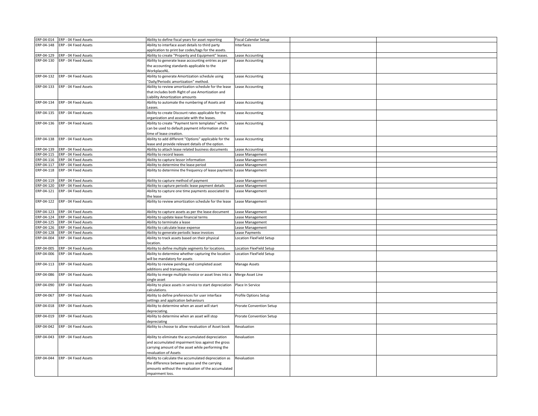|            | ERP-04-014 ERP - 04 Fixed Assets | Ability to define fiscal years for asset reporting                    | <b>Fiscal Calendar Setup</b> |  |
|------------|----------------------------------|-----------------------------------------------------------------------|------------------------------|--|
|            | ERP-04-148 ERP - 04 Fixed Assets | Ability to interface asset details to third party                     | Interfaces                   |  |
|            |                                  | application to print bar codes/tags for the assets.                   |                              |  |
| ERP-04-129 | ERP - 04 Fixed Assets            | Ability to create "Property and Equipment" leases.                    | Lease Accounting             |  |
| ERP-04-130 | ERP - 04 Fixed Assets            | Ability to generate lease accounting entries as per                   | Lease Accounting             |  |
|            |                                  | the accounting standards applicable to the                            |                              |  |
|            |                                  | WorkplaceNL.                                                          |                              |  |
| ERP-04-132 | ERP - 04 Fixed Assets            | Ability to generate Amortization schedule using                       |                              |  |
|            |                                  | 'Daily/Periodic amortization" method.                                 | <b>Lease Accounting</b>      |  |
| ERP-04-133 |                                  |                                                                       |                              |  |
|            | ERP - 04 Fixed Assets            | Ability to review amortization schedule for the lease                 | <b>Lease Accounting</b>      |  |
|            |                                  | that includes both Right of use Amortization and                      |                              |  |
|            |                                  | iability Amortization amounts                                         |                              |  |
| ERP-04-134 | ERP - 04 Fixed Assets            | Ability to automate the numbering of Assets and                       | Lease Accounting             |  |
|            |                                  | Leases.                                                               |                              |  |
| ERP-04-135 | ERP - 04 Fixed Assets            | Ability to create Discount rates applicable for the                   | <b>Lease Accounting</b>      |  |
|            |                                  | organization and associate with the leases.                           |                              |  |
| ERP-04-136 | ERP - 04 Fixed Assets            | Ability to create "Payment term templates" which                      | <b>Lease Accounting</b>      |  |
|            |                                  | can be used to default payment information at the                     |                              |  |
|            |                                  | time of lease creation.                                               |                              |  |
| ERP-04-138 | ERP - 04 Fixed Assets            | Ability to add different "Options" applicable for the                 | <b>Lease Accounting</b>      |  |
|            |                                  | ease and provide relevant details of the option.                      |                              |  |
|            | ERP-04-139 ERP - 04 Fixed Assets | Ability to attach lease related business documents                    | Lease Accounting             |  |
|            | ERP-04-115 ERP - 04 Fixed Assets | Ability to record leases                                              | Lease Management             |  |
|            | ERP-04-116 ERP - 04 Fixed Assets | Ability to capture lessor information                                 | Lease Management             |  |
| ERP-04-117 | ERP - 04 Fixed Assets            | Ability to determine the lease period                                 | Lease Management             |  |
|            | ERP-04-118 ERP - 04 Fixed Assets | Ability to determine the frequency of lease payments                  | Lease Management             |  |
|            |                                  |                                                                       |                              |  |
|            | ERP-04-119 ERP - 04 Fixed Assets | Ability to capture method of payment                                  | Lease Management             |  |
| ERP-04-120 | ERP - 04 Fixed Assets            | Ability to capture periodic lease payment details                     | ease Management              |  |
|            | ERP-04-121 ERP - 04 Fixed Assets | Ability to capture one time payments associated to                    | Lease Management             |  |
|            |                                  | the lease                                                             |                              |  |
| ERP-04-122 | ERP - 04 Fixed Assets            | Ability to review amortization schedule for the lease                 | Lease Management             |  |
|            |                                  |                                                                       |                              |  |
|            | ERP-04-123 ERP - 04 Fixed Assets | Ability to capture assets as per the lease document                   | Lease Management             |  |
|            | ERP-04-124 ERP - 04 Fixed Assets | Ability to update lease financial terms                               | Lease Management             |  |
|            | ERP-04-125 ERP - 04 Fixed Assets | Ability to terminate a lease                                          | ease Management              |  |
|            | ERP-04-126 ERP - 04 Fixed Assets | Ability to calculate lease expense                                    | Lease Management             |  |
|            | ERP-04-128 ERP - 04 Fixed Assets | Ability to generate periodic lease invoices                           | Lease Payments               |  |
| ERP-04-004 | ERP - 04 Fixed Assets            | Ability to track assets based on their physical                       | Location FlexField Setup     |  |
|            |                                  | location.                                                             |                              |  |
| ERP-04-005 | ERP - 04 Fixed Assets            | Ability to define multiple segments for locations.                    | Location FlexField Setup     |  |
| ERP-04-006 | ERP - 04 Fixed Assets            | Ability to determine whether capturing the location                   | Location FlexField Setup     |  |
|            |                                  | will be mandatory for assets                                          |                              |  |
| ERP-04-113 | ERP - 04 Fixed Assets            | Ability to review pending and completed asset                         | Manage Assets                |  |
|            |                                  | additions and transactions.                                           |                              |  |
| ERP-04-086 | ERP - 04 Fixed Assets            | Ability to merge multiple invoice or asset lines into a               | Merge Asset Line             |  |
|            |                                  | single asset                                                          |                              |  |
| ERP-04-090 | ERP - 04 Fixed Assets            | Ability to place assets in service to start depreciation              | Place In Service             |  |
|            |                                  | calculations.                                                         |                              |  |
| ERP-04-067 | ERP - 04 Fixed Assets            | Ability to define preferences for user interface                      | Profile Options Setup        |  |
|            |                                  | settings and application behaviours                                   |                              |  |
| ERP-04-018 | ERP - 04 Fixed Assets            | Ability to determine when an asset will start                         | Prorate Convention Setup     |  |
|            |                                  | depreciating.                                                         |                              |  |
| ERP-04-019 | ERP - 04 Fixed Assets            | Ability to determine when an asset will stop                          | Prorate Convention Setup     |  |
|            |                                  | depreciating                                                          |                              |  |
| ERP-04-042 | ERP - 04 Fixed Assets            | Ability to choose to allow revaluation of Asset book                  | Revaluation                  |  |
|            |                                  |                                                                       |                              |  |
| ERP-04-043 | ERP - 04 Fixed Assets            | Ability to eliminate the accumulated depreciation                     | Revaluation                  |  |
|            |                                  | and accumulated impairment loss against the gross                     |                              |  |
|            |                                  | carrying amount of the asset while performing the                     |                              |  |
|            | ERP-04-044 ERP - 04 Fixed Assets | evaluation of Assets                                                  |                              |  |
|            |                                  | Ability to calculate the accumulated depreciation as                  | Revaluation                  |  |
|            |                                  | the difference between gross and the carrying                         |                              |  |
|            |                                  | amounts without the revaluation of the accumulated<br>mpairment loss. |                              |  |
|            |                                  |                                                                       |                              |  |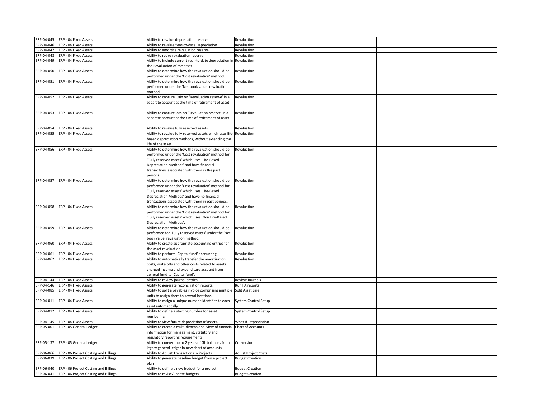|            | ERP-04-045 ERP - 04 Fixed Assets                 | Ability to revalue depreciation reserve                   | Revaluation                 |  |
|------------|--------------------------------------------------|-----------------------------------------------------------|-----------------------------|--|
|            | ERP-04-046 ERP - 04 Fixed Assets                 | Ability to revalue Year-to-date Depreciation              | Revaluation                 |  |
|            | ERP-04-047 ERP - 04 Fixed Assets                 | Ability to amortize revaluation reserve                   | Revaluation                 |  |
| ERP-04-048 | ERP - 04 Fixed Assets                            | Ability to retire revaluation reserve                     | Revaluation                 |  |
| ERP-04-049 | ERP - 04 Fixed Assets                            | Ability to include current year-to-date depreciation in   | Revaluation                 |  |
|            |                                                  | the Revaluation of the asset                              |                             |  |
| ERP-04-050 | ERP - 04 Fixed Assets                            | Ability to determine how the revaluation should be        | Revaluation                 |  |
|            |                                                  | berformed under the 'Cost revaluation' method.            |                             |  |
|            | ERP-04-051 ERP - 04 Fixed Assets                 | Ability to determine how the revaluation should be        | Revaluation                 |  |
|            |                                                  | performed under the 'Net book value' revaluation          |                             |  |
|            |                                                  | nethod.                                                   |                             |  |
| ERP-04-052 | ERP - 04 Fixed Assets                            | Ability to capture Gain on 'Revaluation reserve' in a     | Revaluation                 |  |
|            |                                                  | separate account at the time of retirement of asset.      |                             |  |
|            |                                                  |                                                           |                             |  |
| ERP-04-053 | ERP - 04 Fixed Assets                            | Ability to capture loss on 'Revaluation reserve' in a     | Revaluation                 |  |
|            |                                                  | separate account at the time of retirement of asset.      |                             |  |
|            |                                                  |                                                           |                             |  |
| ERP-04-054 | ERP - 04 Fixed Assets                            | Ability to revalue fully reserved assets                  | Revaluation                 |  |
| ERP-04-055 | ERP - 04 Fixed Assets                            | Ability to revalue fully reserved assets which uses life- | Revaluation                 |  |
|            |                                                  | based depreciation methods, without extending the         |                             |  |
|            |                                                  | ife of the asset.                                         |                             |  |
| ERP-04-056 | ERP - 04 Fixed Assets                            | Ability to determine how the revaluation should be        | Revaluation                 |  |
|            |                                                  | performed under the 'Cost revaluation' method for         |                             |  |
|            |                                                  | Fully reserved assets' which uses 'Life-Based             |                             |  |
|            |                                                  | Depreciation Methods' and have financial                  |                             |  |
|            |                                                  | transactions associated with them in the past             |                             |  |
|            |                                                  | periods.                                                  |                             |  |
|            | ERP-04-057 ERP - 04 Fixed Assets                 | Ability to determine how the revaluation should be        | Revaluation                 |  |
|            |                                                  | performed under the 'Cost revaluation' method for         |                             |  |
|            |                                                  | Fully reserved assets' which uses 'Life-Based             |                             |  |
|            |                                                  | Depreciation Methods' and have no financial               |                             |  |
|            |                                                  | transactions associated with them in past periods.        |                             |  |
|            | ERP-04-058 ERP - 04 Fixed Assets                 | Ability to determine how the revaluation should be        | Revaluation                 |  |
|            |                                                  | performed under the 'Cost revaluation' method for         |                             |  |
|            |                                                  | Fully reserved assets' which uses 'Non Life-Based         |                             |  |
|            |                                                  | Depreciation Methods'.                                    |                             |  |
| ERP-04-059 | ERP - 04 Fixed Assets                            | Ability to determine how the revaluation should be        | Revaluation                 |  |
|            |                                                  | performed for 'Fully reserved assets' under the 'Net      |                             |  |
|            |                                                  | oook value' revaluation method.                           |                             |  |
| ERP-04-060 | ERP - 04 Fixed Assets                            | Ability to create appropriate accounting entries for      | Revaluation                 |  |
|            |                                                  | the asset revaluation                                     |                             |  |
| ERP-04-061 | ERP - 04 Fixed Assets                            | Ability to perform 'Capital fund' accounting.             | Revaluation                 |  |
|            | ERP-04-062 ERP - 04 Fixed Assets                 | Ability to automatically transfer the amortization        | Revaluation                 |  |
|            |                                                  | costs, write-offs and other costs related to assets       |                             |  |
|            |                                                  | charged income and expenditure account from               |                             |  |
|            |                                                  | eneral fund to 'Capital fund'.                            |                             |  |
|            | ERP-04-144 ERP - 04 Fixed Assets                 | Ability to review journal entries.                        | Review Journals             |  |
|            | ERP-04-146 ERP - 04 Fixed Assets                 | Ability to generate reconciliation reports.               | Run FA reports              |  |
| ERP-04-085 | ERP - 04 Fixed Assets                            | Ability to split a payables invoice comprising multiple   | Split Asset Line            |  |
|            |                                                  | units to assign them to several locations.                |                             |  |
| ERP-04-011 | ERP - 04 Fixed Assets                            | Ability to assign a unique numeric identifier to each     | System Control Setup        |  |
|            |                                                  | sset automatically.                                       |                             |  |
| ERP-04-012 | ERP - 04 Fixed Assets                            | Ability to define a starting number for asset             | System Control Setup        |  |
|            |                                                  | numbering                                                 |                             |  |
| ERP-04-145 | ERP - 04 Fixed Assets                            | Ability to view future depreciation of assets.            | <b>What-If Depreciation</b> |  |
|            | ERP-05-001 ERP - 05 General Ledger               | Ability to create a multi-dimensional view of financial   | Chart of Accounts           |  |
|            |                                                  | nformation for management, statutory and                  |                             |  |
|            |                                                  | egulatory reporting requirements.                         |                             |  |
| ERP-05-137 | ERP - 05 General Ledger                          | Ability to convert up to 2 years of GL balances from      | Conversion                  |  |
|            |                                                  | egacy general ledger in new chart of accounts.            |                             |  |
|            | ERP-06-066 ERP - 06 Project Costing and Billings | Ability to Adjust Transactions in Projects                | <b>Adjust Project Costs</b> |  |
| ERP-06-039 | ERP - 06 Project Costing and Billings            | Ability to generate baseline budget from a project        | <b>Budget Creation</b>      |  |
|            |                                                  | ılan                                                      |                             |  |
|            | ERP-06-040 ERP - 06 Project Costing and Billings | Ability to define a new budget for a project              | <b>Budget Creation</b>      |  |
|            | ERP-06-041 ERP - 06 Project Costing and Billings | Ability to revise/update budgets                          | <b>Budget Creation</b>      |  |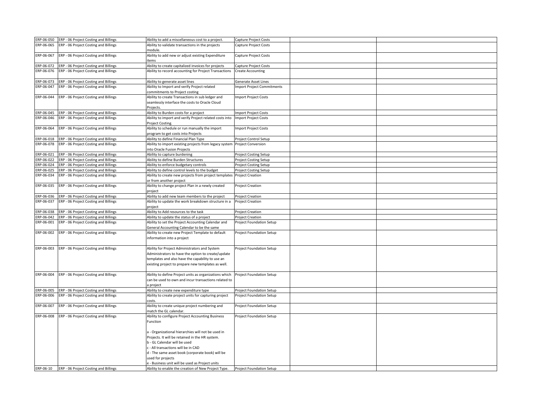| ERP-06-050               | ERP - 06 Project Costing and Billings | Ability to add a miscellaneous cost to a project.                                                 | Capture Project Costs             |  |
|--------------------------|---------------------------------------|---------------------------------------------------------------------------------------------------|-----------------------------------|--|
| ERP-06-065               | ERP - 06 Project Costing and Billings | Ability to validate transactions in the projects                                                  | Capture Project Costs             |  |
|                          |                                       | module.                                                                                           |                                   |  |
| ERP-06-067               | ERP - 06 Project Costing and Billings | Ability to add new or adjust existing Expenditure<br>items                                        | Capture Project Costs             |  |
| ERP-06-072               | ERP - 06 Project Costing and Billings | Ability to create capitalized invoices for projects                                               | Capture Project Costs             |  |
| ERP-06-076               | ERP - 06 Project Costing and Billings | Ability to record accounting for Project Transactions                                             | <b>Create Accounting</b>          |  |
|                          |                                       |                                                                                                   |                                   |  |
| ERP-06-073               | ERP - 06 Project Costing and Billings | Ability to generate asset lines                                                                   | Generate Asset Lines              |  |
| ERP-06-047               | ERP - 06 Project Costing and Billings | Ability to Import and verify Project related                                                      | <b>Import Project Commitments</b> |  |
|                          |                                       | commitments to Project costing                                                                    |                                   |  |
| ERP-06-044               | ERP - 06 Project Costing and Billings | Ability to create Transactions in sub ledger and                                                  | <b>Import Project Costs</b>       |  |
|                          |                                       | seamlessly interface the costs to Oracle Cloud                                                    |                                   |  |
|                          |                                       | Projects.                                                                                         |                                   |  |
| ERP-06-045               | ERP - 06 Project Costing and Billings | Ability to Burden costs for a project                                                             | <b>Import Project Costs</b>       |  |
| ERP-06-046               | ERP - 06 Project Costing and Billings | Ability to import and verify Project related costs into                                           | <b>Import Project Costs</b>       |  |
|                          |                                       | Project Costing.                                                                                  |                                   |  |
| ERP-06-064               | ERP - 06 Project Costing and Billings | Ability to schedule or run manually the import                                                    | <b>Import Project Costs</b>       |  |
|                          |                                       | program to get costs into Projects                                                                |                                   |  |
| ERP-06-018               | ERP - 06 Project Costing and Billings | Ability to define Financial Plan Type                                                             | Project Control Setup             |  |
| ERP-06-078               | ERP - 06 Project Costing and Billings | Ability to import existing projects from legacy system Project Conversion                         |                                   |  |
|                          |                                       | into Oracle Fusion Projects                                                                       |                                   |  |
| ERP-06-021               | ERP - 06 Project Costing and Billings | Ability to capture burdening                                                                      | Project Costing Setup             |  |
| ERP-06-022               | ERP - 06 Project Costing and Billings | Ability to define Burden Structures                                                               | <b>Project Costing Setup</b>      |  |
| ERP-06-024<br>ERP-06-025 | ERP - 06 Project Costing and Billings | Ability to enforce budgetary controls                                                             | <b>Project Costing Setup</b>      |  |
| ERP-06-034               | ERP - 06 Project Costing and Billings | Ability to define control levels to the budget                                                    | Project Costing Setup             |  |
|                          | ERP - 06 Project Costing and Billings | Ability to create new projects from project templates Project Creation<br>or from another project |                                   |  |
| ERP-06-035               | ERP - 06 Project Costing and Billings | Ability to change project Plan in a newly created                                                 | Project Creation                  |  |
|                          |                                       | project                                                                                           |                                   |  |
| ERP-06-036               | ERP - 06 Project Costing and Billings | Ability to add new team members to the project                                                    | <b>Project Creation</b>           |  |
| ERP-06-037               | ERP - 06 Project Costing and Billings | Ability to update the work breakdown structure in a                                               | Project Creation                  |  |
|                          |                                       | project                                                                                           |                                   |  |
| ERP-06-038               | ERP - 06 Project Costing and Billings | Ability to Add resources to the task                                                              | <b>Project Creation</b>           |  |
| ERP-06-042               | ERP - 06 Project Costing and Billings | Ability to update the status of a project                                                         | <b>Project Creation</b>           |  |
| ERP-06-001               | ERP - 06 Project Costing and Billings | Ability to set the Project Accounting Calendar and                                                | Project Foundation Setup          |  |
|                          |                                       | General Accounting Calendar to be the same                                                        |                                   |  |
| ERP-06-002               | ERP - 06 Project Costing and Billings | Ability to create new Project Template to default                                                 | Project Foundation Setup          |  |
|                          |                                       | information into a project                                                                        |                                   |  |
|                          |                                       |                                                                                                   |                                   |  |
| ERP-06-003               | ERP - 06 Project Costing and Billings | Ability for Project Administrators and System                                                     | Project Foundation Setup          |  |
|                          |                                       | Administrators to have the option to create/update                                                |                                   |  |
|                          |                                       | templates and also have the capability to use an                                                  |                                   |  |
|                          |                                       | existing project to prepare new templates as well.                                                |                                   |  |
|                          |                                       |                                                                                                   |                                   |  |
| ERP-06-004               | ERP - 06 Project Costing and Billings | Ability to define Project units as organizations which                                            | <b>Project Foundation Setup</b>   |  |
|                          |                                       | can be used to own and incur transactions related to                                              |                                   |  |
| ERP-06-005               | ERP - 06 Project Costing and Billings | a project<br>Ability to create new expenditure type                                               | <b>Project Foundation Setup</b>   |  |
| ERP-06-006               | ERP - 06 Project Costing and Billings | Ability to create project units for capturing project                                             | Project Foundation Setup          |  |
|                          |                                       | costs:                                                                                            |                                   |  |
| ERP-06-007               | ERP - 06 Project Costing and Billings | Ability to create unique project numbering and                                                    | Project Foundation Setup          |  |
|                          |                                       | match the GL calendar.                                                                            |                                   |  |
| ERP-06-008               | ERP - 06 Project Costing and Billings | Ability to configure Project Accounting Business                                                  | <b>Project Foundation Setup</b>   |  |
|                          |                                       | Function                                                                                          |                                   |  |
|                          |                                       |                                                                                                   |                                   |  |
|                          |                                       | a - Organizational hierarchies will not be used in                                                |                                   |  |
|                          |                                       | Projects. It will be retained in the HR system.                                                   |                                   |  |
|                          |                                       | b - GL Calendar will be used                                                                      |                                   |  |
|                          |                                       | c - All transactions will be in CAD                                                               |                                   |  |
|                          |                                       | d - The same asset book (corporate book) will be                                                  |                                   |  |
|                          |                                       | used for projects                                                                                 |                                   |  |
|                          |                                       | e - Business unit will be used as Project units                                                   |                                   |  |
| ERP-06-10                | ERP - 06 Project Costing and Billings | Ability to enable the creation of New Project Type.                                               | <b>Project Foundation Setup</b>   |  |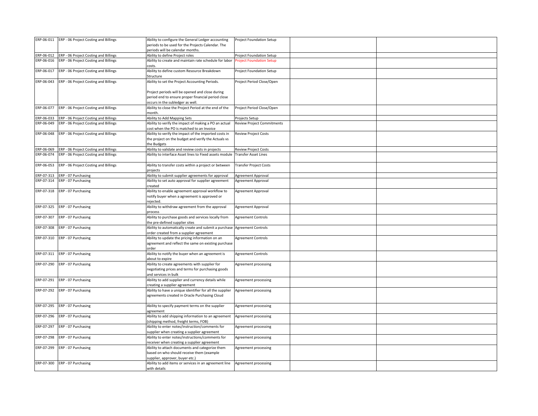| periods to be used for the Projects Calendar. The<br>periods will be calendar months.<br>ERP-06-012<br>ERP - 06 Project Costing and Billings<br>Ability to define Project roles<br>Project Foundation Setup<br>Ability to create and maintain rate schedule for labor<br>ERP-06-016 ERP - 06 Project Costing and Billings<br><b>Project Foundation Setup</b><br>costs.<br>ERP-06-017<br>ERP - 06 Project Costing and Billings<br>Ability to define custom Resource Breakdown<br>Project Foundation Setup<br>Structure<br>ERP-06-043 ERP - 06 Project Costing and Billings<br>Ability to set the Project Accounting Periods.<br>Project Period Close/Open<br>Project periods will be opened and close during<br>period end to ensure proper financial period close<br>occurs in the subledger as well.<br>ERP-06-077 ERP - 06 Project Costing and Billings<br>Ability to close the Project Period at the end of the<br>Project Period Close/Open<br>month.<br>Ability to Add Mapping Sets<br>ERP - 06 Project Costing and Billings<br>ERP-06-033<br>Projects Setup<br>ERP-06-049<br>ERP - 06 Project Costing and Billings<br>Ability to verify the impact of making a PO an actual<br><b>Review Project Commitments</b><br>cost when the PO is matched to an Invoice<br>ERP - 06 Project Costing and Billings<br>Ability to verify the impact of the imported costs in<br>ERP-06-048<br><b>Review Project Costs</b><br>the project on the budget and verify the Actuals vs<br>the Budgets<br>ERP - 06 Project Costing and Billings<br>Ability to validate and review costs in projects<br><b>Review Project Costs</b><br>ERP-06-069<br>ERP-06-074<br>ERP - 06 Project Costing and Billings<br>Ability to interface Asset lines to Fixed assets module<br><b>Transfer Asset Lines</b><br>ERP-06-053<br>ERP - 06 Project Costing and Billings<br>Ability to transfer costs within a project or between<br>Transfer Project Costs<br>projects<br>ERP-07-313 ERP - 07 Purchasing<br>Ability to submit supplier agreements for approval<br>Agreement Approval<br>ERP-07-314<br>ERP - 07 Purchasing<br>Ability to set auto approval for supplier agreement<br><b>Agreement Approval</b><br>created<br>Ability to enable agreement approval workflow to<br>ERP-07-318<br>ERP - 07 Purchasing<br><b>Agreement Approval</b><br>notify buyer when a agreement is approved or<br>ejected.<br>ERP-07-325 ERP - 07 Purchasing<br>Ability to withdraw agreement from the approval<br>Agreement Approval<br>process<br>ERP-07-307<br>ERP - 07 Purchasing<br>Ability to purchase goods and services locally from<br><b>Agreement Controls</b><br>the pre-defined supplier sites<br>ERP-07-308<br>Ability to automatically create and submit a purchase<br>Agreement Controls<br>ERP - 07 Purchasing<br>order created from a supplier agreement<br>ERP-07-310 ERP - 07 Purchasing<br>Ability to update the pricing information on an<br><b>Agreement Controls</b><br>agreement and reflect the same on existing purchase<br>order<br>ERP-07-311 ERP - 07 Purchasing<br>Ability to notify the buyer when an agreement is<br><b>Agreement Controls</b><br>about to expire<br>ERP-07-290 ERP - 07 Purchasing<br>Ability to create agreements with supplier for<br>Agreement processing<br>negotiating prices and terms for purchasing goods<br>and services in bulk<br>ERP-07-291 ERP - 07 Purchasing<br>Ability to add supplier and currency details while<br>Agreement processing<br>creating a supplier agreement<br>ERP-07-292<br>ERP - 07 Purchasing<br>Ability to have a unique identifier for all the supplier<br>Agreement processing<br>agreements created in Oracle Purchasing Cloud<br>ERP-07-295<br>ERP - 07 Purchasing<br>Ability to specify payment terms on the supplier<br>Agreement processing<br>agreement<br>ERP-07-296<br>Ability to add shipping information to an agreement<br>ERP - 07 Purchasing<br>Agreement processing<br>shipping method, freight terms, FOB)<br>ERP-07-297 ERP - 07 Purchasing<br>Ability to enter notes/instruction/comments for<br>Agreement processing<br>supplier when creating a supplier agreement<br>ERP-07-298<br>ERP - 07 Purchasing<br>Ability to enter notes/instructions/comments for<br>Agreement processing<br>receiver when creating a supplier agreement<br>ERP-07-299<br>ERP - 07 Purchasing<br>Ability to attach documents and categorize them<br>Agreement processing<br>based on who should receive them (example<br>supplier, approver, buyer etc.)<br>Ability to add items or services in an agreement line<br>ERP-07-300 ERP - 07 Purchasing<br>Agreement processing<br>with details | ERP-06-011 ERP - 06 Project Costing and Billings | Ability to configure the General Ledger accounting | Project Foundation Setup |  |
|------------------------------------------------------------------------------------------------------------------------------------------------------------------------------------------------------------------------------------------------------------------------------------------------------------------------------------------------------------------------------------------------------------------------------------------------------------------------------------------------------------------------------------------------------------------------------------------------------------------------------------------------------------------------------------------------------------------------------------------------------------------------------------------------------------------------------------------------------------------------------------------------------------------------------------------------------------------------------------------------------------------------------------------------------------------------------------------------------------------------------------------------------------------------------------------------------------------------------------------------------------------------------------------------------------------------------------------------------------------------------------------------------------------------------------------------------------------------------------------------------------------------------------------------------------------------------------------------------------------------------------------------------------------------------------------------------------------------------------------------------------------------------------------------------------------------------------------------------------------------------------------------------------------------------------------------------------------------------------------------------------------------------------------------------------------------------------------------------------------------------------------------------------------------------------------------------------------------------------------------------------------------------------------------------------------------------------------------------------------------------------------------------------------------------------------------------------------------------------------------------------------------------------------------------------------------------------------------------------------------------------------------------------------------------------------------------------------------------------------------------------------------------------------------------------------------------------------------------------------------------------------------------------------------------------------------------------------------------------------------------------------------------------------------------------------------------------------------------------------------------------------------------------------------------------------------------------------------------------------------------------------------------------------------------------------------------------------------------------------------------------------------------------------------------------------------------------------------------------------------------------------------------------------------------------------------------------------------------------------------------------------------------------------------------------------------------------------------------------------------------------------------------------------------------------------------------------------------------------------------------------------------------------------------------------------------------------------------------------------------------------------------------------------------------------------------------------------------------------------------------------------------------------------------------------------------------------------------------------------------------------------------------------------------------------------------------------------------------------------------------------------------------------------------------------------------------------------------------------------------------------------------------------------------------------------------------------------------------------------------------------|--------------------------------------------------|----------------------------------------------------|--------------------------|--|
|                                                                                                                                                                                                                                                                                                                                                                                                                                                                                                                                                                                                                                                                                                                                                                                                                                                                                                                                                                                                                                                                                                                                                                                                                                                                                                                                                                                                                                                                                                                                                                                                                                                                                                                                                                                                                                                                                                                                                                                                                                                                                                                                                                                                                                                                                                                                                                                                                                                                                                                                                                                                                                                                                                                                                                                                                                                                                                                                                                                                                                                                                                                                                                                                                                                                                                                                                                                                                                                                                                                                                                                                                                                                                                                                                                                                                                                                                                                                                                                                                                                                                                                                                                                                                                                                                                                                                                                                                                                                                                                                                                                                                                    |                                                  |                                                    |                          |  |
|                                                                                                                                                                                                                                                                                                                                                                                                                                                                                                                                                                                                                                                                                                                                                                                                                                                                                                                                                                                                                                                                                                                                                                                                                                                                                                                                                                                                                                                                                                                                                                                                                                                                                                                                                                                                                                                                                                                                                                                                                                                                                                                                                                                                                                                                                                                                                                                                                                                                                                                                                                                                                                                                                                                                                                                                                                                                                                                                                                                                                                                                                                                                                                                                                                                                                                                                                                                                                                                                                                                                                                                                                                                                                                                                                                                                                                                                                                                                                                                                                                                                                                                                                                                                                                                                                                                                                                                                                                                                                                                                                                                                                                    |                                                  |                                                    |                          |  |
|                                                                                                                                                                                                                                                                                                                                                                                                                                                                                                                                                                                                                                                                                                                                                                                                                                                                                                                                                                                                                                                                                                                                                                                                                                                                                                                                                                                                                                                                                                                                                                                                                                                                                                                                                                                                                                                                                                                                                                                                                                                                                                                                                                                                                                                                                                                                                                                                                                                                                                                                                                                                                                                                                                                                                                                                                                                                                                                                                                                                                                                                                                                                                                                                                                                                                                                                                                                                                                                                                                                                                                                                                                                                                                                                                                                                                                                                                                                                                                                                                                                                                                                                                                                                                                                                                                                                                                                                                                                                                                                                                                                                                                    |                                                  |                                                    |                          |  |
|                                                                                                                                                                                                                                                                                                                                                                                                                                                                                                                                                                                                                                                                                                                                                                                                                                                                                                                                                                                                                                                                                                                                                                                                                                                                                                                                                                                                                                                                                                                                                                                                                                                                                                                                                                                                                                                                                                                                                                                                                                                                                                                                                                                                                                                                                                                                                                                                                                                                                                                                                                                                                                                                                                                                                                                                                                                                                                                                                                                                                                                                                                                                                                                                                                                                                                                                                                                                                                                                                                                                                                                                                                                                                                                                                                                                                                                                                                                                                                                                                                                                                                                                                                                                                                                                                                                                                                                                                                                                                                                                                                                                                                    |                                                  |                                                    |                          |  |
|                                                                                                                                                                                                                                                                                                                                                                                                                                                                                                                                                                                                                                                                                                                                                                                                                                                                                                                                                                                                                                                                                                                                                                                                                                                                                                                                                                                                                                                                                                                                                                                                                                                                                                                                                                                                                                                                                                                                                                                                                                                                                                                                                                                                                                                                                                                                                                                                                                                                                                                                                                                                                                                                                                                                                                                                                                                                                                                                                                                                                                                                                                                                                                                                                                                                                                                                                                                                                                                                                                                                                                                                                                                                                                                                                                                                                                                                                                                                                                                                                                                                                                                                                                                                                                                                                                                                                                                                                                                                                                                                                                                                                                    |                                                  |                                                    |                          |  |
|                                                                                                                                                                                                                                                                                                                                                                                                                                                                                                                                                                                                                                                                                                                                                                                                                                                                                                                                                                                                                                                                                                                                                                                                                                                                                                                                                                                                                                                                                                                                                                                                                                                                                                                                                                                                                                                                                                                                                                                                                                                                                                                                                                                                                                                                                                                                                                                                                                                                                                                                                                                                                                                                                                                                                                                                                                                                                                                                                                                                                                                                                                                                                                                                                                                                                                                                                                                                                                                                                                                                                                                                                                                                                                                                                                                                                                                                                                                                                                                                                                                                                                                                                                                                                                                                                                                                                                                                                                                                                                                                                                                                                                    |                                                  |                                                    |                          |  |
|                                                                                                                                                                                                                                                                                                                                                                                                                                                                                                                                                                                                                                                                                                                                                                                                                                                                                                                                                                                                                                                                                                                                                                                                                                                                                                                                                                                                                                                                                                                                                                                                                                                                                                                                                                                                                                                                                                                                                                                                                                                                                                                                                                                                                                                                                                                                                                                                                                                                                                                                                                                                                                                                                                                                                                                                                                                                                                                                                                                                                                                                                                                                                                                                                                                                                                                                                                                                                                                                                                                                                                                                                                                                                                                                                                                                                                                                                                                                                                                                                                                                                                                                                                                                                                                                                                                                                                                                                                                                                                                                                                                                                                    |                                                  |                                                    |                          |  |
|                                                                                                                                                                                                                                                                                                                                                                                                                                                                                                                                                                                                                                                                                                                                                                                                                                                                                                                                                                                                                                                                                                                                                                                                                                                                                                                                                                                                                                                                                                                                                                                                                                                                                                                                                                                                                                                                                                                                                                                                                                                                                                                                                                                                                                                                                                                                                                                                                                                                                                                                                                                                                                                                                                                                                                                                                                                                                                                                                                                                                                                                                                                                                                                                                                                                                                                                                                                                                                                                                                                                                                                                                                                                                                                                                                                                                                                                                                                                                                                                                                                                                                                                                                                                                                                                                                                                                                                                                                                                                                                                                                                                                                    |                                                  |                                                    |                          |  |
|                                                                                                                                                                                                                                                                                                                                                                                                                                                                                                                                                                                                                                                                                                                                                                                                                                                                                                                                                                                                                                                                                                                                                                                                                                                                                                                                                                                                                                                                                                                                                                                                                                                                                                                                                                                                                                                                                                                                                                                                                                                                                                                                                                                                                                                                                                                                                                                                                                                                                                                                                                                                                                                                                                                                                                                                                                                                                                                                                                                                                                                                                                                                                                                                                                                                                                                                                                                                                                                                                                                                                                                                                                                                                                                                                                                                                                                                                                                                                                                                                                                                                                                                                                                                                                                                                                                                                                                                                                                                                                                                                                                                                                    |                                                  |                                                    |                          |  |
|                                                                                                                                                                                                                                                                                                                                                                                                                                                                                                                                                                                                                                                                                                                                                                                                                                                                                                                                                                                                                                                                                                                                                                                                                                                                                                                                                                                                                                                                                                                                                                                                                                                                                                                                                                                                                                                                                                                                                                                                                                                                                                                                                                                                                                                                                                                                                                                                                                                                                                                                                                                                                                                                                                                                                                                                                                                                                                                                                                                                                                                                                                                                                                                                                                                                                                                                                                                                                                                                                                                                                                                                                                                                                                                                                                                                                                                                                                                                                                                                                                                                                                                                                                                                                                                                                                                                                                                                                                                                                                                                                                                                                                    |                                                  |                                                    |                          |  |
|                                                                                                                                                                                                                                                                                                                                                                                                                                                                                                                                                                                                                                                                                                                                                                                                                                                                                                                                                                                                                                                                                                                                                                                                                                                                                                                                                                                                                                                                                                                                                                                                                                                                                                                                                                                                                                                                                                                                                                                                                                                                                                                                                                                                                                                                                                                                                                                                                                                                                                                                                                                                                                                                                                                                                                                                                                                                                                                                                                                                                                                                                                                                                                                                                                                                                                                                                                                                                                                                                                                                                                                                                                                                                                                                                                                                                                                                                                                                                                                                                                                                                                                                                                                                                                                                                                                                                                                                                                                                                                                                                                                                                                    |                                                  |                                                    |                          |  |
|                                                                                                                                                                                                                                                                                                                                                                                                                                                                                                                                                                                                                                                                                                                                                                                                                                                                                                                                                                                                                                                                                                                                                                                                                                                                                                                                                                                                                                                                                                                                                                                                                                                                                                                                                                                                                                                                                                                                                                                                                                                                                                                                                                                                                                                                                                                                                                                                                                                                                                                                                                                                                                                                                                                                                                                                                                                                                                                                                                                                                                                                                                                                                                                                                                                                                                                                                                                                                                                                                                                                                                                                                                                                                                                                                                                                                                                                                                                                                                                                                                                                                                                                                                                                                                                                                                                                                                                                                                                                                                                                                                                                                                    |                                                  |                                                    |                          |  |
|                                                                                                                                                                                                                                                                                                                                                                                                                                                                                                                                                                                                                                                                                                                                                                                                                                                                                                                                                                                                                                                                                                                                                                                                                                                                                                                                                                                                                                                                                                                                                                                                                                                                                                                                                                                                                                                                                                                                                                                                                                                                                                                                                                                                                                                                                                                                                                                                                                                                                                                                                                                                                                                                                                                                                                                                                                                                                                                                                                                                                                                                                                                                                                                                                                                                                                                                                                                                                                                                                                                                                                                                                                                                                                                                                                                                                                                                                                                                                                                                                                                                                                                                                                                                                                                                                                                                                                                                                                                                                                                                                                                                                                    |                                                  |                                                    |                          |  |
|                                                                                                                                                                                                                                                                                                                                                                                                                                                                                                                                                                                                                                                                                                                                                                                                                                                                                                                                                                                                                                                                                                                                                                                                                                                                                                                                                                                                                                                                                                                                                                                                                                                                                                                                                                                                                                                                                                                                                                                                                                                                                                                                                                                                                                                                                                                                                                                                                                                                                                                                                                                                                                                                                                                                                                                                                                                                                                                                                                                                                                                                                                                                                                                                                                                                                                                                                                                                                                                                                                                                                                                                                                                                                                                                                                                                                                                                                                                                                                                                                                                                                                                                                                                                                                                                                                                                                                                                                                                                                                                                                                                                                                    |                                                  |                                                    |                          |  |
|                                                                                                                                                                                                                                                                                                                                                                                                                                                                                                                                                                                                                                                                                                                                                                                                                                                                                                                                                                                                                                                                                                                                                                                                                                                                                                                                                                                                                                                                                                                                                                                                                                                                                                                                                                                                                                                                                                                                                                                                                                                                                                                                                                                                                                                                                                                                                                                                                                                                                                                                                                                                                                                                                                                                                                                                                                                                                                                                                                                                                                                                                                                                                                                                                                                                                                                                                                                                                                                                                                                                                                                                                                                                                                                                                                                                                                                                                                                                                                                                                                                                                                                                                                                                                                                                                                                                                                                                                                                                                                                                                                                                                                    |                                                  |                                                    |                          |  |
|                                                                                                                                                                                                                                                                                                                                                                                                                                                                                                                                                                                                                                                                                                                                                                                                                                                                                                                                                                                                                                                                                                                                                                                                                                                                                                                                                                                                                                                                                                                                                                                                                                                                                                                                                                                                                                                                                                                                                                                                                                                                                                                                                                                                                                                                                                                                                                                                                                                                                                                                                                                                                                                                                                                                                                                                                                                                                                                                                                                                                                                                                                                                                                                                                                                                                                                                                                                                                                                                                                                                                                                                                                                                                                                                                                                                                                                                                                                                                                                                                                                                                                                                                                                                                                                                                                                                                                                                                                                                                                                                                                                                                                    |                                                  |                                                    |                          |  |
|                                                                                                                                                                                                                                                                                                                                                                                                                                                                                                                                                                                                                                                                                                                                                                                                                                                                                                                                                                                                                                                                                                                                                                                                                                                                                                                                                                                                                                                                                                                                                                                                                                                                                                                                                                                                                                                                                                                                                                                                                                                                                                                                                                                                                                                                                                                                                                                                                                                                                                                                                                                                                                                                                                                                                                                                                                                                                                                                                                                                                                                                                                                                                                                                                                                                                                                                                                                                                                                                                                                                                                                                                                                                                                                                                                                                                                                                                                                                                                                                                                                                                                                                                                                                                                                                                                                                                                                                                                                                                                                                                                                                                                    |                                                  |                                                    |                          |  |
|                                                                                                                                                                                                                                                                                                                                                                                                                                                                                                                                                                                                                                                                                                                                                                                                                                                                                                                                                                                                                                                                                                                                                                                                                                                                                                                                                                                                                                                                                                                                                                                                                                                                                                                                                                                                                                                                                                                                                                                                                                                                                                                                                                                                                                                                                                                                                                                                                                                                                                                                                                                                                                                                                                                                                                                                                                                                                                                                                                                                                                                                                                                                                                                                                                                                                                                                                                                                                                                                                                                                                                                                                                                                                                                                                                                                                                                                                                                                                                                                                                                                                                                                                                                                                                                                                                                                                                                                                                                                                                                                                                                                                                    |                                                  |                                                    |                          |  |
|                                                                                                                                                                                                                                                                                                                                                                                                                                                                                                                                                                                                                                                                                                                                                                                                                                                                                                                                                                                                                                                                                                                                                                                                                                                                                                                                                                                                                                                                                                                                                                                                                                                                                                                                                                                                                                                                                                                                                                                                                                                                                                                                                                                                                                                                                                                                                                                                                                                                                                                                                                                                                                                                                                                                                                                                                                                                                                                                                                                                                                                                                                                                                                                                                                                                                                                                                                                                                                                                                                                                                                                                                                                                                                                                                                                                                                                                                                                                                                                                                                                                                                                                                                                                                                                                                                                                                                                                                                                                                                                                                                                                                                    |                                                  |                                                    |                          |  |
|                                                                                                                                                                                                                                                                                                                                                                                                                                                                                                                                                                                                                                                                                                                                                                                                                                                                                                                                                                                                                                                                                                                                                                                                                                                                                                                                                                                                                                                                                                                                                                                                                                                                                                                                                                                                                                                                                                                                                                                                                                                                                                                                                                                                                                                                                                                                                                                                                                                                                                                                                                                                                                                                                                                                                                                                                                                                                                                                                                                                                                                                                                                                                                                                                                                                                                                                                                                                                                                                                                                                                                                                                                                                                                                                                                                                                                                                                                                                                                                                                                                                                                                                                                                                                                                                                                                                                                                                                                                                                                                                                                                                                                    |                                                  |                                                    |                          |  |
|                                                                                                                                                                                                                                                                                                                                                                                                                                                                                                                                                                                                                                                                                                                                                                                                                                                                                                                                                                                                                                                                                                                                                                                                                                                                                                                                                                                                                                                                                                                                                                                                                                                                                                                                                                                                                                                                                                                                                                                                                                                                                                                                                                                                                                                                                                                                                                                                                                                                                                                                                                                                                                                                                                                                                                                                                                                                                                                                                                                                                                                                                                                                                                                                                                                                                                                                                                                                                                                                                                                                                                                                                                                                                                                                                                                                                                                                                                                                                                                                                                                                                                                                                                                                                                                                                                                                                                                                                                                                                                                                                                                                                                    |                                                  |                                                    |                          |  |
|                                                                                                                                                                                                                                                                                                                                                                                                                                                                                                                                                                                                                                                                                                                                                                                                                                                                                                                                                                                                                                                                                                                                                                                                                                                                                                                                                                                                                                                                                                                                                                                                                                                                                                                                                                                                                                                                                                                                                                                                                                                                                                                                                                                                                                                                                                                                                                                                                                                                                                                                                                                                                                                                                                                                                                                                                                                                                                                                                                                                                                                                                                                                                                                                                                                                                                                                                                                                                                                                                                                                                                                                                                                                                                                                                                                                                                                                                                                                                                                                                                                                                                                                                                                                                                                                                                                                                                                                                                                                                                                                                                                                                                    |                                                  |                                                    |                          |  |
|                                                                                                                                                                                                                                                                                                                                                                                                                                                                                                                                                                                                                                                                                                                                                                                                                                                                                                                                                                                                                                                                                                                                                                                                                                                                                                                                                                                                                                                                                                                                                                                                                                                                                                                                                                                                                                                                                                                                                                                                                                                                                                                                                                                                                                                                                                                                                                                                                                                                                                                                                                                                                                                                                                                                                                                                                                                                                                                                                                                                                                                                                                                                                                                                                                                                                                                                                                                                                                                                                                                                                                                                                                                                                                                                                                                                                                                                                                                                                                                                                                                                                                                                                                                                                                                                                                                                                                                                                                                                                                                                                                                                                                    |                                                  |                                                    |                          |  |
|                                                                                                                                                                                                                                                                                                                                                                                                                                                                                                                                                                                                                                                                                                                                                                                                                                                                                                                                                                                                                                                                                                                                                                                                                                                                                                                                                                                                                                                                                                                                                                                                                                                                                                                                                                                                                                                                                                                                                                                                                                                                                                                                                                                                                                                                                                                                                                                                                                                                                                                                                                                                                                                                                                                                                                                                                                                                                                                                                                                                                                                                                                                                                                                                                                                                                                                                                                                                                                                                                                                                                                                                                                                                                                                                                                                                                                                                                                                                                                                                                                                                                                                                                                                                                                                                                                                                                                                                                                                                                                                                                                                                                                    |                                                  |                                                    |                          |  |
|                                                                                                                                                                                                                                                                                                                                                                                                                                                                                                                                                                                                                                                                                                                                                                                                                                                                                                                                                                                                                                                                                                                                                                                                                                                                                                                                                                                                                                                                                                                                                                                                                                                                                                                                                                                                                                                                                                                                                                                                                                                                                                                                                                                                                                                                                                                                                                                                                                                                                                                                                                                                                                                                                                                                                                                                                                                                                                                                                                                                                                                                                                                                                                                                                                                                                                                                                                                                                                                                                                                                                                                                                                                                                                                                                                                                                                                                                                                                                                                                                                                                                                                                                                                                                                                                                                                                                                                                                                                                                                                                                                                                                                    |                                                  |                                                    |                          |  |
|                                                                                                                                                                                                                                                                                                                                                                                                                                                                                                                                                                                                                                                                                                                                                                                                                                                                                                                                                                                                                                                                                                                                                                                                                                                                                                                                                                                                                                                                                                                                                                                                                                                                                                                                                                                                                                                                                                                                                                                                                                                                                                                                                                                                                                                                                                                                                                                                                                                                                                                                                                                                                                                                                                                                                                                                                                                                                                                                                                                                                                                                                                                                                                                                                                                                                                                                                                                                                                                                                                                                                                                                                                                                                                                                                                                                                                                                                                                                                                                                                                                                                                                                                                                                                                                                                                                                                                                                                                                                                                                                                                                                                                    |                                                  |                                                    |                          |  |
|                                                                                                                                                                                                                                                                                                                                                                                                                                                                                                                                                                                                                                                                                                                                                                                                                                                                                                                                                                                                                                                                                                                                                                                                                                                                                                                                                                                                                                                                                                                                                                                                                                                                                                                                                                                                                                                                                                                                                                                                                                                                                                                                                                                                                                                                                                                                                                                                                                                                                                                                                                                                                                                                                                                                                                                                                                                                                                                                                                                                                                                                                                                                                                                                                                                                                                                                                                                                                                                                                                                                                                                                                                                                                                                                                                                                                                                                                                                                                                                                                                                                                                                                                                                                                                                                                                                                                                                                                                                                                                                                                                                                                                    |                                                  |                                                    |                          |  |
|                                                                                                                                                                                                                                                                                                                                                                                                                                                                                                                                                                                                                                                                                                                                                                                                                                                                                                                                                                                                                                                                                                                                                                                                                                                                                                                                                                                                                                                                                                                                                                                                                                                                                                                                                                                                                                                                                                                                                                                                                                                                                                                                                                                                                                                                                                                                                                                                                                                                                                                                                                                                                                                                                                                                                                                                                                                                                                                                                                                                                                                                                                                                                                                                                                                                                                                                                                                                                                                                                                                                                                                                                                                                                                                                                                                                                                                                                                                                                                                                                                                                                                                                                                                                                                                                                                                                                                                                                                                                                                                                                                                                                                    |                                                  |                                                    |                          |  |
|                                                                                                                                                                                                                                                                                                                                                                                                                                                                                                                                                                                                                                                                                                                                                                                                                                                                                                                                                                                                                                                                                                                                                                                                                                                                                                                                                                                                                                                                                                                                                                                                                                                                                                                                                                                                                                                                                                                                                                                                                                                                                                                                                                                                                                                                                                                                                                                                                                                                                                                                                                                                                                                                                                                                                                                                                                                                                                                                                                                                                                                                                                                                                                                                                                                                                                                                                                                                                                                                                                                                                                                                                                                                                                                                                                                                                                                                                                                                                                                                                                                                                                                                                                                                                                                                                                                                                                                                                                                                                                                                                                                                                                    |                                                  |                                                    |                          |  |
|                                                                                                                                                                                                                                                                                                                                                                                                                                                                                                                                                                                                                                                                                                                                                                                                                                                                                                                                                                                                                                                                                                                                                                                                                                                                                                                                                                                                                                                                                                                                                                                                                                                                                                                                                                                                                                                                                                                                                                                                                                                                                                                                                                                                                                                                                                                                                                                                                                                                                                                                                                                                                                                                                                                                                                                                                                                                                                                                                                                                                                                                                                                                                                                                                                                                                                                                                                                                                                                                                                                                                                                                                                                                                                                                                                                                                                                                                                                                                                                                                                                                                                                                                                                                                                                                                                                                                                                                                                                                                                                                                                                                                                    |                                                  |                                                    |                          |  |
|                                                                                                                                                                                                                                                                                                                                                                                                                                                                                                                                                                                                                                                                                                                                                                                                                                                                                                                                                                                                                                                                                                                                                                                                                                                                                                                                                                                                                                                                                                                                                                                                                                                                                                                                                                                                                                                                                                                                                                                                                                                                                                                                                                                                                                                                                                                                                                                                                                                                                                                                                                                                                                                                                                                                                                                                                                                                                                                                                                                                                                                                                                                                                                                                                                                                                                                                                                                                                                                                                                                                                                                                                                                                                                                                                                                                                                                                                                                                                                                                                                                                                                                                                                                                                                                                                                                                                                                                                                                                                                                                                                                                                                    |                                                  |                                                    |                          |  |
|                                                                                                                                                                                                                                                                                                                                                                                                                                                                                                                                                                                                                                                                                                                                                                                                                                                                                                                                                                                                                                                                                                                                                                                                                                                                                                                                                                                                                                                                                                                                                                                                                                                                                                                                                                                                                                                                                                                                                                                                                                                                                                                                                                                                                                                                                                                                                                                                                                                                                                                                                                                                                                                                                                                                                                                                                                                                                                                                                                                                                                                                                                                                                                                                                                                                                                                                                                                                                                                                                                                                                                                                                                                                                                                                                                                                                                                                                                                                                                                                                                                                                                                                                                                                                                                                                                                                                                                                                                                                                                                                                                                                                                    |                                                  |                                                    |                          |  |
|                                                                                                                                                                                                                                                                                                                                                                                                                                                                                                                                                                                                                                                                                                                                                                                                                                                                                                                                                                                                                                                                                                                                                                                                                                                                                                                                                                                                                                                                                                                                                                                                                                                                                                                                                                                                                                                                                                                                                                                                                                                                                                                                                                                                                                                                                                                                                                                                                                                                                                                                                                                                                                                                                                                                                                                                                                                                                                                                                                                                                                                                                                                                                                                                                                                                                                                                                                                                                                                                                                                                                                                                                                                                                                                                                                                                                                                                                                                                                                                                                                                                                                                                                                                                                                                                                                                                                                                                                                                                                                                                                                                                                                    |                                                  |                                                    |                          |  |
|                                                                                                                                                                                                                                                                                                                                                                                                                                                                                                                                                                                                                                                                                                                                                                                                                                                                                                                                                                                                                                                                                                                                                                                                                                                                                                                                                                                                                                                                                                                                                                                                                                                                                                                                                                                                                                                                                                                                                                                                                                                                                                                                                                                                                                                                                                                                                                                                                                                                                                                                                                                                                                                                                                                                                                                                                                                                                                                                                                                                                                                                                                                                                                                                                                                                                                                                                                                                                                                                                                                                                                                                                                                                                                                                                                                                                                                                                                                                                                                                                                                                                                                                                                                                                                                                                                                                                                                                                                                                                                                                                                                                                                    |                                                  |                                                    |                          |  |
|                                                                                                                                                                                                                                                                                                                                                                                                                                                                                                                                                                                                                                                                                                                                                                                                                                                                                                                                                                                                                                                                                                                                                                                                                                                                                                                                                                                                                                                                                                                                                                                                                                                                                                                                                                                                                                                                                                                                                                                                                                                                                                                                                                                                                                                                                                                                                                                                                                                                                                                                                                                                                                                                                                                                                                                                                                                                                                                                                                                                                                                                                                                                                                                                                                                                                                                                                                                                                                                                                                                                                                                                                                                                                                                                                                                                                                                                                                                                                                                                                                                                                                                                                                                                                                                                                                                                                                                                                                                                                                                                                                                                                                    |                                                  |                                                    |                          |  |
|                                                                                                                                                                                                                                                                                                                                                                                                                                                                                                                                                                                                                                                                                                                                                                                                                                                                                                                                                                                                                                                                                                                                                                                                                                                                                                                                                                                                                                                                                                                                                                                                                                                                                                                                                                                                                                                                                                                                                                                                                                                                                                                                                                                                                                                                                                                                                                                                                                                                                                                                                                                                                                                                                                                                                                                                                                                                                                                                                                                                                                                                                                                                                                                                                                                                                                                                                                                                                                                                                                                                                                                                                                                                                                                                                                                                                                                                                                                                                                                                                                                                                                                                                                                                                                                                                                                                                                                                                                                                                                                                                                                                                                    |                                                  |                                                    |                          |  |
|                                                                                                                                                                                                                                                                                                                                                                                                                                                                                                                                                                                                                                                                                                                                                                                                                                                                                                                                                                                                                                                                                                                                                                                                                                                                                                                                                                                                                                                                                                                                                                                                                                                                                                                                                                                                                                                                                                                                                                                                                                                                                                                                                                                                                                                                                                                                                                                                                                                                                                                                                                                                                                                                                                                                                                                                                                                                                                                                                                                                                                                                                                                                                                                                                                                                                                                                                                                                                                                                                                                                                                                                                                                                                                                                                                                                                                                                                                                                                                                                                                                                                                                                                                                                                                                                                                                                                                                                                                                                                                                                                                                                                                    |                                                  |                                                    |                          |  |
|                                                                                                                                                                                                                                                                                                                                                                                                                                                                                                                                                                                                                                                                                                                                                                                                                                                                                                                                                                                                                                                                                                                                                                                                                                                                                                                                                                                                                                                                                                                                                                                                                                                                                                                                                                                                                                                                                                                                                                                                                                                                                                                                                                                                                                                                                                                                                                                                                                                                                                                                                                                                                                                                                                                                                                                                                                                                                                                                                                                                                                                                                                                                                                                                                                                                                                                                                                                                                                                                                                                                                                                                                                                                                                                                                                                                                                                                                                                                                                                                                                                                                                                                                                                                                                                                                                                                                                                                                                                                                                                                                                                                                                    |                                                  |                                                    |                          |  |
|                                                                                                                                                                                                                                                                                                                                                                                                                                                                                                                                                                                                                                                                                                                                                                                                                                                                                                                                                                                                                                                                                                                                                                                                                                                                                                                                                                                                                                                                                                                                                                                                                                                                                                                                                                                                                                                                                                                                                                                                                                                                                                                                                                                                                                                                                                                                                                                                                                                                                                                                                                                                                                                                                                                                                                                                                                                                                                                                                                                                                                                                                                                                                                                                                                                                                                                                                                                                                                                                                                                                                                                                                                                                                                                                                                                                                                                                                                                                                                                                                                                                                                                                                                                                                                                                                                                                                                                                                                                                                                                                                                                                                                    |                                                  |                                                    |                          |  |
|                                                                                                                                                                                                                                                                                                                                                                                                                                                                                                                                                                                                                                                                                                                                                                                                                                                                                                                                                                                                                                                                                                                                                                                                                                                                                                                                                                                                                                                                                                                                                                                                                                                                                                                                                                                                                                                                                                                                                                                                                                                                                                                                                                                                                                                                                                                                                                                                                                                                                                                                                                                                                                                                                                                                                                                                                                                                                                                                                                                                                                                                                                                                                                                                                                                                                                                                                                                                                                                                                                                                                                                                                                                                                                                                                                                                                                                                                                                                                                                                                                                                                                                                                                                                                                                                                                                                                                                                                                                                                                                                                                                                                                    |                                                  |                                                    |                          |  |
|                                                                                                                                                                                                                                                                                                                                                                                                                                                                                                                                                                                                                                                                                                                                                                                                                                                                                                                                                                                                                                                                                                                                                                                                                                                                                                                                                                                                                                                                                                                                                                                                                                                                                                                                                                                                                                                                                                                                                                                                                                                                                                                                                                                                                                                                                                                                                                                                                                                                                                                                                                                                                                                                                                                                                                                                                                                                                                                                                                                                                                                                                                                                                                                                                                                                                                                                                                                                                                                                                                                                                                                                                                                                                                                                                                                                                                                                                                                                                                                                                                                                                                                                                                                                                                                                                                                                                                                                                                                                                                                                                                                                                                    |                                                  |                                                    |                          |  |
|                                                                                                                                                                                                                                                                                                                                                                                                                                                                                                                                                                                                                                                                                                                                                                                                                                                                                                                                                                                                                                                                                                                                                                                                                                                                                                                                                                                                                                                                                                                                                                                                                                                                                                                                                                                                                                                                                                                                                                                                                                                                                                                                                                                                                                                                                                                                                                                                                                                                                                                                                                                                                                                                                                                                                                                                                                                                                                                                                                                                                                                                                                                                                                                                                                                                                                                                                                                                                                                                                                                                                                                                                                                                                                                                                                                                                                                                                                                                                                                                                                                                                                                                                                                                                                                                                                                                                                                                                                                                                                                                                                                                                                    |                                                  |                                                    |                          |  |
|                                                                                                                                                                                                                                                                                                                                                                                                                                                                                                                                                                                                                                                                                                                                                                                                                                                                                                                                                                                                                                                                                                                                                                                                                                                                                                                                                                                                                                                                                                                                                                                                                                                                                                                                                                                                                                                                                                                                                                                                                                                                                                                                                                                                                                                                                                                                                                                                                                                                                                                                                                                                                                                                                                                                                                                                                                                                                                                                                                                                                                                                                                                                                                                                                                                                                                                                                                                                                                                                                                                                                                                                                                                                                                                                                                                                                                                                                                                                                                                                                                                                                                                                                                                                                                                                                                                                                                                                                                                                                                                                                                                                                                    |                                                  |                                                    |                          |  |
|                                                                                                                                                                                                                                                                                                                                                                                                                                                                                                                                                                                                                                                                                                                                                                                                                                                                                                                                                                                                                                                                                                                                                                                                                                                                                                                                                                                                                                                                                                                                                                                                                                                                                                                                                                                                                                                                                                                                                                                                                                                                                                                                                                                                                                                                                                                                                                                                                                                                                                                                                                                                                                                                                                                                                                                                                                                                                                                                                                                                                                                                                                                                                                                                                                                                                                                                                                                                                                                                                                                                                                                                                                                                                                                                                                                                                                                                                                                                                                                                                                                                                                                                                                                                                                                                                                                                                                                                                                                                                                                                                                                                                                    |                                                  |                                                    |                          |  |
|                                                                                                                                                                                                                                                                                                                                                                                                                                                                                                                                                                                                                                                                                                                                                                                                                                                                                                                                                                                                                                                                                                                                                                                                                                                                                                                                                                                                                                                                                                                                                                                                                                                                                                                                                                                                                                                                                                                                                                                                                                                                                                                                                                                                                                                                                                                                                                                                                                                                                                                                                                                                                                                                                                                                                                                                                                                                                                                                                                                                                                                                                                                                                                                                                                                                                                                                                                                                                                                                                                                                                                                                                                                                                                                                                                                                                                                                                                                                                                                                                                                                                                                                                                                                                                                                                                                                                                                                                                                                                                                                                                                                                                    |                                                  |                                                    |                          |  |
|                                                                                                                                                                                                                                                                                                                                                                                                                                                                                                                                                                                                                                                                                                                                                                                                                                                                                                                                                                                                                                                                                                                                                                                                                                                                                                                                                                                                                                                                                                                                                                                                                                                                                                                                                                                                                                                                                                                                                                                                                                                                                                                                                                                                                                                                                                                                                                                                                                                                                                                                                                                                                                                                                                                                                                                                                                                                                                                                                                                                                                                                                                                                                                                                                                                                                                                                                                                                                                                                                                                                                                                                                                                                                                                                                                                                                                                                                                                                                                                                                                                                                                                                                                                                                                                                                                                                                                                                                                                                                                                                                                                                                                    |                                                  |                                                    |                          |  |
|                                                                                                                                                                                                                                                                                                                                                                                                                                                                                                                                                                                                                                                                                                                                                                                                                                                                                                                                                                                                                                                                                                                                                                                                                                                                                                                                                                                                                                                                                                                                                                                                                                                                                                                                                                                                                                                                                                                                                                                                                                                                                                                                                                                                                                                                                                                                                                                                                                                                                                                                                                                                                                                                                                                                                                                                                                                                                                                                                                                                                                                                                                                                                                                                                                                                                                                                                                                                                                                                                                                                                                                                                                                                                                                                                                                                                                                                                                                                                                                                                                                                                                                                                                                                                                                                                                                                                                                                                                                                                                                                                                                                                                    |                                                  |                                                    |                          |  |
|                                                                                                                                                                                                                                                                                                                                                                                                                                                                                                                                                                                                                                                                                                                                                                                                                                                                                                                                                                                                                                                                                                                                                                                                                                                                                                                                                                                                                                                                                                                                                                                                                                                                                                                                                                                                                                                                                                                                                                                                                                                                                                                                                                                                                                                                                                                                                                                                                                                                                                                                                                                                                                                                                                                                                                                                                                                                                                                                                                                                                                                                                                                                                                                                                                                                                                                                                                                                                                                                                                                                                                                                                                                                                                                                                                                                                                                                                                                                                                                                                                                                                                                                                                                                                                                                                                                                                                                                                                                                                                                                                                                                                                    |                                                  |                                                    |                          |  |
|                                                                                                                                                                                                                                                                                                                                                                                                                                                                                                                                                                                                                                                                                                                                                                                                                                                                                                                                                                                                                                                                                                                                                                                                                                                                                                                                                                                                                                                                                                                                                                                                                                                                                                                                                                                                                                                                                                                                                                                                                                                                                                                                                                                                                                                                                                                                                                                                                                                                                                                                                                                                                                                                                                                                                                                                                                                                                                                                                                                                                                                                                                                                                                                                                                                                                                                                                                                                                                                                                                                                                                                                                                                                                                                                                                                                                                                                                                                                                                                                                                                                                                                                                                                                                                                                                                                                                                                                                                                                                                                                                                                                                                    |                                                  |                                                    |                          |  |
|                                                                                                                                                                                                                                                                                                                                                                                                                                                                                                                                                                                                                                                                                                                                                                                                                                                                                                                                                                                                                                                                                                                                                                                                                                                                                                                                                                                                                                                                                                                                                                                                                                                                                                                                                                                                                                                                                                                                                                                                                                                                                                                                                                                                                                                                                                                                                                                                                                                                                                                                                                                                                                                                                                                                                                                                                                                                                                                                                                                                                                                                                                                                                                                                                                                                                                                                                                                                                                                                                                                                                                                                                                                                                                                                                                                                                                                                                                                                                                                                                                                                                                                                                                                                                                                                                                                                                                                                                                                                                                                                                                                                                                    |                                                  |                                                    |                          |  |
|                                                                                                                                                                                                                                                                                                                                                                                                                                                                                                                                                                                                                                                                                                                                                                                                                                                                                                                                                                                                                                                                                                                                                                                                                                                                                                                                                                                                                                                                                                                                                                                                                                                                                                                                                                                                                                                                                                                                                                                                                                                                                                                                                                                                                                                                                                                                                                                                                                                                                                                                                                                                                                                                                                                                                                                                                                                                                                                                                                                                                                                                                                                                                                                                                                                                                                                                                                                                                                                                                                                                                                                                                                                                                                                                                                                                                                                                                                                                                                                                                                                                                                                                                                                                                                                                                                                                                                                                                                                                                                                                                                                                                                    |                                                  |                                                    |                          |  |
|                                                                                                                                                                                                                                                                                                                                                                                                                                                                                                                                                                                                                                                                                                                                                                                                                                                                                                                                                                                                                                                                                                                                                                                                                                                                                                                                                                                                                                                                                                                                                                                                                                                                                                                                                                                                                                                                                                                                                                                                                                                                                                                                                                                                                                                                                                                                                                                                                                                                                                                                                                                                                                                                                                                                                                                                                                                                                                                                                                                                                                                                                                                                                                                                                                                                                                                                                                                                                                                                                                                                                                                                                                                                                                                                                                                                                                                                                                                                                                                                                                                                                                                                                                                                                                                                                                                                                                                                                                                                                                                                                                                                                                    |                                                  |                                                    |                          |  |
|                                                                                                                                                                                                                                                                                                                                                                                                                                                                                                                                                                                                                                                                                                                                                                                                                                                                                                                                                                                                                                                                                                                                                                                                                                                                                                                                                                                                                                                                                                                                                                                                                                                                                                                                                                                                                                                                                                                                                                                                                                                                                                                                                                                                                                                                                                                                                                                                                                                                                                                                                                                                                                                                                                                                                                                                                                                                                                                                                                                                                                                                                                                                                                                                                                                                                                                                                                                                                                                                                                                                                                                                                                                                                                                                                                                                                                                                                                                                                                                                                                                                                                                                                                                                                                                                                                                                                                                                                                                                                                                                                                                                                                    |                                                  |                                                    |                          |  |
|                                                                                                                                                                                                                                                                                                                                                                                                                                                                                                                                                                                                                                                                                                                                                                                                                                                                                                                                                                                                                                                                                                                                                                                                                                                                                                                                                                                                                                                                                                                                                                                                                                                                                                                                                                                                                                                                                                                                                                                                                                                                                                                                                                                                                                                                                                                                                                                                                                                                                                                                                                                                                                                                                                                                                                                                                                                                                                                                                                                                                                                                                                                                                                                                                                                                                                                                                                                                                                                                                                                                                                                                                                                                                                                                                                                                                                                                                                                                                                                                                                                                                                                                                                                                                                                                                                                                                                                                                                                                                                                                                                                                                                    |                                                  |                                                    |                          |  |
|                                                                                                                                                                                                                                                                                                                                                                                                                                                                                                                                                                                                                                                                                                                                                                                                                                                                                                                                                                                                                                                                                                                                                                                                                                                                                                                                                                                                                                                                                                                                                                                                                                                                                                                                                                                                                                                                                                                                                                                                                                                                                                                                                                                                                                                                                                                                                                                                                                                                                                                                                                                                                                                                                                                                                                                                                                                                                                                                                                                                                                                                                                                                                                                                                                                                                                                                                                                                                                                                                                                                                                                                                                                                                                                                                                                                                                                                                                                                                                                                                                                                                                                                                                                                                                                                                                                                                                                                                                                                                                                                                                                                                                    |                                                  |                                                    |                          |  |
|                                                                                                                                                                                                                                                                                                                                                                                                                                                                                                                                                                                                                                                                                                                                                                                                                                                                                                                                                                                                                                                                                                                                                                                                                                                                                                                                                                                                                                                                                                                                                                                                                                                                                                                                                                                                                                                                                                                                                                                                                                                                                                                                                                                                                                                                                                                                                                                                                                                                                                                                                                                                                                                                                                                                                                                                                                                                                                                                                                                                                                                                                                                                                                                                                                                                                                                                                                                                                                                                                                                                                                                                                                                                                                                                                                                                                                                                                                                                                                                                                                                                                                                                                                                                                                                                                                                                                                                                                                                                                                                                                                                                                                    |                                                  |                                                    |                          |  |
|                                                                                                                                                                                                                                                                                                                                                                                                                                                                                                                                                                                                                                                                                                                                                                                                                                                                                                                                                                                                                                                                                                                                                                                                                                                                                                                                                                                                                                                                                                                                                                                                                                                                                                                                                                                                                                                                                                                                                                                                                                                                                                                                                                                                                                                                                                                                                                                                                                                                                                                                                                                                                                                                                                                                                                                                                                                                                                                                                                                                                                                                                                                                                                                                                                                                                                                                                                                                                                                                                                                                                                                                                                                                                                                                                                                                                                                                                                                                                                                                                                                                                                                                                                                                                                                                                                                                                                                                                                                                                                                                                                                                                                    |                                                  |                                                    |                          |  |
|                                                                                                                                                                                                                                                                                                                                                                                                                                                                                                                                                                                                                                                                                                                                                                                                                                                                                                                                                                                                                                                                                                                                                                                                                                                                                                                                                                                                                                                                                                                                                                                                                                                                                                                                                                                                                                                                                                                                                                                                                                                                                                                                                                                                                                                                                                                                                                                                                                                                                                                                                                                                                                                                                                                                                                                                                                                                                                                                                                                                                                                                                                                                                                                                                                                                                                                                                                                                                                                                                                                                                                                                                                                                                                                                                                                                                                                                                                                                                                                                                                                                                                                                                                                                                                                                                                                                                                                                                                                                                                                                                                                                                                    |                                                  |                                                    |                          |  |
|                                                                                                                                                                                                                                                                                                                                                                                                                                                                                                                                                                                                                                                                                                                                                                                                                                                                                                                                                                                                                                                                                                                                                                                                                                                                                                                                                                                                                                                                                                                                                                                                                                                                                                                                                                                                                                                                                                                                                                                                                                                                                                                                                                                                                                                                                                                                                                                                                                                                                                                                                                                                                                                                                                                                                                                                                                                                                                                                                                                                                                                                                                                                                                                                                                                                                                                                                                                                                                                                                                                                                                                                                                                                                                                                                                                                                                                                                                                                                                                                                                                                                                                                                                                                                                                                                                                                                                                                                                                                                                                                                                                                                                    |                                                  |                                                    |                          |  |
|                                                                                                                                                                                                                                                                                                                                                                                                                                                                                                                                                                                                                                                                                                                                                                                                                                                                                                                                                                                                                                                                                                                                                                                                                                                                                                                                                                                                                                                                                                                                                                                                                                                                                                                                                                                                                                                                                                                                                                                                                                                                                                                                                                                                                                                                                                                                                                                                                                                                                                                                                                                                                                                                                                                                                                                                                                                                                                                                                                                                                                                                                                                                                                                                                                                                                                                                                                                                                                                                                                                                                                                                                                                                                                                                                                                                                                                                                                                                                                                                                                                                                                                                                                                                                                                                                                                                                                                                                                                                                                                                                                                                                                    |                                                  |                                                    |                          |  |
|                                                                                                                                                                                                                                                                                                                                                                                                                                                                                                                                                                                                                                                                                                                                                                                                                                                                                                                                                                                                                                                                                                                                                                                                                                                                                                                                                                                                                                                                                                                                                                                                                                                                                                                                                                                                                                                                                                                                                                                                                                                                                                                                                                                                                                                                                                                                                                                                                                                                                                                                                                                                                                                                                                                                                                                                                                                                                                                                                                                                                                                                                                                                                                                                                                                                                                                                                                                                                                                                                                                                                                                                                                                                                                                                                                                                                                                                                                                                                                                                                                                                                                                                                                                                                                                                                                                                                                                                                                                                                                                                                                                                                                    |                                                  |                                                    |                          |  |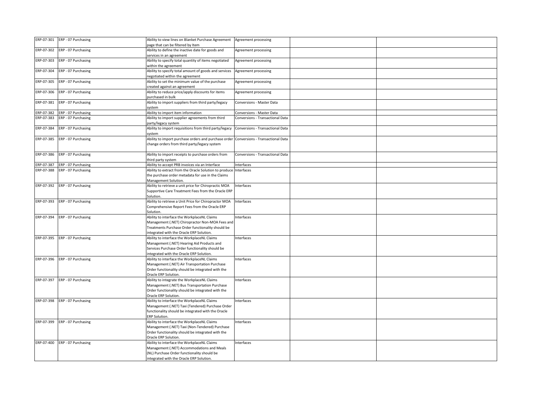|            | ERP-07-301 ERP - 07 Purchasing | Ability to view lines on Blanket Purchase Agreement<br>bage that can be filtered by Item | Agreement processing             |  |
|------------|--------------------------------|------------------------------------------------------------------------------------------|----------------------------------|--|
|            |                                |                                                                                          |                                  |  |
| ERP-07-302 | ERP - 07 Purchasing            | Ability to define the inactive date for goods and<br>services in an agreement            | Agreement processing             |  |
| ERP-07-303 | ERP - 07 Purchasing            | Ability to specify total quantity of items negotiated                                    | Agreement processing             |  |
|            |                                | vithin the agreement                                                                     |                                  |  |
| ERP-07-304 | ERP - 07 Purchasing            | Ability to specify total amount of goods and services                                    | Agreement processing             |  |
|            |                                | regotiated within the agreement                                                          |                                  |  |
| ERP-07-305 | ERP - 07 Purchasing            | Ability to set the minimum value of the purchase                                         | Agreement processing             |  |
|            |                                | created against an agreement                                                             |                                  |  |
| ERP-07-306 | ERP - 07 Purchasing            | Ability to reduce price/apply discounts for items                                        | Agreement processing             |  |
|            |                                | ourchased in bulk                                                                        |                                  |  |
| ERP-07-381 | ERP - 07 Purchasing            | Ability to import suppliers from third party/legacy                                      | Conversions - Master Data        |  |
|            |                                | system                                                                                   |                                  |  |
|            | ERP-07-382 ERP - 07 Purchasing | Ability to import item information                                                       | Conversions - Master Data        |  |
| ERP-07-383 | ERP - 07 Purchasing            | Ability to import supplier agreements from third                                         | Conversions - Transactional Data |  |
|            |                                | arty/legacy system                                                                       |                                  |  |
| ERP-07-384 | ERP - 07 Purchasing            | Ability to import requisitions from third party/legacy                                   | Conversions - Transactional Data |  |
|            |                                | ystem                                                                                    |                                  |  |
| ERP-07-385 | ERP - 07 Purchasing            | Ability to import purchase orders and purchase order                                     | Conversions - Transactional Data |  |
|            |                                | change orders from third party/legacy system                                             |                                  |  |
|            |                                |                                                                                          |                                  |  |
| ERP-07-386 | ERP - 07 Purchasing            | Ability to import receipts to purchase orders from                                       | Conversions - Transactional Data |  |
|            |                                | third party system                                                                       |                                  |  |
|            | ERP-07-387 ERP - 07 Purchasing | Ability to accept PRB invoices via an Interface                                          | Interfaces                       |  |
| ERP-07-388 | ERP - 07 Purchasing            | Ability to extract from the Oracle Solution to produce                                   | Interfaces                       |  |
|            |                                | the purchase order metadata for use in the Claims                                        |                                  |  |
|            |                                | Management Solution.                                                                     |                                  |  |
|            | ERP-07-392 ERP - 07 Purchasing | Ability to retrieve a unit price for Chiropractic MOA                                    | Interfaces                       |  |
|            |                                | Supportive Care Treatment Fees from the Oracle ERP                                       |                                  |  |
|            |                                | Solution.                                                                                |                                  |  |
|            | ERP-07-393 ERP - 07 Purchasing | Ability to retrieve a Unit Price for Chiropractor MOA                                    | Interfaces                       |  |
|            |                                | Comprehensive Report Fees from the Oracle ERP                                            |                                  |  |
|            |                                | Solution.                                                                                |                                  |  |
|            | ERP-07-394 ERP - 07 Purchasing | Ability to interface the WorkplaceNL Claims                                              | Interfaces                       |  |
|            |                                | Management (.NET) Chiropractor Non-MOA Fees and                                          |                                  |  |
|            |                                | Treatments Purchase Order functionality should be                                        |                                  |  |
|            |                                | ntegrated with the Oracle ERP Solution.                                                  |                                  |  |
|            | ERP-07-395 ERP - 07 Purchasing | Ability to interface the WorkplaceNL Claims                                              | Interfaces                       |  |
|            |                                | Management (.NET) Hearing Aid Products and                                               |                                  |  |
|            |                                | Services Purchase Order functionality should be                                          |                                  |  |
|            |                                | ntegrated with the Oracle ERP Solution.                                                  |                                  |  |
|            | ERP-07-396 ERP - 07 Purchasing | Ability to interface the WorkplaceNL Claims                                              | Interfaces                       |  |
|            |                                | Management (.NET) Air Transportation Purchase                                            |                                  |  |
|            |                                | Order functionality should be integrated with the                                        |                                  |  |
|            |                                | Oracle ERP Solution.                                                                     |                                  |  |
| ERP-07-397 | ERP - 07 Purchasing            | Ability to integrate the WorkplaceNL Claims                                              | Interfaces                       |  |
|            |                                | Management (.NET) Bus Transportation Purchase                                            |                                  |  |
|            |                                | Order functionality should be integrated with the                                        |                                  |  |
|            |                                | Oracle ERP Solution.                                                                     |                                  |  |
| ERP-07-398 | ERP - 07 Purchasing            | Ability to interface the WorkplaceNL Claims                                              | Interfaces                       |  |
|            |                                | Management (.NET) Taxi (Tendered) Purchase Order                                         |                                  |  |
|            |                                | functionality should be integrated with the Oracle                                       |                                  |  |
|            |                                | ERP Solution.                                                                            |                                  |  |
|            | ERP-07-399 ERP - 07 Purchasing | Ability to interface the WorkplaceNL Claims                                              | Interfaces                       |  |
|            |                                | Management (.NET) Taxi (Non-Tendered) Purchase                                           |                                  |  |
|            |                                | Order functionality should be integrated with the                                        |                                  |  |
|            |                                | Oracle ERP Solution.                                                                     |                                  |  |
|            | ERP-07-400 ERP - 07 Purchasing | Ability to interface the WorkplaceNL Claims                                              | Interfaces                       |  |
|            |                                | Management (.NET) Accommodations and Meals                                               |                                  |  |
|            |                                | (NL) Purchase Order functionality should be                                              |                                  |  |
|            |                                | integrated with the Oracle ERP Solution.                                                 |                                  |  |
|            |                                |                                                                                          |                                  |  |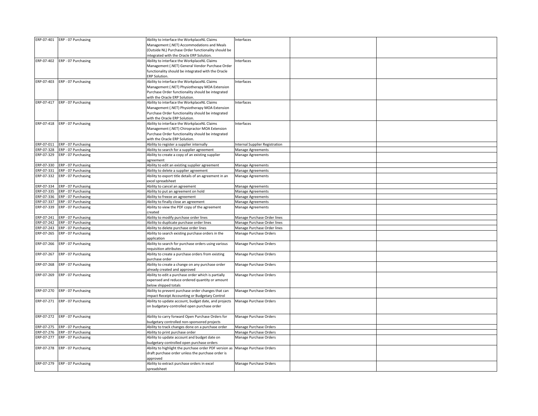|            | ERP-07-401 ERP - 07 Purchasing | Ability to interface the WorkplaceNL Claims            | Interfaces                            |  |
|------------|--------------------------------|--------------------------------------------------------|---------------------------------------|--|
|            |                                | Management (.NET) Accommodations and Meals             |                                       |  |
|            |                                | (Outside NL) Purchase Order functionality should be    |                                       |  |
|            |                                |                                                        |                                       |  |
|            |                                | ntegrated with the Oracle ERP Solution.                |                                       |  |
|            | ERP-07-402 ERP - 07 Purchasing | Ability to interface the WorkplaceNL Claims            | Interfaces                            |  |
|            |                                | Management (.NET) General Vendor Purchase Order        |                                       |  |
|            |                                | functionality should be integrated with the Oracle     |                                       |  |
|            |                                |                                                        |                                       |  |
|            |                                | <b>RP Solution.</b>                                    |                                       |  |
| ERP-07-403 | ERP - 07 Purchasing            | Ability to interface the WorkplaceNL Claims            | Interfaces                            |  |
|            |                                | Management (.NET) Physiotherapy MOA Extension          |                                       |  |
|            |                                | Purchase Order functionality should be integrated      |                                       |  |
|            |                                | with the Oracle ERP Solution.                          |                                       |  |
|            |                                |                                                        |                                       |  |
|            | ERP-07-417 ERP - 07 Purchasing | Ability to interface the WorkplaceNL Claims            | Interfaces                            |  |
|            |                                | Management (.NET) Physiotherapy MOA Extension          |                                       |  |
|            |                                | Purchase Order functionality should be integrated      |                                       |  |
|            |                                | with the Oracle ERP Solution.                          |                                       |  |
|            | ERP-07-418 ERP - 07 Purchasing | Ability to interface the WorkplaceNL Claims            | Interfaces                            |  |
|            |                                |                                                        |                                       |  |
|            |                                | Management (.NET) Chiropractor MOA Extension           |                                       |  |
|            |                                | Purchase Order functionality should be integrated      |                                       |  |
|            |                                | with the Oracle ERP Solution.                          |                                       |  |
| ERP-07-011 | ERP - 07 Purchasing            | Ability to register a supplier internally              | <b>Internal Supplier Registration</b> |  |
|            |                                |                                                        |                                       |  |
|            | ERP-07-328 ERP - 07 Purchasing | Ability to search for a supplier agreement             | Manage Agreements                     |  |
| ERP-07-329 | ERP - 07 Purchasing            | Ability to create a copy of an existing supplier       | <b>Manage Agreements</b>              |  |
|            |                                | agreement                                              |                                       |  |
|            | ERP-07-330 ERP - 07 Purchasing | Ability to edit an existing supplier agreement         | Manage Agreements                     |  |
|            | ERP-07-331 ERP - 07 Purchasing | Ability to delete a supplier agreement                 | <b>Manage Agreements</b>              |  |
|            |                                |                                                        |                                       |  |
| ERP-07-332 | ERP - 07 Purchasing            | Ability to export title details of an agreement in an  | Manage Agreements                     |  |
|            |                                | excel spreadsheet                                      |                                       |  |
|            | ERP-07-334 ERP - 07 Purchasing | Ability to cancel an agreement                         | <b>Manage Agreements</b>              |  |
| ERP-07-335 | ERP - 07 Purchasing            | Ability to put an agreement on hold                    | <b>Manage Agreements</b>              |  |
|            | ERP-07-336 ERP - 07 Purchasing | Ability to freeze an agreement                         | Manage Agreements                     |  |
|            | ERP-07-337 ERP - 07 Purchasing | Ability to finally close an agreement                  | Manage Agreements                     |  |
|            |                                |                                                        |                                       |  |
| ERP-07-339 | ERP - 07 Purchasing            | Ability to view the PDF copy of the agreement          | Manage Agreements                     |  |
|            |                                | created                                                |                                       |  |
|            | ERP-07-241 ERP - 07 Purchasing | Ability to modify purchase order lines                 | Manage Purchase Order lines           |  |
| ERP-07-242 | ERP - 07 Purchasing            | Ability to duplicate purchase order lines              | Manage Purchase Order lines           |  |
|            | ERP-07-243 ERP - 07 Purchasing | Ability to delete purchase order lines                 | Manage Purchase Order lines           |  |
|            |                                |                                                        |                                       |  |
| ERP-07-265 | ERP - 07 Purchasing            | Ability to search existing purchase orders in the      | Manage Purchase Orders                |  |
|            |                                | pplication                                             |                                       |  |
| ERP-07-266 | ERP - 07 Purchasing            | Ability to search for purchase orders using various    | Manage Purchase Orders                |  |
|            |                                | equisition attributes                                  |                                       |  |
| ERP-07-267 | ERP - 07 Purchasing            | Ability to create a purchase orders from existing      | Manage Purchase Orders                |  |
|            |                                | ourchase order                                         |                                       |  |
|            |                                |                                                        |                                       |  |
| ERP-07-268 | ERP - 07 Purchasing            | Ability to create a change on any purchase order       | Manage Purchase Orders                |  |
|            |                                | already created and approved                           |                                       |  |
| ERP-07-269 | ERP - 07 Purchasing            | Ability to edit a purchase order which is partially    | Manage Purchase Orders                |  |
|            |                                | expensed and reduce ordered quantity or amount         |                                       |  |
|            |                                | below shipped totals                                   |                                       |  |
|            |                                |                                                        |                                       |  |
|            | ERP-07-270 ERP - 07 Purchasing | Ability to prevent purchase order changes that can     | Manage Purchase Orders                |  |
|            |                                | mpact Receipt Accounting or Budgetary Control          |                                       |  |
|            | ERP-07-271 ERP - 07 Purchasing | Ability to update account, budget date, and projects   | Manage Purchase Orders                |  |
|            |                                | on budgetary-controlled open purchase order            |                                       |  |
|            |                                |                                                        |                                       |  |
|            |                                |                                                        |                                       |  |
|            | ERP-07-272 ERP - 07 Purchasing | Ability to carry forward Open Purchase Orders for      | Manage Purchase Orders                |  |
|            |                                | oudgetary controlled non-sponsored projects            |                                       |  |
|            | ERP-07-275 ERP - 07 Purchasing | Ability to track changes done on a purchase order      | Manage Purchase Orders                |  |
| ERP-07-276 | ERP - 07 Purchasing            | Ability to print purchase order                        | Manage Purchase Orders                |  |
| ERP-07-277 | ERP - 07 Purchasing            | Ability to update account and budget date on           | Manage Purchase Orders                |  |
|            |                                | oudgetary-controlled open purchase orders              |                                       |  |
|            |                                |                                                        |                                       |  |
|            | ERP-07-278 ERP - 07 Purchasing | Ability to highlight the purchase order PDF version as | Manage Purchase Orders                |  |
|            |                                | draft purchase order unless the purchase order is      |                                       |  |
|            |                                | ipproved                                               |                                       |  |
|            | ERP-07-279 ERP - 07 Purchasing | Ability to extract purchase orders in excel            | Manage Purchase Orders                |  |
|            |                                | preadsheet                                             |                                       |  |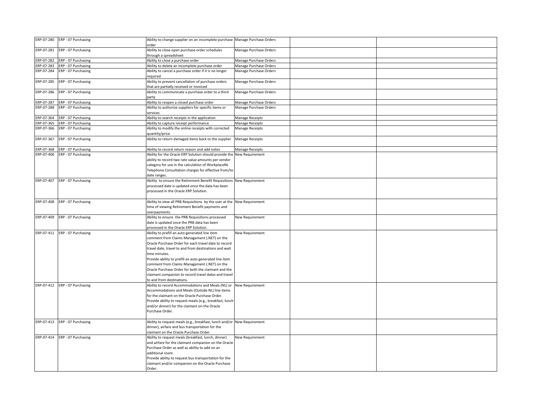|            | ERP-07-280 ERP - 07 Purchasing | Ability to change supplier on an incomplete purchase Manage Purchase Orders<br>order                                                                                                                                                                                                                                                                                                                                                                                                   |                        |  |
|------------|--------------------------------|----------------------------------------------------------------------------------------------------------------------------------------------------------------------------------------------------------------------------------------------------------------------------------------------------------------------------------------------------------------------------------------------------------------------------------------------------------------------------------------|------------------------|--|
|            | ERP-07-281 ERP - 07 Purchasing | Ability to close open purchase order schedules<br>through a spreadsheet                                                                                                                                                                                                                                                                                                                                                                                                                | Manage Purchase Orders |  |
|            | ERP-07-282 ERP - 07 Purchasing | Ability to close a purchase order                                                                                                                                                                                                                                                                                                                                                                                                                                                      | Manage Purchase Orders |  |
| ERP-07-283 | ERP - 07 Purchasing            | Ability to delete an incomplete purchase order                                                                                                                                                                                                                                                                                                                                                                                                                                         | Manage Purchase Orders |  |
| ERP-07-284 | ERP - 07 Purchasing            | Ability to cancel a purchase order if it is no longer<br>required                                                                                                                                                                                                                                                                                                                                                                                                                      | Manage Purchase Orders |  |
|            | ERP-07-285 ERP - 07 Purchasing | Ability to prevent cancellation of purchase orders<br>that are partially received or invoiced                                                                                                                                                                                                                                                                                                                                                                                          | Manage Purchase Orders |  |
|            | ERP-07-286 ERP - 07 Purchasing | Ability to communicate a purchase order to a third<br>party                                                                                                                                                                                                                                                                                                                                                                                                                            | Manage Purchase Orders |  |
| ERP-07-287 | ERP - 07 Purchasing            | Ability to reopen a closed purchase order                                                                                                                                                                                                                                                                                                                                                                                                                                              | Manage Purchase Orders |  |
|            | ERP-07-288 ERP - 07 Purchasing | Ability to authorize suppliers for specific items or<br>services                                                                                                                                                                                                                                                                                                                                                                                                                       | Manage Purchase Orders |  |
| ERP-07-364 | ERP - 07 Purchasing            | Ability to search receipts in the application                                                                                                                                                                                                                                                                                                                                                                                                                                          | <b>Manage Receipts</b> |  |
|            | ERP-07-365 ERP - 07 Purchasing | Ability to capture receipt performance                                                                                                                                                                                                                                                                                                                                                                                                                                                 | <b>Manage Receipts</b> |  |
| ERP-07-366 | ERP - 07 Purchasing            | Ability to modify the online receipts with corrected<br>quantity/price                                                                                                                                                                                                                                                                                                                                                                                                                 | <b>Manage Receipts</b> |  |
| ERP-07-367 | ERP - 07 Purchasing            | Ability to return damaged items back to the supplier                                                                                                                                                                                                                                                                                                                                                                                                                                   | <b>Manage Receipts</b> |  |
| ERP-07-368 | ERP - 07 Purchasing            | Ability to record return reason and add notes                                                                                                                                                                                                                                                                                                                                                                                                                                          | <b>Manage Receipts</b> |  |
|            | ERP-07-406 ERP - 07 Purchasing | Ability for the Oracle ERP Solution should provide the New Requirement<br>ability to record two rate value amounts per vendor<br>category for use in the calculation of WorkplaceNL<br>Telephone Consultation charges for effective from/to                                                                                                                                                                                                                                            |                        |  |
| ERP-07-407 | ERP - 07 Purchasing            | date ranges.<br>Ability to ensure the Retirement Benefit Requisitions<br>processed date is updated once the data has been<br>processed in the Oracle ERP Solution.                                                                                                                                                                                                                                                                                                                     | New Requirement        |  |
|            | ERP-07-408 ERP - 07 Purchasing | Ability to view all PRB Requisitions by the user at the<br>time of viewing Retirement Benefit payments and<br>overpayments.                                                                                                                                                                                                                                                                                                                                                            | New Requirement        |  |
|            | ERP-07-409 ERP - 07 Purchasing | Ability to ensure the PRB Requisitions processed<br>date is updated once the PRB data has been<br>processed in the Oracle ERP Solution.                                                                                                                                                                                                                                                                                                                                                | New Requirement        |  |
|            | ERP-07-411 ERP - 07 Purchasing | Ability to prefill an auto generated line item<br>comment from Claims Management (.NET) on the<br>Oracle Purchase Order for each travel date to record<br>travel date, travel to and from destinations and wait<br>time minutes.<br>Provide ability to prefill an auto generated line item<br>comment from Claims Management (.NET) on the<br>Oracle Purchase Order for both the claimant and the<br>claimant companion to record travel dates and travel<br>to and from destinations. | New Requirement        |  |
|            | ERP-07-412 ERP - 07 Purchasing | Ability to record Accommodations and Meals (NL) or<br>Accommodations and Meals (Outside NL) line items<br>for the claimant on the Oracle Purchase Order.<br>Provide ability to request meals (e.g., breakfast, lunch<br>and/or dinner) for the claimant on the Oracle<br>Purchase Order.                                                                                                                                                                                               | New Requirement        |  |
|            | ERP-07-413 ERP - 07 Purchasing | Ability to request meals (e.g., breakfast, lunch and/or New Requirement<br>dinner), airfare and bus transportation for the<br>claimant on the Oracle Purchase Order.                                                                                                                                                                                                                                                                                                                   |                        |  |
|            | ERP-07-414 ERP - 07 Purchasing | Ability to request meals (breakfast, lunch, dinner)<br>and airfare for the claimant companion on the Oracle<br>Purchase Order as well as ability to add on an<br>additional room.<br>Provide ability to request bus transportation for the<br>claimant and/or companion on the Oracle Purchase<br>Order.                                                                                                                                                                               | New Requirement        |  |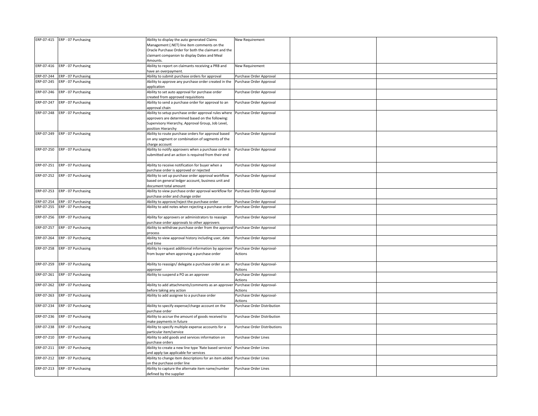|            | ERP-07-415 ERP - 07 Purchasing | Ability to display the auto generated Claims                                 | New Requirement              |  |
|------------|--------------------------------|------------------------------------------------------------------------------|------------------------------|--|
|            |                                | Management (.NET) line item comments on the                                  |                              |  |
|            |                                | Oracle Purchase Order for both the claimant and the                          |                              |  |
|            |                                | claimant companion to display Dates and Meal                                 |                              |  |
|            |                                | Amounts.                                                                     |                              |  |
|            | ERP-07-416 ERP - 07 Purchasing | Ability to report on claimants receiving a PRB and                           | New Requirement              |  |
|            |                                | have an overpayment.                                                         |                              |  |
|            | ERP-07-244 ERP - 07 Purchasing | Ability to submit purchase orders for approval                               | Purchase Order Approval      |  |
|            | ERP-07-245 ERP - 07 Purchasing | Ability to approve any purchase order created in the                         | Purchase Order Approval      |  |
|            |                                | application                                                                  |                              |  |
| ERP-07-246 | ERP - 07 Purchasing            | Ability to set auto approval for purchase order                              | Purchase Order Approval      |  |
|            |                                | created from approved requisitions                                           |                              |  |
| ERP-07-247 | ERP - 07 Purchasing            | Ability to send a purchase order for approval to an                          | Purchase Order Approval      |  |
|            |                                | approval chain                                                               |                              |  |
|            | ERP-07-248 ERP - 07 Purchasing | Ability to setup purchase order approval rules where                         | Purchase Order Approval      |  |
|            |                                | approvers are determined based on the following:                             |                              |  |
|            |                                | Supervisory Hierarchy, Approval Group, Job Level,                            |                              |  |
|            |                                | position Hierarchy                                                           |                              |  |
|            | ERP-07-249 ERP - 07 Purchasing | Ability to route purchase orders for approval based                          | Purchase Order Approval      |  |
|            |                                | on any segment or combination of segments of the                             |                              |  |
|            |                                | charge account                                                               |                              |  |
|            | ERP-07-250 ERP - 07 Purchasing | Ability to notify approvers when a purchase order is                         | Purchase Order Approval      |  |
|            |                                | submitted and an action is required from their end                           |                              |  |
|            |                                |                                                                              |                              |  |
|            | ERP-07-251 ERP - 07 Purchasing | Ability to receive notification for buyer when a                             | Purchase Order Approval      |  |
|            |                                | purchase order is approved or rejected                                       |                              |  |
| ERP-07-252 | ERP - 07 Purchasing            | Ability to set up purchase order approval workflow                           | Purchase Order Approval      |  |
|            |                                | based on general ledger account, business unit and                           |                              |  |
|            |                                | document total amount                                                        |                              |  |
|            | ERP-07-253 ERP - 07 Purchasing | Ability to view purchase order approval workflow for Purchase Order Approval |                              |  |
|            |                                | purchase order and change order                                              |                              |  |
|            | ERP-07-254 ERP - 07 Purchasing | Ability to approve/reject the purchase order                                 | Purchase Order Approval      |  |
|            | ERP-07-255 ERP - 07 Purchasing | Ability to add notes when rejecting a purchase order                         | Purchase Order Approval      |  |
|            | ERP-07-256 ERP - 07 Purchasing | Ability for approvers or administrators to reassign                          | Purchase Order Approval      |  |
|            |                                | burchase order approvals to other approvers                                  |                              |  |
|            | ERP-07-257 ERP - 07 Purchasing | Ability to withdraw purchase order from the approval Purchase Order Approval |                              |  |
|            |                                | process                                                                      |                              |  |
|            | ERP-07-264 ERP - 07 Purchasing | Ability to view approval history including user, date                        | Purchase Order Approval      |  |
|            |                                | and time                                                                     |                              |  |
| ERP-07-258 | ERP - 07 Purchasing            | Ability to request additional information by approver                        | Purchase Order Approval-     |  |
|            |                                | from buyer when approving a purchase order                                   | Actions                      |  |
|            |                                |                                                                              |                              |  |
|            | ERP-07-259 ERP - 07 Purchasing | Ability to reassign/ delegate a purchase order as an                         | Purchase Order Approval-     |  |
|            |                                | approver                                                                     | Actions                      |  |
|            | ERP-07-261 ERP - 07 Purchasing | Ability to suspend a PO as an approver                                       | Purchase Order Approval-     |  |
|            |                                |                                                                              | Actions                      |  |
| ERP-07-262 | ERP - 07 Purchasing            | Ability to add attachments/comments as an approver                           | Purchase Order Approval-     |  |
|            |                                | before taking any action                                                     | Actions                      |  |
|            | ERP-07-263 ERP - 07 Purchasing | Ability to add assignee to a purchase order                                  | Purchase Order Approval-     |  |
|            |                                |                                                                              | Actions                      |  |
|            | ERP-07-234 ERP - 07 Purchasing | Ability to specify expense/charge account on the                             | Purchase Order Distribution  |  |
|            |                                | ourchase order                                                               |                              |  |
|            | ERP-07-236 ERP - 07 Purchasing | Ability to accrue the amount of goods received to                            | Purchase Order Distribution  |  |
|            |                                | make payments in future                                                      |                              |  |
|            | ERP-07-238 ERP - 07 Purchasing | Ability to specify multiple expense accounts for a                           | Purchase Order Distributions |  |
|            |                                | particular item/service                                                      |                              |  |
|            | ERP-07-210 ERP - 07 Purchasing | Ability to add goods and services information on                             | Purchase Order Lines         |  |
|            |                                | purchase orders                                                              |                              |  |
|            | ERP-07-211 ERP - 07 Purchasing | Ability to create a new line type 'Rate based services'                      | <b>Purchase Order Lines</b>  |  |
|            |                                | and apply tax applicable for services                                        |                              |  |
|            | ERP-07-212 ERP - 07 Purchasing | Ability to change item descriptions for an item added Purchase Order Lines   |                              |  |
|            |                                | on the purchase order line                                                   |                              |  |
|            | ERP-07-213 ERP - 07 Purchasing | Ability to capture the alternate item name/number                            | <b>Purchase Order Lines</b>  |  |
|            |                                | defined by the supplier                                                      |                              |  |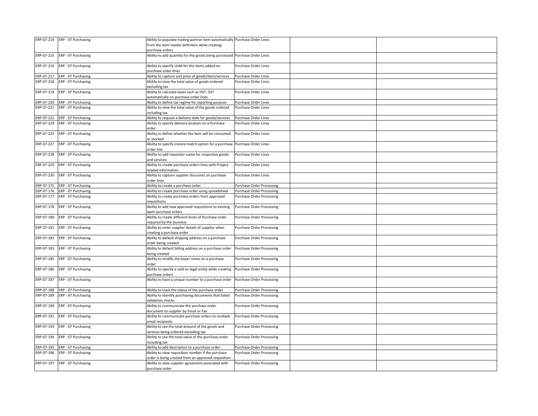|            | ERP-07-214 ERP - 07 Purchasing | Ability to populate trading partner item automatically Purchase Order Lines |                                  |  |
|------------|--------------------------------|-----------------------------------------------------------------------------|----------------------------------|--|
|            |                                |                                                                             |                                  |  |
|            |                                | from the item master definition while creating                              |                                  |  |
|            |                                | ourchase orders                                                             |                                  |  |
|            | ERP-07-215 ERP - 07 Purchasing | Ability to add quantity for the goods being purchased Purchase Order Lines  |                                  |  |
|            |                                |                                                                             |                                  |  |
|            |                                |                                                                             |                                  |  |
| ERP-07-216 | ERP - 07 Purchasing            | Ability to specify UoM for the items added on                               | Purchase Order Lines             |  |
|            |                                | purchase order lines                                                        |                                  |  |
|            | ERP-07-217 ERP - 07 Purchasing | Ability to capture unit price of goods/item/services                        | Purchase Order Lines             |  |
| ERP-07-218 | ERP - 07 Purchasing            | Ability to view the total value of goods ordered                            | Purchase Order Lines             |  |
|            |                                | excluding tax                                                               |                                  |  |
|            |                                |                                                                             |                                  |  |
| ERP-07-219 | ERP - 07 Purchasing            | Ability to calculate taxes such as HST, GST                                 | <b>Purchase Order Lines</b>      |  |
|            |                                | automatically on purchase order lines                                       |                                  |  |
| ERP-07-220 | ERP - 07 Purchasing            | Ability to define tax regime for reporting purpose                          | Purchase Order Lines             |  |
|            | ERP-07-221 ERP - 07 Purchasing | Ability to view the total value of the goods ordered                        | Purchase Order Lines             |  |
|            |                                | ncluding tax                                                                |                                  |  |
|            |                                |                                                                             |                                  |  |
| ERP-07-222 | ERP - 07 Purchasing            | Ability to request a delivery date for goods/services                       | Purchase Order Lines             |  |
| ERP-07-224 | ERP - 07 Purchasing            | Ability to specify delivery location on a Purchase                          | <b>Purchase Order Lines</b>      |  |
|            |                                | order                                                                       |                                  |  |
| ERP-07-225 | ERP - 07 Purchasing            | Ability to define whether the item will be consumed                         | Purchase Order Lines             |  |
|            |                                | or stocked                                                                  |                                  |  |
|            |                                |                                                                             |                                  |  |
| ERP-07-227 | ERP - 07 Purchasing            | Ability to specify invoice match option for a purchase                      | Purchase Order Lines             |  |
|            |                                | order line                                                                  |                                  |  |
| ERP-07-228 | ERP - 07 Purchasing            | Ability to add requester name for respective goods                          | <b>Purchase Order Lines</b>      |  |
|            |                                | and services                                                                |                                  |  |
| ERP-07-229 | ERP - 07 Purchasing            | Ability to create purchase orders lines with Project                        | Purchase Order Lines             |  |
|            |                                |                                                                             |                                  |  |
|            |                                | elated information.                                                         |                                  |  |
| ERP-07-230 | ERP - 07 Purchasing            | Ability to capture supplier discounts on purchase                           | <b>Purchase Order Lines</b>      |  |
|            |                                | order lines                                                                 |                                  |  |
|            | ERP-07-175 ERP - 07 Purchasing | Ability to create a purchase order                                          | <b>Purchase Order Processing</b> |  |
|            | ERP-07-176 ERP - 07 Purchasing | Ability to create purchase order using spreadsheet                          | <b>Purchase Order Processing</b> |  |
|            |                                |                                                                             |                                  |  |
| ERP-07-177 | ERP - 07 Purchasing            | Ability to create purchase orders from approved                             | Purchase Order Processing        |  |
|            |                                | equisitions                                                                 |                                  |  |
| ERP-07-178 | ERP - 07 Purchasing            | Ability to add new approved requisitions to existing                        | <b>Purchase Order Processing</b> |  |
|            |                                | open purchase orders                                                        |                                  |  |
| ERP-07-180 | ERP - 07 Purchasing            | Ability to create different kinds of Purchase order                         | <b>Purchase Order Processing</b> |  |
|            |                                |                                                                             |                                  |  |
|            |                                | equired by the business                                                     |                                  |  |
| ERP-07-181 | ERP - 07 Purchasing            | Ability to enter supplier details of supplier when                          | <b>Purchase Order Processing</b> |  |
|            |                                | creating a purchase order                                                   |                                  |  |
| ERP-07-182 | ERP - 07 Purchasing            | Ability to default shipping address on a purchase                           | <b>Purchase Order Processing</b> |  |
|            |                                | order being created                                                         |                                  |  |
|            |                                |                                                                             |                                  |  |
| ERP-07-183 | ERP - 07 Purchasing            | Ability to default billing address on a purchase order                      | <b>Purchase Order Processing</b> |  |
|            |                                | being created                                                               |                                  |  |
| ERP-07-185 | ERP - 07 Purchasing            | Ability to modify the buyer name on a purchase                              | <b>Purchase Order Processing</b> |  |
|            |                                | order                                                                       |                                  |  |
| ERP-07-186 | ERP - 07 Purchasing            | Ability to specify a sold-to-legal entity while creating                    | <b>Purchase Order Processing</b> |  |
|            |                                |                                                                             |                                  |  |
|            |                                | ourchase orders                                                             |                                  |  |
| ERP-07-187 | ERP - 07 Purchasing            | Ability to have a unique number to a purchase order                         | <b>Purchase Order Processing</b> |  |
|            |                                |                                                                             |                                  |  |
| ERP-07-188 | ERP - 07 Purchasing            | Ability to track the status of the purchase order                           | <b>Purchase Order Processing</b> |  |
| ERP-07-189 | ERP - 07 Purchasing            | Ability to identify purchasing documents that failed                        | <b>Purchase Order Processing</b> |  |
|            |                                |                                                                             |                                  |  |
|            |                                | validation checks                                                           |                                  |  |
| ERP-07-190 | ERP - 07 Purchasing            | Ability to communicate the purchase order                                   | Purchase Order Processing        |  |
|            |                                | document to supplier by Email or Fax                                        |                                  |  |
| ERP-07-191 | ERP - 07 Purchasing            | Ability to communicate purchase orders to multiple                          | <b>Purchase Order Processing</b> |  |
|            |                                |                                                                             |                                  |  |
|            |                                | email recipients                                                            |                                  |  |
| ERP-07-193 | ERP - 07 Purchasing            | Ability to see the total amount of the goods and                            | <b>Purchase Order Processing</b> |  |
|            |                                | services being ordered excluding tax                                        |                                  |  |
| ERP-07-194 | ERP - 07 Purchasing            | Ability to see the total value of the purchase order                        | <b>Purchase Order Processing</b> |  |
|            |                                | ncluding tax                                                                |                                  |  |
| ERP-07-195 | ERP - 07 Purchasing            | Ability to add description to a purchase order                              | <b>Purchase Order Processing</b> |  |
|            |                                |                                                                             |                                  |  |
| ERP-07-196 | ERP - 07 Purchasing            | Ability to view requisition number if the purchase                          | <b>Purchase Order Processing</b> |  |
|            |                                | order is being created from an approved requisition                         |                                  |  |
| ERP-07-197 | ERP - 07 Purchasing            | Ability to view supplier agreement associated with                          | <b>Purchase Order Processing</b> |  |
|            |                                |                                                                             |                                  |  |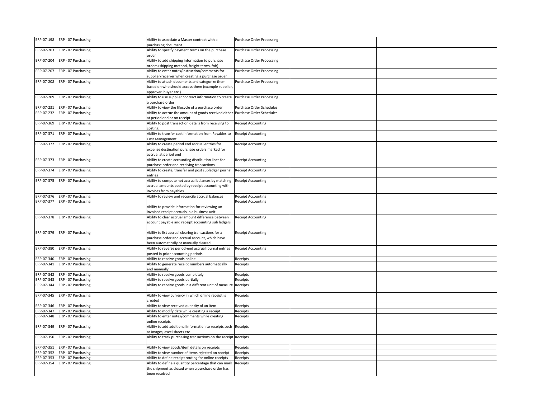|            | ERP-07-198 ERP - 07 Purchasing | Ability to associate a Master contract with a                    | <b>Purchase Order Processing</b> |  |
|------------|--------------------------------|------------------------------------------------------------------|----------------------------------|--|
|            |                                | ourchasing document                                              |                                  |  |
| ERP-07-203 | ERP - 07 Purchasing            | Ability to specify payment terms on the purchase                 | <b>Purchase Order Processing</b> |  |
|            |                                | order                                                            |                                  |  |
| ERP-07-204 | ERP - 07 Purchasing            | Ability to add shipping information to purchase                  | <b>Purchase Order Processing</b> |  |
|            |                                | orders (shipping method, freight terms, fob)                     |                                  |  |
| ERP-07-207 | ERP - 07 Purchasing            | Ability to enter notes/instruction/comments for                  | <b>Purchase Order Processing</b> |  |
|            |                                |                                                                  |                                  |  |
|            |                                | supplier/receiver when creating a purchase order                 |                                  |  |
|            | ERP-07-208 ERP - 07 Purchasing | Ability to attach documents and categorize them                  | <b>Purchase Order Processing</b> |  |
|            |                                | based on who should access them (example supplier,               |                                  |  |
|            |                                | approver, buyer etc.)                                            |                                  |  |
| ERP-07-209 | ERP - 07 Purchasing            | Ability to use supplier contract information to create           | <b>Purchase Order Processing</b> |  |
|            |                                | a purchase order                                                 |                                  |  |
| ERP-07-231 | ERP - 07 Purchasing            | Ability to view the lifecycle of a purchase order                | Purchase Order Schedules         |  |
|            |                                |                                                                  |                                  |  |
| ERP-07-232 | ERP - 07 Purchasing            | Ability to accrue the amount of goods received either            | Purchase Order Schedules         |  |
|            |                                | at period end or on receipt                                      |                                  |  |
| ERP-07-369 | ERP - 07 Purchasing            | Ability to post transaction details from receiving to            | <b>Receipt Accounting</b>        |  |
|            |                                | costing                                                          |                                  |  |
| ERP-07-371 | ERP - 07 Purchasing            | Ability to transfer cost information from Payables to            | <b>Receipt Accounting</b>        |  |
|            |                                | Cost Management                                                  |                                  |  |
|            | ERP-07-372 ERP - 07 Purchasing | Ability to create period end accrual entries for                 | <b>Receipt Accounting</b>        |  |
|            |                                |                                                                  |                                  |  |
|            |                                | expense destination purchase orders marked for                   |                                  |  |
|            |                                | accrual at period end                                            |                                  |  |
| ERP-07-373 | ERP - 07 Purchasing            | Ability to create accounting distribution lines for              | <b>Receipt Accounting</b>        |  |
|            |                                | ourchase order and receiving transactions                        |                                  |  |
| ERP-07-374 | ERP - 07 Purchasing            | Ability to create, transfer and post subledger journal           | <b>Receipt Accounting</b>        |  |
|            |                                | entries                                                          |                                  |  |
|            | ERP-07-375 ERP - 07 Purchasing | Ability to compute net accrual balances by matching              | <b>Receipt Accounting</b>        |  |
|            |                                | accrual amounts posted by receipt accounting with                |                                  |  |
|            |                                |                                                                  |                                  |  |
|            |                                | nvoices from payables                                            |                                  |  |
|            | ERP-07-376 ERP - 07 Purchasing | Ability to review and reconcile accrual balances                 | <b>Receipt Accounting</b>        |  |
|            | ERP-07-377 ERP - 07 Purchasing |                                                                  | <b>Receipt Accounting</b>        |  |
|            |                                | Ability to provide information for reviewing un-                 |                                  |  |
|            |                                | nvoiced receipt accruals in a business unit                      |                                  |  |
|            | ERP-07-378 ERP - 07 Purchasing | Ability to clear accrual amount difference between               | <b>Receipt Accounting</b>        |  |
|            |                                | account payable and receipt accounting sub ledgers               |                                  |  |
|            |                                |                                                                  |                                  |  |
|            |                                |                                                                  |                                  |  |
| ERP-07-379 | ERP - 07 Purchasing            | Ability to list accrual clearing transactions for a              | <b>Receipt Accounting</b>        |  |
|            |                                | purchase order and accrual account, which have                   |                                  |  |
|            |                                | been automatically or manually cleared                           |                                  |  |
| ERP-07-380 | ERP - 07 Purchasing            | Ability to reverse period-end accrual journal entries            | <b>Receipt Accounting</b>        |  |
|            |                                | posted in prior accounting periods                               |                                  |  |
| ERP-07-340 | ERP - 07 Purchasing            | Ability to receive goods online                                  | Receipts                         |  |
|            | ERP-07-341 ERP - 07 Purchasing | Ability to generate receipt numbers automatically                | Receipts                         |  |
|            |                                | and manually                                                     |                                  |  |
|            |                                |                                                                  |                                  |  |
| ERP-07-342 | ERP - 07 Purchasing            | Ability to receive goods completely                              | Receipts                         |  |
|            | ERP-07-343 ERP - 07 Purchasing | Ability to receive goods partially                               | Receipts                         |  |
| ERP-07-344 | ERP - 07 Purchasing            | Ability to receive goods in a different unit of measure          | Receipts                         |  |
|            |                                |                                                                  |                                  |  |
|            | ERP-07-345 ERP - 07 Purchasing | Ability to view currency in which online receipt is              | Receipts                         |  |
|            |                                | created                                                          |                                  |  |
|            | ERP-07-346 ERP - 07 Purchasing | Ability to view received quantity of an item                     | Receipts                         |  |
| ERP-07-347 | ERP - 07 Purchasing            | Ability to modify date while creating a receipt                  | Receipts                         |  |
|            |                                |                                                                  |                                  |  |
| ERP-07-348 | ERP - 07 Purchasing            | Ability to enter notes/comments while creating                   | Receipts                         |  |
|            |                                | online receipts                                                  |                                  |  |
| ERP-07-349 | ERP - 07 Purchasing            | Ability to add additional information to receipts such           | Receipts                         |  |
|            |                                | as images, excel sheets etc.                                     |                                  |  |
| ERP-07-350 | ERP - 07 Purchasing            | Ability to track purchasing transactions on the receipt Receipts |                                  |  |
|            |                                |                                                                  |                                  |  |
| ERP-07-351 | ERP - 07 Purchasing            | Ability to view goods/item details on receipts                   | Receipts                         |  |
|            | ERP-07-352 ERP - 07 Purchasing | Ability to view number of items rejected on receipt              |                                  |  |
|            |                                |                                                                  | Receipts                         |  |
| ERP-07-353 | ERP - 07 Purchasing            | Ability to define receipt routing for online receipts            | Receipts                         |  |
| ERP-07-354 | ERP - 07 Purchasing            | Ability to define a quantity percentage that can mark            | Receipts                         |  |
|            |                                | the shipment as closed when a purchase order has                 |                                  |  |
|            |                                | been received                                                    |                                  |  |
|            |                                |                                                                  |                                  |  |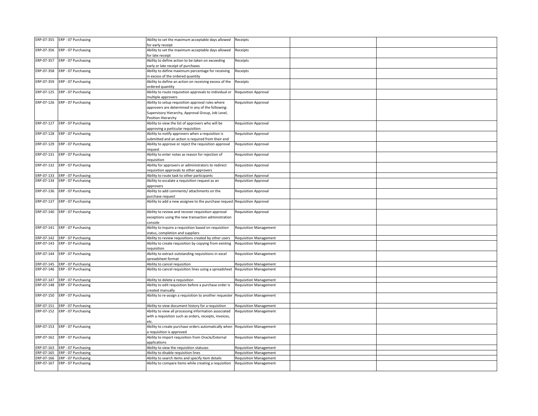|            | ERP-07-355 ERP - 07 Purchasing | Ability to set the maximum acceptable days allowed<br>for early receipt    | Receipts                      |  |
|------------|--------------------------------|----------------------------------------------------------------------------|-------------------------------|--|
|            |                                |                                                                            |                               |  |
| ERP-07-356 | ERP - 07 Purchasing            | Ability to set the maximum acceptable days allowed<br>for late receipt     | Receipts                      |  |
| ERP-07-357 | ERP - 07 Purchasing            | Ability to define action to be taken on exceeding                          | Receipts                      |  |
|            |                                | early or late receipt of purchases                                         |                               |  |
| ERP-07-358 | ERP - 07 Purchasing            | Ability to define maximum percentage for receiving                         | Receipts                      |  |
|            |                                | n excess of the ordered quantity                                           |                               |  |
|            | ERP-07-359 ERP - 07 Purchasing | Ability to define an action on receiving excess of the                     | Receipts                      |  |
|            |                                | ordered quantity                                                           |                               |  |
|            | ERP-07-125 ERP - 07 Purchasing | Ability to route requisition approvals to individual or                    | Requisition Approval          |  |
|            |                                | multiple approvers                                                         |                               |  |
|            | ERP-07-126 ERP - 07 Purchasing | Ability to setup requisition approval rules where                          | Requisition Approval          |  |
|            |                                | approvers are determined in any of the following:                          |                               |  |
|            |                                | Supervisory Hierarchy, Approval Group, Job Level,                          |                               |  |
|            |                                | Position Hierarchy                                                         |                               |  |
|            | ERP-07-127 ERP - 07 Purchasing | Ability to view the list of approvers who will be                          | <b>Requisition Approval</b>   |  |
|            |                                | approving a particular requisition                                         |                               |  |
|            | ERP-07-128 ERP - 07 Purchasing | Ability to notify approvers when a requisition is                          | <b>Requisition Approval</b>   |  |
|            |                                | submitted and an action is required from their end                         |                               |  |
|            | ERP-07-129 ERP - 07 Purchasing | Ability to approve or reject the requisition approval                      | <b>Requisition Approval</b>   |  |
|            |                                | equest                                                                     |                               |  |
|            | ERP-07-131 ERP - 07 Purchasing | Ability to enter notes as reason for rejection of                          | <b>Requisition Approval</b>   |  |
|            |                                |                                                                            |                               |  |
|            |                                | reauisition                                                                |                               |  |
|            | ERP-07-132 ERP - 07 Purchasing | Ability for approvers or administrators to redirect                        | <b>Requisition Approval</b>   |  |
|            |                                | requisition approvals to other approvers                                   |                               |  |
|            | ERP-07-133 ERP - 07 Purchasing | Ability to route task to other participants                                | <b>Requisition Approval</b>   |  |
|            | ERP-07-134 ERP - 07 Purchasing | Ability to escalate a requisition request as an<br>approvers               | Requisition Approval          |  |
| ERP-07-136 | ERP - 07 Purchasing            | Ability to add comments/ attachments on the                                | <b>Requisition Approval</b>   |  |
|            |                                | ourchase request                                                           |                               |  |
|            | ERP-07-137 ERP - 07 Purchasing | Ability to add a new assignee to the purchase request Requisition Approval |                               |  |
|            | ERP-07-140 ERP - 07 Purchasing | Ability to review and recover requisition approval                         | <b>Requisition Approval</b>   |  |
|            |                                | exceptions using the new transaction administration                        |                               |  |
|            |                                | console                                                                    |                               |  |
|            | ERP-07-141 ERP - 07 Purchasing | Ability to inquire a requisition based on requisition                      | <b>Requisition Management</b> |  |
|            |                                | tatus, completion and suppliers                                            |                               |  |
|            | ERP-07-142 ERP - 07 Purchasing | Ability to review requisitions created by other users                      | <b>Requisition Management</b> |  |
|            | ERP-07-143 ERP - 07 Purchasing | Ability to create requisition by copying from existing                     | <b>Requisition Management</b> |  |
|            |                                | equisition                                                                 |                               |  |
| ERP-07-144 | ERP - 07 Purchasing            | Ability to extract outstanding requisitions in excel                       | <b>Requisition Management</b> |  |
|            |                                | spreadsheet format                                                         |                               |  |
| ERP-07-145 | ERP - 07 Purchasing            | Ability to cancel requisition                                              | <b>Requisition Management</b> |  |
|            | ERP-07-146 ERP - 07 Purchasing | Ability to cancel requisition lines using a spreadsheet                    | <b>Requisition Management</b> |  |
|            |                                |                                                                            |                               |  |
| ERP-07-147 | ERP - 07 Purchasing            | Ability to delete a requisition                                            | <b>Requisition Management</b> |  |
| ERP-07-148 | ERP - 07 Purchasing            | Ability to edit requisition before a purchase order is                     | <b>Requisition Management</b> |  |
|            |                                | created manually                                                           |                               |  |
|            | ERP-07-150 ERP - 07 Purchasing | Ability to re-assign a requisition to another requester                    | <b>Requisition Management</b> |  |
|            |                                |                                                                            |                               |  |
| ERP-07-151 | ERP - 07 Purchasing            | Ability to view document history for a requisition                         | <b>Requisition Management</b> |  |
|            | ERP-07-152 ERP - 07 Purchasing | Ability to view all processing information associated                      | <b>Requisition Management</b> |  |
|            |                                | with a requisition such as orders, receipts, invoices,                     |                               |  |
|            |                                | etc.                                                                       |                               |  |
|            | ERP-07-153 ERP - 07 Purchasing | Ability to create purchase orders automatically when                       | <b>Requisition Management</b> |  |
|            |                                | requisition is approved                                                    |                               |  |
| ERP-07-162 | ERP - 07 Purchasing            | Ability to import requisition from Oracle/External                         | <b>Requisition Management</b> |  |
|            |                                | applications                                                               |                               |  |
|            | ERP-07-163 ERP - 07 Purchasing | Ability to view the requisition statuses                                   | <b>Requisition Management</b> |  |
| ERP-07-165 | ERP - 07 Purchasing            | Ability to disable requisition lines                                       | <b>Requisition Management</b> |  |
| ERP-07-166 | ERP - 07 Purchasing            | Ability to search items and specify item details                           | <b>Requisition Management</b> |  |
|            | ERP-07-167 ERP - 07 Purchasing | Ability to compare items while creating a requisition                      | <b>Requisition Management</b> |  |
|            |                                |                                                                            |                               |  |
|            |                                |                                                                            |                               |  |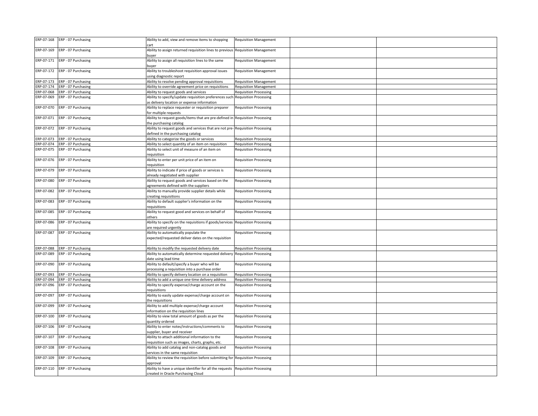| ERP-07-168 | ERP - 07 Purchasing            | Ability to add, view and remove items to shopping                                                       | <b>Requisition Management</b> |  |
|------------|--------------------------------|---------------------------------------------------------------------------------------------------------|-------------------------------|--|
| ERP-07-169 | ERP - 07 Purchasing            | Ability to assign returned requisition lines to previous<br>puver                                       | <b>Requisition Management</b> |  |
| ERP-07-171 | ERP - 07 Purchasing            | Ability to assign all requisition lines to the same<br>buyer                                            | <b>Requisition Management</b> |  |
| ERP-07-172 | ERP - 07 Purchasing            | Ability to troubleshoot requisition approval issues<br>using diagnostic report                          | <b>Requisition Management</b> |  |
| ERP-07-173 | ERP - 07 Purchasing            | Ability to resolve pending approval requisitions                                                        | <b>Requisition Management</b> |  |
|            | ERP-07-174 ERP - 07 Purchasing | Ability to override agreement price on requisitions                                                     | <b>Requisition Management</b> |  |
| ERP-07-068 | ERP - 07 Purchasing            | Ability to request goods and services                                                                   | <b>Requisition Processing</b> |  |
|            |                                |                                                                                                         |                               |  |
| ERP-07-069 | ERP - 07 Purchasing            | Ability to specify/update requisition preferences such<br>as delivery location or expense information   | <b>Requisition Processing</b> |  |
| ERP-07-070 | ERP - 07 Purchasing            | Ability to replace requester or requisition preparer<br>for multiple requests                           | <b>Requisition Processing</b> |  |
|            | ERP-07-071 ERP - 07 Purchasing | Ability to request goods/items that are pre-defined in Requisition Processing<br>the purchasing catalog |                               |  |
| ERP-07-072 | ERP - 07 Purchasing            | Ability to request goods and services that are not pre-<br>defined in the purchasing catalog            | <b>Requisition Processing</b> |  |
|            | ERP-07-073 ERP - 07 Purchasing | Ability to categorize the goods or services                                                             | <b>Requisition Processing</b> |  |
|            | ERP-07-074 ERP - 07 Purchasing | Ability to select quantity of an item on requisition                                                    | <b>Requisition Processing</b> |  |
| ERP-07-075 | ERP - 07 Purchasing            |                                                                                                         |                               |  |
|            |                                | Ability to select unit of measure of an item on<br>requisition                                          | <b>Requisition Processing</b> |  |
| ERP-07-076 | ERP - 07 Purchasing            | Ability to enter per unit price of an item on<br>equisition                                             | <b>Requisition Processing</b> |  |
| ERP-07-079 | ERP - 07 Purchasing            | Ability to indicate if price of goods or services is<br>already negotiated with supplier                | <b>Requisition Processing</b> |  |
| ERP-07-080 | ERP - 07 Purchasing            | Ability to request goods and services based on the<br>greements defined with the suppliers              | <b>Requisition Processing</b> |  |
|            | ERP-07-082 ERP - 07 Purchasing | Ability to manually provide supplier details while<br>reating requisitions                              | <b>Requisition Processing</b> |  |
| ERP-07-083 | ERP - 07 Purchasing            | Ability to default supplier's information on the<br>equisitions                                         | <b>Requisition Processing</b> |  |
| ERP-07-085 | ERP - 07 Purchasing            | Ability to request good and services on behalf of<br>others                                             | <b>Requisition Processing</b> |  |
| ERP-07-086 | ERP - 07 Purchasing            | Ability to specify on the requisitions if goods/services<br>re required urgently                        | <b>Requisition Processing</b> |  |
| ERP-07-087 | ERP - 07 Purchasing            | Ability to automatically populate the<br>expected/requested deliver dates on the requisition            | <b>Requisition Processing</b> |  |
|            |                                |                                                                                                         |                               |  |
| ERP-07-088 | ERP - 07 Purchasing            | Ability to modify the requested delivery date                                                           | <b>Requisition Processing</b> |  |
| ERP-07-089 | ERP - 07 Purchasing            | Ability to automatically determine requested delivery Requisition Processing<br>date using lead time    |                               |  |
| ERP-07-090 | ERP - 07 Purchasing            | Ability to default/specify a buyer who will be<br>processing a requisition into a purchase order        | <b>Requisition Processing</b> |  |
| ERP-07-093 | ERP - 07 Purchasing            | Ability to specify delivery location on a requisition                                                   | <b>Requisition Processing</b> |  |
|            |                                |                                                                                                         |                               |  |
| ERP-07-094 | ERP - 07 Purchasing            | Ability to add a unique one-time delivery address                                                       | <b>Requisition Processing</b> |  |
| ERP-07-096 | ERP - 07 Purchasing            | Ability to specify expense/charge account on the<br><i>requisitions</i>                                 | <b>Requisition Processing</b> |  |
| ERP-07-097 | ERP - 07 Purchasing            | Ability to easily update expense/charge account on<br>the requisitions                                  | <b>Requisition Processing</b> |  |
| ERP-07-099 | ERP - 07 Purchasing            | Ability to add multiple expense/charge account<br>nformation on the requisition lines                   | <b>Requisition Processing</b> |  |
| ERP-07-100 | ERP - 07 Purchasing            | Ability to view total amount of goods as per the<br>quantity ordered                                    | <b>Requisition Processing</b> |  |
| ERP-07-106 | ERP - 07 Purchasing            | Ability to enter notes/instructions/comments to<br>supplier, buyer and receiver                         | <b>Requisition Processing</b> |  |
| ERP-07-107 | ERP - 07 Purchasing            | Ability to attach additional information to the<br>requisition such as images, charts, graphs, etc.     | <b>Requisition Processing</b> |  |
| ERP-07-108 | ERP - 07 Purchasing            | Ability to add catalog and non-catalog goods and<br>services in the same requisition                    | <b>Requisition Processing</b> |  |
| ERP-07-109 | ERP - 07 Purchasing            | Ability to review the requisition before submitting for                                                 | <b>Requisition Processing</b> |  |
|            | ERP-07-110 ERP - 07 Purchasing | approval<br>Ability to have a unique identifier for all the requests Requisition Processing             |                               |  |
|            |                                | created in Oracle Purchasing Cloud                                                                      |                               |  |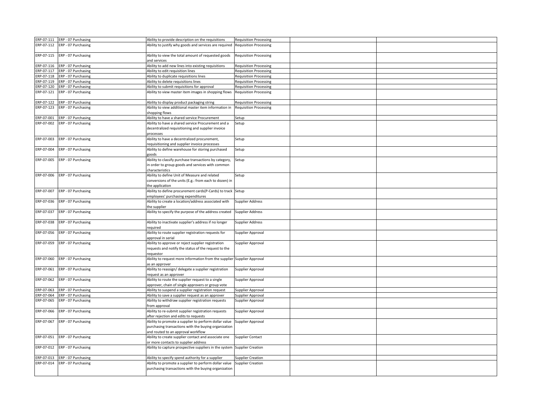|            | ERP-07-111 ERP - 07 Purchasing | Ability to provide description on the requisitions                                                                                                  | <b>Requisition Processing</b> |  |
|------------|--------------------------------|-----------------------------------------------------------------------------------------------------------------------------------------------------|-------------------------------|--|
|            | ERP-07-112 ERP - 07 Purchasing | Ability to justify why goods and services are required                                                                                              | <b>Requisition Processing</b> |  |
| ERP-07-115 | ERP - 07 Purchasing            | Ability to view the total amount of requested goods<br>and services                                                                                 | <b>Requisition Processing</b> |  |
|            | ERP-07-116 ERP - 07 Purchasing | Ability to add new lines into existing requisitions                                                                                                 | <b>Requisition Processing</b> |  |
|            | ERP-07-117 ERP - 07 Purchasing | Ability to edit requisition lines                                                                                                                   | <b>Requisition Processing</b> |  |
|            | ERP-07-118 ERP - 07 Purchasing | Ability to duplicate requisitions lines                                                                                                             | <b>Requisition Processing</b> |  |
|            | ERP-07-119 ERP - 07 Purchasing | Ability to delete requisitions lines                                                                                                                | <b>Requisition Processing</b> |  |
|            | ERP-07-120 ERP - 07 Purchasing | Ability to submit requisitions for approval                                                                                                         | <b>Requisition Processing</b> |  |
| ERP-07-121 | ERP - 07 Purchasing            | Ability to view master item images in shopping flows                                                                                                | <b>Requisition Processing</b> |  |
|            | ERP-07-122 ERP - 07 Purchasing | Ability to display product packaging string                                                                                                         | <b>Requisition Processing</b> |  |
| ERP-07-123 | ERP - 07 Purchasing            | Ability to view additional master item information in<br>shopping flows                                                                             | <b>Requisition Processing</b> |  |
|            | ERP-07-001 ERP - 07 Purchasing | Ability to have a shared service Procurement                                                                                                        | Setup                         |  |
| ERP-07-002 | ERP - 07 Purchasing            | Ability to have a shared service Procurement and a                                                                                                  | Setup                         |  |
|            |                                | decentralized requisitioning and supplier invoice<br>processes                                                                                      |                               |  |
| ERP-07-003 | ERP - 07 Purchasing            | Ability to have a decentralized procurement,<br>equisitioning and supplier invoice processes                                                        | Setup                         |  |
| ERP-07-004 | ERP - 07 Purchasing            | Ability to define warehouse for storing purchased<br>goods                                                                                          | Setup                         |  |
| ERP-07-005 | ERP - 07 Purchasing            | Ability to classify purchase transactions by category,<br>n order to group goods and services with common<br>characteristics                        | Setup                         |  |
| ERP-07-006 | ERP - 07 Purchasing            | Ability to define Unit of Measure and related<br>conversions of the units (E.g.: from each to dozen) in<br>the application                          | Setup                         |  |
| ERP-07-007 | ERP - 07 Purchasing            | Ability to define procurement cards(P-Cards) to track Setup<br>employees' purchasing expenditures                                                   |                               |  |
| ERP-07-036 | ERP - 07 Purchasing            | Ability to create a location/address associated with<br>the supplier                                                                                | <b>Supplier Address</b>       |  |
| ERP-07-037 | ERP - 07 Purchasing            | Ability to specify the purpose of the address created                                                                                               | <b>Supplier Address</b>       |  |
|            | ERP-07-038 ERP - 07 Purchasing | Ability to inactivate supplier's address if no longer<br>required                                                                                   | <b>Supplier Address</b>       |  |
| ERP-07-056 | ERP - 07 Purchasing            | Ability to route supplier registration requests for<br>approval in serial                                                                           | Supplier Approval             |  |
| ERP-07-059 | ERP - 07 Purchasing            | Ability to approve or reject supplier registration<br>requests and notify the status of the request to the<br>equestor                              | Supplier Approval             |  |
| ERP-07-060 | ERP - 07 Purchasing            | Ability to request more information from the supplier Supplier Approval<br>as an approver                                                           |                               |  |
| ERP-07-061 | ERP - 07 Purchasing            | Ability to reassign/ delegate a supplier registration<br>request as an approver                                                                     | Supplier Approval             |  |
| ERP-07-062 | ERP - 07 Purchasing            | Ability to route the supplier request to a single<br>pprover, chain of single approvers or group vote                                               | Supplier Approval             |  |
| ERP-07-063 | ERP - 07 Purchasing            | Ability to suspend a supplier registration request                                                                                                  | Supplier Approval             |  |
|            | ERP-07-064 ERP - 07 Purchasing | Ability to save a supplier request as an approver                                                                                                   | Supplier Approval             |  |
| ERP-07-065 | ERP - 07 Purchasing            | Ability to withdraw supplier registration requests<br>rom approval                                                                                  | Supplier Approval             |  |
| ERP-07-066 | ERP - 07 Purchasing            | Ability to re-submit supplier registration requests<br>after rejection and edits to requests                                                        | Supplier Approval             |  |
| ERP-07-067 | ERP - 07 Purchasing            | Ability to promote a supplier to perform dollar value<br>purchasing transactions with the buying organization<br>and routed to an approval workflow | Supplier Approval             |  |
| ERP-07-051 | ERP - 07 Purchasing            | Ability to create supplier contact and associate one<br>or more contacts to supplier address                                                        | Supplier Contact              |  |
| ERP-07-012 | ERP - 07 Purchasing            | Ability to capture prospective suppliers in the system Supplier Creation                                                                            |                               |  |
| ERP-07-013 | ERP - 07 Purchasing            | Ability to specify spend authority for a supplier                                                                                                   | <b>Supplier Creation</b>      |  |
|            | ERP-07-014 ERP - 07 Purchasing | Ability to promote a supplier to perform dollar value<br>purchasing transactions with the buying organization                                       | <b>Supplier Creation</b>      |  |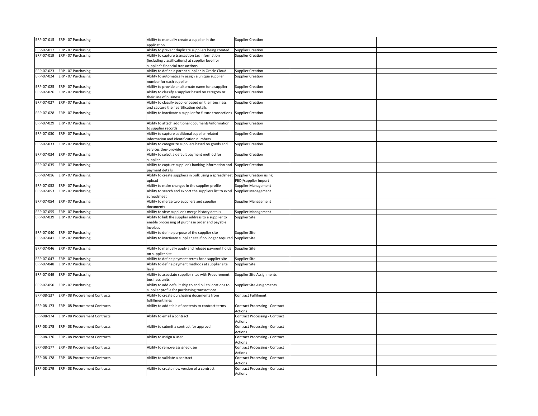|            | ERP-07-015 ERP - 07 Purchasing            | Ability to manually create a supplier in the                                                           | <b>Supplier Creation</b>                               |  |
|------------|-------------------------------------------|--------------------------------------------------------------------------------------------------------|--------------------------------------------------------|--|
|            |                                           | pplication                                                                                             |                                                        |  |
|            | ERP-07-017 ERP - 07 Purchasing            | Ability to prevent duplicate suppliers being created                                                   | <b>Supplier Creation</b>                               |  |
| ERP-07-019 | ERP - 07 Purchasing                       | Ability to capture transaction tax information                                                         | <b>Supplier Creation</b>                               |  |
|            |                                           | (including classifications) at supplier level for                                                      |                                                        |  |
|            |                                           | supplier's financial transactions                                                                      |                                                        |  |
|            | ERP-07-023 ERP - 07 Purchasing            | Ability to define a parent supplier in Oracle Cloud                                                    | <b>Supplier Creation</b>                               |  |
| ERP-07-024 | ERP - 07 Purchasing                       | Ability to automatically assign a unique supplier                                                      | <b>Supplier Creation</b>                               |  |
|            |                                           | number for each supplier                                                                               |                                                        |  |
|            | ERP-07-025 ERP - 07 Purchasing            | Ability to provide an alternate name for a supplier                                                    | <b>Supplier Creation</b>                               |  |
| ERP-07-026 | ERP - 07 Purchasing                       | Ability to classify a supplier based on category or<br>their line of business                          | <b>Supplier Creation</b>                               |  |
| ERP-07-027 | ERP - 07 Purchasing                       | Ability to classify supplier based on their business<br>and capture their certification details        | <b>Supplier Creation</b>                               |  |
| ERP-07-028 | ERP - 07 Purchasing                       | Ability to inactivate a supplier for future transactions                                               | <b>Supplier Creation</b>                               |  |
|            | ERP-07-029 ERP - 07 Purchasing            | Ability to attach additional documents/information<br>to supplier records                              | <b>Supplier Creation</b>                               |  |
| ERP-07-030 | ERP - 07 Purchasing                       | Ability to capture additional supplier related<br>nformation and identification numbers                | <b>Supplier Creation</b>                               |  |
| ERP-07-033 | ERP - 07 Purchasing                       | Ability to categorize suppliers based on goods and<br>services they provide                            | <b>Supplier Creation</b>                               |  |
|            | ERP-07-034 ERP - 07 Purchasing            | Ability to select a default payment method for<br>upplier                                              | <b>Supplier Creation</b>                               |  |
| ERP-07-035 | ERP - 07 Purchasing                       | Ability to capture supplier's banking information and Supplier Creation<br>ayment details              |                                                        |  |
| ERP-07-016 | ERP - 07 Purchasing                       | Ability to create suppliers in bulk using a spreadsheet<br>upload                                      | <b>Supplier Creation using</b><br>FBDI/supplier import |  |
| ERP-07-052 | ERP - 07 Purchasing                       | Ability to make changes in the supplier profile                                                        | Supplier Management                                    |  |
|            | ERP-07-053 ERP - 07 Purchasing            | Ability to search and export the suppliers list to excel<br>preadsheet                                 | Supplier Management                                    |  |
| ERP-07-054 | ERP - 07 Purchasing                       | Ability to merge two suppliers and supplier<br>documents                                               | Supplier Management                                    |  |
|            | ERP-07-055 ERP - 07 Purchasing            | Ability to view supplier's merge history details                                                       | Supplier Management                                    |  |
| ERP-07-039 | ERP - 07 Purchasing                       | Ability to link the supplier address to a supplier to                                                  | Supplier Site                                          |  |
|            |                                           | enable processing of purchase order and payable<br>nvoices                                             |                                                        |  |
|            | ERP-07-040 ERP - 07 Purchasing            | Ability to define purpose of the supplier site                                                         | Supplier Site                                          |  |
| ERP-07-041 | ERP - 07 Purchasing                       | Ability to inactivate supplier site if no longer required Supplier Site                                |                                                        |  |
| ERP-07-046 | ERP - 07 Purchasing                       | Ability to manually apply and release payment holds<br>on supplier site                                | Supplier Site                                          |  |
| ERP-07-047 | ERP - 07 Purchasing                       | Ability to define payment terms for a supplier site                                                    | Supplier Site                                          |  |
| ERP-07-048 | ERP - 07 Purchasing                       | Ability to define payment methods at supplier site                                                     | Supplier Site                                          |  |
|            |                                           | evel                                                                                                   |                                                        |  |
| ERP-07-049 | ERP - 07 Purchasing                       | Ability to associate supplier sites with Procurement<br>ousiness units                                 | <b>Supplier Site Assignments</b>                       |  |
| ERP-07-050 | ERP - 07 Purchasing                       | Ability to add default ship to and bill to locations to<br>upplier profile for purchasing transactions | <b>Supplier Site Assignments</b>                       |  |
| ERP-08-137 | ERP - 08 Procurement Contracts            | Ability to create purchasing documents from<br>ulfillment lines                                        | Contract Fulfilment                                    |  |
| ERP-08-173 | ERP - 08 Procurement Contracts            | Ability to add table of contents to contract terms                                                     | <b>Contract Processing - Contract</b><br>Actions       |  |
| ERP-08-174 | ERP - 08 Procurement Contracts            | Ability to email a contract                                                                            | <b>Contract Processing - Contract</b><br>Actions       |  |
| ERP-08-175 | ERP - 08 Procurement Contracts            | Ability to submit a contract for approval                                                              | <b>Contract Processing - Contract</b><br>Actions       |  |
| ERP-08-176 | ERP - 08 Procurement Contracts            | Ability to assign a user                                                                               | <b>Contract Processing - Contract</b><br>Actions       |  |
| ERP-08-177 | ERP - 08 Procurement Contracts            | Ability to remove assigned user                                                                        | <b>Contract Processing - Contract</b><br>Actions       |  |
| ERP-08-178 | <b>ERP - 08 Procurement Contracts</b>     | Ability to validate a contract                                                                         | <b>Contract Processing - Contract</b><br>Actions       |  |
|            | ERP-08-179 ERP - 08 Procurement Contracts | Ability to create new version of a contract                                                            | <b>Contract Processing - Contract</b><br>Actions       |  |
|            |                                           |                                                                                                        |                                                        |  |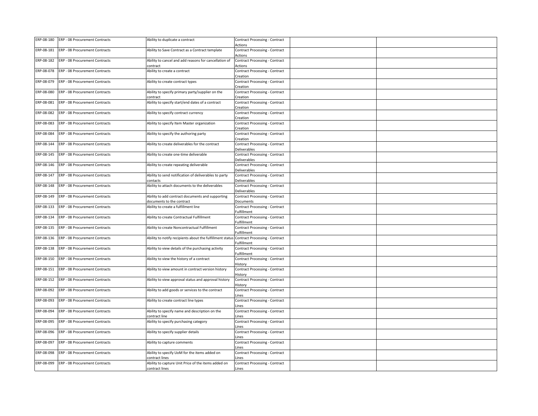| ERP-08-180 | ERP - 08 Procurement Contracts        | Ability to duplicate a contract                                 | Contract Processing - Contract                    |  |
|------------|---------------------------------------|-----------------------------------------------------------------|---------------------------------------------------|--|
|            |                                       |                                                                 | Actions                                           |  |
| ERP-08-181 | ERP - 08 Procurement Contracts        | Ability to Save Contract as a Contract template                 | <b>Contract Processing - Contract</b>             |  |
| ERP-08-182 | ERP - 08 Procurement Contracts        | Ability to cancel and add reasons for cancellation of           | Actions<br>Contract Processing - Contract         |  |
|            |                                       | contract                                                        | Actions                                           |  |
| ERP-08-078 | ERP - 08 Procurement Contracts        | Ability to create a contract                                    | <b>Contract Processing - Contract</b>             |  |
|            |                                       |                                                                 | Creation                                          |  |
| ERP-08-079 | ERP - 08 Procurement Contracts        | Ability to create contract types                                | Contract Processing - Contract                    |  |
|            |                                       |                                                                 | Creation                                          |  |
| ERP-08-080 | ERP - 08 Procurement Contracts        | Ability to specify primary party/supplier on the                | Contract Processing - Contract                    |  |
|            |                                       | contract                                                        | Creation                                          |  |
| ERP-08-081 | ERP - 08 Procurement Contracts        | Ability to specify start/end dates of a contract                | <b>Contract Processing - Contract</b><br>Creation |  |
| ERP-08-082 | ERP - 08 Procurement Contracts        | Ability to specify contract currency                            | Contract Processing - Contract                    |  |
|            |                                       |                                                                 | Creation                                          |  |
| ERP-08-083 | ERP - 08 Procurement Contracts        | Ability to specify Item Master organization                     | Contract Processing - Contract                    |  |
|            |                                       |                                                                 | Creation                                          |  |
| ERP-08-084 | ERP - 08 Procurement Contracts        | Ability to specify the authoring party                          | Contract Processing - Contract                    |  |
|            |                                       |                                                                 | Creation                                          |  |
| ERP-08-144 | ERP - 08 Procurement Contracts        | Ability to create deliverables for the contract                 | Contract Processing - Contract                    |  |
|            |                                       |                                                                 | Deliverables                                      |  |
| ERP-08-145 | ERP - 08 Procurement Contracts        | Ability to create one-time deliverable                          | Contract Processing - Contract<br>Deliverables    |  |
| ERP-08-146 | ERP - 08 Procurement Contracts        | Ability to create repeating deliverable                         | Contract Processing - Contract                    |  |
|            |                                       |                                                                 | Deliverables                                      |  |
| ERP-08-147 | ERP - 08 Procurement Contracts        | Ability to send notification of deliverables to party           | <b>Contract Processing - Contract</b>             |  |
|            |                                       | contacts                                                        | Deliverables                                      |  |
| ERP-08-148 | ERP - 08 Procurement Contracts        | Ability to attach documents to the deliverables                 | Contract Processing - Contract                    |  |
|            |                                       |                                                                 | Deliverables                                      |  |
| ERP-08-149 | ERP - 08 Procurement Contracts        | Ability to add contract documents and supporting                | Contract Processing - Contract                    |  |
|            |                                       | documents to the contract                                       | Documents                                         |  |
| ERP-08-133 | ERP - 08 Procurement Contracts        | Ability to create a fulfillment line                            | Contract Processing - Contract<br>Fulfillment     |  |
| ERP-08-134 | ERP - 08 Procurement Contracts        | Ability to create Contractual Fulfillment                       | Contract Processing - Contract                    |  |
|            |                                       |                                                                 | Fulfillment                                       |  |
| ERP-08-135 | ERP - 08 Procurement Contracts        | Ability to create Noncontractual Fulfillment                    | Contract Processing - Contract                    |  |
|            |                                       |                                                                 | Fulfillment                                       |  |
| ERP-08-136 | ERP - 08 Procurement Contracts        | Ability to notify recipients about the fulfillment statu        | <b>Contract Processing - Contract</b>             |  |
|            |                                       |                                                                 | Fulfillment                                       |  |
| ERP-08-138 | ERP - 08 Procurement Contracts        | Ability to view details of the purchasing activity              | Contract Processing - Contract                    |  |
| ERP-08-150 | ERP - 08 Procurement Contracts        | Ability to view the history of a contract                       | Fulfillment<br>Contract Processing - Contract     |  |
|            |                                       |                                                                 | History                                           |  |
| ERP-08-151 | ERP - 08 Procurement Contracts        | Ability to view amount in contract version history              | <b>Contract Processing - Contract</b>             |  |
|            |                                       |                                                                 | History                                           |  |
| ERP-08-152 | ERP - 08 Procurement Contracts        | Ability to view approval status and approval history            | Contract Processing - Contract                    |  |
|            |                                       |                                                                 | History                                           |  |
| ERP-08-092 | ERP - 08 Procurement Contracts        | Ability to add goods or services to the contract                | Contract Processing - Contract                    |  |
|            |                                       |                                                                 | Lines                                             |  |
| ERP-08-093 | <b>ERP - 08 Procurement Contracts</b> | Ability to create contract line types                           | Contract Processing - Contract                    |  |
| ERP-08-094 | ERP - 08 Procurement Contracts        | Ability to specify name and description on the                  | .ines<br>Contract Processing - Contract           |  |
|            |                                       | contract line                                                   | .ines                                             |  |
| ERP-08-095 | ERP - 08 Procurement Contracts        | Ability to specify purchasing category                          | Contract Processing - Contract                    |  |
|            |                                       |                                                                 | Lines                                             |  |
| ERP-08-096 | ERP - 08 Procurement Contracts        | Ability to specify supplier details                             | Contract Processing - Contract                    |  |
|            |                                       |                                                                 | Lines                                             |  |
| ERP-08-097 | ERP - 08 Procurement Contracts        | Ability to capture comments                                     | Contract Processing - Contract                    |  |
|            |                                       |                                                                 | Lines                                             |  |
| ERP-08-098 | ERP - 08 Procurement Contracts        | Ability to specify UoM for the items added on<br>contract lines | Contract Processing - Contract<br>.ines           |  |
| ERP-08-099 | <b>ERP - 08 Procurement Contracts</b> | Ability to capture Unit Price of the items added on             | <b>Contract Processing - Contract</b>             |  |
|            |                                       | contract lines                                                  | Lines                                             |  |
|            |                                       |                                                                 |                                                   |  |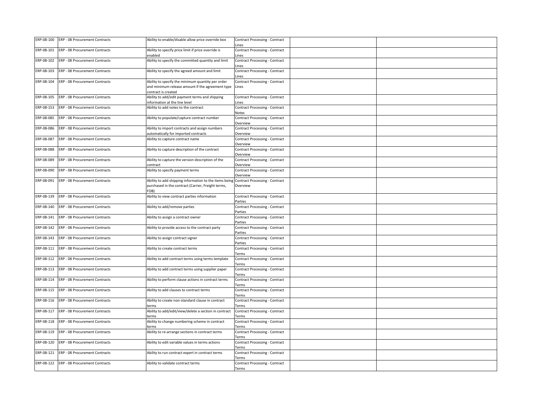| Ability to specify price limit if price override is<br>ERP-08-101<br>ERP - 08 Procurement Contracts<br>Contract Processing - Contract<br>enabled<br>Lines<br>Ability to specify the committed quantity and limit<br>ERP-08-102<br>ERP - 08 Procurement Contracts<br>Contract Processing - Contract<br>Lines<br>ERP-08-103<br>ERP - 08 Procurement Contracts<br>Ability to specify the agreed amount and limit<br><b>Contract Processing - Contract</b><br>.ines<br>ERP-08-104<br>ERP - 08 Procurement Contracts<br>Ability to specify the minimum quantity per order<br>Contract Processing - Contract<br>and minimum release amount if the agreement type<br>Lines<br>contract is created<br>ERP-08-105<br>ERP - 08 Procurement Contracts<br>Ability to add/edit payment terms and shipping<br>Contract Processing - Contract<br>information at the line level<br>Lines<br>ERP-08-153<br>ERP - 08 Procurement Contracts<br>Ability to add notes to the contract<br>Contract Processing - Contract<br>Notes<br>ERP-08-085<br>ERP - 08 Procurement Contracts<br>Ability to populate/capture contract number<br>Contract Processing - Contract<br>Overview<br>ERP-08-086<br>ERP - 08 Procurement Contracts<br>Ability to import contracts and assign numbers<br>Contract Processing - Contract<br>automatically for imported contracts<br>Overview<br>ERP-08-087<br>ERP - 08 Procurement Contracts<br>Ability to capture contract name<br>Contract Processing - Contract<br>Overview<br>ERP-08-088<br>ERP - 08 Procurement Contracts<br>Ability to capture description of the contract<br>Contract Processing - Contract<br>Overview<br>ERP-08-089<br>Ability to capture the version description of the<br>ERP - 08 Procurement Contracts<br>Contract Processing - Contract<br>contract<br>Overview<br>Ability to specify payment terms<br>ERP-08-090<br>ERP - 08 Procurement Contracts<br>Contract Processing - Contract<br>Overview<br>ERP-08-091<br>ERP - 08 Procurement Contracts<br>Ability to add shipping information to the items being<br><b>Contract Processing - Contract</b><br>purchased in the contract (Carrier, Freight terms,<br>Overview<br>FOB)<br>ERP-08-139<br>Ability to view contract parties information<br>ERP - 08 Procurement Contracts<br><b>Contract Processing - Contract</b><br>Parties<br>Ability to add/remove parties<br>ERP-08-140<br>ERP - 08 Procurement Contracts<br>Contract Processing - Contract<br>Parties<br>ERP-08-141<br>ERP - 08 Procurement Contracts<br><b>Contract Processing - Contract</b><br>Ability to assign a contract owner<br>Parties<br>ERP-08-142<br>ERP - 08 Procurement Contracts<br>Ability to provide access to the contract party<br>Contract Processing - Contract<br>Parties<br>ERP - 08 Procurement Contracts<br>Contract Processing - Contract<br>ERP-08-143<br>Ability to assign contract signer<br>Parties<br>ERP-08-111<br>Contract Processing - Contract<br>ERP - 08 Procurement Contracts<br>Ability to create contract terms<br>Terms<br>ERP-08-112<br>ERP - 08 Procurement Contracts<br>Ability to add contract terms using terms template<br>Contract Processing - Contract<br>Terms<br>ERP - 08 Procurement Contracts<br>Contract Processing - Contract<br>ERP-08-113<br>Ability to add contract terms using supplier paper<br>Terms<br>ERP-08-114<br>ERP - 08 Procurement Contracts<br>Ability to perform clause actions in contract terms<br>Contract Processing - Contract<br>Terms<br>ERP-08-115<br>ERP - 08 Procurement Contracts<br>Ability to add clauses to contract terms<br>Contract Processing - Contract<br>Terms<br>ERP-08-116<br>ERP - 08 Procurement Contracts<br>Ability to create non-standard clause in contract<br><b>Contract Processing - Contract</b><br>Terms<br>erms<br>ERP-08-117<br>Ability to add/edit/view/delete a section in contract<br>ERP - 08 Procurement Contracts<br><b>Contract Processing - Contract</b><br>terms<br>Terms<br>ERP-08-118<br>ERP - 08 Procurement Contracts<br>Ability to change numbering scheme in contract<br>Contract Processing - Contract<br>Terms<br>erms<br>ERP-08-119<br>ERP - 08 Procurement Contracts<br>Ability to re-arrange sections in contract terms<br>Contract Processing - Contract<br>Terms<br>ERP-08-120<br>ERP - 08 Procurement Contracts<br>Ability to edit variable values in terms actions<br>Contract Processing - Contract<br>Terms<br>ERP-08-121<br>ERP - 08 Procurement Contracts<br>Ability to run contract expert in contract terms<br>Contract Processing - Contract<br>Terms<br>ERP-08-122<br>ERP - 08 Procurement Contracts<br>Ability to validate contract terms<br><b>Contract Processing - Contract</b><br>Terms | ERP-08-100 | ERP - 08 Procurement Contracts | Ability to enable/disable allow price override box | Contract Processing - Contract<br>.ines |  |
|---------------------------------------------------------------------------------------------------------------------------------------------------------------------------------------------------------------------------------------------------------------------------------------------------------------------------------------------------------------------------------------------------------------------------------------------------------------------------------------------------------------------------------------------------------------------------------------------------------------------------------------------------------------------------------------------------------------------------------------------------------------------------------------------------------------------------------------------------------------------------------------------------------------------------------------------------------------------------------------------------------------------------------------------------------------------------------------------------------------------------------------------------------------------------------------------------------------------------------------------------------------------------------------------------------------------------------------------------------------------------------------------------------------------------------------------------------------------------------------------------------------------------------------------------------------------------------------------------------------------------------------------------------------------------------------------------------------------------------------------------------------------------------------------------------------------------------------------------------------------------------------------------------------------------------------------------------------------------------------------------------------------------------------------------------------------------------------------------------------------------------------------------------------------------------------------------------------------------------------------------------------------------------------------------------------------------------------------------------------------------------------------------------------------------------------------------------------------------------------------------------------------------------------------------------------------------------------------------------------------------------------------------------------------------------------------------------------------------------------------------------------------------------------------------------------------------------------------------------------------------------------------------------------------------------------------------------------------------------------------------------------------------------------------------------------------------------------------------------------------------------------------------------------------------------------------------------------------------------------------------------------------------------------------------------------------------------------------------------------------------------------------------------------------------------------------------------------------------------------------------------------------------------------------------------------------------------------------------------------------------------------------------------------------------------------------------------------------------------------------------------------------------------------------------------------------------------------------------------------------------------------------------------------------------------------------------------------------------------------------------------------------------------------------------------------------------------------------------------------------------------------------------------------------------------------------------------------------------------------------------------------------------------------------------------------------------------------------------------------------------------------------------------------------------------------------------------------------------------------------------------------------------------------------------------------------------------------------------------------------------------------------------------------------------------------|------------|--------------------------------|----------------------------------------------------|-----------------------------------------|--|
|                                                                                                                                                                                                                                                                                                                                                                                                                                                                                                                                                                                                                                                                                                                                                                                                                                                                                                                                                                                                                                                                                                                                                                                                                                                                                                                                                                                                                                                                                                                                                                                                                                                                                                                                                                                                                                                                                                                                                                                                                                                                                                                                                                                                                                                                                                                                                                                                                                                                                                                                                                                                                                                                                                                                                                                                                                                                                                                                                                                                                                                                                                                                                                                                                                                                                                                                                                                                                                                                                                                                                                                                                                                                                                                                                                                                                                                                                                                                                                                                                                                                                                                                                                                                                                                                                                                                                                                                                                                                                                                                                                                                                                                                                       |            |                                |                                                    |                                         |  |
|                                                                                                                                                                                                                                                                                                                                                                                                                                                                                                                                                                                                                                                                                                                                                                                                                                                                                                                                                                                                                                                                                                                                                                                                                                                                                                                                                                                                                                                                                                                                                                                                                                                                                                                                                                                                                                                                                                                                                                                                                                                                                                                                                                                                                                                                                                                                                                                                                                                                                                                                                                                                                                                                                                                                                                                                                                                                                                                                                                                                                                                                                                                                                                                                                                                                                                                                                                                                                                                                                                                                                                                                                                                                                                                                                                                                                                                                                                                                                                                                                                                                                                                                                                                                                                                                                                                                                                                                                                                                                                                                                                                                                                                                                       |            |                                |                                                    |                                         |  |
|                                                                                                                                                                                                                                                                                                                                                                                                                                                                                                                                                                                                                                                                                                                                                                                                                                                                                                                                                                                                                                                                                                                                                                                                                                                                                                                                                                                                                                                                                                                                                                                                                                                                                                                                                                                                                                                                                                                                                                                                                                                                                                                                                                                                                                                                                                                                                                                                                                                                                                                                                                                                                                                                                                                                                                                                                                                                                                                                                                                                                                                                                                                                                                                                                                                                                                                                                                                                                                                                                                                                                                                                                                                                                                                                                                                                                                                                                                                                                                                                                                                                                                                                                                                                                                                                                                                                                                                                                                                                                                                                                                                                                                                                                       |            |                                |                                                    |                                         |  |
|                                                                                                                                                                                                                                                                                                                                                                                                                                                                                                                                                                                                                                                                                                                                                                                                                                                                                                                                                                                                                                                                                                                                                                                                                                                                                                                                                                                                                                                                                                                                                                                                                                                                                                                                                                                                                                                                                                                                                                                                                                                                                                                                                                                                                                                                                                                                                                                                                                                                                                                                                                                                                                                                                                                                                                                                                                                                                                                                                                                                                                                                                                                                                                                                                                                                                                                                                                                                                                                                                                                                                                                                                                                                                                                                                                                                                                                                                                                                                                                                                                                                                                                                                                                                                                                                                                                                                                                                                                                                                                                                                                                                                                                                                       |            |                                |                                                    |                                         |  |
|                                                                                                                                                                                                                                                                                                                                                                                                                                                                                                                                                                                                                                                                                                                                                                                                                                                                                                                                                                                                                                                                                                                                                                                                                                                                                                                                                                                                                                                                                                                                                                                                                                                                                                                                                                                                                                                                                                                                                                                                                                                                                                                                                                                                                                                                                                                                                                                                                                                                                                                                                                                                                                                                                                                                                                                                                                                                                                                                                                                                                                                                                                                                                                                                                                                                                                                                                                                                                                                                                                                                                                                                                                                                                                                                                                                                                                                                                                                                                                                                                                                                                                                                                                                                                                                                                                                                                                                                                                                                                                                                                                                                                                                                                       |            |                                |                                                    |                                         |  |
|                                                                                                                                                                                                                                                                                                                                                                                                                                                                                                                                                                                                                                                                                                                                                                                                                                                                                                                                                                                                                                                                                                                                                                                                                                                                                                                                                                                                                                                                                                                                                                                                                                                                                                                                                                                                                                                                                                                                                                                                                                                                                                                                                                                                                                                                                                                                                                                                                                                                                                                                                                                                                                                                                                                                                                                                                                                                                                                                                                                                                                                                                                                                                                                                                                                                                                                                                                                                                                                                                                                                                                                                                                                                                                                                                                                                                                                                                                                                                                                                                                                                                                                                                                                                                                                                                                                                                                                                                                                                                                                                                                                                                                                                                       |            |                                |                                                    |                                         |  |
|                                                                                                                                                                                                                                                                                                                                                                                                                                                                                                                                                                                                                                                                                                                                                                                                                                                                                                                                                                                                                                                                                                                                                                                                                                                                                                                                                                                                                                                                                                                                                                                                                                                                                                                                                                                                                                                                                                                                                                                                                                                                                                                                                                                                                                                                                                                                                                                                                                                                                                                                                                                                                                                                                                                                                                                                                                                                                                                                                                                                                                                                                                                                                                                                                                                                                                                                                                                                                                                                                                                                                                                                                                                                                                                                                                                                                                                                                                                                                                                                                                                                                                                                                                                                                                                                                                                                                                                                                                                                                                                                                                                                                                                                                       |            |                                |                                                    |                                         |  |
|                                                                                                                                                                                                                                                                                                                                                                                                                                                                                                                                                                                                                                                                                                                                                                                                                                                                                                                                                                                                                                                                                                                                                                                                                                                                                                                                                                                                                                                                                                                                                                                                                                                                                                                                                                                                                                                                                                                                                                                                                                                                                                                                                                                                                                                                                                                                                                                                                                                                                                                                                                                                                                                                                                                                                                                                                                                                                                                                                                                                                                                                                                                                                                                                                                                                                                                                                                                                                                                                                                                                                                                                                                                                                                                                                                                                                                                                                                                                                                                                                                                                                                                                                                                                                                                                                                                                                                                                                                                                                                                                                                                                                                                                                       |            |                                |                                                    |                                         |  |
|                                                                                                                                                                                                                                                                                                                                                                                                                                                                                                                                                                                                                                                                                                                                                                                                                                                                                                                                                                                                                                                                                                                                                                                                                                                                                                                                                                                                                                                                                                                                                                                                                                                                                                                                                                                                                                                                                                                                                                                                                                                                                                                                                                                                                                                                                                                                                                                                                                                                                                                                                                                                                                                                                                                                                                                                                                                                                                                                                                                                                                                                                                                                                                                                                                                                                                                                                                                                                                                                                                                                                                                                                                                                                                                                                                                                                                                                                                                                                                                                                                                                                                                                                                                                                                                                                                                                                                                                                                                                                                                                                                                                                                                                                       |            |                                |                                                    |                                         |  |
|                                                                                                                                                                                                                                                                                                                                                                                                                                                                                                                                                                                                                                                                                                                                                                                                                                                                                                                                                                                                                                                                                                                                                                                                                                                                                                                                                                                                                                                                                                                                                                                                                                                                                                                                                                                                                                                                                                                                                                                                                                                                                                                                                                                                                                                                                                                                                                                                                                                                                                                                                                                                                                                                                                                                                                                                                                                                                                                                                                                                                                                                                                                                                                                                                                                                                                                                                                                                                                                                                                                                                                                                                                                                                                                                                                                                                                                                                                                                                                                                                                                                                                                                                                                                                                                                                                                                                                                                                                                                                                                                                                                                                                                                                       |            |                                |                                                    |                                         |  |
|                                                                                                                                                                                                                                                                                                                                                                                                                                                                                                                                                                                                                                                                                                                                                                                                                                                                                                                                                                                                                                                                                                                                                                                                                                                                                                                                                                                                                                                                                                                                                                                                                                                                                                                                                                                                                                                                                                                                                                                                                                                                                                                                                                                                                                                                                                                                                                                                                                                                                                                                                                                                                                                                                                                                                                                                                                                                                                                                                                                                                                                                                                                                                                                                                                                                                                                                                                                                                                                                                                                                                                                                                                                                                                                                                                                                                                                                                                                                                                                                                                                                                                                                                                                                                                                                                                                                                                                                                                                                                                                                                                                                                                                                                       |            |                                |                                                    |                                         |  |
|                                                                                                                                                                                                                                                                                                                                                                                                                                                                                                                                                                                                                                                                                                                                                                                                                                                                                                                                                                                                                                                                                                                                                                                                                                                                                                                                                                                                                                                                                                                                                                                                                                                                                                                                                                                                                                                                                                                                                                                                                                                                                                                                                                                                                                                                                                                                                                                                                                                                                                                                                                                                                                                                                                                                                                                                                                                                                                                                                                                                                                                                                                                                                                                                                                                                                                                                                                                                                                                                                                                                                                                                                                                                                                                                                                                                                                                                                                                                                                                                                                                                                                                                                                                                                                                                                                                                                                                                                                                                                                                                                                                                                                                                                       |            |                                |                                                    |                                         |  |
|                                                                                                                                                                                                                                                                                                                                                                                                                                                                                                                                                                                                                                                                                                                                                                                                                                                                                                                                                                                                                                                                                                                                                                                                                                                                                                                                                                                                                                                                                                                                                                                                                                                                                                                                                                                                                                                                                                                                                                                                                                                                                                                                                                                                                                                                                                                                                                                                                                                                                                                                                                                                                                                                                                                                                                                                                                                                                                                                                                                                                                                                                                                                                                                                                                                                                                                                                                                                                                                                                                                                                                                                                                                                                                                                                                                                                                                                                                                                                                                                                                                                                                                                                                                                                                                                                                                                                                                                                                                                                                                                                                                                                                                                                       |            |                                |                                                    |                                         |  |
|                                                                                                                                                                                                                                                                                                                                                                                                                                                                                                                                                                                                                                                                                                                                                                                                                                                                                                                                                                                                                                                                                                                                                                                                                                                                                                                                                                                                                                                                                                                                                                                                                                                                                                                                                                                                                                                                                                                                                                                                                                                                                                                                                                                                                                                                                                                                                                                                                                                                                                                                                                                                                                                                                                                                                                                                                                                                                                                                                                                                                                                                                                                                                                                                                                                                                                                                                                                                                                                                                                                                                                                                                                                                                                                                                                                                                                                                                                                                                                                                                                                                                                                                                                                                                                                                                                                                                                                                                                                                                                                                                                                                                                                                                       |            |                                |                                                    |                                         |  |
|                                                                                                                                                                                                                                                                                                                                                                                                                                                                                                                                                                                                                                                                                                                                                                                                                                                                                                                                                                                                                                                                                                                                                                                                                                                                                                                                                                                                                                                                                                                                                                                                                                                                                                                                                                                                                                                                                                                                                                                                                                                                                                                                                                                                                                                                                                                                                                                                                                                                                                                                                                                                                                                                                                                                                                                                                                                                                                                                                                                                                                                                                                                                                                                                                                                                                                                                                                                                                                                                                                                                                                                                                                                                                                                                                                                                                                                                                                                                                                                                                                                                                                                                                                                                                                                                                                                                                                                                                                                                                                                                                                                                                                                                                       |            |                                |                                                    |                                         |  |
|                                                                                                                                                                                                                                                                                                                                                                                                                                                                                                                                                                                                                                                                                                                                                                                                                                                                                                                                                                                                                                                                                                                                                                                                                                                                                                                                                                                                                                                                                                                                                                                                                                                                                                                                                                                                                                                                                                                                                                                                                                                                                                                                                                                                                                                                                                                                                                                                                                                                                                                                                                                                                                                                                                                                                                                                                                                                                                                                                                                                                                                                                                                                                                                                                                                                                                                                                                                                                                                                                                                                                                                                                                                                                                                                                                                                                                                                                                                                                                                                                                                                                                                                                                                                                                                                                                                                                                                                                                                                                                                                                                                                                                                                                       |            |                                |                                                    |                                         |  |
|                                                                                                                                                                                                                                                                                                                                                                                                                                                                                                                                                                                                                                                                                                                                                                                                                                                                                                                                                                                                                                                                                                                                                                                                                                                                                                                                                                                                                                                                                                                                                                                                                                                                                                                                                                                                                                                                                                                                                                                                                                                                                                                                                                                                                                                                                                                                                                                                                                                                                                                                                                                                                                                                                                                                                                                                                                                                                                                                                                                                                                                                                                                                                                                                                                                                                                                                                                                                                                                                                                                                                                                                                                                                                                                                                                                                                                                                                                                                                                                                                                                                                                                                                                                                                                                                                                                                                                                                                                                                                                                                                                                                                                                                                       |            |                                |                                                    |                                         |  |
|                                                                                                                                                                                                                                                                                                                                                                                                                                                                                                                                                                                                                                                                                                                                                                                                                                                                                                                                                                                                                                                                                                                                                                                                                                                                                                                                                                                                                                                                                                                                                                                                                                                                                                                                                                                                                                                                                                                                                                                                                                                                                                                                                                                                                                                                                                                                                                                                                                                                                                                                                                                                                                                                                                                                                                                                                                                                                                                                                                                                                                                                                                                                                                                                                                                                                                                                                                                                                                                                                                                                                                                                                                                                                                                                                                                                                                                                                                                                                                                                                                                                                                                                                                                                                                                                                                                                                                                                                                                                                                                                                                                                                                                                                       |            |                                |                                                    |                                         |  |
|                                                                                                                                                                                                                                                                                                                                                                                                                                                                                                                                                                                                                                                                                                                                                                                                                                                                                                                                                                                                                                                                                                                                                                                                                                                                                                                                                                                                                                                                                                                                                                                                                                                                                                                                                                                                                                                                                                                                                                                                                                                                                                                                                                                                                                                                                                                                                                                                                                                                                                                                                                                                                                                                                                                                                                                                                                                                                                                                                                                                                                                                                                                                                                                                                                                                                                                                                                                                                                                                                                                                                                                                                                                                                                                                                                                                                                                                                                                                                                                                                                                                                                                                                                                                                                                                                                                                                                                                                                                                                                                                                                                                                                                                                       |            |                                |                                                    |                                         |  |
|                                                                                                                                                                                                                                                                                                                                                                                                                                                                                                                                                                                                                                                                                                                                                                                                                                                                                                                                                                                                                                                                                                                                                                                                                                                                                                                                                                                                                                                                                                                                                                                                                                                                                                                                                                                                                                                                                                                                                                                                                                                                                                                                                                                                                                                                                                                                                                                                                                                                                                                                                                                                                                                                                                                                                                                                                                                                                                                                                                                                                                                                                                                                                                                                                                                                                                                                                                                                                                                                                                                                                                                                                                                                                                                                                                                                                                                                                                                                                                                                                                                                                                                                                                                                                                                                                                                                                                                                                                                                                                                                                                                                                                                                                       |            |                                |                                                    |                                         |  |
|                                                                                                                                                                                                                                                                                                                                                                                                                                                                                                                                                                                                                                                                                                                                                                                                                                                                                                                                                                                                                                                                                                                                                                                                                                                                                                                                                                                                                                                                                                                                                                                                                                                                                                                                                                                                                                                                                                                                                                                                                                                                                                                                                                                                                                                                                                                                                                                                                                                                                                                                                                                                                                                                                                                                                                                                                                                                                                                                                                                                                                                                                                                                                                                                                                                                                                                                                                                                                                                                                                                                                                                                                                                                                                                                                                                                                                                                                                                                                                                                                                                                                                                                                                                                                                                                                                                                                                                                                                                                                                                                                                                                                                                                                       |            |                                |                                                    |                                         |  |
|                                                                                                                                                                                                                                                                                                                                                                                                                                                                                                                                                                                                                                                                                                                                                                                                                                                                                                                                                                                                                                                                                                                                                                                                                                                                                                                                                                                                                                                                                                                                                                                                                                                                                                                                                                                                                                                                                                                                                                                                                                                                                                                                                                                                                                                                                                                                                                                                                                                                                                                                                                                                                                                                                                                                                                                                                                                                                                                                                                                                                                                                                                                                                                                                                                                                                                                                                                                                                                                                                                                                                                                                                                                                                                                                                                                                                                                                                                                                                                                                                                                                                                                                                                                                                                                                                                                                                                                                                                                                                                                                                                                                                                                                                       |            |                                |                                                    |                                         |  |
|                                                                                                                                                                                                                                                                                                                                                                                                                                                                                                                                                                                                                                                                                                                                                                                                                                                                                                                                                                                                                                                                                                                                                                                                                                                                                                                                                                                                                                                                                                                                                                                                                                                                                                                                                                                                                                                                                                                                                                                                                                                                                                                                                                                                                                                                                                                                                                                                                                                                                                                                                                                                                                                                                                                                                                                                                                                                                                                                                                                                                                                                                                                                                                                                                                                                                                                                                                                                                                                                                                                                                                                                                                                                                                                                                                                                                                                                                                                                                                                                                                                                                                                                                                                                                                                                                                                                                                                                                                                                                                                                                                                                                                                                                       |            |                                |                                                    |                                         |  |
|                                                                                                                                                                                                                                                                                                                                                                                                                                                                                                                                                                                                                                                                                                                                                                                                                                                                                                                                                                                                                                                                                                                                                                                                                                                                                                                                                                                                                                                                                                                                                                                                                                                                                                                                                                                                                                                                                                                                                                                                                                                                                                                                                                                                                                                                                                                                                                                                                                                                                                                                                                                                                                                                                                                                                                                                                                                                                                                                                                                                                                                                                                                                                                                                                                                                                                                                                                                                                                                                                                                                                                                                                                                                                                                                                                                                                                                                                                                                                                                                                                                                                                                                                                                                                                                                                                                                                                                                                                                                                                                                                                                                                                                                                       |            |                                |                                                    |                                         |  |
|                                                                                                                                                                                                                                                                                                                                                                                                                                                                                                                                                                                                                                                                                                                                                                                                                                                                                                                                                                                                                                                                                                                                                                                                                                                                                                                                                                                                                                                                                                                                                                                                                                                                                                                                                                                                                                                                                                                                                                                                                                                                                                                                                                                                                                                                                                                                                                                                                                                                                                                                                                                                                                                                                                                                                                                                                                                                                                                                                                                                                                                                                                                                                                                                                                                                                                                                                                                                                                                                                                                                                                                                                                                                                                                                                                                                                                                                                                                                                                                                                                                                                                                                                                                                                                                                                                                                                                                                                                                                                                                                                                                                                                                                                       |            |                                |                                                    |                                         |  |
|                                                                                                                                                                                                                                                                                                                                                                                                                                                                                                                                                                                                                                                                                                                                                                                                                                                                                                                                                                                                                                                                                                                                                                                                                                                                                                                                                                                                                                                                                                                                                                                                                                                                                                                                                                                                                                                                                                                                                                                                                                                                                                                                                                                                                                                                                                                                                                                                                                                                                                                                                                                                                                                                                                                                                                                                                                                                                                                                                                                                                                                                                                                                                                                                                                                                                                                                                                                                                                                                                                                                                                                                                                                                                                                                                                                                                                                                                                                                                                                                                                                                                                                                                                                                                                                                                                                                                                                                                                                                                                                                                                                                                                                                                       |            |                                |                                                    |                                         |  |
|                                                                                                                                                                                                                                                                                                                                                                                                                                                                                                                                                                                                                                                                                                                                                                                                                                                                                                                                                                                                                                                                                                                                                                                                                                                                                                                                                                                                                                                                                                                                                                                                                                                                                                                                                                                                                                                                                                                                                                                                                                                                                                                                                                                                                                                                                                                                                                                                                                                                                                                                                                                                                                                                                                                                                                                                                                                                                                                                                                                                                                                                                                                                                                                                                                                                                                                                                                                                                                                                                                                                                                                                                                                                                                                                                                                                                                                                                                                                                                                                                                                                                                                                                                                                                                                                                                                                                                                                                                                                                                                                                                                                                                                                                       |            |                                |                                                    |                                         |  |
|                                                                                                                                                                                                                                                                                                                                                                                                                                                                                                                                                                                                                                                                                                                                                                                                                                                                                                                                                                                                                                                                                                                                                                                                                                                                                                                                                                                                                                                                                                                                                                                                                                                                                                                                                                                                                                                                                                                                                                                                                                                                                                                                                                                                                                                                                                                                                                                                                                                                                                                                                                                                                                                                                                                                                                                                                                                                                                                                                                                                                                                                                                                                                                                                                                                                                                                                                                                                                                                                                                                                                                                                                                                                                                                                                                                                                                                                                                                                                                                                                                                                                                                                                                                                                                                                                                                                                                                                                                                                                                                                                                                                                                                                                       |            |                                |                                                    |                                         |  |
|                                                                                                                                                                                                                                                                                                                                                                                                                                                                                                                                                                                                                                                                                                                                                                                                                                                                                                                                                                                                                                                                                                                                                                                                                                                                                                                                                                                                                                                                                                                                                                                                                                                                                                                                                                                                                                                                                                                                                                                                                                                                                                                                                                                                                                                                                                                                                                                                                                                                                                                                                                                                                                                                                                                                                                                                                                                                                                                                                                                                                                                                                                                                                                                                                                                                                                                                                                                                                                                                                                                                                                                                                                                                                                                                                                                                                                                                                                                                                                                                                                                                                                                                                                                                                                                                                                                                                                                                                                                                                                                                                                                                                                                                                       |            |                                |                                                    |                                         |  |
|                                                                                                                                                                                                                                                                                                                                                                                                                                                                                                                                                                                                                                                                                                                                                                                                                                                                                                                                                                                                                                                                                                                                                                                                                                                                                                                                                                                                                                                                                                                                                                                                                                                                                                                                                                                                                                                                                                                                                                                                                                                                                                                                                                                                                                                                                                                                                                                                                                                                                                                                                                                                                                                                                                                                                                                                                                                                                                                                                                                                                                                                                                                                                                                                                                                                                                                                                                                                                                                                                                                                                                                                                                                                                                                                                                                                                                                                                                                                                                                                                                                                                                                                                                                                                                                                                                                                                                                                                                                                                                                                                                                                                                                                                       |            |                                |                                                    |                                         |  |
|                                                                                                                                                                                                                                                                                                                                                                                                                                                                                                                                                                                                                                                                                                                                                                                                                                                                                                                                                                                                                                                                                                                                                                                                                                                                                                                                                                                                                                                                                                                                                                                                                                                                                                                                                                                                                                                                                                                                                                                                                                                                                                                                                                                                                                                                                                                                                                                                                                                                                                                                                                                                                                                                                                                                                                                                                                                                                                                                                                                                                                                                                                                                                                                                                                                                                                                                                                                                                                                                                                                                                                                                                                                                                                                                                                                                                                                                                                                                                                                                                                                                                                                                                                                                                                                                                                                                                                                                                                                                                                                                                                                                                                                                                       |            |                                |                                                    |                                         |  |
|                                                                                                                                                                                                                                                                                                                                                                                                                                                                                                                                                                                                                                                                                                                                                                                                                                                                                                                                                                                                                                                                                                                                                                                                                                                                                                                                                                                                                                                                                                                                                                                                                                                                                                                                                                                                                                                                                                                                                                                                                                                                                                                                                                                                                                                                                                                                                                                                                                                                                                                                                                                                                                                                                                                                                                                                                                                                                                                                                                                                                                                                                                                                                                                                                                                                                                                                                                                                                                                                                                                                                                                                                                                                                                                                                                                                                                                                                                                                                                                                                                                                                                                                                                                                                                                                                                                                                                                                                                                                                                                                                                                                                                                                                       |            |                                |                                                    |                                         |  |
|                                                                                                                                                                                                                                                                                                                                                                                                                                                                                                                                                                                                                                                                                                                                                                                                                                                                                                                                                                                                                                                                                                                                                                                                                                                                                                                                                                                                                                                                                                                                                                                                                                                                                                                                                                                                                                                                                                                                                                                                                                                                                                                                                                                                                                                                                                                                                                                                                                                                                                                                                                                                                                                                                                                                                                                                                                                                                                                                                                                                                                                                                                                                                                                                                                                                                                                                                                                                                                                                                                                                                                                                                                                                                                                                                                                                                                                                                                                                                                                                                                                                                                                                                                                                                                                                                                                                                                                                                                                                                                                                                                                                                                                                                       |            |                                |                                                    |                                         |  |
|                                                                                                                                                                                                                                                                                                                                                                                                                                                                                                                                                                                                                                                                                                                                                                                                                                                                                                                                                                                                                                                                                                                                                                                                                                                                                                                                                                                                                                                                                                                                                                                                                                                                                                                                                                                                                                                                                                                                                                                                                                                                                                                                                                                                                                                                                                                                                                                                                                                                                                                                                                                                                                                                                                                                                                                                                                                                                                                                                                                                                                                                                                                                                                                                                                                                                                                                                                                                                                                                                                                                                                                                                                                                                                                                                                                                                                                                                                                                                                                                                                                                                                                                                                                                                                                                                                                                                                                                                                                                                                                                                                                                                                                                                       |            |                                |                                                    |                                         |  |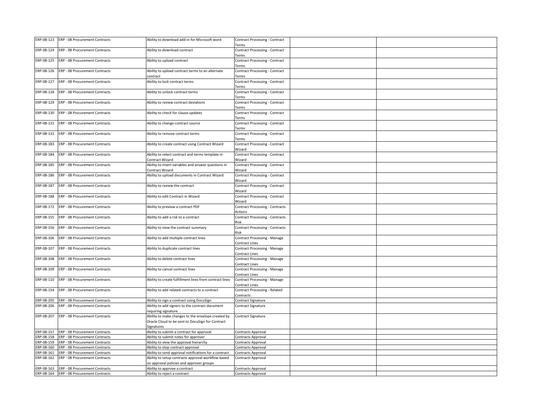| ERP-08-123               | ERP - 08 Procurement Contracts                                   | Ability to download add-in for Microsoft word                                                                        | Contract Processing - Contract                        |  |
|--------------------------|------------------------------------------------------------------|----------------------------------------------------------------------------------------------------------------------|-------------------------------------------------------|--|
| ERP-08-124               | ERP - 08 Procurement Contracts                                   | Ability to download contract                                                                                         | Terms<br><b>Contract Processing - Contract</b>        |  |
|                          |                                                                  |                                                                                                                      | Terms                                                 |  |
| ERP-08-125               | ERP - 08 Procurement Contracts                                   | Ability to upload contract                                                                                           | <b>Contract Processing - Contract</b><br>Terms        |  |
| ERP-08-126               | ERP - 08 Procurement Contracts                                   | Ability to upload contract terms to an alternate<br>contract                                                         | Contract Processing - Contract<br>Terms               |  |
| ERP-08-127               | ERP - 08 Procurement Contracts                                   | Ability to lock contract terms                                                                                       | Contract Processing - Contract<br>Terms               |  |
| ERP-08-128               | ERP - 08 Procurement Contracts                                   | Ability to unlock contract terms                                                                                     | Contract Processing - Contract<br>Terms               |  |
| ERP-08-129               | ERP - 08 Procurement Contracts                                   | Ability to review contract deviations                                                                                | Contract Processing - Contract<br>Terms               |  |
| ERP-08-130               | ERP - 08 Procurement Contracts                                   | Ability to check for clause updates                                                                                  | <b>Contract Processing - Contract</b>                 |  |
| ERP-08-131               | ERP - 08 Procurement Contracts                                   | Ability to change contract source                                                                                    | Terms<br>Contract Processing - Contract               |  |
| ERP-08-132               | ERP - 08 Procurement Contracts                                   | Ability to remove contract terms                                                                                     | Terms<br><b>Contract Processing - Contract</b>        |  |
| ERP-08-183               | ERP - 08 Procurement Contracts                                   | Ability to create contract using Contract Wizard                                                                     | Terms<br>Contract Processing - Contract               |  |
| ERP-08-184               | ERP - 08 Procurement Contracts                                   | Ability to select contract and terms template in                                                                     | Wizard<br>Contract Processing - Contract              |  |
| ERP-08-185               | ERP - 08 Procurement Contracts                                   | Contract Wizard<br>Ability to insert variables and answer questions in                                               | Wizard<br><b>Contract Processing - Contract</b>       |  |
|                          |                                                                  | Contract Wizard                                                                                                      | Wizard                                                |  |
| ERP-08-186               | ERP - 08 Procurement Contracts                                   | Ability to upload documents in Contract Wizard                                                                       | Contract Processing - Contract<br>Wizard              |  |
| ERP-08-187               | ERP - 08 Procurement Contracts                                   | Ability to review the contract                                                                                       | Contract Processing - Contract<br>Wizard              |  |
| ERP-08-188               | ERP - 08 Procurement Contracts                                   | Ability to edit Contract in Wizard                                                                                   | Contract Processing - Contract<br>Wizard              |  |
| ERP-08-172               | ERP - 08 Procurement Contracts                                   | Ability to preview a contract PDF                                                                                    | Contract Processing - Contracts<br>Actions            |  |
| ERP-08-155               | ERP - 08 Procurement Contracts                                   | Ability to add a risk to a contract                                                                                  | <b>Contract Processing - Contracts</b><br>Risk        |  |
| ERP-08-156               | ERP - 08 Procurement Contracts                                   | Ability to view the contract summary                                                                                 | <b>Contract Processing - Contracts</b><br>Risk        |  |
| ERP-08-106               | ERP - 08 Procurement Contracts                                   | Ability to add multiple contract lines                                                                               | <b>Contract Processing - Manage</b><br>Contract Lines |  |
| ERP-08-107               | ERP - 08 Procurement Contracts                                   | Ability to duplicate contract lines                                                                                  | Contract Processing - Manage<br>Contract Lines        |  |
| ERP-08-108               | ERP - 08 Procurement Contracts                                   | Ability to delete contract lines                                                                                     | Contract Processing - Manage<br>Contract Lines        |  |
| ERP-08-109               | ERP - 08 Procurement Contracts                                   | Ability to cancel contract lines                                                                                     | <b>Contract Processing - Manage</b><br>Contract Lines |  |
| ERP-08-110               | ERP - 08 Procurement Contracts                                   | Ability to create fulfillment lines from contract lines                                                              | Contract Processing - Manage<br>Contract Lines        |  |
| ERP-08-154               | ERP - 08 Procurement Contracts                                   | Ability to add related contracts to a contract                                                                       | Contract Processing - Related<br>Contracts            |  |
| ERP-08-205               | ERP - 08 Procurement Contracts                                   | Ability to sign a contract using DocuSign                                                                            | Contract Signature                                    |  |
| ERP-08-206               | ERP - 08 Procurement Contracts                                   | Ability to add signers to the contract document<br>equiring signature                                                | Contract Signature                                    |  |
| ERP-08-207               | ERP - 08 Procurement Contracts                                   | Ability to make changes to the envelope created by<br>Oracle Cloud to be sent to DocuSign for Contract<br>Signatures | Contract Signature                                    |  |
| ERP-08-157               | ERP - 08 Procurement Contracts                                   | Ability to submit a contract for approval                                                                            | Contracts Approval                                    |  |
| ERP-08-158               | ERP - 08 Procurement Contracts                                   | Ability to submit notes for approver                                                                                 | Contracts Approval                                    |  |
| ERP-08-159               | ERP - 08 Procurement Contracts                                   | Ability to view the approval hierarchy                                                                               | Contracts Approval                                    |  |
| ERP-08-160               | ERP - 08 Procurement Contracts                                   | Ability to stop contract approval                                                                                    | Contracts Approval                                    |  |
| ERP-08-161<br>ERP-08-162 | ERP - 08 Procurement Contracts<br>ERP - 08 Procurement Contracts | Ability to send approval notifications for a contract<br>Ability to setup contracts approval workflow based          | Contracts Approval<br>Contracts Approval              |  |
|                          |                                                                  | on approval policies and approver groups                                                                             |                                                       |  |
|                          | ERP-08-163 ERP - 08 Procurement Contracts                        | Ability to approve a contract                                                                                        | Contracts Approval                                    |  |
|                          | ERP-08-164 ERP - 08 Procurement Contracts                        | Ability to reject a contract                                                                                         | Contracts Approval                                    |  |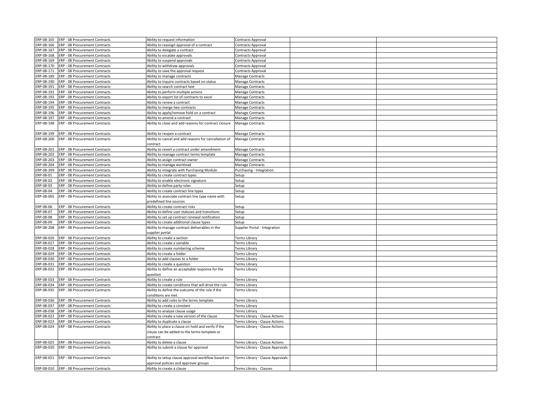| ERP-08-165 | ERP - 08 Procurement Contracts            | Ability to request information                                      | Contracts Approval               |  |
|------------|-------------------------------------------|---------------------------------------------------------------------|----------------------------------|--|
|            | ERP-08-166 ERP - 08 Procurement Contracts | Ability to reassign approval of a contract                          | Contracts Approval               |  |
| ERP-08-167 | ERP - 08 Procurement Contracts            | Ability to delegate a contract                                      | Contracts Approval               |  |
| ERP-08-168 | ERP - 08 Procurement Contracts            | Ability to escalate approvals                                       | Contracts Approval               |  |
| ERP-08-169 | ERP - 08 Procurement Contracts            | Ability to suspend approvals                                        | Contracts Approval               |  |
|            | ERP-08-170 ERP - 08 Procurement Contracts | Ability to withdraw approvals                                       | Contracts Approval               |  |
| ERP-08-171 | ERP - 08 Procurement Contracts            | Ability to save the approval request                                | Contracts Approval               |  |
| ERP-08-189 | ERP - 08 Procurement Contracts            | Ability to manage contracts                                         | <b>Manage Contracts</b>          |  |
| ERP-08-190 | ERP - 08 Procurement Contracts            | Ability to inquire contracts based on status                        | Manage Contracts                 |  |
| ERP-08-191 | ERP - 08 Procurement Contracts            | Ability to search contract text                                     | Manage Contracts                 |  |
| ERP-08-192 | ERP - 08 Procurement Contracts            | Ability to perform multiple actions                                 | Manage Contracts                 |  |
| ERP-08-193 | ERP - 08 Procurement Contracts            | Ability to export list of contracts to excel                        | Manage Contracts                 |  |
| ERP-08-194 | ERP - 08 Procurement Contracts            | Ability to renew a contract                                         | Manage Contracts                 |  |
| ERP-08-195 | ERP - 08 Procurement Contracts            | Ability to merge two contracts                                      | Manage Contracts                 |  |
| ERP-08-196 | ERP - 08 Procurement Contracts            | Ability to apply/remove hold on a contract                          | Manage Contracts                 |  |
| ERP-08-197 | ERP - 08 Procurement Contracts            | Ability to amend a contract                                         | Manage Contracts                 |  |
| ERP-08-198 | ERP - 08 Procurement Contracts            |                                                                     |                                  |  |
|            |                                           | Ability to close and add reasons for contract closure               | Manage Contracts                 |  |
|            |                                           |                                                                     |                                  |  |
| ERP-08-199 | ERP - 08 Procurement Contracts            | Ability to reopen a contract                                        | Manage Contracts                 |  |
| ERP-08-200 | ERP - 08 Procurement Contracts            | Ability to cancel and add reasons for cancellation of               | Manage Contracts                 |  |
|            |                                           | contract                                                            |                                  |  |
| ERP-08-201 | ERP - 08 Procurement Contracts            | Ability to revert a contract under amendment                        | Manage Contracts                 |  |
| ERP-08-202 | ERP - 08 Procurement Contracts            | Ability to manage contract terms template                           | <b>Manage Contracts</b>          |  |
| ERP-08-203 | ERP - 08 Procurement Contracts            | Ability to assign contract owner                                    | Manage Contracts                 |  |
| ERP-08-204 | ERP - 08 Procurement Contracts            | Ability to manage workload                                          | Manage Contracts                 |  |
| RP-08-209  | ERP - 08 Procurement Contracts            | Ability to integrate with Purchasing Module                         | Purchasing - Integration         |  |
| ERP-08-01  | ERP - 08 Procurement Contracts            | Ability to create contract types                                    | Setup                            |  |
| ERP-08-02  | ERP - 08 Procurement Contracts            | Ability to enable electronic signature                              | Setup                            |  |
| ERP-08-03  | ERP - 08 Procurement Contracts            | Ability to define party roles                                       | Setup                            |  |
| RP-08-04   | ERP - 08 Procurement Contracts            | Ability to create contract line types                               | Setup                            |  |
| ERP-08-005 | <b>ERP - 08 Procurement Contracts</b>     | Ability to associate contract line type name with                   | Setup                            |  |
|            |                                           | predefined line sources                                             |                                  |  |
|            |                                           |                                                                     |                                  |  |
| ERP-08-06  | ERP - 08 Procurement Contracts            | Ability to create contract risks                                    | Setup                            |  |
| ERP-08-07  | ERP - 08 Procurement Contracts            | Ability to define user statuses and transitions                     | Setup                            |  |
| ERP-08-08  | ERP - 08 Procurement Contracts            | Ability to set up contract renewal notification                     | Setup                            |  |
| ERP-08-09  | ERP - 08 Procurement Contracts            | Ability to create additional clause types                           | Setup                            |  |
| ERP-08-208 | ERP - 08 Procurement Contracts            | Ability to manage contract deliverables in the                      | Supplier Portal - Integration    |  |
|            |                                           | supplier portal                                                     |                                  |  |
| ERP-08-026 | ERP - 08 Procurement Contracts            | Ability to create a section                                         | Terms Library                    |  |
| ERP-08-027 | ERP - 08 Procurement Contracts            | Ability to create a variable                                        | Terms Library                    |  |
| ERP-08-028 | ERP - 08 Procurement Contracts            | Ability to create numbering scheme                                  | <b>Terms Library</b>             |  |
|            | ERP-08-029 ERP - 08 Procurement Contracts | Ability to create a folder                                          | <b>Terms Library</b>             |  |
| ERP-08-030 | ERP - 08 Procurement Contracts            | Ability to add clauses to a folder                                  | Terms Library                    |  |
| RP-08-031  | ERP - 08 Procurement Contracts            | Ability to create a question                                        | Terms Library                    |  |
| ERP-08-032 | ERP - 08 Procurement Contracts            | Ability to define an acceptable response for the                    | Terms Library                    |  |
|            |                                           | question                                                            |                                  |  |
| ERP-08-033 | ERP - 08 Procurement Contracts            | Ability to create a rule                                            | Terms Library                    |  |
| ERP-08-034 | ERP - 08 Procurement Contracts            | Ability to create conditions that will drive the rule               | Terms Library                    |  |
| ERP-08-035 | ERP - 08 Procurement Contracts            | Ability to define the outcome of the rule if the                    | Terms Library                    |  |
|            |                                           | conditions are met                                                  |                                  |  |
| ERP-08-036 | ERP - 08 Procurement Contracts            | Ability to add rules to the terms template                          | <b>Terms Library</b>             |  |
| ERP-08-037 | ERP - 08 Procurement Contracts            | Ability to create a constant                                        | Terms Library                    |  |
| ERP-08-038 | ERP - 08 Procurement Contracts            | Ability to analyze clause usage                                     | Terms Library                    |  |
| ERP-08-022 | ERP - 08 Procurement Contracts            | Ability to create a new version of the clause                       | Terms Library - Clause Actions   |  |
| ERP-08-023 | ERP - 08 Procurement Contracts            | Ability to duplicate a clause                                       | Terms Library - Clause Actions   |  |
| ERP-08-024 | ERP - 08 Procurement Contracts            | Ability to place a clause on hold and verify if the                 | Terms Library - Clause Actions   |  |
|            |                                           | clause can be added to the terms template or                        |                                  |  |
|            |                                           | contract                                                            |                                  |  |
| ERP-08-025 | ERP - 08 Procurement Contracts            | Ability to delete a clause                                          | Terms Library - Clause Actions   |  |
|            |                                           |                                                                     |                                  |  |
| ERP-08-020 | ERP - 08 Procurement Contracts            | Ability to submit a clause for approval                             | Terms Library - Clause Approvals |  |
| ERP-08-021 | ERP - 08 Procurement Contracts            |                                                                     |                                  |  |
|            |                                           | Ability to setup clause approval workflow based on                  | Terms Library - Clause Approvals |  |
|            | ERP-08-010 ERP - 08 Procurement Contracts | approval policies and approver groups<br>Ability to create a clause | Terms Library - Clauses          |  |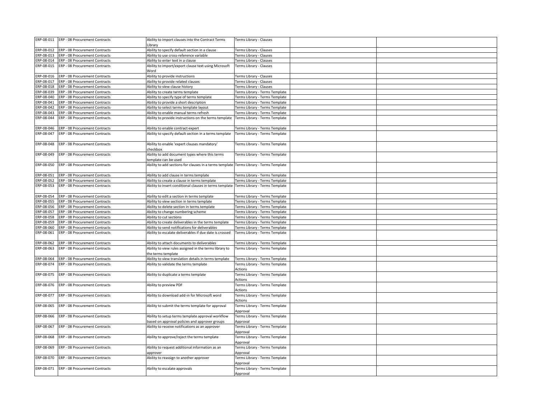| ERP-08-011 | ERP - 08 Procurement Contracts            | Ability to import clauses into the Contract Terms<br>Library                                        | Terms Library - Clauses                    |  |
|------------|-------------------------------------------|-----------------------------------------------------------------------------------------------------|--------------------------------------------|--|
| ERP-08-012 | ERP - 08 Procurement Contracts            | Ability to specify default section in a clause                                                      | Terms Library - Clauses                    |  |
| ERP-08-013 | ERP - 08 Procurement Contracts            | Ability to use cross-reference variable                                                             | Terms Library - Clauses                    |  |
| ERP-08-014 | ERP - 08 Procurement Contracts            | Ability to enter text in a clause                                                                   | Terms Library - Clauses                    |  |
| ERP-08-015 | ERP - 08 Procurement Contracts            | Ability to import/export clause text using Microsoft                                                | Terms Library - Clauses                    |  |
|            |                                           | Word                                                                                                |                                            |  |
| ERP-08-016 | ERP - 08 Procurement Contracts            | Ability to provide instructions                                                                     | Terms Library - Clauses                    |  |
| ERP-08-017 | ERP - 08 Procurement Contracts            | Ability to provide related clauses                                                                  | Terms Library - Clauses                    |  |
| ERP-08-018 | ERP - 08 Procurement Contracts            | Ability to view clause history                                                                      | Terms Library - Clauses                    |  |
| ERP-08-039 | ERP - 08 Procurement Contracts            | Ability to create terms template                                                                    | Terms Library - Terms Template             |  |
| ERP-08-040 | ERP - 08 Procurement Contracts            | Ability to specify type of terms template                                                           | Terms Library - Terms Template             |  |
| ERP-08-041 | ERP - 08 Procurement Contracts            | Ability to provide a short description                                                              | Terms Library - Terms Template             |  |
| ERP-08-042 | ERP - 08 Procurement Contracts            | Ability to select terms template layout                                                             | Terms Library - Terms Template             |  |
| RP-08-043  | ERP - 08 Procurement Contracts            | Ability to enable manual terms refresh                                                              | Terms Library - Terms Template             |  |
| ERP-08-044 | ERP - 08 Procurement Contracts            | Ability to provide instructions on the terms template                                               | Terms Library - Terms Template             |  |
|            |                                           |                                                                                                     |                                            |  |
| ERP-08-046 | ERP - 08 Procurement Contracts            | Ability to enable contract expert                                                                   | Terms Library - Terms Template             |  |
| ERP-08-047 | ERP - 08 Procurement Contracts            | Ability to specify default section in a terms template                                              | Terms Library - Terms Template             |  |
| ERP-08-048 | ERP - 08 Procurement Contracts            | Ability to enable 'expert clauses mandatory'<br>checkbox                                            | Terms Library - Terms Template             |  |
| ERP-08-049 | ERP - 08 Procurement Contracts            | Ability to add document types where this terms<br>template can be used                              | Terms Library - Terms Template             |  |
| ERP-08-050 | ERP - 08 Procurement Contracts            | Ability to add sections for clauses in a terms template Terms Library - Terms Template              |                                            |  |
|            |                                           |                                                                                                     |                                            |  |
| ERP-08-051 | ERP - 08 Procurement Contracts            | Ability to add clause in terms template                                                             | Terms Library - Terms Template             |  |
| ERP-08-052 | ERP - 08 Procurement Contracts            | Ability to create a clause in terms template                                                        | Terms Library - Terms Template             |  |
| ERP-08-053 | ERP - 08 Procurement Contracts            | Ability to insert conditional clauses in terms template Terms Library - Terms Template              |                                            |  |
| ERP-08-054 | ERP - 08 Procurement Contracts            | Ability to edit a section in terms template                                                         | Terms Library - Terms Template             |  |
| ERP-08-055 | ERP - 08 Procurement Contracts            | Ability to view section in terms template                                                           | Terms Library - Terms Template             |  |
| ERP-08-056 | ERP - 08 Procurement Contracts            | Ability to delete section in terms template                                                         | Terms Library - Terms Template             |  |
| ERP-08-057 | ERP - 08 Procurement Contracts            | Ability to change numbering scheme                                                                  | Terms Library - Terms Template             |  |
| ERP-08-058 | ERP - 08 Procurement Contracts            | Ability to cut sections                                                                             | Terms Library - Terms Template             |  |
| ERP-08-059 | ERP - 08 Procurement Contracts            | Ability to create deliverables in the terms template                                                | Terms Library - Terms Template             |  |
| ERP-08-060 | ERP - 08 Procurement Contracts            | Ability to send notifications for deliverables                                                      | Terms Library - Terms Template             |  |
| ERP-08-061 | ERP - 08 Procurement Contracts            | Ability to escalate deliverables if due date is crossed                                             | Terms Library - Terms Template             |  |
| ERP-08-062 | ERP - 08 Procurement Contracts            | Ability to attach documents to deliverables                                                         | Terms Library - Terms Template             |  |
| ERP-08-063 | ERP - 08 Procurement Contracts            | Ability to view rules assigned in the terms library to                                              | Terms Library - Terms Template             |  |
|            |                                           | the terms template                                                                                  |                                            |  |
| ERP-08-064 | ERP - 08 Procurement Contracts            | Ability to view translation details in terms template                                               | Terms Library - Terms Template             |  |
| ERP-08-074 | ERP - 08 Procurement Contracts            | Ability to validate the terms template                                                              | Terms Library - Terms Template<br>Actions  |  |
| ERP-08-075 | ERP - 08 Procurement Contracts            | Ability to duplicate a terms template                                                               | Terms Library - Terms Template<br>Actions  |  |
| ERP-08-076 | ERP - 08 Procurement Contracts            | Ability to preview PDF                                                                              | Terms Library - Terms Template             |  |
|            |                                           |                                                                                                     | Actions                                    |  |
| ERP-08-077 | ERP - 08 Procurement Contracts            | Ability to download add-in for Microsoft word                                                       | Terms Library - Terms Template<br>Actions  |  |
| ERP-08-065 | ERP - 08 Procurement Contracts            | Ability to submit the terms template for approval                                                   | Terms Library - Terms Template<br>Approval |  |
| ERP-08-066 | ERP - 08 Procurement Contracts            | Ability to setup terms template approval workflow<br>based on approval policies and approver groups | Terms Library - Terms Template<br>Approval |  |
| ERP-08-067 | ERP - 08 Procurement Contracts            | Ability to receive notifications as an approver                                                     | Terms Library - Terms Template<br>Approval |  |
| ERP-08-068 | ERP - 08 Procurement Contracts            | Ability to approve/reject the terms template                                                        | Terms Library - Terms Template<br>Approval |  |
| ERP-08-069 | ERP - 08 Procurement Contracts            | Ability to request additional information as an<br>approver                                         | Terms Library - Terms Template<br>Approval |  |
| ERP-08-070 | <b>ERP - 08 Procurement Contracts</b>     | Ability to reassign to another approver                                                             | Terms Library - Terms Template<br>Approval |  |
|            | ERP-08-071 ERP - 08 Procurement Contracts | Ability to escalate approvals                                                                       | Terms Library - Terms Template<br>Approval |  |
|            |                                           |                                                                                                     |                                            |  |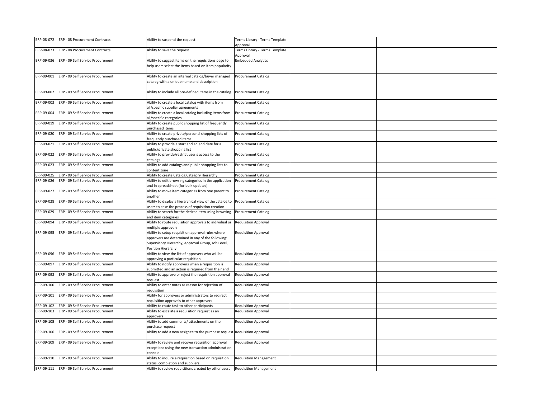| ERP-08-072 | ERP - 08 Procurement Contracts               | Ability to suspend the request                                                                                | Terms Library - Terms Template             |  |
|------------|----------------------------------------------|---------------------------------------------------------------------------------------------------------------|--------------------------------------------|--|
|            |                                              |                                                                                                               | Approval                                   |  |
| ERP-08-073 | ERP - 08 Procurement Contracts               | Ability to save the request                                                                                   | Terms Library - Terms Template<br>Approval |  |
| ERP-09-036 | ERP - 09 Self Service Procurement            | Ability to suggest items on the requisitions page to                                                          | <b>Embedded Analytics</b>                  |  |
|            |                                              | help users select the items based on item popularity                                                          |                                            |  |
| ERP-09-001 | ERP - 09 Self Service Procurement            | Ability to create an internal catalog/buyer managed                                                           | <b>Procurement Catalog</b>                 |  |
|            |                                              | catalog with a unique name and description                                                                    |                                            |  |
| ERP-09-002 | ERP - 09 Self Service Procurement            | Ability to include all pre-defined items in the catalog                                                       | <b>Procurement Catalog</b>                 |  |
|            | ERP - 09 Self Service Procurement            |                                                                                                               |                                            |  |
| ERP-09-003 |                                              | Ability to create a local catalog with items from<br>all/specific supplier agreements                         | <b>Procurement Catalog</b>                 |  |
| ERP-09-004 | ERP - 09 Self Service Procurement            | Ability to create a local catalog including items from<br>all/specific categories                             | <b>Procurement Catalog</b>                 |  |
| ERP-09-019 | ERP - 09 Self Service Procurement            | Ability to create public shopping list of frequently<br>purchased items                                       | <b>Procurement Catalog</b>                 |  |
| ERP-09-020 | ERP - 09 Self Service Procurement            | Ability to create private/personal shopping lists of                                                          | <b>Procurement Catalog</b>                 |  |
| ERP-09-021 | ERP - 09 Self Service Procurement            | requently purchased items<br>Ability to provide a start and an end date for a                                 | <b>Procurement Catalog</b>                 |  |
|            |                                              | public/private shopping list                                                                                  |                                            |  |
| ERP-09-022 | ERP - 09 Self Service Procurement            | Ability to provide/restrict user's access to the<br>catalogs                                                  | <b>Procurement Catalog</b>                 |  |
| ERP-09-023 | ERP - 09 Self Service Procurement            | Ability to add catalogs and public shopping lists to<br>content zone                                          | <b>Procurement Catalog</b>                 |  |
|            | ERP-09-025 ERP - 09 Self Service Procurement | Ability to create Catalog Category Hierarchy                                                                  | <b>Procurement Catalog</b>                 |  |
| ERP-09-026 | ERP - 09 Self Service Procurement            | Ability to edit browsing categories in the application<br>and in spreadsheet (for bulk updates)               | <b>Procurement Catalog</b>                 |  |
| ERP-09-027 | ERP - 09 Self Service Procurement            | Ability to move item categories from one parent to                                                            | <b>Procurement Catalog</b>                 |  |
|            |                                              | another                                                                                                       |                                            |  |
| ERP-09-028 | ERP - 09 Self Service Procurement            | Ability to display a hierarchical view of the catalog to<br>users to ease the process of requisition creation | <b>Procurement Catalog</b>                 |  |
| ERP-09-029 | ERP - 09 Self Service Procurement            | Ability to search for the desired item using browsing<br>and item categories                                  | <b>Procurement Catalog</b>                 |  |
| ERP-09-094 | ERP - 09 Self Service Procurement            | Ability to route requisition approvals to individual or<br>multiple approvers                                 | Requisition Approval                       |  |
| ERP-09-095 | ERP - 09 Self Service Procurement            | Ability to setup requisition approval rules where                                                             | Requisition Approval                       |  |
|            |                                              | approvers are determined in any of the following:                                                             |                                            |  |
|            |                                              | Supervisory Hierarchy, Approval Group, Job Level,                                                             |                                            |  |
|            |                                              | Position Hierarchy                                                                                            |                                            |  |
| ERP-09-096 | ERP - 09 Self Service Procurement            | Ability to view the list of approvers who will be<br>approving a particular requisition                       | Requisition Approval                       |  |
| ERP-09-097 | ERP - 09 Self Service Procurement            | Ability to notify approvers when a requisition is<br>submitted and an action is required from their end       | Requisition Approval                       |  |
| ERP-09-098 | ERP - 09 Self Service Procurement            | Ability to approve or reject the requisition approval<br>request                                              | Requisition Approval                       |  |
| ERP-09-100 | ERP - 09 Self Service Procurement            | Ability to enter notes as reason for rejection of                                                             | Requisition Approval                       |  |
| ERP-09-101 | ERP - 09 Self Service Procurement            | requisition<br>Ability for approvers or administrators to redirect                                            | Requisition Approval                       |  |
|            |                                              | requisition approvals to other approvers                                                                      |                                            |  |
| ERP-09-102 | ERP - 09 Self Service Procurement            | Ability to route task to other participants                                                                   | <b>Requisition Approval</b>                |  |
| ERP-09-103 | ERP - 09 Self Service Procurement            | Ability to escalate a requisition request as an<br>approvers                                                  | <b>Requisition Approval</b>                |  |
| ERP-09-105 | ERP - 09 Self Service Procurement            | Ability to add comments/ attachments on the<br>purchase request                                               | <b>Requisition Approval</b>                |  |
| ERP-09-106 | ERP - 09 Self Service Procurement            | Ability to add a new assignee to the purchase request Requisition Approval                                    |                                            |  |
| ERP-09-109 | ERP - 09 Self Service Procurement            | Ability to review and recover requisition approval                                                            | <b>Requisition Approval</b>                |  |
|            |                                              | exceptions using the new transaction administration<br>console                                                |                                            |  |
| ERP-09-110 | ERP - 09 Self Service Procurement            | Ability to inquire a requisition based on requisition                                                         | <b>Requisition Management</b>              |  |
|            |                                              | status, completion and suppliers                                                                              |                                            |  |
|            | ERP-09-111 ERP - 09 Self Service Procurement | Ability to review requisitions created by other users                                                         | <b>Requisition Management</b>              |  |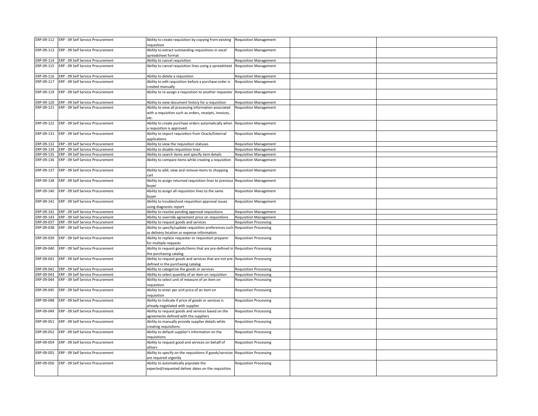|            | ERP-09-112 ERP - 09 Self Service Procurement | Ability to create requisition by copying from existing                          | <b>Requisition Management</b> |  |
|------------|----------------------------------------------|---------------------------------------------------------------------------------|-------------------------------|--|
|            |                                              | equisition                                                                      |                               |  |
| ERP-09-113 | ERP - 09 Self Service Procurement            | Ability to extract outstanding requisitions in excel                            | <b>Requisition Management</b> |  |
|            |                                              | spreadsheet format                                                              |                               |  |
| ERP-09-114 | ERP - 09 Self Service Procurement            | Ability to cancel requisition                                                   | <b>Requisition Management</b> |  |
| ERP-09-115 | ERP - 09 Self Service Procurement            | Ability to cancel requisition lines using a spreadsheet                         | <b>Requisition Management</b> |  |
|            |                                              |                                                                                 |                               |  |
| ERP-09-116 | ERP - 09 Self Service Procurement            | Ability to delete a requisition                                                 | <b>Requisition Management</b> |  |
| ERP-09-117 | ERP - 09 Self Service Procurement            | Ability to edit requisition before a purchase order is                          | <b>Requisition Management</b> |  |
|            |                                              | created manually                                                                |                               |  |
| ERP-09-119 | ERP - 09 Self Service Procurement            | Ability to re-assign a requisition to another requester                         | <b>Requisition Management</b> |  |
|            |                                              |                                                                                 |                               |  |
|            |                                              |                                                                                 |                               |  |
| ERP-09-120 | ERP - 09 Self Service Procurement            | Ability to view document history for a requisition                              | <b>Requisition Management</b> |  |
| ERP-09-121 | ERP - 09 Self Service Procurement            | Ability to view all processing information associated                           | <b>Requisition Management</b> |  |
|            |                                              | with a requisition such as orders, receipts, invoices,                          |                               |  |
|            |                                              | etc.                                                                            |                               |  |
| ERP-09-122 | ERP - 09 Self Service Procurement            | Ability to create purchase orders automatically when                            | <b>Requisition Management</b> |  |
|            |                                              | requisition is approved                                                         |                               |  |
| ERP-09-131 | ERP - 09 Self Service Procurement            | Ability to import requisition from Oracle/External                              | <b>Requisition Management</b> |  |
|            |                                              | applications                                                                    |                               |  |
| ERP-09-132 | ERP - 09 Self Service Procurement            | Ability to view the requisition statuses                                        | <b>Requisition Management</b> |  |
| ERP-09-134 | ERP - 09 Self Service Procurement            | Ability to disable requisition lines                                            | <b>Requisition Management</b> |  |
| ERP-09-135 | ERP - 09 Self Service Procurement            | Ability to search items and specify item details                                | <b>Requisition Management</b> |  |
| ERP-09-136 | ERP - 09 Self Service Procurement            | Ability to compare items while creating a requisition                           | <b>Requisition Management</b> |  |
|            |                                              |                                                                                 |                               |  |
| ERP-09-137 | ERP - 09 Self Service Procurement            | Ability to add, view and remove items to shopping                               | <b>Requisition Management</b> |  |
|            |                                              | cart                                                                            |                               |  |
| ERP-09-138 | ERP - 09 Self Service Procurement            | Ability to assign returned requisition lines to previous Requisition Management |                               |  |
|            |                                              |                                                                                 |                               |  |
|            |                                              | puver                                                                           |                               |  |
| ERP-09-140 | ERP - 09 Self Service Procurement            | Ability to assign all requisition lines to the same                             | <b>Requisition Management</b> |  |
|            |                                              | buyer                                                                           |                               |  |
| ERP-09-141 | ERP - 09 Self Service Procurement            | Ability to troubleshoot requisition approval issues                             | <b>Requisition Management</b> |  |
|            |                                              | using diagnostic report                                                         |                               |  |
|            | ERP-09-142 ERP - 09 Self Service Procurement | Ability to resolve pending approval requisitions                                | <b>Requisition Management</b> |  |
| ERP-09-143 | ERP - 09 Self Service Procurement            | Ability to override agreement price on requisitions                             | <b>Requisition Management</b> |  |
| ERP-09-037 | ERP - 09 Self Service Procurement            | Ability to request goods and services                                           | <b>Requisition Processing</b> |  |
| ERP-09-038 | ERP - 09 Self Service Procurement            | Ability to specify/update requisition preferences such                          | <b>Requisition Processing</b> |  |
|            |                                              | as delivery location or expense information                                     |                               |  |
| ERP-09-039 | ERP - 09 Self Service Procurement            | Ability to replace requester or requisition preparer                            | <b>Requisition Processing</b> |  |
|            |                                              | for multiple requests                                                           |                               |  |
| ERP-09-040 | ERP - 09 Self Service Procurement            | Ability to request goods/items that are pre-defined in                          | <b>Requisition Processing</b> |  |
|            |                                              | the purchasing catalog                                                          |                               |  |
| ERP-09-041 | ERP - 09 Self Service Procurement            | Ability to request goods and services that are not pre-Requisition Processing   |                               |  |
|            |                                              | defined in the purchasing catalog                                               |                               |  |
| ERP-09-042 | ERP - 09 Self Service Procurement            | Ability to categorize the goods or services                                     | <b>Requisition Processing</b> |  |
|            |                                              |                                                                                 |                               |  |
| ERP-09-043 | ERP - 09 Self Service Procurement            | Ability to select quantity of an item on requisition                            | <b>Requisition Processing</b> |  |
| ERP-09-044 | ERP - 09 Self Service Procurement            | Ability to select unit of measure of an item on                                 | <b>Requisition Processing</b> |  |
|            |                                              | requisition                                                                     |                               |  |
| ERP-09-045 | ERP - 09 Self Service Procurement            | Ability to enter per unit price of an item on                                   | <b>Requisition Processing</b> |  |
|            |                                              | equisition                                                                      |                               |  |
| ERP-09-048 | ERP - 09 Self Service Procurement            | Ability to indicate if price of goods or services is                            | <b>Requisition Processing</b> |  |
|            |                                              | already negotiated with supplier                                                |                               |  |
| ERP-09-049 | ERP - 09 Self Service Procurement            | Ability to request goods and services based on the                              | <b>Requisition Processing</b> |  |
|            |                                              | agreements defined with the suppliers                                           |                               |  |
| ERP-09-051 | ERP - 09 Self Service Procurement            | Ability to manually provide supplier details while                              | <b>Requisition Processing</b> |  |
|            |                                              | creating requisitions                                                           |                               |  |
| ERP-09-052 | ERP - 09 Self Service Procurement            | Ability to default supplier's information on the                                | <b>Requisition Processing</b> |  |
|            |                                              | requisitions                                                                    |                               |  |
| ERP-09-054 | ERP - 09 Self Service Procurement            | Ability to request good and services on behalf of                               | <b>Requisition Processing</b> |  |
|            |                                              | others                                                                          |                               |  |
| ERP-09-055 | ERP - 09 Self Service Procurement            | Ability to specify on the requisitions if goods/services                        | <b>Requisition Processing</b> |  |
|            |                                              | are required urgently                                                           |                               |  |
| ERP-09-056 | ERP - 09 Self Service Procurement            |                                                                                 |                               |  |
|            |                                              | Ability to automatically populate the                                           | <b>Requisition Processing</b> |  |
|            |                                              | expected/requested deliver dates on the requisition                             |                               |  |
|            |                                              |                                                                                 |                               |  |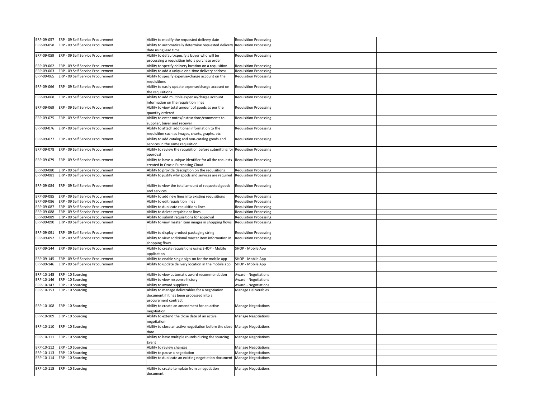| ERP-09-057 | ERP - 09 Self Service Procurement | Ability to modify the requested delivery date                                                                        | <b>Requisition Processing</b> |  |
|------------|-----------------------------------|----------------------------------------------------------------------------------------------------------------------|-------------------------------|--|
| ERP-09-058 | ERP - 09 Self Service Procurement | Ability to automatically determine requested delivery<br>date using lead time                                        | <b>Requisition Processing</b> |  |
| ERP-09-059 | ERP - 09 Self Service Procurement | Ability to default/specify a buyer who will be<br>processing a requisition into a purchase order                     | <b>Requisition Processing</b> |  |
| ERP-09-062 | ERP - 09 Self Service Procurement | Ability to specify delivery location on a requisition                                                                | <b>Requisition Processing</b> |  |
| ERP-09-063 | ERP - 09 Self Service Procurement | Ability to add a unique one-time delivery address                                                                    | <b>Requisition Processing</b> |  |
| ERP-09-065 | ERP - 09 Self Service Procurement | Ability to specify expense/charge account on the                                                                     | <b>Requisition Processing</b> |  |
|            |                                   | equisitions                                                                                                          |                               |  |
| ERP-09-066 | ERP - 09 Self Service Procurement | Ability to easily update expense/charge account on<br>the requisitions                                               | <b>Requisition Processing</b> |  |
| ERP-09-068 | ERP - 09 Self Service Procurement | Ability to add multiple expense/charge account<br>nformation on the requisition lines                                | <b>Requisition Processing</b> |  |
| ERP-09-069 | ERP - 09 Self Service Procurement | Ability to view total amount of goods as per the<br>quantity ordered                                                 | <b>Requisition Processing</b> |  |
| ERP-09-075 | ERP - 09 Self Service Procurement | Ability to enter notes/instructions/comments to<br>supplier, buyer and receiver                                      | <b>Requisition Processing</b> |  |
| ERP-09-076 | ERP - 09 Self Service Procurement | Ability to attach additional information to the<br>requisition such as images, charts, graphs, etc.                  | <b>Requisition Processing</b> |  |
| ERP-09-077 | ERP - 09 Self Service Procurement | Ability to add catalog and non-catalog goods and<br>services in the same requisition                                 | <b>Requisition Processing</b> |  |
| ERP-09-078 | ERP - 09 Self Service Procurement | Ability to review the requisition before submitting for Requisition Processing<br>ipproval                           |                               |  |
| ERP-09-079 | ERP - 09 Self Service Procurement | Ability to have a unique identifier for all the requests<br>created in Oracle Purchasing Cloud                       | <b>Requisition Processing</b> |  |
| ERP-09-080 | ERP - 09 Self Service Procurement | Ability to provide description on the requisitions                                                                   | <b>Requisition Processing</b> |  |
| ERP-09-081 | ERP - 09 Self Service Procurement | Ability to justify why goods and services are required                                                               | <b>Requisition Processing</b> |  |
| ERP-09-084 | ERP - 09 Self Service Procurement | Ability to view the total amount of requested goods<br>and services                                                  | <b>Requisition Processing</b> |  |
| ERP-09-085 | ERP - 09 Self Service Procurement | Ability to add new lines into existing requisitions                                                                  | <b>Requisition Processing</b> |  |
| ERP-09-086 | ERP - 09 Self Service Procurement | Ability to edit requisition lines                                                                                    | <b>Requisition Processing</b> |  |
| ERP-09-087 | ERP - 09 Self Service Procurement | Ability to duplicate requisitions lines                                                                              | <b>Requisition Processing</b> |  |
| ERP-09-088 | ERP - 09 Self Service Procurement | Ability to delete requisitions lines                                                                                 | <b>Requisition Processing</b> |  |
| ERP-09-089 | ERP - 09 Self Service Procurement | Ability to submit requisitions for approval                                                                          | <b>Requisition Processing</b> |  |
| ERP-09-090 | ERP - 09 Self Service Procurement | Ability to view master item images in shopping flows                                                                 | <b>Requisition Processing</b> |  |
| ERP-09-091 | ERP - 09 Self Service Procurement | Ability to display product packaging string                                                                          | <b>Requisition Processing</b> |  |
| ERP-09-092 | ERP - 09 Self Service Procurement | Ability to view additional master item information in<br>shopping flows                                              | <b>Requisition Processing</b> |  |
| ERP-09-144 | ERP - 09 Self Service Procurement | Ability to create requisitions using SHOP - Mobile<br>application                                                    | SHOP - Mobile App             |  |
| ERP-09-145 | ERP - 09 Self Service Procurement | Ability to enable single sign-on for the mobile app                                                                  | SHOP - Mobile App             |  |
| ERP-09-146 | ERP - 09 Self Service Procurement | Ability to update delivery location in the mobile app                                                                | SHOP - Mobile App             |  |
| ERP-10-145 | ERP - 10 Sourcing                 | Ability to view automatic award recommendation                                                                       | <b>Award - Negotiations</b>   |  |
| ERP-10-146 | ERP - 10 Sourcing                 | Ability to view response history                                                                                     | <b>Award - Negotiations</b>   |  |
| ERP-10-147 | ERP - 10 Sourcing                 | Ability to award suppliers                                                                                           | <b>Award - Negotiations</b>   |  |
| ERP-10-153 | ERP - 10 Sourcing                 | Ability to manage deliverables for a negotiation<br>document if it has been processed into a<br>procurement contract | Manage Deliverables           |  |
| ERP-10-108 | ERP - 10 Sourcing                 | Ability to create an amendment for an active<br>negotiation                                                          | <b>Manage Negotiations</b>    |  |
| ERP-10-109 | ERP - 10 Sourcing                 | Ability to extend the close date of an active<br>negotiation                                                         | <b>Manage Negotiations</b>    |  |
| ERP-10-110 | ERP - 10 Sourcing                 | Ability to close an active negotiation before the close<br>date                                                      | <b>Manage Negotiations</b>    |  |
| ERP-10-111 | ERP - 10 Sourcing                 | Ability to have multiple rounds during the sourcing<br>Event                                                         | <b>Manage Negotiations</b>    |  |
| ERP-10-112 | ERP - 10 Sourcing                 | Ability to review changes                                                                                            | <b>Manage Negotiations</b>    |  |
| ERP-10-113 | ERP - 10 Sourcing                 | Ability to pause a negotiation                                                                                       | <b>Manage Negotiations</b>    |  |
| ERP-10-114 | ERP - 10 Sourcing                 | Ability to duplicate an existing negotiation document                                                                | <b>Manage Negotiations</b>    |  |
|            | ERP-10-115 ERP - 10 Sourcing      | Ability to create template from a negotiation<br>document                                                            | <b>Manage Negotiations</b>    |  |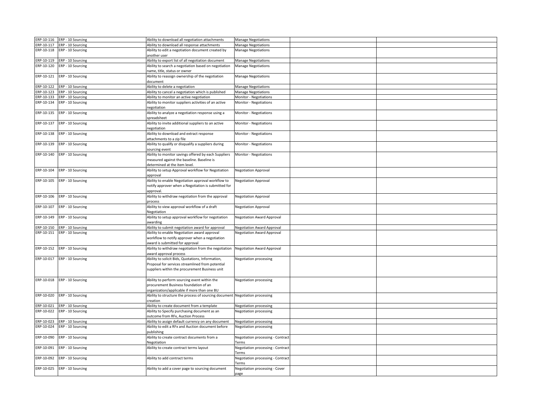|            | ERP-10-116 ERP - 10 Sourcing | Ability to download all negotiation attachments                              | <b>Manage Negotiations</b>        |  |
|------------|------------------------------|------------------------------------------------------------------------------|-----------------------------------|--|
|            | ERP-10-117 ERP - 10 Sourcing | Ability to download all response attachments                                 | <b>Manage Negotiations</b>        |  |
| ERP-10-118 |                              |                                                                              |                                   |  |
|            | ERP - 10 Sourcing            | Ability to edit a negotiation document created by                            | <b>Manage Negotiations</b>        |  |
|            |                              | nother user                                                                  |                                   |  |
| ERP-10-119 | ERP - 10 Sourcing            | Ability to export list of all negotiation document                           | <b>Manage Negotiations</b>        |  |
| ERP-10-120 | ERP - 10 Sourcing            | Ability to search a negotiation based on negotiation                         | <b>Manage Negotiations</b>        |  |
|            |                              | name, title, status or owner                                                 |                                   |  |
| ERP-10-121 | ERP - 10 Sourcing            | Ability to reassign ownership of the negotiation                             | <b>Manage Negotiations</b>        |  |
|            |                              | document                                                                     |                                   |  |
|            | ERP-10-122 ERP - 10 Sourcing | Ability to delete a negotiation                                              | <b>Manage Negotiations</b>        |  |
| ERP-10-123 | ERP - 10 Sourcing            | Ability to cancel a negotiation which is published                           | <b>Manage Negotiations</b>        |  |
|            | ERP-10-133 ERP - 10 Sourcing | Ability to monitor an active negotiation                                     | Monitor - Negotiations            |  |
| ERP-10-134 | ERP - 10 Sourcing            | Ability to monitor suppliers activities of an active                         | Monitor - Negotiations            |  |
|            |                              |                                                                              |                                   |  |
|            |                              | egotiation                                                                   |                                   |  |
| ERP-10-135 | ERP - 10 Sourcing            | Ability to analyze a negotiation response using a                            | Monitor - Negotiations            |  |
|            |                              | spreadsheet                                                                  |                                   |  |
| ERP-10-137 | ERP - 10 Sourcing            | Ability to invite additional suppliers to an active                          | Monitor - Negotiations            |  |
|            |                              | egotiation                                                                   |                                   |  |
|            | ERP-10-138 ERP - 10 Sourcing | Ability to download and extract response                                     | Monitor - Negotiations            |  |
|            |                              | attachments to a zip file                                                    |                                   |  |
| ERP-10-139 | ERP - 10 Sourcing            | Ability to qualify or disqualify a suppliers during                          | Monitor - Negotiations            |  |
|            |                              | ourcing event                                                                |                                   |  |
|            | ERP-10-140 ERP - 10 Sourcing | Ability to monitor savings offered by each Suppliers                         | Monitor - Negotiations            |  |
|            |                              | measured against the baseline. Baseline is                                   |                                   |  |
|            |                              | determined at the item level.                                                |                                   |  |
|            | ERP-10-104 ERP - 10 Sourcing | Ability to setup Approval workflow for Negotiation                           | <b>Negotiation Approval</b>       |  |
|            |                              |                                                                              |                                   |  |
|            |                              | approval                                                                     |                                   |  |
|            | ERP-10-105 ERP - 10 Sourcing | Ability to enable Negotiation approval workflow to                           | <b>Negotiation Approval</b>       |  |
|            |                              | notify approver when a Negotiation is submitted for                          |                                   |  |
|            |                              | approval.                                                                    |                                   |  |
| ERP-10-106 | ERP - 10 Sourcing            | Ability to withdraw negotiation from the approval                            | <b>Negotiation Approval</b>       |  |
|            |                              | orocess                                                                      |                                   |  |
| ERP-10-107 | ERP - 10 Sourcing            | Ability to view approval workflow of a draft                                 | <b>Negotiation Approval</b>       |  |
|            |                              | <b>Negotiation</b>                                                           |                                   |  |
| ERP-10-149 | ERP - 10 Sourcing            | Ability to setup approval workflow for negotiation                           | <b>Negotiation Award Approval</b> |  |
|            |                              | warding                                                                      |                                   |  |
|            | ERP-10-150 ERP - 10 Sourcing | Ability to submit negotiation award for approval                             | <b>Negotiation Award Approval</b> |  |
| ERP-10-151 | ERP - 10 Sourcing            | Ability to enable Negotiation award approval                                 | <b>Negotiation Award Approval</b> |  |
|            |                              | workflow to notify approver when a negotiation                               |                                   |  |
|            |                              | ward is submitted for approval                                               |                                   |  |
| ERP-10-152 | ERP - 10 Sourcing            | Ability to withdraw negotiation from the negotiation                         | <b>Negotiation Award Approval</b> |  |
|            |                              |                                                                              |                                   |  |
|            |                              | ward approval process                                                        |                                   |  |
|            | ERP-10-017 ERP - 10 Sourcing | Ability to solicit Bids, Quotations, Information,                            | <b>Negotiation processing</b>     |  |
|            |                              | Proposal for services streamlined from potential                             |                                   |  |
|            |                              | suppliers within the procurement Business unit                               |                                   |  |
|            |                              |                                                                              |                                   |  |
|            | ERP-10-018 ERP - 10 Sourcing | Ability to perform sourcing event within the                                 | <b>Negotiation processing</b>     |  |
|            |                              | procurement Business foundation of an                                        |                                   |  |
|            |                              | organization/applicable if more than one BU                                  |                                   |  |
|            | ERP-10-020 ERP - 10 Sourcing | Ability to structure the process of sourcing document Negotiation processing |                                   |  |
|            |                              | creation                                                                     |                                   |  |
| ERP-10-021 | ERP - 10 Sourcing            | Ability to create document from a template                                   | <b>Negotiation processing</b>     |  |
| ERP-10-022 | ERP - 10 Sourcing            | Ability to Specify purchasing document as an                                 | Negotiation processing            |  |
|            |                              | outcome from RFx, Auction Process                                            |                                   |  |
|            |                              |                                                                              |                                   |  |
| ERP-10-023 | ERP - 10 Sourcing            | Ability to assign default currency on any document                           | <b>Negotiation processing</b>     |  |
| ERP-10-024 | ERP - 10 Sourcing            | Ability to edit a RFx and Auction document before                            | Negotiation processing            |  |
|            |                              | oublishing                                                                   |                                   |  |
| ERP-10-090 | ERP - 10 Sourcing            | Ability to create contract documents from a                                  | Negotiation processing - Contract |  |
|            |                              | <b>Jegotiation</b>                                                           | Terms                             |  |
| ERP-10-091 | ERP - 10 Sourcing            | Ability to create contract terms layout                                      | Negotiation processing - Contract |  |
|            |                              |                                                                              | Terms                             |  |
| ERP-10-092 | ERP - 10 Sourcing            | Ability to add contract terms                                                | Negotiation processing - Contract |  |
|            |                              |                                                                              | Terms                             |  |
|            | ERP-10-025 ERP - 10 Sourcing | Ability to add a cover page to sourcing document                             | Negotiation processing - Cover    |  |
|            |                              |                                                                              | page                              |  |
|            |                              |                                                                              |                                   |  |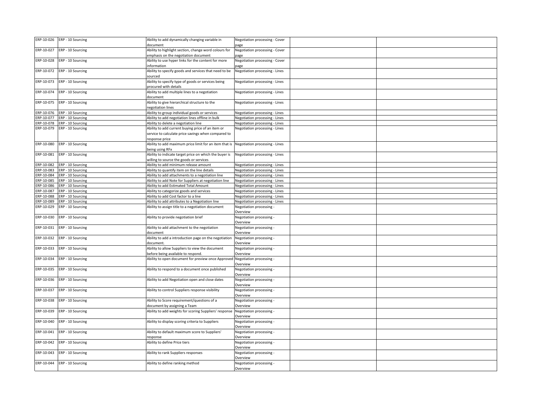|            | ERP-10-026 ERP - 10 Sourcing | Ability to add dynamically changing variable in        | Negotiation processing - Cover |  |
|------------|------------------------------|--------------------------------------------------------|--------------------------------|--|
|            |                              | document                                               | page                           |  |
| ERP-10-027 | ERP - 10 Sourcing            | Ability to highlight section, change word colours for  | Negotiation processing - Cover |  |
|            |                              | emphasis on the negotiation document                   | page                           |  |
| ERP-10-028 | ERP - 10 Sourcing            | Ability to use hyper links for the content for more    | Negotiation processing - Cover |  |
|            |                              | nformation                                             | page                           |  |
| ERP-10-072 | ERP - 10 Sourcing            | Ability to specify goods and services that need to be  | Negotiation processing - Lines |  |
|            |                              | sourced                                                |                                |  |
| ERP-10-073 | ERP - 10 Sourcing            | Ability to specify type of goods or services being     | Negotiation processing - Lines |  |
|            |                              | procured with details                                  |                                |  |
| ERP-10-074 | ERP - 10 Sourcing            | Ability to add multiple lines to a negotiation         | Negotiation processing - Lines |  |
|            |                              | document                                               |                                |  |
| ERP-10-075 | ERP - 10 Sourcing            | Ability to give hierarchical structure to the          | Negotiation processing - Lines |  |
|            |                              | egotiation lines                                       |                                |  |
|            | ERP-10-076 ERP - 10 Sourcing | Ability to group individual goods or services          | Negotiation processing - Lines |  |
| ERP-10-077 | ERP - 10 Sourcing            | Ability to add negotiation lines offline in bulk       | Negotiation processing - Lines |  |
|            | ERP-10-078 ERP - 10 Sourcing | Ability to delete a negotiation line                   | Negotiation processing - Lines |  |
| ERP-10-079 | ERP - 10 Sourcing            | Ability to add current buying price of an item or      | Negotiation processing - Lines |  |
|            |                              | service to calculate price savings when compared to    |                                |  |
|            |                              | esponse price                                          |                                |  |
| ERP-10-080 | ERP - 10 Sourcing            | Ability to add maximum price limit for an item that is | Negotiation processing - Lines |  |
|            |                              | being using RFx                                        |                                |  |
| ERP-10-081 | ERP - 10 Sourcing            | Ability to indicate target price on which the buyer is | Negotiation processing - Lines |  |
|            |                              | willing to source the goods or services                |                                |  |
| ERP-10-082 | ERP - 10 Sourcing            | Ability to add minimum release amount                  | Negotiation processing - Lines |  |
|            | ERP-10-083 ERP - 10 Sourcing | Ability to quantify item on the line details           | Negotiation processing - Lines |  |
|            | ERP-10-084 ERP - 10 Sourcing | Ability to add attachments to a negotiation line       | Negotiation processing - Lines |  |
| ERP-10-085 | ERP - 10 Sourcing            | Ability to add Note for Suppliers at negotiation line  | Negotiation processing - Lines |  |
| ERP-10-086 | ERP - 10 Sourcing            | Ability to add Estimated Total Amount                  | Negotiation processing - Lines |  |
| ERP-10-087 | ERP - 10 Sourcing            | Ability to categorize goods and services               | Negotiation processing - Lines |  |
| ERP-10-088 | ERP - 10 Sourcing            | Ability to add Cost factor to a line                   | Negotiation processing - Lines |  |
|            | ERP-10-089 ERP - 10 Sourcing | Ability to add attributes to a Negotiation line        | Negotiation processing - Lines |  |
| ERP-10-029 | ERP - 10 Sourcing            | Ability to assign title to a negotiation document      | Negotiation processing -       |  |
|            |                              |                                                        | Overview                       |  |
| ERP-10-030 | ERP - 10 Sourcing            | Ability to provide negotiation brief                   | Negotiation processing -       |  |
|            |                              |                                                        | Overview                       |  |
| ERP-10-031 | ERP - 10 Sourcing            | Ability to add attachment to the negotiation           | Negotiation processing -       |  |
|            |                              | document                                               | Overview                       |  |
| ERP-10-032 | ERP - 10 Sourcing            | Ability to add a introduction page on the negotiation  | Negotiation processing -       |  |
|            |                              | document.                                              | Overview                       |  |
| ERP-10-033 | ERP - 10 Sourcing            | Ability to allow Suppliers to view the document        | Negotiation processing -       |  |
|            |                              | before being available to respond.                     | Overview                       |  |
| ERP-10-034 | ERP - 10 Sourcing            | Ability to open document for preview once Approved     | Negotiation processing -       |  |
|            |                              |                                                        | Overview                       |  |
| ERP-10-035 | ERP - 10 Sourcing            | Ability to respond to a document once published        | Negotiation processing -       |  |
|            |                              |                                                        | Overview                       |  |
| ERP-10-036 | ERP - 10 Sourcing            | Ability to add Negotiation open and close dates        | Negotiation processing -       |  |
|            |                              |                                                        | Overview                       |  |
| ERP-10-037 | ERP - 10 Sourcing            | Ability to control Suppliers response visibility       | Negotiation processing -       |  |
|            |                              |                                                        | Overview                       |  |
| ERP-10-038 | ERP - 10 Sourcing            | Ability to Score requirement/questions of a            | Negotiation processing -       |  |
|            |                              | document by assigning a Team                           | Overview                       |  |
| ERP-10-039 | ERP - 10 Sourcing            | Ability to add weights for scoring Suppliers' response | Negotiation processing -       |  |
|            |                              |                                                        | Overview                       |  |
| ERP-10-040 |                              |                                                        |                                |  |
|            | ERP - 10 Sourcing            | Ability to display scoring criteria to Suppliers       | Negotiation processing -       |  |
|            |                              |                                                        | Overview                       |  |
| ERP-10-041 | ERP - 10 Sourcing            | Ability to default maximum score to Suppliers'         | Negotiation processing -       |  |
|            |                              | esponse                                                | Overview                       |  |
| ERP-10-042 | ERP - 10 Sourcing            | Ability to define Price tiers                          | Negotiation processing -       |  |
|            |                              |                                                        | Overview                       |  |
| ERP-10-043 | ERP - 10 Sourcing            | Ability to rank Suppliers responses                    | Vegotiation processing -       |  |
|            |                              |                                                        | Overview                       |  |
| ERP-10-044 | ERP - 10 Sourcing            | Ability to define ranking method                       | Negotiation processing -       |  |
|            |                              |                                                        | Overview                       |  |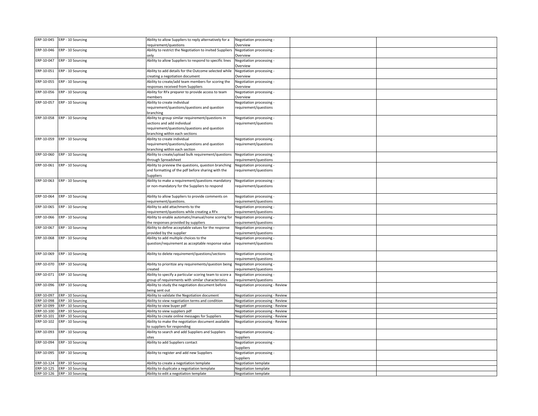|                          | ERP-10-045 ERP - 10 Sourcing           | Ability to allow Suppliers to reply alternatively for a                                     | Negotiation processing -                                           |  |
|--------------------------|----------------------------------------|---------------------------------------------------------------------------------------------|--------------------------------------------------------------------|--|
|                          |                                        | equirement/questions                                                                        | Overview                                                           |  |
| ERP-10-046               | ERP - 10 Sourcing                      | Ability to restrict the Negotiation to invited Suppliers                                    | Negotiation processing -                                           |  |
|                          |                                        | only                                                                                        | Overview                                                           |  |
| ERP-10-047               | ERP - 10 Sourcing                      | Ability to allow Suppliers to respond to specific lines                                     | Negotiation processing -                                           |  |
| ERP-10-051               | ERP - 10 Sourcing                      | Ability to add details for the Outcome selected while                                       | Overview<br>Negotiation processing -                               |  |
|                          |                                        | creating a negotiation document                                                             | Overview                                                           |  |
|                          | ERP-10-055 ERP - 10 Sourcing           | Ability to create/add team members for scoring the                                          | Negotiation processing -                                           |  |
|                          |                                        | responses received from Suppliers                                                           | Overview                                                           |  |
| ERP-10-056               | ERP - 10 Sourcing                      | Ability for RFx preparer to provide access to team                                          | Negotiation processing -                                           |  |
|                          |                                        | nembers                                                                                     | Overview                                                           |  |
| ERP-10-057               | ERP - 10 Sourcing                      | Ability to create individual                                                                | Negotiation processing -                                           |  |
|                          |                                        | requirement/questions/questions and question                                                | requirement/questions                                              |  |
|                          |                                        | branching                                                                                   |                                                                    |  |
|                          | ERP-10-058 ERP - 10 Sourcing           | Ability to group similar requirement/questions in                                           | Negotiation processing -                                           |  |
|                          |                                        | sections and add individual                                                                 | requirement/questions                                              |  |
|                          |                                        | requirement/questions/questions and question                                                |                                                                    |  |
|                          |                                        | branching within each sections                                                              |                                                                    |  |
|                          | ERP-10-059 ERP - 10 Sourcing           | Ability to create individual                                                                | Negotiation processing -                                           |  |
|                          |                                        | requirement/questions/questions and question                                                | requirement/questions                                              |  |
|                          | ERP-10-060 ERP - 10 Sourcing           | branching within each section                                                               |                                                                    |  |
|                          |                                        | Ability to create/upload bulk requirement/questions<br>through Spreadsheet                  | Negotiation processing -<br>requirement/questions                  |  |
| ERP-10-061               | ERP - 10 Sourcing                      | Ability to preview the questions, question branching                                        | Negotiation processing -                                           |  |
|                          |                                        | and formatting of the pdf before sharing with the                                           | requirement/questions                                              |  |
|                          |                                        | Suppliers                                                                                   |                                                                    |  |
| ERP-10-063               | ERP - 10 Sourcing                      | Ability to make a requirement/questions mandatory                                           | Negotiation processing -                                           |  |
|                          |                                        | or non-mandatory for the Suppliers to respond                                               | requirement/questions                                              |  |
|                          |                                        |                                                                                             |                                                                    |  |
| ERP-10-064               | ERP - 10 Sourcing                      | Ability to allow Suppliers to provide comments on                                           | Negotiation processing -                                           |  |
|                          |                                        | equirement/questions.                                                                       | requirement/questions                                              |  |
| ERP-10-065               | ERP - 10 Sourcing                      | Ability to add attachments to the                                                           | Negotiation processing -                                           |  |
|                          |                                        | requirement/questions while creating a RFx                                                  | requirement/questions                                              |  |
| ERP-10-066               | ERP - 10 Sourcing                      | Ability to enable automatic/manual/none scoring for                                         | Negotiation processing -                                           |  |
|                          |                                        | the responses provided by suppliers                                                         | requirement/questions                                              |  |
| ERP-10-067               | ERP - 10 Sourcing                      | Ability to define acceptable values for the response                                        | Negotiation processing -                                           |  |
|                          |                                        | provided by the supplier                                                                    | requirement/questions                                              |  |
| ERP-10-068               | ERP - 10 Sourcing                      | Ability to add multiple choices to the<br>question/requirement as acceptable response value | Negotiation processing -<br>requirement/questions                  |  |
|                          |                                        |                                                                                             |                                                                    |  |
| ERP-10-069               | ERP - 10 Sourcing                      | Ability to delete requirement/questions/sections                                            | Negotiation processing -                                           |  |
|                          |                                        |                                                                                             | equirement/questions                                               |  |
|                          | ERP-10-070 ERP - 10 Sourcing           | Ability to prioritize any requirements/question being                                       | Negotiation processing -                                           |  |
|                          |                                        | created                                                                                     | requirement/questions                                              |  |
| ERP-10-071               | ERP - 10 Sourcing                      | Ability to specify a particular scoring team to score a                                     | Negotiation processing -                                           |  |
|                          |                                        | group of requirements with similar characteristics                                          | requirement/questions                                              |  |
| ERP-10-096               | ERP - 10 Sourcing                      | Ability to study the negotiation document before                                            | Negotiation processing - Review                                    |  |
|                          |                                        | being sent out                                                                              |                                                                    |  |
| ERP-10-097               | ERP - 10 Sourcing                      | Ability to validate the Negotiation document                                                | Negotiation processing - Review                                    |  |
|                          | ERP-10-098 ERP - 10 Sourcing           | Ability to view negotiation terms and condition                                             | Negotiation processing - Review                                    |  |
| ERP-10-099               | ERP - 10 Sourcing                      | Ability to view buyer pdf                                                                   | Negotiation processing - Review                                    |  |
| ERP-10-100<br>ERP-10-101 | ERP - 10 Sourcing                      | Ability to view suppliers pdf<br>Ability to create online messages for Suppliers            | Negotiation processing - Review                                    |  |
| ERP-10-102               | ERP - 10 Sourcing<br>ERP - 10 Sourcing | Ability to make the negotiation document available                                          | Negotiation processing - Review<br>Negotiation processing - Review |  |
|                          |                                        | to suppliers for responding                                                                 |                                                                    |  |
| ERP-10-093               | ERP - 10 Sourcing                      | Ability to search and add Suppliers and Suppliers                                           | Negotiation processing -                                           |  |
|                          |                                        | sites                                                                                       | Suppliers                                                          |  |
| ERP-10-094               | ERP - 10 Sourcing                      | Ability to add Suppliers contact                                                            | Negotiation processing -                                           |  |
|                          |                                        |                                                                                             | Suppliers                                                          |  |
| ERP-10-095               | ERP - 10 Sourcing                      | Ability to register and add new Suppliers                                                   | Negotiation processing -                                           |  |
|                          |                                        |                                                                                             | Suppliers                                                          |  |
|                          | ERP-10-124 ERP - 10 Sourcing           | Ability to create a negotiation template                                                    | Negotiation template                                               |  |
|                          | ERP-10-125 ERP - 10 Sourcing           | Ability to duplicate a negotiation template                                                 | Negotiation template                                               |  |
|                          | ERP-10-126 ERP - 10 Sourcing           | Ability to edit a negotiation template                                                      | Negotiation template                                               |  |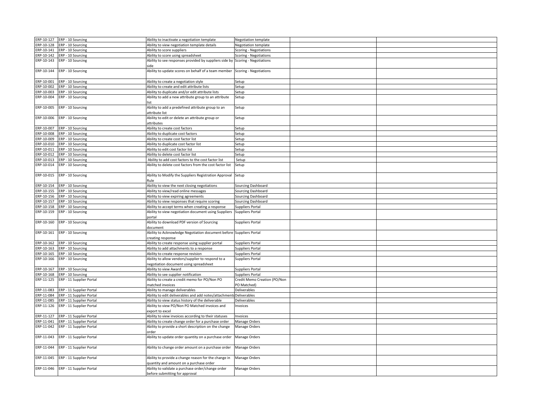|            | ERP-10-127 ERP - 10 Sourcing                                    | Ability to inactivate a negotiation template                                                        | Negotiation template                        |  |
|------------|-----------------------------------------------------------------|-----------------------------------------------------------------------------------------------------|---------------------------------------------|--|
|            | ERP-10-128 ERP - 10 Sourcing                                    |                                                                                                     | Negotiation template                        |  |
|            |                                                                 | Ability to view negotiation template details                                                        |                                             |  |
|            | ERP-10-141 ERP - 10 Sourcing                                    | Ability to score suppliers                                                                          | Scoring - Negotiations                      |  |
| ERP-10-142 | ERP - 10 Sourcing                                               | Ability to score using spreadsheet                                                                  | <b>Scoring - Negotiations</b>               |  |
| ERP-10-143 | ERP - 10 Sourcing                                               | Ability to see responses provided by suppliers side by<br>side                                      | Scoring - Negotiations                      |  |
| ERP-10-144 | ERP - 10 Sourcing                                               | Ability to update scores on behalf of a team member                                                 | <b>Scoring - Negotiations</b>               |  |
| ERP-10-001 | ERP - 10 Sourcing                                               | Ability to create a negotiation style                                                               | Setup                                       |  |
|            | ERP-10-002 ERP - 10 Sourcing                                    | Ability to create and edit attribute lists                                                          | Setup                                       |  |
| ERP-10-003 | ERP - 10 Sourcing                                               | Ability to duplicate and/or edit attribute lists                                                    | Setup                                       |  |
| ERP-10-004 | ERP - 10 Sourcing                                               | Ability to add a new attribute group to an attribute<br>ist                                         | Setup                                       |  |
| ERP-10-005 | ERP - 10 Sourcing                                               | Ability to add a predefined attribute group to an<br>attribute list                                 | Setup                                       |  |
|            | ERP-10-006 ERP - 10 Sourcing                                    | Ability to edit or delete an attribute group or<br>attributes                                       | Setup                                       |  |
| ERP-10-007 | ERP - 10 Sourcing                                               | Ability to create cost factors                                                                      | Setup                                       |  |
| ERP-10-008 | ERP - 10 Sourcing                                               | Ability to duplicate cost factors                                                                   | Setup                                       |  |
|            |                                                                 |                                                                                                     |                                             |  |
|            | ERP-10-009 ERP - 10 Sourcing                                    | Ability to create cost factor list                                                                  | Setup                                       |  |
|            | ERP-10-010 ERP - 10 Sourcing                                    | Ability to duplicate cost factor list                                                               | Setup                                       |  |
| ERP-10-011 | ERP - 10 Sourcing                                               | Ability to edit cost factor list                                                                    | Setup                                       |  |
|            | ERP-10-012 ERP - 10 Sourcing                                    | Ability to delete cost factor list                                                                  | Setup                                       |  |
| ERP-10-013 | ERP - 10 Sourcing                                               | Ability to add cost factors to the cost factor list                                                 | Setup                                       |  |
| ERP-10-014 | ERP - 10 Sourcing                                               | Ability to delete cost factors from the cost factor list                                            | Setup                                       |  |
| ERP-10-015 | ERP - 10 Sourcing                                               | Ability to Modify the Suppliers Registration Approval<br>Rule                                       | Setup                                       |  |
|            | ERP-10-154 ERP - 10 Sourcing                                    | Ability to view the next closing negotiations                                                       | Sourcing Dashboard                          |  |
|            | ERP-10-155 ERP - 10 Sourcing                                    | Ability to view/read online messages                                                                | Sourcing Dashboard                          |  |
|            | ERP-10-156 ERP - 10 Sourcing                                    | Ability to view expiring agreements                                                                 | Sourcing Dashboard                          |  |
| ERP-10-157 | ERP - 10 Sourcing                                               | Ability to view responses that require scoring                                                      | Sourcing Dashboard                          |  |
|            | ERP-10-158 ERP - 10 Sourcing                                    | Ability to accept terms when creating a response                                                    | <b>Suppliers Portal</b>                     |  |
| ERP-10-159 | ERP - 10 Sourcing                                               |                                                                                                     | <b>Suppliers Portal</b>                     |  |
|            |                                                                 | Ability to view negotiation document using Suppliers<br>ortal                                       |                                             |  |
| ERP-10-160 | ERP - 10 Sourcing                                               | Ability to download PDF version of Sourcing<br>document                                             | Suppliers Portal                            |  |
| ERP-10-161 | ERP - 10 Sourcing                                               | Ability to Acknowledge Negotiation document before Suppliers Portal<br>reating response:            |                                             |  |
|            | ERP-10-162 ERP - 10 Sourcing                                    | Ability to create response using supplier portal                                                    | <b>Suppliers Portal</b>                     |  |
| ERP-10-163 | ERP - 10 Sourcing                                               | Ability to add attachments to a response                                                            | <b>Suppliers Portal</b>                     |  |
| ERP-10-165 | ERP - 10 Sourcing                                               | Ability to create response revision                                                                 | Suppliers Portal                            |  |
|            | ERP-10-166 ERP - 10 Sourcing                                    | Ability to allow vendors/supplier to respond to a<br>negotiation document using spreadsheet         | <b>Suppliers Portal</b>                     |  |
| ERP-10-167 | ERP - 10 Sourcing                                               | Ability to view Award                                                                               | Suppliers Portal                            |  |
| ERP-10-168 | ERP - 10 Sourcing                                               | Ability to see supplier notification                                                                | <b>Suppliers Portal</b>                     |  |
| ERP-11-125 | ERP - 11 Supplier Portal                                        | Ability to create a credit memo for PO/Non PO<br>matched invoices                                   | Credit Memo Creation (PO/Non<br>PO Matched) |  |
|            | ERP - 11 Supplier Portal                                        | Ability to manage deliverables                                                                      | Deliverables                                |  |
| ERP-11-083 |                                                                 |                                                                                                     | Deliverables                                |  |
|            | ERP-11-084 ERP - 11 Supplier Portal                             | Ability to edit deliverables and add notes/attachments                                              |                                             |  |
| ERP-11-126 | ERP-11-085 ERP - 11 Supplier Portal<br>ERP - 11 Supplier Portal | Ability to view status history of the deliverable<br>Ability to view PO/Non PO Matched invoices and | Deliverables<br>Invoices                    |  |
|            |                                                                 | export to excel                                                                                     |                                             |  |
|            | ERP-11-127 ERP - 11 Supplier Portal                             | Ability to view invoices according to their statuses                                                | Invoices                                    |  |
| ERP-11-041 | ERP - 11 Supplier Portal                                        | Ability to create change order for a purchase order                                                 | Manage Orders                               |  |
| ERP-11-042 | ERP - 11 Supplier Portal                                        | Ability to provide a short description on the change<br>order                                       | Manage Orders                               |  |
| ERP-11-043 | ERP - 11 Supplier Portal                                        | Ability to update order quantity on a purchase order                                                | Manage Orders                               |  |
| ERP-11-044 | ERP - 11 Supplier Portal                                        | Ability to change order amount on a purchase order                                                  | Manage Orders                               |  |
| ERP-11-045 | ERP - 11 Supplier Portal                                        | Ability to provide a change reason for the change in<br>quantity and amount on a purchase order     | Manage Orders                               |  |
|            | ERP-11-046 ERP - 11 Supplier Portal                             | Ability to validate a purchase order/change order<br>before submitting for approval                 | Manage Orders                               |  |
|            |                                                                 |                                                                                                     |                                             |  |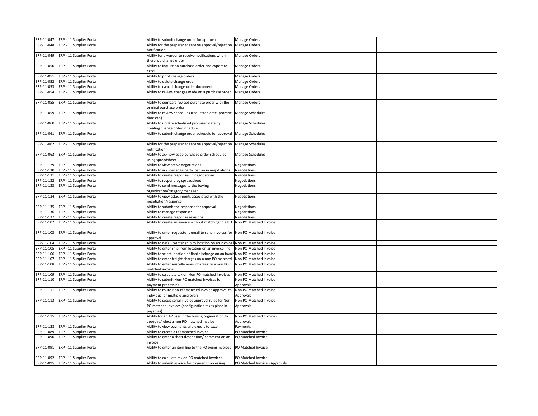|            | ERP-11-047 ERP - 11 Supplier Portal | Ability to submit change order for approval                                                                              | Manage Orders                         |  |
|------------|-------------------------------------|--------------------------------------------------------------------------------------------------------------------------|---------------------------------------|--|
|            | ERP-11-048 ERP - 11 Supplier Portal | Ability for the preparer to receive approval/rejection<br>notification                                                   | Manage Orders                         |  |
| ERP-11-049 | ERP - 11 Supplier Portal            | Ability for a vendor to receive notifications when<br>there is a change order                                            | Manage Orders                         |  |
| ERP-11-050 | ERP - 11 Supplier Portal            | Ability to inquire on purchase order and export to<br>excel                                                              | Manage Orders                         |  |
| ERP-11-051 | ERP - 11 Supplier Portal            | Ability to print change orders                                                                                           | Manage Orders                         |  |
| ERP-11-052 | ERP - 11 Supplier Portal            | Ability to delete change order                                                                                           | Manage Orders                         |  |
|            | ERP-11-053 ERP - 11 Supplier Portal | Ability to cancel change order document                                                                                  | Manage Orders                         |  |
| ERP-11-054 | ERP - 11 Supplier Portal            | Ability to review changes made on a purchase order                                                                       | Manage Orders                         |  |
|            | ERP-11-055 ERP - 11 Supplier Portal | Ability to compare revised purchase order with the<br>original purchase order                                            | Manage Orders                         |  |
| ERP-11-059 | ERP - 11 Supplier Portal            | Ability to review schedules (requested date, promise<br>date etc.)                                                       | Manage Schedules                      |  |
| ERP-11-060 | ERP - 11 Supplier Portal            | Ability to update scheduled promised date by<br>reating change order schedule                                            | Manage Schedules                      |  |
| ERP-11-061 | ERP - 11 Supplier Portal            | Ability to submit change order schedule for approval                                                                     | <b>Manage Schedules</b>               |  |
| ERP-11-062 | ERP - 11 Supplier Portal            | Ability for the preparer to receive approval/rejection<br>notification                                                   | Manage Schedules                      |  |
| ERP-11-063 | ERP - 11 Supplier Portal            | Ability to acknowledge purchase order schedules<br>using spreadsheet                                                     | Manage Schedules                      |  |
|            | ERP-11-129 ERP - 11 Supplier Portal | Ability to view active negotiations                                                                                      | Negotiations                          |  |
|            | ERP-11-130 ERP - 11 Supplier Portal | Ability to acknowledge participation in negotiations                                                                     | Negotiations                          |  |
|            | ERP-11-131 ERP - 11 Supplier Portal | Ability to create responses in negotiations                                                                              | Negotiations                          |  |
| ERP-11-132 | ERP - 11 Supplier Portal            | Ability to respond by spreadsheet                                                                                        | Negotiations                          |  |
|            | ERP-11-133 ERP - 11 Supplier Portal | Ability to send messages to the buying<br>organization/category manager                                                  | Negotiations                          |  |
| ERP-11-134 | ERP - 11 Supplier Portal            | Ability to view attachments associated with the<br>negotiation/response                                                  | Negotiations                          |  |
|            | ERP-11-135 ERP - 11 Supplier Portal | Ability to submit the response for approval                                                                              | Negotiations                          |  |
|            | ERP-11-136 ERP - 11 Supplier Portal | Ability to manage responses                                                                                              | Negotiations                          |  |
|            | ERP-11-137 ERP - 11 Supplier Portal | Ability to create response revisions                                                                                     | Negotiations                          |  |
| ERP-11-102 | ERP - 11 Supplier Portal            | Ability to create an invoice without matching to a PO                                                                    | Non PO Matched Invoice                |  |
| ERP-11-103 | ERP - 11 Supplier Portal            | Ability to enter requester's email to send invoices for<br>approval                                                      | Non PO Matched Invoice                |  |
|            | ERP-11-104 ERP - 11 Supplier Portal | Ability to default/enter ship to location on an invoice I Non PO Matched Invoice                                         |                                       |  |
| ERP-11-105 | ERP - 11 Supplier Portal            | Ability to enter ship from location on an invoice line                                                                   | Non PO Matched Invoice                |  |
| ERP-11-106 | ERP - 11 Supplier Portal            | Ability to select location of final discharge on an invoid                                                               | Non PO Matched Invoice                |  |
| ERP-11-107 | ERP - 11 Supplier Portal            | Ability to enter freight charges on a non PO matched i Non PO Matched Invoice                                            |                                       |  |
| ERP-11-108 | ERP - 11 Supplier Portal            | Ability to enter miscellaneous charges on a non PO<br>natched invoice                                                    | Non PO Matched Invoice                |  |
| ERP-11-109 | ERP - 11 Supplier Portal            | Ability to calculate tax on Non PO matched invoices                                                                      | Non PO Matched Invoice                |  |
| ERP-11-110 | ERP - 11 Supplier Portal            | Ability to submit Non-PO matched invoices for<br>ayment processing                                                       | Non PO Matched Invoice -<br>Approvals |  |
| ERP-11-111 | ERP - 11 Supplier Portal            | Ability to route Non-PO matched invoice approval to<br>ndividual or multiple approvers                                   | Non PO Matched Invoice -<br>Approvals |  |
|            | ERP-11-113 ERP - 11 Supplier Portal | Ability to setup serial invoice approval rules for Non<br>PO matched invoices (configuration takes place in<br>payables) | Non PO Matched Invoice -<br>Approvals |  |
|            | ERP-11-115 ERP - 11 Supplier Portal | Ability for an AP user in the buying organization to<br>approve/reject a non PO matched invoice                          | Non PO Matched Invoice -<br>Approvals |  |
| ERP-11-128 | ERP - 11 Supplier Portal            | Ability to view payments and export to excel                                                                             | Payments                              |  |
| ERP-11-089 | ERP - 11 Supplier Portal            | Ability to create a PO matched invoice                                                                                   | PO Matched Invoice                    |  |
| ERP-11-090 | ERP - 11 Supplier Portal            | Ability to enter a short description/ comment on an<br>nvoice                                                            | PO Matched Invoice                    |  |
| ERP-11-091 | ERP - 11 Supplier Portal            | Ability to enter an item line to the PO being invoiced                                                                   | PO Matched Invoice                    |  |
|            | ERP-11-092 ERP - 11 Supplier Portal | Ability to calculate tax on PO matched invoices                                                                          | PO Matched Invoice                    |  |
|            | ERP-11-095 ERP - 11 Supplier Portal | Ability to submit invoice for payment processing                                                                         | PO Matched Invoice - Approvals        |  |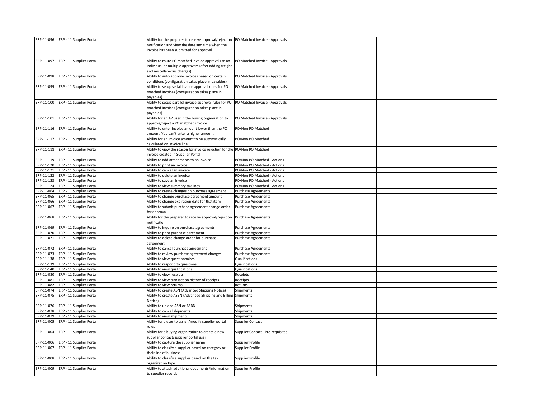|            | ERP-11-096 ERP - 11 Supplier Portal | Ability for the preparer to receive approval/rejection PO Matched Invoice - Approvals |                                   |  |
|------------|-------------------------------------|---------------------------------------------------------------------------------------|-----------------------------------|--|
|            |                                     | notification and view the date and time when the                                      |                                   |  |
|            |                                     | invoice has been submitted for approval                                               |                                   |  |
|            |                                     |                                                                                       |                                   |  |
| ERP-11-097 | ERP - 11 Supplier Portal            | Ability to route PO matched invoice approvals to an                                   | PO Matched Invoice - Approvals    |  |
|            |                                     | individual or multiple approvers (after adding freight                                |                                   |  |
|            |                                     | and miscellaneous charges)                                                            |                                   |  |
|            |                                     |                                                                                       |                                   |  |
| ERP-11-098 | ERP - 11 Supplier Portal            | Ability to auto approve invoices based on certain                                     | PO Matched Invoice - Approvals    |  |
|            |                                     | conditions (configuration takes place in payables)                                    |                                   |  |
| ERP-11-099 | ERP - 11 Supplier Portal            | Ability to setup serial invoice approval rules for PO                                 | PO Matched Invoice - Approvals    |  |
|            |                                     | matched invoices (configuration takes place in                                        |                                   |  |
|            |                                     | payables)                                                                             |                                   |  |
|            | ERP-11-100 ERP - 11 Supplier Portal | Ability to setup parallel invoice approval rules for PO                               | PO Matched Invoice - Approvals    |  |
|            |                                     | matched invoices (configuration takes place in                                        |                                   |  |
|            |                                     | payables)                                                                             |                                   |  |
|            | ERP-11-101 ERP - 11 Supplier Portal | Ability for an AP user in the buying organization to                                  | PO Matched Invoice - Approvals    |  |
|            |                                     | approve/reject a PO matched invoice                                                   |                                   |  |
| ERP-11-116 | ERP - 11 Supplier Portal            |                                                                                       |                                   |  |
|            |                                     | Ability to enter invoice amount lower than the PO                                     | PO/Non PO Matched                 |  |
|            |                                     | amount. You can't enter a higher amount.                                              |                                   |  |
| ERP-11-117 | ERP - 11 Supplier Portal            | Ability for an invoice amount to be automatically                                     | PO/Non PO Matched                 |  |
|            |                                     | calculated on invoice line                                                            |                                   |  |
|            | ERP-11-118 ERP - 11 Supplier Portal | Ability to view the reason for invoice rejection for the PO/Non PO Matched            |                                   |  |
|            |                                     | invoice created in Supplier Portal                                                    |                                   |  |
|            | ERP-11-119 ERP - 11 Supplier Portal | Ability to add attachments to an invoice                                              | PO/Non PO Matched - Actions       |  |
|            | ERP-11-120 ERP - 11 Supplier Portal | Ability to print an invoice                                                           | PO/Non PO Matched - Actions       |  |
|            | ERP-11-121 ERP - 11 Supplier Portal | Ability to cancel an invoice                                                          | PO/Non PO Matched - Actions       |  |
|            | ERP-11-122 ERP - 11 Supplier Portal | Ability to delete an invoice                                                          | PO/Non PO Matched - Actions       |  |
|            | ERP-11-123 ERP - 11 Supplier Portal | Ability to save an invoice                                                            | PO/Non PO Matched - Actions       |  |
|            | ERP-11-124 ERP - 11 Supplier Portal | Ability to view summary tax lines                                                     | PO/Non PO Matched - Actions       |  |
|            |                                     |                                                                                       |                                   |  |
|            | ERP-11-064 ERP - 11 Supplier Portal | Ability to create changes on purchase agreement                                       | Purchase Agreements               |  |
| ERP-11-065 | ERP - 11 Supplier Portal            | Ability to change purchase agreement amount                                           | Purchase Agreements               |  |
| ERP-11-066 | ERP - 11 Supplier Portal            | Ability to change expiration date for that item                                       | Purchase Agreements               |  |
| ERP-11-067 | ERP - 11 Supplier Portal            | Ability to submit purchase agreement change order                                     | Purchase Agreements               |  |
|            |                                     | for approval                                                                          |                                   |  |
| ERP-11-068 | ERP - 11 Supplier Portal            | Ability for the preparer to receive approval/rejection                                | Purchase Agreements               |  |
|            |                                     | notification                                                                          |                                   |  |
|            | ERP-11-069 ERP - 11 Supplier Portal | Ability to inquire on purchase agreements                                             | Purchase Agreements               |  |
| ERP-11-070 | ERP - 11 Supplier Portal            | Ability to print purchase agreement                                                   | Purchase Agreements               |  |
| ERP-11-071 | ERP - 11 Supplier Portal            | Ability to delete change order for purchase                                           | Purchase Agreements               |  |
|            |                                     |                                                                                       |                                   |  |
|            |                                     | agreement                                                                             |                                   |  |
|            | ERP-11-072 ERP - 11 Supplier Portal | Ability to cancel purchase agreement                                                  | <b>Purchase Agreements</b>        |  |
|            | ERP-11-073 ERP - 11 Supplier Portal | Ability to review purchase agreement changes                                          | Purchase Agreements               |  |
|            | ERP-11-138 ERP - 11 Supplier Portal | Ability to view questionnaires                                                        | Qualifications                    |  |
|            | ERP-11-139 ERP - 11 Supplier Portal | Ability to respond to questions                                                       | Qualifications                    |  |
|            | ERP-11-140 ERP - 11 Supplier Portal | Ability to view qualifications                                                        | Qualifications                    |  |
| ERP-11-080 | ERP - 11 Supplier Portal            | Ability to view receipts                                                              | Receipts                          |  |
|            | ERP-11-081 ERP - 11 Supplier Portal | Ability to view transaction history of receipts                                       | Receipts                          |  |
| ERP-11-082 | ERP - 11 Supplier Portal            | Ability to view returns                                                               | Returns                           |  |
| ERP-11-074 | ERP - 11 Supplier Portal            | Ability to create ASN (Advanced Shipping Notice)                                      | Shipments                         |  |
|            | ERP-11-075 ERP - 11 Supplier Portal | Ability to create ASBN (Advanced Shipping and Billing                                 | Shipments                         |  |
|            |                                     | Notice)                                                                               |                                   |  |
|            |                                     | Ability to upload ASN or ASBN                                                         | Shipments                         |  |
|            | ERP-11-076 ERP - 11 Supplier Portal |                                                                                       |                                   |  |
| ERP-11-078 | ERP - 11 Supplier Portal            | Ability to cancel shipments                                                           | Shipments                         |  |
|            | ERP-11-079 ERP - 11 Supplier Portal | Ability to view shipments                                                             | Shipments                         |  |
| ERP-11-005 | ERP - 11 Supplier Portal            | Ability for a user to assign/modify supplier portal                                   | Supplier Contact                  |  |
|            |                                     | roles                                                                                 |                                   |  |
|            | ERP-11-004 ERP - 11 Supplier Portal | Ability for a buying organization to create a new                                     | Supplier Contact - Pre-requisites |  |
|            |                                     | supplier contact/supplier portal user                                                 |                                   |  |
| ERP-11-006 | ERP - 11 Supplier Portal            | Ability to capture the supplier name                                                  | Supplier Profile                  |  |
| ERP-11-007 | ERP - 11 Supplier Portal            | Ability to classify a supplier based on category or                                   | Supplier Profile                  |  |
|            |                                     | their line of business                                                                |                                   |  |
| ERP-11-008 | ERP - 11 Supplier Portal            | Ability to classify a supplier based on the tax                                       | Supplier Profile                  |  |
|            |                                     |                                                                                       |                                   |  |
|            |                                     | organization type                                                                     |                                   |  |
|            | ERP-11-009 ERP - 11 Supplier Portal | Ability to attach additional documents/information                                    | Supplier Profile                  |  |
|            |                                     | to supplier records                                                                   |                                   |  |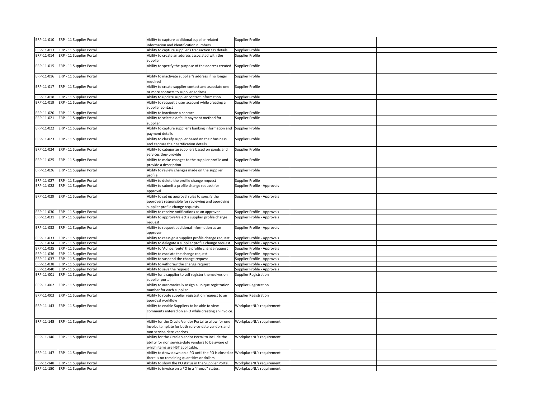|            | ERP-11-010 ERP - 11 Supplier Portal | Ability to capture additional supplier related                                                                                                | Supplier Profile             |  |
|------------|-------------------------------------|-----------------------------------------------------------------------------------------------------------------------------------------------|------------------------------|--|
|            |                                     | information and identification numbers                                                                                                        |                              |  |
|            | ERP-11-013 ERP - 11 Supplier Portal | Ability to capture supplier's transaction tax details                                                                                         | Supplier Profile             |  |
| ERP-11-014 | ERP - 11 Supplier Portal            | Ability to create an address associated with the<br>supplier                                                                                  | Supplier Profile             |  |
| ERP-11-015 | ERP - 11 Supplier Portal            | Ability to specify the purpose of the address created                                                                                         | Supplier Profile             |  |
|            | ERP-11-016 ERP - 11 Supplier Portal | Ability to inactivate supplier's address if no longer<br>required                                                                             | Supplier Profile             |  |
| ERP-11-017 | ERP - 11 Supplier Portal            | Ability to create supplier contact and associate one<br>or more contacts to supplier address                                                  | Supplier Profile             |  |
| ERP-11-018 | ERP - 11 Supplier Portal            | Ability to update supplier contact information                                                                                                | Supplier Profile             |  |
|            | ERP-11-019 ERP - 11 Supplier Portal | Ability to request a user account while creating a<br>supplier contact                                                                        | Supplier Profile             |  |
|            | ERP-11-020 ERP - 11 Supplier Portal | Ability to inactivate a contact                                                                                                               | Supplier Profile             |  |
| ERP-11-021 | ERP - 11 Supplier Portal            | Ability to select a default payment method for<br>supplier                                                                                    | Supplier Profile             |  |
| ERP-11-022 | ERP - 11 Supplier Portal            | Ability to capture supplier's banking information and<br>payment details                                                                      | Supplier Profile             |  |
|            | ERP-11-023 ERP - 11 Supplier Portal | Ability to classify supplier based on their business<br>and capture their certification details                                               | Supplier Profile             |  |
| ERP-11-024 | ERP - 11 Supplier Portal            | Ability to categorize suppliers based on goods and<br>services they provide                                                                   | Supplier Profile             |  |
| ERP-11-025 | ERP - 11 Supplier Portal            | Ability to make changes to the supplier profile and<br>provide a description                                                                  | Supplier Profile             |  |
| ERP-11-026 | ERP - 11 Supplier Portal            | Ability to review changes made on the supplier<br>profile                                                                                     | Supplier Profile             |  |
| ERP-11-027 | ERP - 11 Supplier Portal            | Ability to delete the profile change request                                                                                                  | Supplier Profile             |  |
| ERP-11-028 | ERP - 11 Supplier Portal            | Ability to submit a profile change request for<br>approval                                                                                    | Supplier Profile - Approvals |  |
| ERP-11-029 | ERP - 11 Supplier Portal            | Ability to set up approval rules to specify the<br>approvers responsible for reviewing and approving<br>supplier profile change requests.     | Supplier Profile - Approvals |  |
| ERP-11-030 | ERP - 11 Supplier Portal            | Ability to receive notifications as an approver                                                                                               | Supplier Profile - Approvals |  |
| ERP-11-031 | ERP - 11 Supplier Portal            | Ability to approve/reject a supplier profile change<br>request                                                                                | Supplier Profile - Approvals |  |
| ERP-11-032 | ERP - 11 Supplier Portal            | Ability to request additional information as an<br>approver                                                                                   | Supplier Profile - Approvals |  |
|            | ERP-11-033 ERP - 11 Supplier Portal | Ability to reassign a supplier profile change request                                                                                         | Supplier Profile - Approvals |  |
| ERP-11-034 | ERP - 11 Supplier Portal            | Ability to delegate a supplier profile change request                                                                                         | Supplier Profile - Approvals |  |
| ERP-11-035 | ERP - 11 Supplier Portal            | Ability to 'Adhoc route' the profile change request                                                                                           | Supplier Profile - Approvals |  |
|            | ERP-11-036 ERP - 11 Supplier Portal | Ability to escalate the change request                                                                                                        | Supplier Profile - Approvals |  |
|            | ERP-11-037 ERP - 11 Supplier Portal | Ability to suspend the change request                                                                                                         | Supplier Profile - Approvals |  |
| RP-11-038  | ERP - 11 Supplier Portal            | Ability to withdraw the change request                                                                                                        | Supplier Profile - Approvals |  |
|            | ERP-11-040 ERP - 11 Supplier Portal | Ability to save the request                                                                                                                   | Supplier Profile - Approvals |  |
| ERP-11-001 | ERP - 11 Supplier Portal            | Ability for a supplier to self register themselves on<br>supplier portal                                                                      | Supplier Registration        |  |
| ERP-11-002 | ERP - 11 Supplier Portal            | Ability to automatically assign a unique registration<br>number for each supplier                                                             | <b>Supplier Registration</b> |  |
| ERP-11-003 | ERP - 11 Supplier Portal            | Ability to route supplier registration request to an<br>approval workflow                                                                     | Supplier Registration        |  |
| ERP-11-143 | ERP - 11 Supplier Portal            | Ability to enable Suppliers to be able to view<br>comments entered on a PO while creating an invoice                                          | WorkplaceNL's requirement    |  |
|            | ERP-11-145 ERP - 11 Supplier Portal | Ability for the Oracle Vendor Portal to allow for one<br>invoice template for both service-date vendors and<br>non service-date vendors.      | WorkplaceNL's requirement    |  |
|            | ERP-11-146 ERP - 11 Supplier Portal | Ability for the Oracle Vendor Portal to include the<br>ability for non service-date vendors to be aware of<br>which items are HST applicable. | WorkplaceNL's requirement    |  |
|            | ERP-11-147 ERP - 11 Supplier Portal | Ability to draw down on a PO until the PO is closed or<br>there Is no remaining quantities or dollars.                                        | WorkplaceNL's requirement    |  |
|            | ERP-11-148 ERP - 11 Supplier Portal | Ability to show the PO status in the Supplier Portal.                                                                                         | WorkplaceNL's requirement    |  |
|            | ERP-11-150 ERP - 11 Supplier Portal | Ability to invoice on a PO in a "freeze" status.                                                                                              | WorkplaceNL's requirement    |  |
|            |                                     |                                                                                                                                               |                              |  |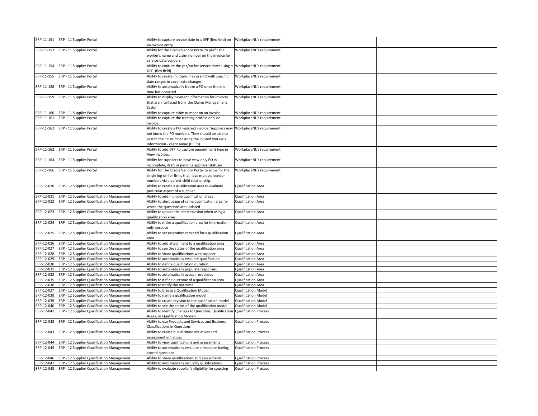|            | ERP-11-151 ERP - 11 Supplier Portal                   | Ability to capture service date in a DFF (flex field) on | WorkplaceNL's requirement    |  |
|------------|-------------------------------------------------------|----------------------------------------------------------|------------------------------|--|
|            |                                                       | an Invoice entry.                                        |                              |  |
| ERP-11-152 | ERP - 11 Supplier Portal                              | Ability for the Oracle Vendor Portal to prefill the      | WorkplaceNL's requirement    |  |
|            |                                                       | worker's name and claim number on the invoice for        |                              |  |
|            |                                                       | service-date vendors.                                    |                              |  |
| ERP-11-154 | ERP - 11 Supplier Portal                              | Ability to capture the yes/no for service dates using a  | WorkplaceNL's requirement    |  |
|            |                                                       | DFF. (flex field)                                        |                              |  |
| ERP-11-155 | ERP - 11 Supplier Portal                              | Ability to create multiple lines in a PO with specific   | WorkplaceNL's requirement    |  |
|            |                                                       | date ranges to cover rate changes.                       |                              |  |
| ERP-11-158 | ERP - 11 Supplier Portal                              | Ability to automatically freeze a PO once the end        | WorkplaceNL's requirement    |  |
|            |                                                       | date has occurred.                                       |                              |  |
| ERP-11-159 | ERP - 11 Supplier Portal                              | Ability to display payment information for invoices      | WorkplaceNL's requirement    |  |
|            |                                                       | that are interfaced from the Claims Management           |                              |  |
|            |                                                       | ystem.                                                   |                              |  |
| ERP-11-160 | ERP - 11 Supplier Portal                              | Ability to capture claim number on an invoice.           | WorkplaceNL's requirement    |  |
| ERP-11-161 | ERP - 11 Supplier Portal                              | Ability to capture the treating professional on          | WorkplaceNL's requirement    |  |
|            |                                                       | invoice.                                                 |                              |  |
| ERP-11-162 | ERP - 11 Supplier Portal                              | Ability to create a PO matched invoice. Suppliers may    | WorkplaceNL's requirement    |  |
|            |                                                       | not know the PO numbers. They should be able to          |                              |  |
|            |                                                       | search the PO number using the injured worker's          |                              |  |
|            |                                                       | nformation - client name (DFF's).                        |                              |  |
| ERP-11-163 | ERP - 11 Supplier Portal                              | Ability to add DFF to capture appointment type in        | WorkplaceNL's requirement    |  |
|            |                                                       | View invoices.                                           |                              |  |
| ERP-11-164 | ERP - 11 Supplier Portal                              | Ability for suppliers to have view only PO in            | WorkplaceNL's requirement    |  |
|            |                                                       | incomplete, draft or pending approval statuses.          |                              |  |
| ERP-11-166 | ERP - 11 Supplier Portal                              | Ability for the Oracle Vendor Portal to allow for the    | WorkplaceNL's requirement    |  |
|            |                                                       | single log-on for firms that have multiple vendor        |                              |  |
|            |                                                       | numbers via a parent-child relationship.                 |                              |  |
| ERP-12-020 | ERP - 12 Supplier Qualification Management            | Ability to create a qualification area to evaluate       | Qualification Area           |  |
|            |                                                       | particular aspect of a supplier                          |                              |  |
| ERP-12-021 | ERP - 12 Supplier Qualification Management            | Ability to add multiple qualification areas              | Qualification Area           |  |
| ERP-12-022 | ERP - 12 Supplier Qualification Management            | Ability to alert usage of same qualification area for    | Qualification Area           |  |
|            |                                                       | which the questions are updated                          |                              |  |
| ERP-12-023 | ERP - 12 Supplier Qualification Management            | Ability to uptake the latest revision when using a       | Qualification Area           |  |
|            |                                                       | qualification area                                       |                              |  |
| ERP-12-024 | ERP - 12 Supplier Qualification Management            | Ability to make a qualification area for information     | <b>Qualification Area</b>    |  |
|            |                                                       | only purpose                                             |                              |  |
| ERP-12-025 | ERP - 12 Supplier Qualification Management            | Ability to set expiration remined for a qualification    | Qualification Area           |  |
|            |                                                       | area                                                     |                              |  |
| ERP-12-026 | ERP - 12 Supplier Qualification Management            | Ability to add attachment to a qualification area        | Qualification Area           |  |
| ERP-12-027 | ERP - 12 Supplier Qualification Management            | Ability to see the status of the qualification area      | Qualification Area           |  |
| ERP-12-028 | ERP - 12 Supplier Qualification Management            | Ability to share qualifications with supplier            | Qualification Area           |  |
| ERP-12-029 | ERP - 12 Supplier Qualification Management            | Ability to automatically evaluate qualification          | Qualification Area           |  |
| ERP-12-030 | ERP - 12 Supplier Qualification Management            | Ability to define qualification duration                 | Qualification Area           |  |
| ERP-12-031 | ERP - 12 Supplier Qualification Management            | Ability to automatically populate responses              | Qualification Area           |  |
| ERP-12-032 | ERP - 12 Supplier Qualification Management            | Ability to automatically accept responses                | Qualification Area           |  |
| ERP-12-035 | ERP - 12 Supplier Qualification Management            | Ability to define outcome of a qualification area        | Qualification Area           |  |
| ERP-12-036 | ERP - 12 Supplier Qualification Management            | Ability to notify the outcome                            | Qualification Area           |  |
| ERP-12-037 | ERP - 12 Supplier Qualification Management            | Ability to Create a Qualification Model                  | <b>Qualification Model</b>   |  |
| ERP-12-038 | ERP - 12 Supplier Qualification Management            | Ability to name a qualification model                    | <b>Qualification Model</b>   |  |
| ERP-12-039 | ERP - 12 Supplier Qualification Management            | Ability to create revision to the qualification model    | <b>Qualification Model</b>   |  |
| ERP-12-040 | ERP - 12 Supplier Qualification Management            | Ability to see the status of the qualification model     | <b>Qualification Model</b>   |  |
| ERP-12-041 | ERP - 12 Supplier Qualification Management            | Ability to identify Changes to Questions, Qualification  | <b>Qualification Process</b> |  |
|            |                                                       | Areas, or Qualification Models                           |                              |  |
| ERP-12-042 | ERP - 12 Supplier Qualification Management            | Ability to use Products and Services and Business        | <b>Qualification Process</b> |  |
|            |                                                       | <b>Classifications in Questions</b>                      |                              |  |
| ERP-12-043 | ERP - 12 Supplier Qualification Management            | Ability to create qualification initiatives and          | <b>Qualification Process</b> |  |
|            |                                                       | assessment initiatives                                   |                              |  |
| ERP-12-044 | ERP - 12 Supplier Qualification Management            | Ability to view qualifications and assessments           | <b>Qualification Process</b> |  |
| ERP-12-045 | ERP - 12 Supplier Qualification Management            | Ability to automatically evaluate a response having      | <b>Qualification Process</b> |  |
|            |                                                       | scored questions                                         |                              |  |
| ERP-12-046 | ERP - 12 Supplier Qualification Management            | Ability to share qualifications and assessments          | <b>Qualification Process</b> |  |
| ERP-12-047 | ERP - 12 Supplier Qualification Management            | Ability to automatically requalify qualifications        | <b>Qualification Process</b> |  |
|            | ERP-12-048 ERP - 12 Supplier Qualification Management | Ability to evaluate supplier's eligibility for sourcing  | <b>Qualification Process</b> |  |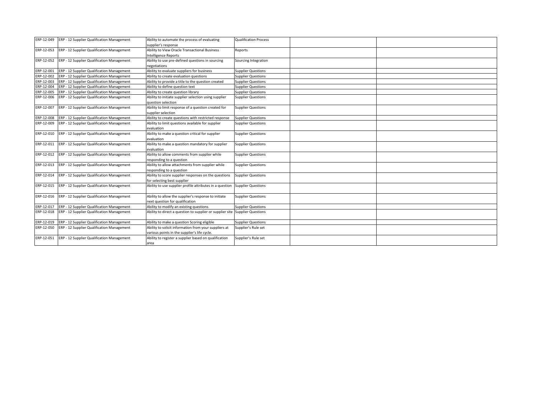| ERP-12-049 | ERP - 12 Supplier Qualification Management | Ability to automate the process of evaluating<br>supplier's response                                  | <b>Qualification Process</b> |  |
|------------|--------------------------------------------|-------------------------------------------------------------------------------------------------------|------------------------------|--|
| ERP-12-053 | ERP - 12 Supplier Qualification Management | Ability to View Oracle Transactional Business<br><b>Intelligence Reports</b>                          | Reports                      |  |
| ERP-12-052 | ERP - 12 Supplier Qualification Management | Ability to use pre-defined questions in sourcing<br>negotiations                                      | Sourcing Integration         |  |
| ERP-12-001 | ERP - 12 Supplier Qualification Management | Ability to evaluate suppliers for business                                                            | <b>Supplier Questions</b>    |  |
| ERP-12-002 | ERP - 12 Supplier Qualification Management | Ability to create evaluation questions                                                                | <b>Supplier Questions</b>    |  |
| ERP-12-003 | ERP - 12 Supplier Qualification Management | Ability to provide a title to the question created                                                    | <b>Supplier Questions</b>    |  |
| ERP-12-004 | ERP - 12 Supplier Qualification Management | Ability to define question text                                                                       | <b>Supplier Questions</b>    |  |
| ERP-12-005 | ERP - 12 Supplier Qualification Management | Ability to create question library                                                                    | <b>Supplier Questions</b>    |  |
| ERP-12-006 | ERP - 12 Supplier Qualification Management | Ability to initiate supplier selection using supplier<br>question selection                           | <b>Supplier Questions</b>    |  |
| ERP-12-007 | ERP - 12 Supplier Qualification Management | Ability to limit response of a question created for<br>supplier selection                             | <b>Supplier Questions</b>    |  |
| ERP-12-008 | ERP - 12 Supplier Qualification Management | Ability to create questions with restricted response                                                  | <b>Supplier Questions</b>    |  |
| ERP-12-009 | ERP - 12 Supplier Qualification Management | Ability to limit questions available for supplier<br>evaluation                                       | <b>Supplier Questions</b>    |  |
| ERP-12-010 | ERP - 12 Supplier Qualification Management | Ability to make a question critical for supplier<br>evaluation                                        | <b>Supplier Questions</b>    |  |
| ERP-12-011 | ERP - 12 Supplier Qualification Management | Ability to make a question mandatory for supplier<br>evaluation                                       | <b>Supplier Questions</b>    |  |
| ERP-12-012 | ERP - 12 Supplier Qualification Management | Ability to allow comments from supplier while<br>responding to a question                             | <b>Supplier Questions</b>    |  |
| ERP-12-013 | ERP - 12 Supplier Qualification Management | Ability to allow attachments from supplier while<br>responding to a question                          | <b>Supplier Questions</b>    |  |
| ERP-12-014 | ERP - 12 Supplier Qualification Management | Ability to score supplier responses on the questions<br>for selecting best supplier                   | <b>Supplier Questions</b>    |  |
| ERP-12-015 | ERP - 12 Supplier Qualification Management | Ability to use supplier profile attributes in a question Supplier Questions                           |                              |  |
| ERP-12-016 | ERP - 12 Supplier Qualification Management | Ability to allow the supplier's response to initiate<br>next question for qualification               | <b>Supplier Questions</b>    |  |
| ERP-12-017 | ERP - 12 Supplier Qualification Management | Ability to modify an existing questions                                                               | <b>Supplier Questions</b>    |  |
| ERP-12-018 | ERP - 12 Supplier Qualification Management | Ability to direct a question to supplier or supplier site Supplier Questions                          |                              |  |
| ERP-12-019 | ERP - 12 Supplier Qualification Management | Ability to make a question Scoring eligible                                                           | <b>Supplier Questions</b>    |  |
| ERP-12-050 | ERP - 12 Supplier Qualification Management | Ability to solicit information from your suppliers at<br>various points in the supplier's life cycle. | Supplier's Rule set          |  |
| ERP-12-051 | ERP - 12 Supplier Qualification Management | Ability to register a supplier based on qualification<br>area                                         | Supplier's Rule set          |  |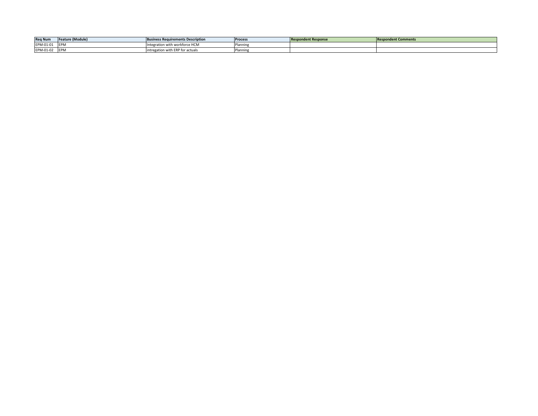| <b>Reg Num</b> | ure (Module)<br><b>Featur</b> | <b>Business Requirements Description</b> | <b>Process</b> | <b>Respondent Response</b> | Respondent Comments |
|----------------|-------------------------------|------------------------------------------|----------------|----------------------------|---------------------|
| EPM-01-01      | <b>EPM</b>                    | Integration with workforce HCM           | -Planning      |                            |                     |
| EPM-01-02      | <b>IEPN</b>                   | intregation with ERP for actuals         | Planning       |                            |                     |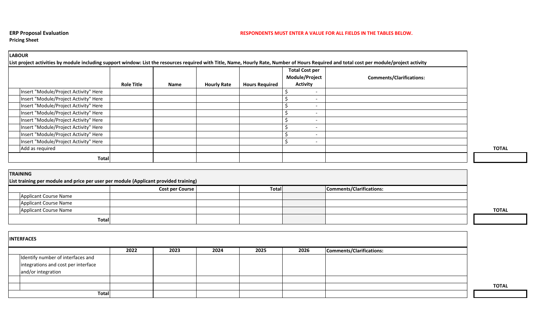### **ERP Proposal Evaluation CONTERPONDENTS AND RESPONDENTS MUST ENTER A VALUE FOR ALL FIELDS IN THE TABLES BELOW.**

**Pricing Sheet**

|                                       |                   |      |                    |                       | <b>Total Cost per</b>    |                                 |              |
|---------------------------------------|-------------------|------|--------------------|-----------------------|--------------------------|---------------------------------|--------------|
|                                       |                   |      |                    |                       | Module/Project           | <b>Comments/Clarifications:</b> |              |
|                                       | <b>Role Title</b> | Name | <b>Hourly Rate</b> | <b>Hours Required</b> | <b>Activity</b>          |                                 |              |
| Insert "Module/Project Activity" Here |                   |      |                    |                       |                          |                                 |              |
| Insert "Module/Project Activity" Here |                   |      |                    |                       | $\overline{\phantom{0}}$ |                                 |              |
| Insert "Module/Project Activity" Here |                   |      |                    |                       | $\overline{\phantom{0}}$ |                                 |              |
| Insert "Module/Project Activity" Here |                   |      |                    |                       | $\overline{\phantom{0}}$ |                                 |              |
| Insert "Module/Project Activity" Here |                   |      |                    |                       |                          |                                 |              |
| Insert "Module/Project Activity" Here |                   |      |                    |                       | $\overline{\phantom{0}}$ |                                 |              |
| Insert "Module/Project Activity" Here |                   |      |                    |                       | $\overline{\phantom{0}}$ |                                 |              |
| Insert "Module/Project Activity" Here |                   |      |                    |                       |                          |                                 |              |
| Add as required                       |                   |      |                    |                       |                          |                                 | <b>TOTAL</b> |
| <b>Total</b>                          |                   |      |                    |                       |                          |                                 |              |

| $\frac{1}{2}$ and the moment and him himself and her moment the integrative himself and moment $\frac{1}{2}$ |                 |        |                          |              |
|--------------------------------------------------------------------------------------------------------------|-----------------|--------|--------------------------|--------------|
|                                                                                                              | Cost per Course | Totall | Comments/Clarifications: |              |
| <b>Applicant Course Name</b>                                                                                 |                 |        |                          |              |
| <b>Applicant Course Name</b>                                                                                 |                 |        |                          |              |
| <b>Applicant Course Name</b>                                                                                 |                 |        |                          | <b>TOTAL</b> |
| <b>Total</b>                                                                                                 |                 |        |                          |              |

| <b>INTERFACES</b>                                                        |      |      |      |      |      |                          |
|--------------------------------------------------------------------------|------|------|------|------|------|--------------------------|
|                                                                          | 2022 | 2023 | 2024 | 2025 | 2026 | Comments/Clarifications: |
|                                                                          |      |      |      |      |      |                          |
| Identify number of interfaces and<br>integrations and cost per interface |      |      |      |      |      |                          |
| and/or integration                                                       |      |      |      |      |      |                          |
|                                                                          |      |      |      |      |      |                          |
|                                                                          |      |      |      |      |      |                          |
| <b>Total</b>                                                             |      |      |      |      |      |                          |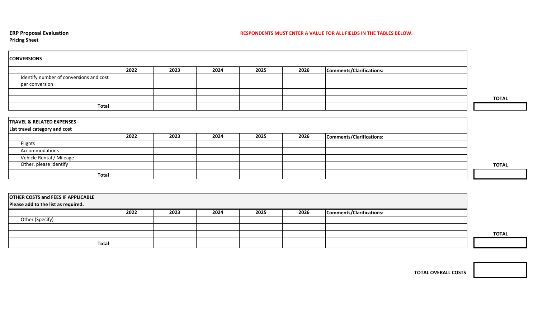#### **ERP Proposal Evaluation CONTERPONDENTS AND RESPONDENTS MUST ENTER A VALUE FOR ALL FIELDS IN THE TABLES BELOW.**

# **Pricing Sheet**

| <b>CONVERSIONS</b>                      |      |      |      |      |      |                          |  |
|-----------------------------------------|------|------|------|------|------|--------------------------|--|
|                                         | 2022 | 2023 | 2024 | 2025 | 2026 | Comments/Clarifications: |  |
| Identify number of conversions and cost |      |      |      |      |      |                          |  |
| per conversion                          |      |      |      |      |      |                          |  |
|                                         |      |      |      |      |      |                          |  |
|                                         |      |      |      |      |      |                          |  |
| <b>Total</b>                            |      |      |      |      |      |                          |  |

| <b>TRAVEL &amp; RELATED EXPENSES</b><br>List travel category and cost |                          |      |      |      |      |      |                          |
|-----------------------------------------------------------------------|--------------------------|------|------|------|------|------|--------------------------|
|                                                                       |                          | 2022 | 2023 | 2024 | 2025 | 2026 | Comments/Clarifications: |
|                                                                       | Flights                  |      |      |      |      |      |                          |
|                                                                       | Accommodations           |      |      |      |      |      |                          |
|                                                                       | Vehicle Rental / Mileage |      |      |      |      |      |                          |
|                                                                       | Other, please identify   |      |      |      |      |      |                          |
|                                                                       | <b>Total</b>             |      |      |      |      |      |                          |

| <b>OTHER COSTS and FEES IF APPLICABLE</b> |  |      |      |      |      |      |                          |  |
|-------------------------------------------|--|------|------|------|------|------|--------------------------|--|
| Please add to the list as required.       |  |      |      |      |      |      |                          |  |
|                                           |  | 2022 | 2023 | 2024 | 2025 | 2026 | Comments/Clarifications: |  |
| Other (Specify)                           |  |      |      |      |      |      |                          |  |
|                                           |  |      |      |      |      |      |                          |  |
|                                           |  |      |      |      |      |      |                          |  |
| <b>Total</b>                              |  |      |      |      |      |      |                          |  |

**TOTAL OVERALL COSTS**

**TOTAL**